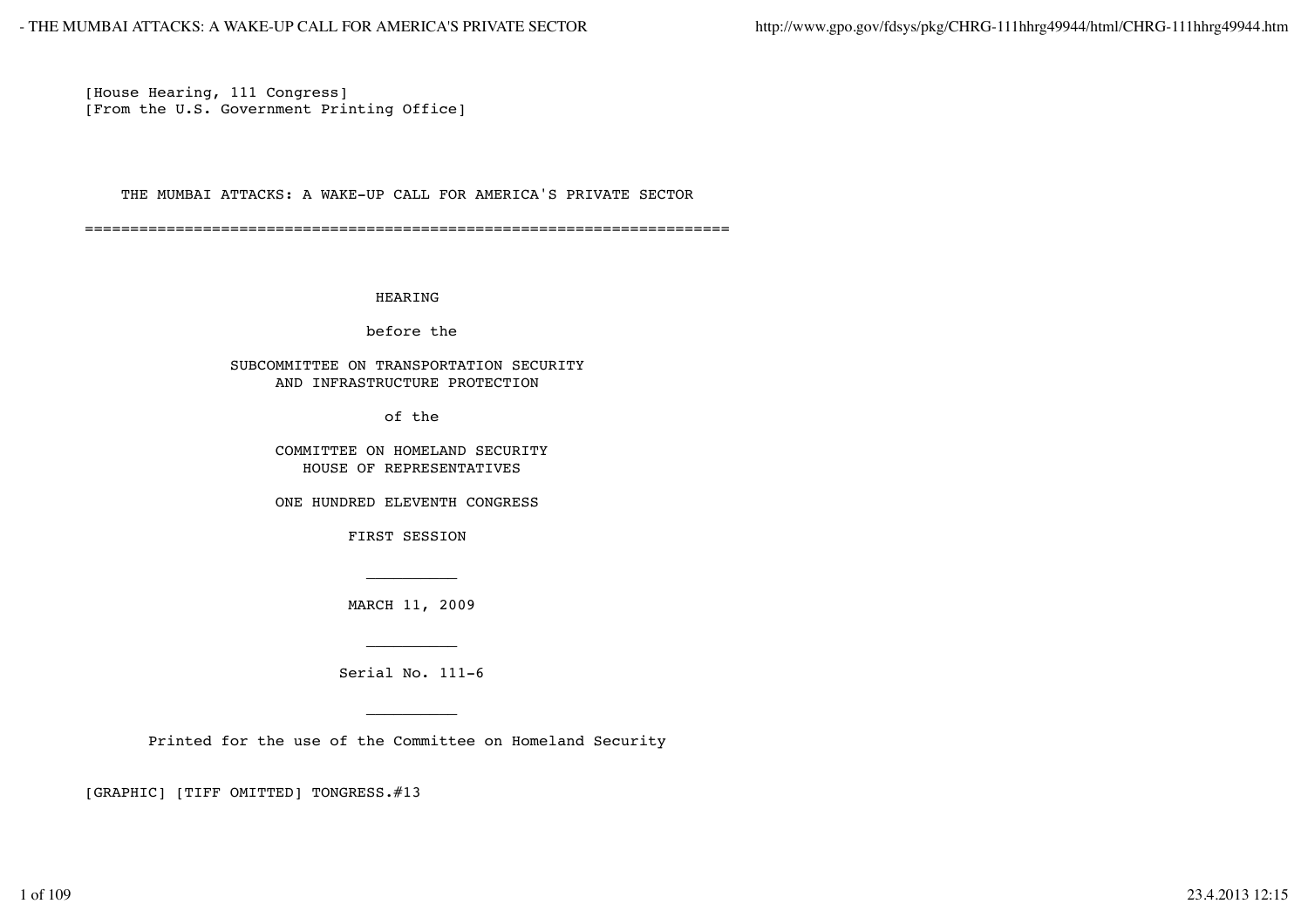[House Hearing, 111 Congress] [From the U.S. Government Printing Office]

THE MUMBAI ATTACKS: A WAKE-UP CALL FOR AMERICA'S PRIVATE SECTOR

=======================================================================

#### HEARING

before the

## SUBCOMMITTEE ON TRANSPORTATION SECURITY AND INFRASTRUCTURE PROTECTION

of the

 COMMITTEE ON HOMELAND SECURITY HOUSE OF REPRESENTATIVES

ONE HUNDRED ELEVENTH CONGRESS

FIRST SESSION

MARCH 11, 2009

Serial No. 111-6

Printed for the use of the Committee on Homeland Security

[GRAPHIC] [TIFF OMITTED] TONGRESS.#13

\_\_\_\_\_\_\_\_\_\_

 $\mathcal{L}_\text{max}$  and  $\mathcal{L}_\text{max}$  are the set of the set of the set of the set of the set of the set of the set of the set of the set of the set of the set of the set of the set of the set of the set of the set of the set o

\_\_\_\_\_\_\_\_\_\_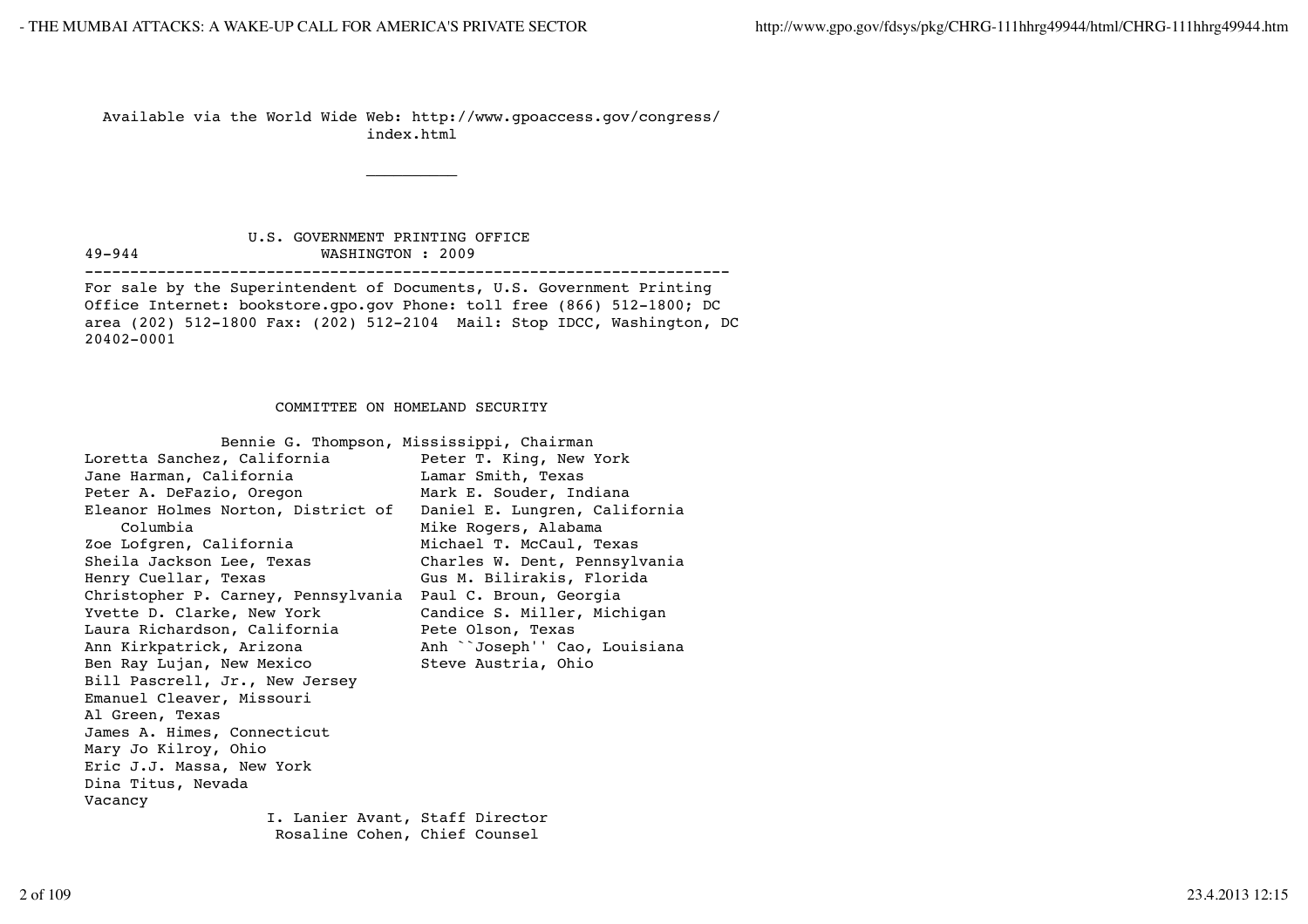\_\_\_\_\_\_\_\_\_\_

 Available via the World Wide Web: http://www.gpoaccess.gov/congress/ index.html

 U.S. GOVERNMENT PRINTING OFFICE 49-944 WASHINGTON : 2009

-----------------------------------------------------------------------

For sale by the Superintendent of Documents, U.S. Government Printing Office Internet: bookstore.gpo.gov Phone: toll free (866) 512-1800; DC area (202) 512-1800 Fax: (202) 512-2104 Mail: Stop IDCC, Washington, DC 20402-0001

### COMMITTEE ON HOMELAND SECURITY

| Bennie G. Thompson, Mississippi, Chairman |                               |
|-------------------------------------------|-------------------------------|
| Loretta Sanchez, California               | Peter T. King, New York       |
| Jane Harman, California                   | Lamar Smith, Texas            |
| Peter A. DeFazio, Oregon                  | Mark E. Souder, Indiana       |
| Eleanor Holmes Norton, District of        | Daniel E. Lungren, California |
| Columbia                                  | Mike Rogers, Alabama          |
| Zoe Lofgren, California                   | Michael T. McCaul, Texas      |
| Sheila Jackson Lee, Texas                 | Charles W. Dent, Pennsylvania |
| Henry Cuellar, Texas                      | Gus M. Bilirakis, Florida     |
| Christopher P. Carney, Pennsylvania       | Paul C. Broun, Georgia        |
| Yvette D. Clarke, New York                | Candice S. Miller, Michigan   |
| Laura Richardson, California              | Pete Olson, Texas             |
| Ann Kirkpatrick, Arizona                  | Anh ``Joseph'' Cao, Louisiana |
| Ben Ray Lujan, New Mexico                 | Steve Austria, Ohio           |
| Bill Pascrell, Jr., New Jersey            |                               |
| Emanuel Cleaver, Missouri                 |                               |
| Al Green, Texas                           |                               |
| James A. Himes, Connecticut               |                               |
| Mary Jo Kilroy, Ohio                      |                               |
| Eric J.J. Massa, New York                 |                               |
| Dina Titus, Nevada                        |                               |
| Vacancy                                   |                               |
| I. Lanier Avant, Staff Director           |                               |
| Rosaline Cohen, Chief Counsel             |                               |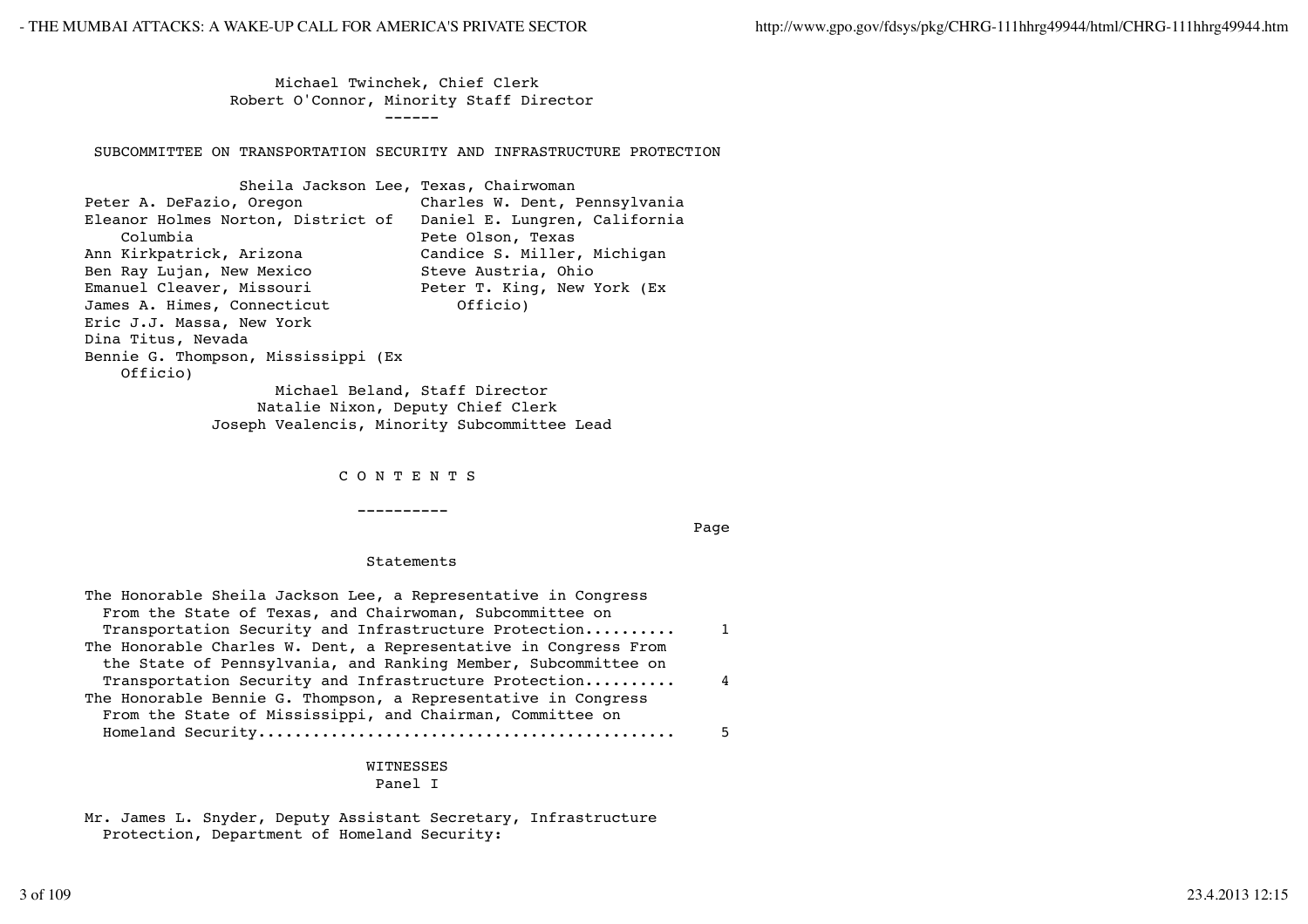Michael Twinchek, Chief Clerk Robert O'Connor, Minority Staff Director ------

SUBCOMMITTEE ON TRANSPORTATION SECURITY AND INFRASTRUCTURE PROTECTION

| Sheila Jackson Lee, Texas, Chairwoman                            |                               |
|------------------------------------------------------------------|-------------------------------|
| Peter A. DeFazio, Oregon                                         | Charles W. Dent, Pennsylvania |
| Eleanor Holmes Norton, District of Daniel E. Lungren, California |                               |
| Columbia                                                         | Pete Olson, Texas             |
| Ann Kirkpatrick, Arizona                                         | Candice S. Miller, Michigan   |
| Ben Ray Lujan, New Mexico                                        | Steve Austria, Ohio           |
| Emanuel Cleaver, Missouri                                        | Peter T. King, New York (Ex   |
| James A. Himes, Connecticut                                      | Officio)                      |
| Eric J.J. Massa, New York                                        |                               |
| Dina Titus, Nevada                                               |                               |
| Bennie G. Thompson, Mississippi (Ex                              |                               |
| Officio)                                                         |                               |
| Michael Beland, Staff Director                                   |                               |

 Natalie Nixon, Deputy Chief Clerk Joseph Vealencis, Minority Subcommittee Lead

C O N T E N T S

----------

na di Salaman (1993) na manda a shekara ta 1992) na matsayin na matsayin na matsayin na matsayin na matsayin n

#### Statements

| The Honorable Sheila Jackson Lee, a Representative in Congress   |          |
|------------------------------------------------------------------|----------|
| From the State of Texas, and Chairwoman, Subcommittee on         |          |
| Transportation Security and Infrastructure Protection            | 1        |
| The Honorable Charles W. Dent, a Representative in Congress From |          |
| the State of Pennsylvania, and Ranking Member, Subcommittee on   |          |
| Transportation Security and Infrastructure Protection            | $\Delta$ |
| The Honorable Bennie G. Thompson, a Representative in Congress   |          |
| From the State of Mississippi, and Chairman, Committee on        |          |
|                                                                  | 5        |

# WITNESSES

# Panel I

Mr. James L. Snyder, Deputy Assistant Secretary, Infrastructure Protection, Department of Homeland Security: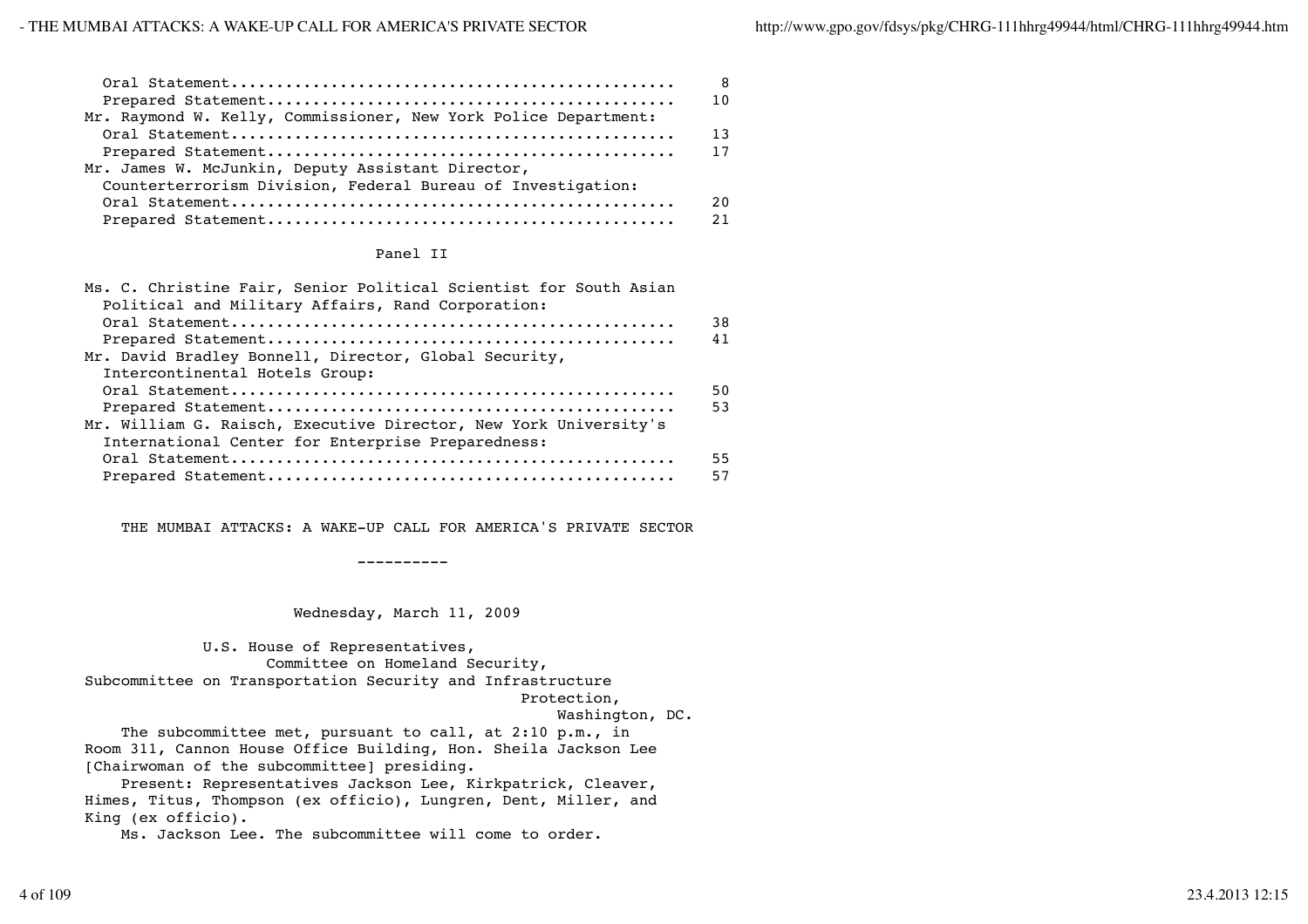|                                                                 | - 8 |
|-----------------------------------------------------------------|-----|
| Mr. Raymond W. Kelly, Commissioner, New York Police Department: |     |
|                                                                 | 13  |
|                                                                 |     |
| Mr. James W. McJunkin, Deputy Assistant Director,               |     |
| Counterterrorism Division, Federal Bureau of Investigation:     |     |
|                                                                 | 20  |
|                                                                 |     |

#### Panel II

| Ms. C. Christine Fair, Senior Political Scientist for South Asian |    |
|-------------------------------------------------------------------|----|
| Political and Military Affairs, Rand Corporation:                 |    |
|                                                                   | 38 |
|                                                                   | 41 |
| Mr. David Bradley Bonnell, Director, Global Security,             |    |
| Intercontinental Hotels Group:                                    |    |
|                                                                   | 50 |
|                                                                   | 53 |
| Mr. William G. Raisch, Executive Director, New York University's  |    |
| International Center for Enterprise Preparedness:                 |    |
|                                                                   | 55 |
|                                                                   | 57 |

THE MUMBAI ATTACKS: A WAKE-UP CALL FOR AMERICA'S PRIVATE SECTOR

----------

Wednesday, March 11, 2009

 U.S. House of Representatives, Committee on Homeland Security, Subcommittee on Transportation Security and Infrastructure Protection,

Washington, DC.

The subcommittee met, pursuant to call, at 2:10 p.m., in Room 311, Cannon House Office Building, Hon. Sheila Jackson Lee [Chairwoman of the subcommittee] presiding.

 Present: Representatives Jackson Lee, Kirkpatrick, Cleaver, Himes, Titus, Thompson (ex officio), Lungren, Dent, Miller, and King (ex officio).

Ms. Jackson Lee. The subcommittee will come to order.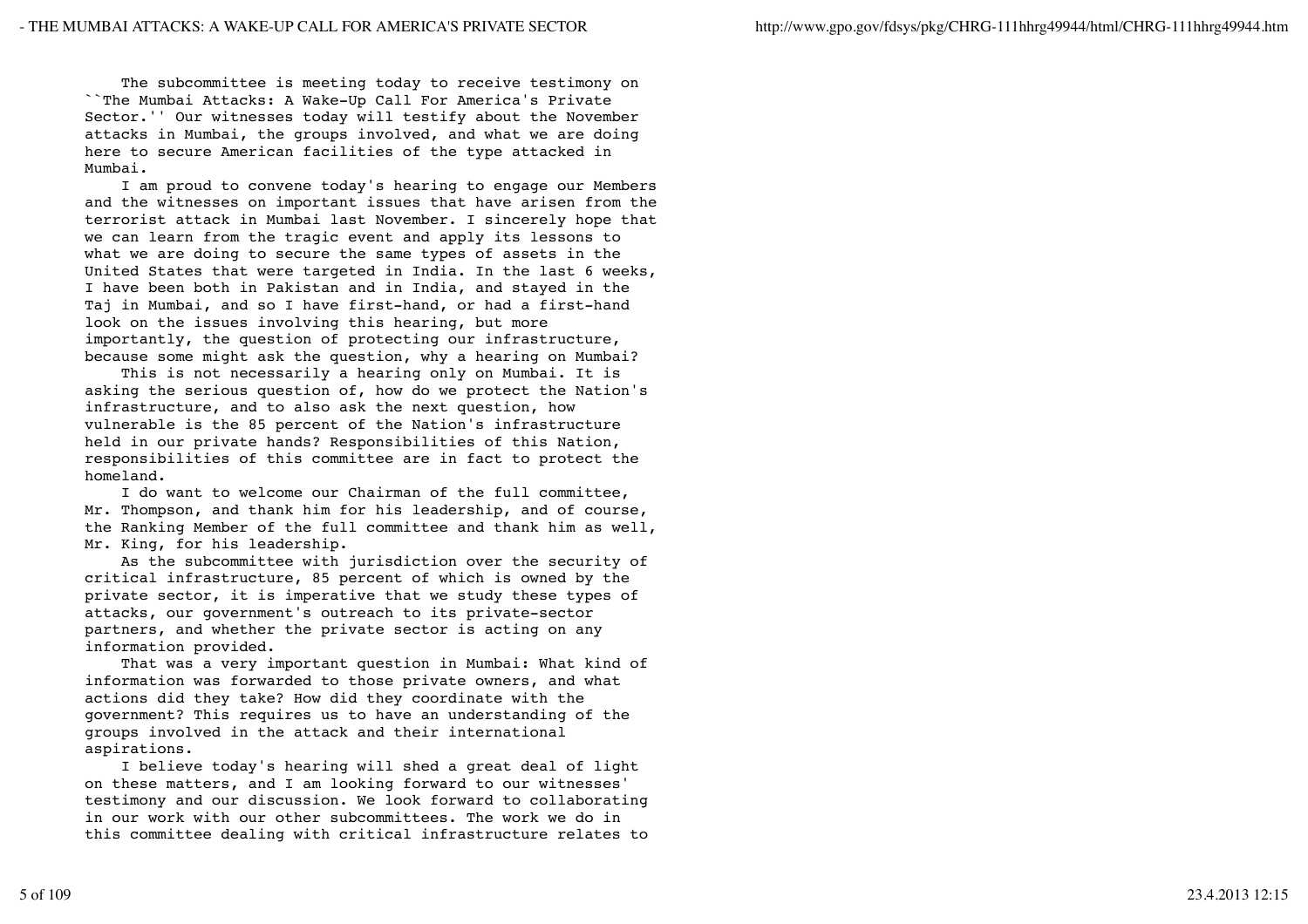The subcommittee is meeting today to receive testimony on ``The Mumbai Attacks: A Wake-Up Call For America's Private Sector.'' Our witnesses today will testify about the November attacks in Mumbai, the groups involved, and what we are doing here to secure American facilities of the type attacked in Mumbai.

 I am proud to convene today's hearing to engage our Members and the witnesses on important issues that have arisen from the terrorist attack in Mumbai last November. I sincerely hope that we can learn from the tragic event and apply its lessons to what we are doing to secure the same types of assets in the United States that were targeted in India. In the last 6 weeks, I have been both in Pakistan and in India, and stayed in the Taj in Mumbai, and so I have first-hand, or had a first-hand look on the issues involving this hearing, but more importantly, the question of protecting our infrastructure, because some might ask the question, why a hearing on Mumbai?

 This is not necessarily a hearing only on Mumbai. It is asking the serious question of, how do we protect the Nation's infrastructure, and to also ask the next question, how vulnerable is the 85 percent of the Nation's infrastructure held in our private hands? Responsibilities of this Nation, responsibilities of this committee are in fact to protect the homeland.

 I do want to welcome our Chairman of the full committee, Mr. Thompson, and thank him for his leadership, and of course, the Ranking Member of the full committee and thank him as well, Mr. King, for his leadership.

 As the subcommittee with jurisdiction over the security of critical infrastructure, 85 percent of which is owned by the private sector, it is imperative that we study these types of attacks, our government's outreach to its private-sector partners, and whether the private sector is acting on any information provided.

 That was a very important question in Mumbai: What kind of information was forwarded to those private owners, and what actions did they take? How did they coordinate with the government? This requires us to have an understanding of the groups involved in the attack and their international aspirations.

 I believe today's hearing will shed a great deal of light on these matters, and I am looking forward to our witnesses' testimony and our discussion. We look forward to collaborating in our work with our other subcommittees. The work we do in this committee dealing with critical infrastructure relates to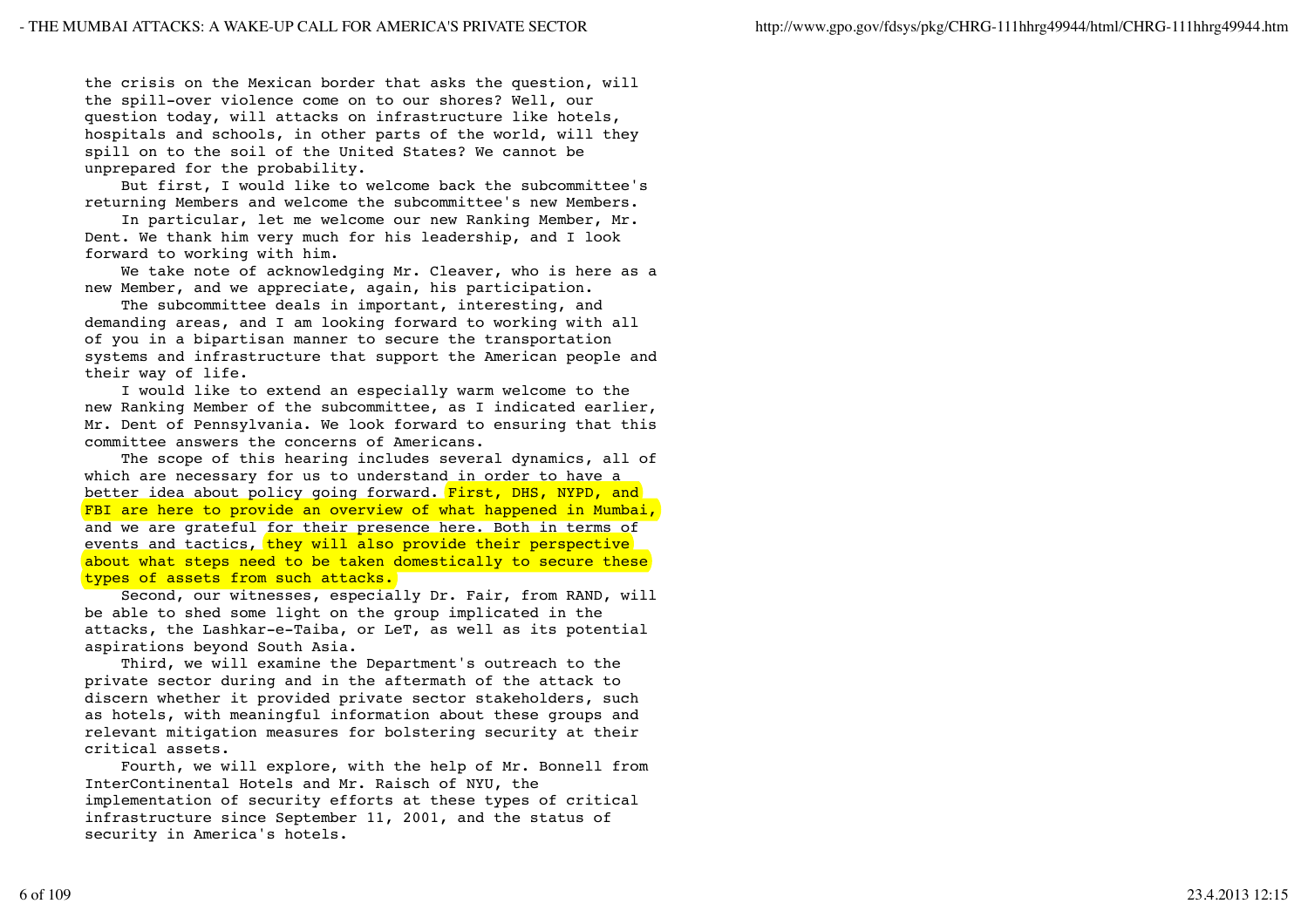the crisis on the Mexican border that asks the question, will the spill-over violence come on to our shores? Well, our question today, will attacks on infrastructure like hotels, hospitals and schools, in other parts of the world, will they spill on to the soil of the United States? We cannot be unprepared for the probability.

 But first, I would like to welcome back the subcommittee's returning Members and welcome the subcommittee's new Members.

 In particular, let me welcome our new Ranking Member, Mr. Dent. We thank him very much for his leadership, and I look forward to working with him.

 We take note of acknowledging Mr. Cleaver, who is here as a new Member, and we appreciate, again, his participation.

 The subcommittee deals in important, interesting, and demanding areas, and I am looking forward to working with all of you in a bipartisan manner to secure the transportation systems and infrastructure that support the American people and their way of life.

 I would like to extend an especially warm welcome to the new Ranking Member of the subcommittee, as I indicated earlier, Mr. Dent of Pennsylvania. We look forward to ensuring that this committee answers the concerns of Americans.

 The scope of this hearing includes several dynamics, all of which are necessary for us to understand in order to have a better idea about policy going forward. First, DHS, NYPD, and FBI are here to provide an overview of what happened in Mumbai, and we are grateful for their presence here. Both in terms of events and tactics, they will also provide their perspective about what steps need to be taken domestically to secure these types of assets from such attacks.

 Second, our witnesses, especially Dr. Fair, from RAND, will be able to shed some light on the group implicated in the attacks, the Lashkar-e-Taiba, or LeT, as well as its potential aspirations beyond South Asia.

 Third, we will examine the Department's outreach to the private sector during and in the aftermath of the attack to discern whether it provided private sector stakeholders, such as hotels, with meaningful information about these groups and relevant mitigation measures for bolstering security at their critical assets.

 Fourth, we will explore, with the help of Mr. Bonnell from InterContinental Hotels and Mr. Raisch of NYU, the implementation of security efforts at these types of critical infrastructure since September 11, 2001, and the status of security in America's hotels.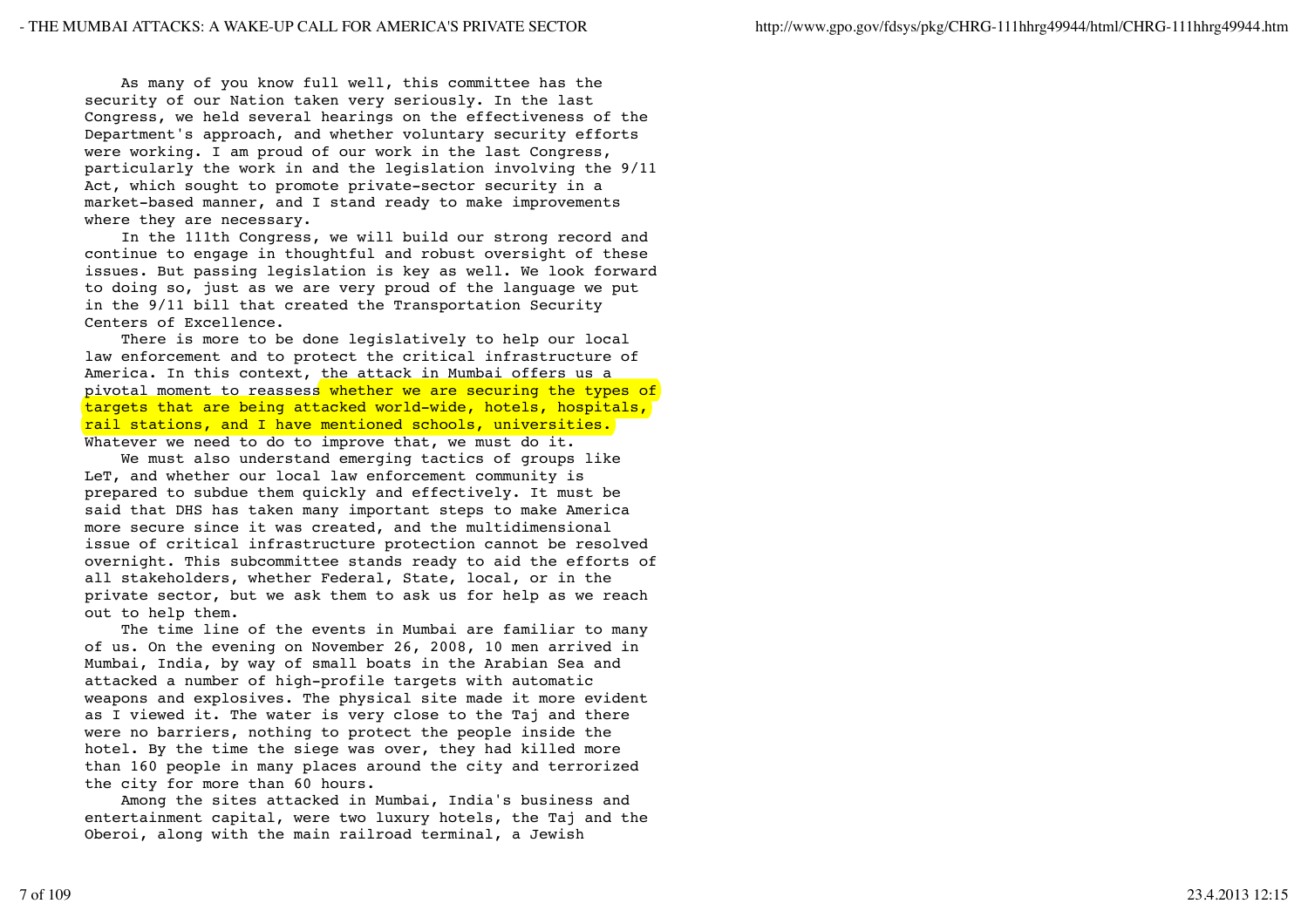As many of you know full well, this committee has the security of our Nation taken very seriously. In the last Congress, we held several hearings on the effectiveness of the Department's approach, and whether voluntary security efforts were working. I am proud of our work in the last Congress, particularly the work in and the legislation involving the 9/11 Act, which sought to promote private-sector security in a market-based manner, and I stand ready to make improvements where they are necessary.

 In the 111th Congress, we will build our strong record and continue to engage in thoughtful and robust oversight of these issues. But passing legislation is key as well. We look forward to doing so, just as we are very proud of the language we put in the 9/11 bill that created the Transportation Security Centers of Excellence.

 There is more to be done legislatively to help our local law enforcement and to protect the critical infrastructure of America. In this context, the attack in Mumbai offers us a pivotal moment to reassess whether we are securing the types of targets that are being attacked world-wide, hotels, hospitals, rail stations, and I have mentioned schools, universities. Whatever we need to do to improve that, we must do it.

 We must also understand emerging tactics of groups like LeT, and whether our local law enforcement community is prepared to subdue them quickly and effectively. It must be said that DHS has taken many important steps to make America more secure since it was created, and the multidimensional issue of critical infrastructure protection cannot be resolved overnight. This subcommittee stands ready to aid the efforts of all stakeholders, whether Federal, State, local, or in the private sector, but we ask them to ask us for help as we reach out to help them.

 The time line of the events in Mumbai are familiar to many of us. On the evening on November 26, 2008, 10 men arrived in Mumbai, India, by way of small boats in the Arabian Sea and attacked a number of high-profile targets with automatic weapons and explosives. The physical site made it more evident as I viewed it. The water is very close to the Taj and there were no barriers, nothing to protect the people inside the hotel. By the time the siege was over, they had killed more than 160 people in many places around the city and terrorized the city for more than 60 hours.

 Among the sites attacked in Mumbai, India's business and entertainment capital, were two luxury hotels, the Taj and the Oberoi, along with the main railroad terminal, a Jewish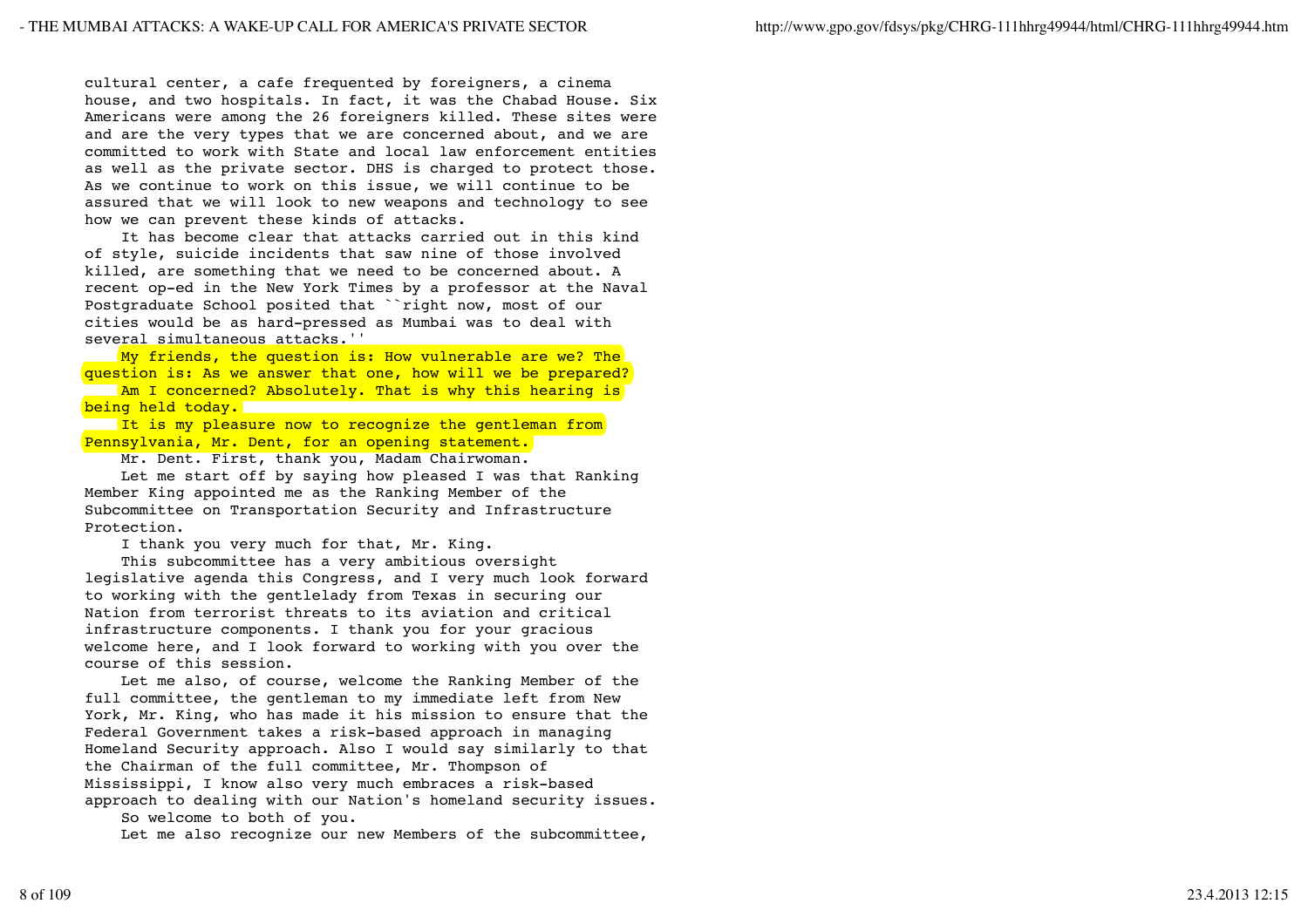cultural center, a cafe frequented by foreigners, a cinema house, and two hospitals. In fact, it was the Chabad House. Six Americans were among the 26 foreigners killed. These sites were and are the very types that we are concerned about, and we are committed to work with State and local law enforcement entities as well as the private sector. DHS is charged to protect those. As we continue to work on this issue, we will continue to be assured that we will look to new weapons and technology to see how we can prevent these kinds of attacks.

 It has become clear that attacks carried out in this kind of style, suicide incidents that saw nine of those involved killed, are something that we need to be concerned about. A recent op-ed in the New York Times by a professor at the Naval Postgraduate School posited that ``right now, most of our cities would be as hard-pressed as Mumbai was to deal with several simultaneous attacks.''

My friends, the question is: How vulnerable are we? The question is: As we answer that one, how will we be prepared? Am I concerned? Absolutely. That is why this hearing is

being held today.

It is my pleasure now to recognize the gentleman from Pennsylvania, Mr. Dent, for an opening statement.

Mr. Dent. First, thank you, Madam Chairwoman.

 Let me start off by saying how pleased I was that Ranking Member King appointed me as the Ranking Member of the Subcommittee on Transportation Security and Infrastructure Protection.

I thank you very much for that, Mr. King.

 This subcommittee has a very ambitious oversight legislative agenda this Congress, and I very much look forward to working with the gentlelady from Texas in securing our Nation from terrorist threats to its aviation and critical infrastructure components. I thank you for your gracious welcome here, and I look forward to working with you over the course of this session.

 Let me also, of course, welcome the Ranking Member of the full committee, the gentleman to my immediate left from New York, Mr. King, who has made it his mission to ensure that the Federal Government takes a risk-based approach in managing Homeland Security approach. Also I would say similarly to that the Chairman of the full committee, Mr. Thompson of Mississippi, I know also very much embraces a risk-based approach to dealing with our Nation's homeland security issues.

So welcome to both of you.

Let me also recognize our new Members of the subcommittee,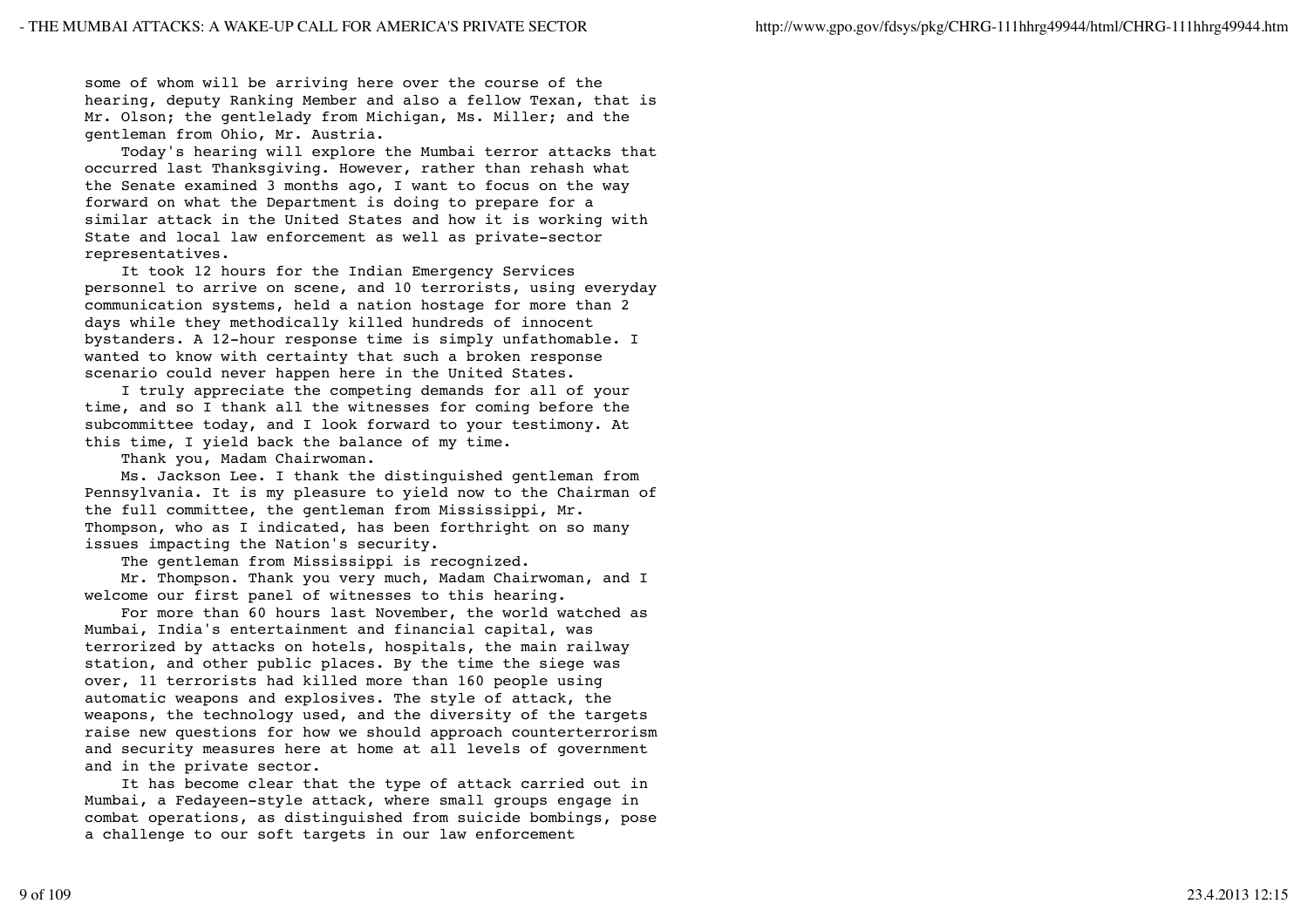some of whom will be arriving here over the course of the hearing, deputy Ranking Member and also a fellow Texan, that is Mr. Olson; the gentlelady from Michigan, Ms. Miller; and the gentleman from Ohio, Mr. Austria.

 Today's hearing will explore the Mumbai terror attacks that occurred last Thanksgiving. However, rather than rehash what the Senate examined 3 months ago, I want to focus on the way forward on what the Department is doing to prepare for a similar attack in the United States and how it is working with State and local law enforcement as well as private-sector representatives.

 It took 12 hours for the Indian Emergency Services personnel to arrive on scene, and 10 terrorists, using everyday communication systems, held a nation hostage for more than 2 days while they methodically killed hundreds of innocent bystanders. A 12-hour response time is simply unfathomable. I wanted to know with certainty that such a broken response scenario could never happen here in the United States.

 I truly appreciate the competing demands for all of your time, and so I thank all the witnesses for coming before the subcommittee today, and I look forward to your testimony. At this time, I yield back the balance of my time.

Thank you, Madam Chairwoman.

 Ms. Jackson Lee. I thank the distinguished gentleman from Pennsylvania. It is my pleasure to yield now to the Chairman of the full committee, the gentleman from Mississippi, Mr. Thompson, who as I indicated, has been forthright on so many issues impacting the Nation's security.

The gentleman from Mississippi is recognized.

 Mr. Thompson. Thank you very much, Madam Chairwoman, and I welcome our first panel of witnesses to this hearing.

 For more than 60 hours last November, the world watched as Mumbai, India's entertainment and financial capital, was terrorized by attacks on hotels, hospitals, the main railway station, and other public places. By the time the siege was over, 11 terrorists had killed more than 160 people using automatic weapons and explosives. The style of attack, the weapons, the technology used, and the diversity of the targets raise new questions for how we should approach counterterrorism and security measures here at home at all levels of government and in the private sector.

 It has become clear that the type of attack carried out in Mumbai, a Fedayeen-style attack, where small groups engage in combat operations, as distinguished from suicide bombings, pose a challenge to our soft targets in our law enforcement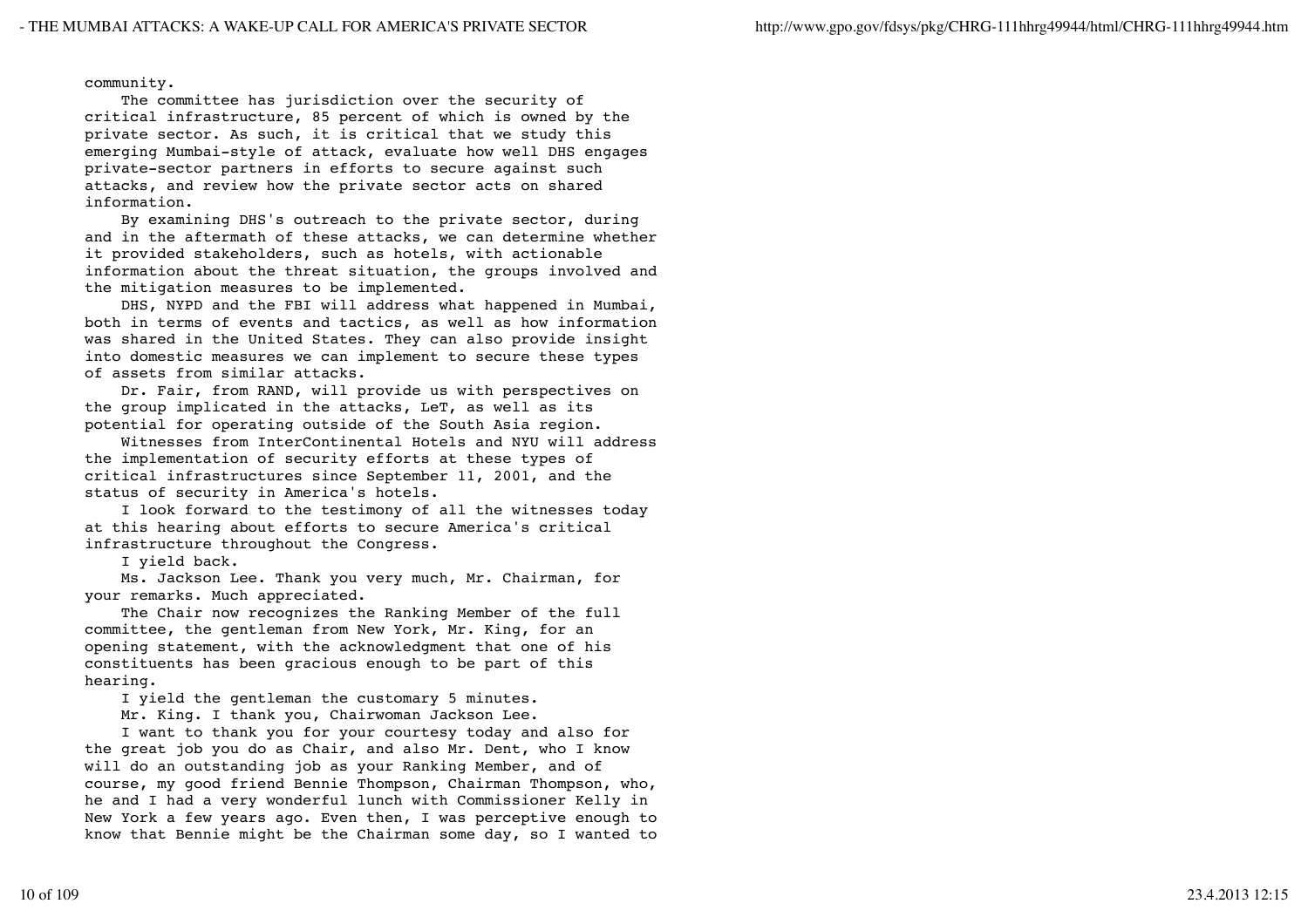community.

 The committee has jurisdiction over the security of critical infrastructure, 85 percent of which is owned by the private sector. As such, it is critical that we study this emerging Mumbai-style of attack, evaluate how well DHS engages private-sector partners in efforts to secure against such attacks, and review how the private sector acts on shared information.

 By examining DHS's outreach to the private sector, during and in the aftermath of these attacks, we can determine whether it provided stakeholders, such as hotels, with actionable information about the threat situation, the groups involved and the mitigation measures to be implemented.

 DHS, NYPD and the FBI will address what happened in Mumbai, both in terms of events and tactics, as well as how information was shared in the United States. They can also provide insight into domestic measures we can implement to secure these types of assets from similar attacks.

 Dr. Fair, from RAND, will provide us with perspectives on the group implicated in the attacks, LeT, as well as its potential for operating outside of the South Asia region.

 Witnesses from InterContinental Hotels and NYU will address the implementation of security efforts at these types of critical infrastructures since September 11, 2001, and the status of security in America's hotels.

 I look forward to the testimony of all the witnesses today at this hearing about efforts to secure America's critical infrastructure throughout the Congress.

I yield back.

 Ms. Jackson Lee. Thank you very much, Mr. Chairman, for your remarks. Much appreciated.

 The Chair now recognizes the Ranking Member of the full committee, the gentleman from New York, Mr. King, for an opening statement, with the acknowledgment that one of his constituents has been gracious enough to be part of this hearing.

I yield the gentleman the customary 5 minutes.

Mr. King. I thank you, Chairwoman Jackson Lee.

 I want to thank you for your courtesy today and also for the great job you do as Chair, and also Mr. Dent, who I know will do an outstanding job as your Ranking Member, and of course, my good friend Bennie Thompson, Chairman Thompson, who, he and I had a very wonderful lunch with Commissioner Kelly in New York a few years ago. Even then, I was perceptive enough to know that Bennie might be the Chairman some day, so I wanted to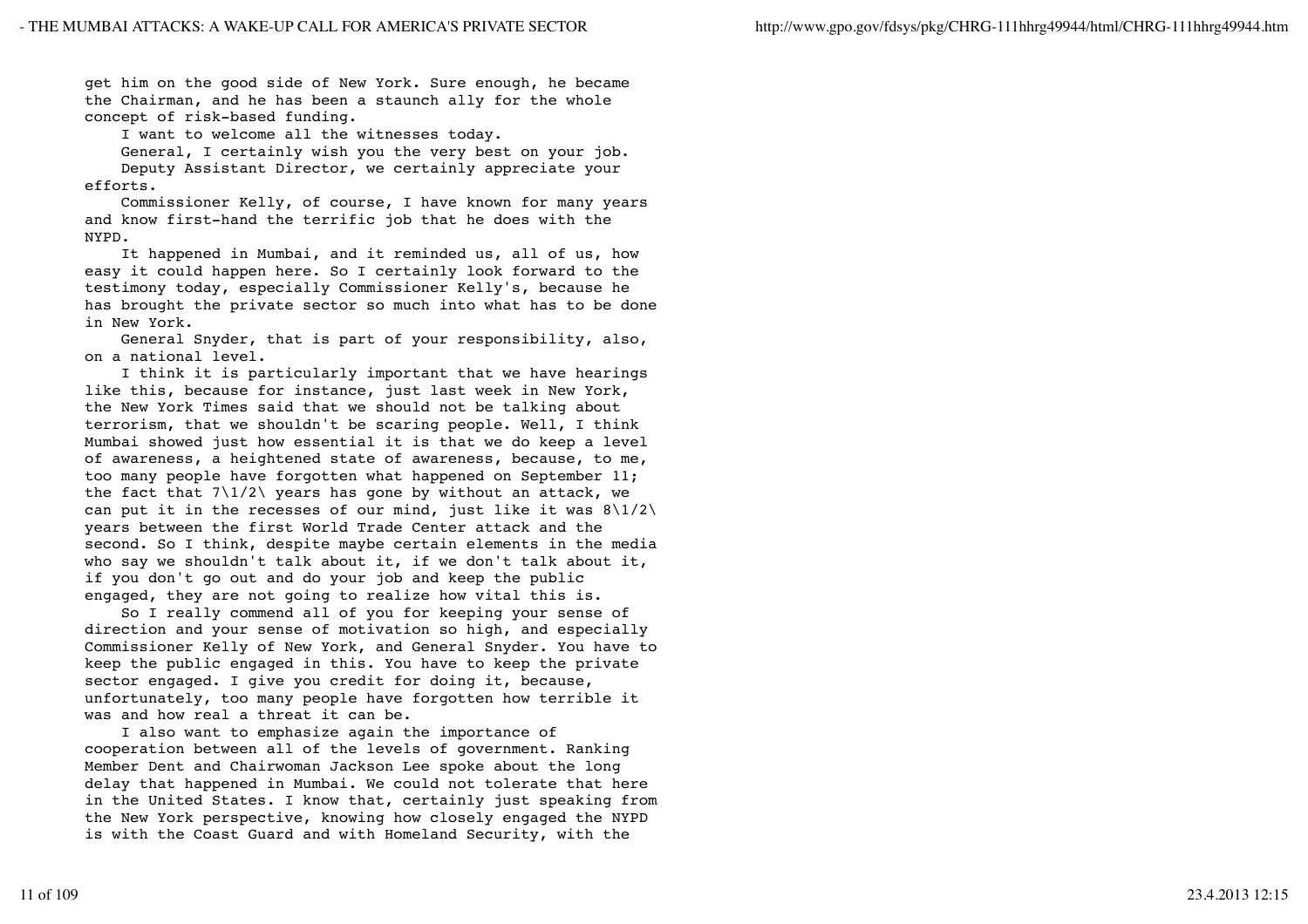get him on the good side of New York. Sure enough, he became the Chairman, and he has been a staunch ally for the whole concept of risk-based funding.

I want to welcome all the witnesses today.

 General, I certainly wish you the very best on your job. Deputy Assistant Director, we certainly appreciate your efforts.

 Commissioner Kelly, of course, I have known for many years and know first-hand the terrific job that he does with the NYPD.

 It happened in Mumbai, and it reminded us, all of us, how easy it could happen here. So I certainly look forward to the testimony today, especially Commissioner Kelly's, because he has brought the private sector so much into what has to be done in New York.

 General Snyder, that is part of your responsibility, also, on a national level.

 I think it is particularly important that we have hearings like this, because for instance, just last week in New York, the New York Times said that we should not be talking about terrorism, that we shouldn't be scaring people. Well, I think Mumbai showed just how essential it is that we do keep a level of awareness, a heightened state of awareness, because, to me, too many people have forgotten what happened on September 11; the fact that  $7\frac{1}{2}$  years has gone by without an attack, we can put it in the recesses of our mind, just like it was  $8\frac{1}{2}\$ years between the first World Trade Center attack and the second. So I think, despite maybe certain elements in the media who say we shouldn't talk about it, if we don't talk about it, if you don't go out and do your job and keep the public engaged, they are not going to realize how vital this is.

 So I really commend all of you for keeping your sense of direction and your sense of motivation so high, and especially Commissioner Kelly of New York, and General Snyder. You have to keep the public engaged in this. You have to keep the private sector engaged. I give you credit for doing it, because, unfortunately, too many people have forgotten how terrible it was and how real a threat it can be.

 I also want to emphasize again the importance of cooperation between all of the levels of government. Ranking Member Dent and Chairwoman Jackson Lee spoke about the long delay that happened in Mumbai. We could not tolerate that here in the United States. I know that, certainly just speaking from the New York perspective, knowing how closely engaged the NYPD is with the Coast Guard and with Homeland Security, with the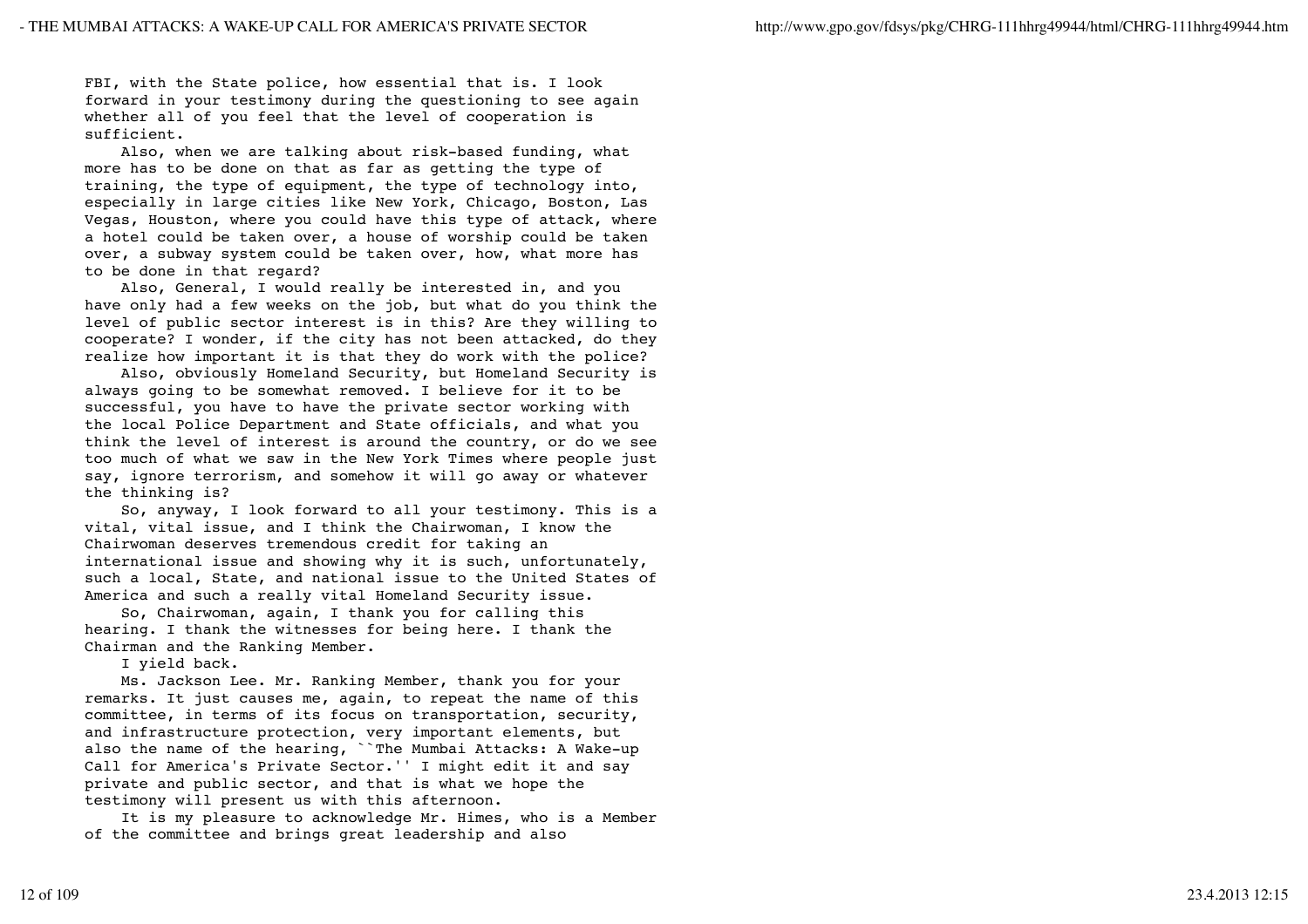FBI, with the State police, how essential that is. I look forward in your testimony during the questioning to see again whether all of you feel that the level of cooperation is sufficient.

 Also, when we are talking about risk-based funding, what more has to be done on that as far as getting the type of training, the type of equipment, the type of technology into, especially in large cities like New York, Chicago, Boston, Las Vegas, Houston, where you could have this type of attack, where a hotel could be taken over, a house of worship could be taken over, a subway system could be taken over, how, what more has to be done in that regard?

 Also, General, I would really be interested in, and you have only had a few weeks on the job, but what do you think the level of public sector interest is in this? Are they willing to cooperate? I wonder, if the city has not been attacked, do they realize how important it is that they do work with the police?

 Also, obviously Homeland Security, but Homeland Security is always going to be somewhat removed. I believe for it to be successful, you have to have the private sector working with the local Police Department and State officials, and what you think the level of interest is around the country, or do we see too much of what we saw in the New York Times where people just say, ignore terrorism, and somehow it will go away or whatever the thinking is?

 So, anyway, I look forward to all your testimony. This is a vital, vital issue, and I think the Chairwoman, I know the Chairwoman deserves tremendous credit for taking an international issue and showing why it is such, unfortunately, such a local, State, and national issue to the United States of America and such a really vital Homeland Security issue.

 So, Chairwoman, again, I thank you for calling this hearing. I thank the witnesses for being here. I thank the Chairman and the Ranking Member.

I yield back.

 Ms. Jackson Lee. Mr. Ranking Member, thank you for your remarks. It just causes me, again, to repeat the name of this committee, in terms of its focus on transportation, security, and infrastructure protection, very important elements, but also the name of the hearing, ``The Mumbai Attacks: A Wake-up Call for America's Private Sector.'' I might edit it and say private and public sector, and that is what we hope the testimony will present us with this afternoon.

 It is my pleasure to acknowledge Mr. Himes, who is a Member of the committee and brings great leadership and also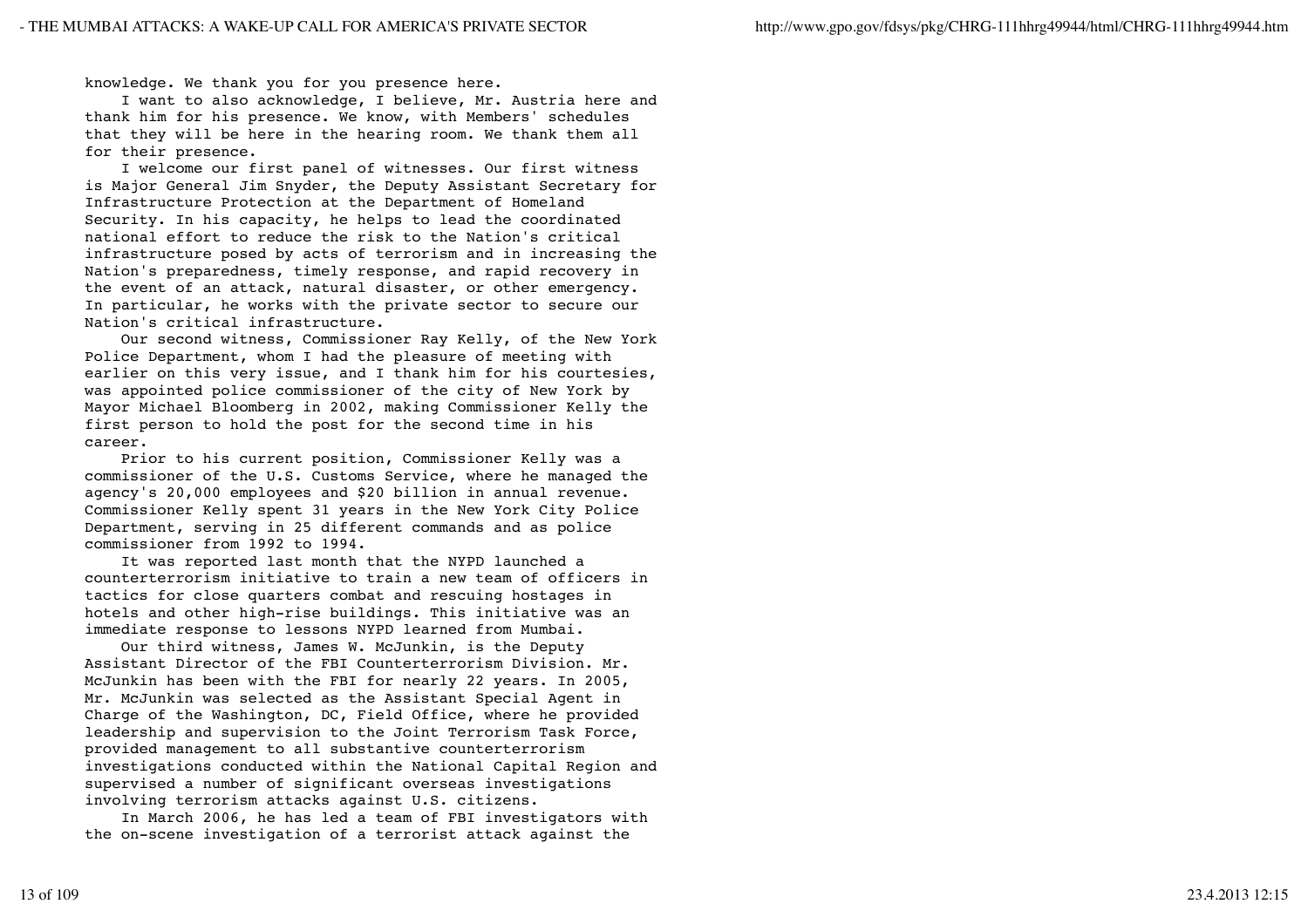knowledge. We thank you for you presence here.

 I want to also acknowledge, I believe, Mr. Austria here and thank him for his presence. We know, with Members' schedules that they will be here in the hearing room. We thank them all for their presence.

 I welcome our first panel of witnesses. Our first witness is Major General Jim Snyder, the Deputy Assistant Secretary for Infrastructure Protection at the Department of Homeland Security. In his capacity, he helps to lead the coordinated national effort to reduce the risk to the Nation's critical infrastructure posed by acts of terrorism and in increasing the Nation's preparedness, timely response, and rapid recovery in the event of an attack, natural disaster, or other emergency. In particular, he works with the private sector to secure our Nation's critical infrastructure.

 Our second witness, Commissioner Ray Kelly, of the New York Police Department, whom I had the pleasure of meeting with earlier on this very issue, and I thank him for his courtesies, was appointed police commissioner of the city of New York by Mayor Michael Bloomberg in 2002, making Commissioner Kelly the first person to hold the post for the second time in his career.

 Prior to his current position, Commissioner Kelly was a commissioner of the U.S. Customs Service, where he managed the agency's 20,000 employees and \$20 billion in annual revenue. Commissioner Kelly spent 31 years in the New York City Police Department, serving in 25 different commands and as police commissioner from 1992 to 1994.

 It was reported last month that the NYPD launched a counterterrorism initiative to train a new team of officers in tactics for close quarters combat and rescuing hostages in hotels and other high-rise buildings. This initiative was an immediate response to lessons NYPD learned from Mumbai.

 Our third witness, James W. McJunkin, is the Deputy Assistant Director of the FBI Counterterrorism Division. Mr. McJunkin has been with the FBI for nearly 22 years. In 2005, Mr. McJunkin was selected as the Assistant Special Agent in Charge of the Washington, DC, Field Office, where he provided leadership and supervision to the Joint Terrorism Task Force, provided management to all substantive counterterrorism investigations conducted within the National Capital Region and supervised a number of significant overseas investigations involving terrorism attacks against U.S. citizens.

 In March 2006, he has led a team of FBI investigators with the on-scene investigation of a terrorist attack against the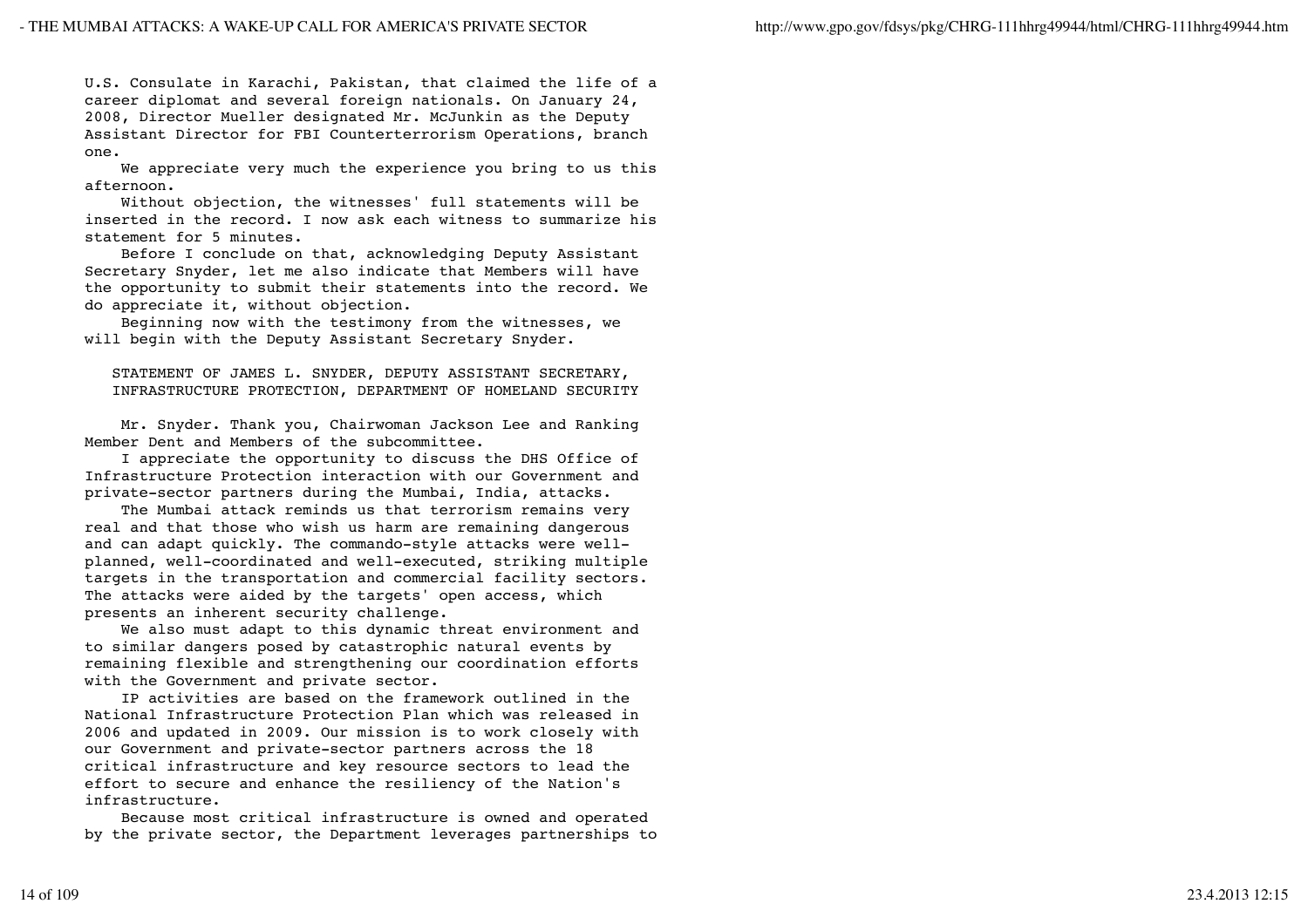U.S. Consulate in Karachi, Pakistan, that claimed the life of a career diplomat and several foreign nationals. On January 24, 2008, Director Mueller designated Mr. McJunkin as the Deputy Assistant Director for FBI Counterterrorism Operations, branch one.

 We appreciate very much the experience you bring to us this afternoon.

 Without objection, the witnesses' full statements will be inserted in the record. I now ask each witness to summarize his statement for 5 minutes.

 Before I conclude on that, acknowledging Deputy Assistant Secretary Snyder, let me also indicate that Members will have the opportunity to submit their statements into the record. We do appreciate it, without objection.

 Beginning now with the testimony from the witnesses, we will begin with the Deputy Assistant Secretary Snyder.

 STATEMENT OF JAMES L. SNYDER, DEPUTY ASSISTANT SECRETARY, INFRASTRUCTURE PROTECTION, DEPARTMENT OF HOMELAND SECURITY

 Mr. Snyder. Thank you, Chairwoman Jackson Lee and Ranking Member Dent and Members of the subcommittee.

 I appreciate the opportunity to discuss the DHS Office of Infrastructure Protection interaction with our Government and private-sector partners during the Mumbai, India, attacks.

 The Mumbai attack reminds us that terrorism remains very real and that those who wish us harm are remaining dangerous and can adapt quickly. The commando-style attacks were wellplanned, well-coordinated and well-executed, striking multiple targets in the transportation and commercial facility sectors. The attacks were aided by the targets' open access, which presents an inherent security challenge.

 We also must adapt to this dynamic threat environment and to similar dangers posed by catastrophic natural events by remaining flexible and strengthening our coordination efforts with the Government and private sector.

 IP activities are based on the framework outlined in the National Infrastructure Protection Plan which was released in 2006 and updated in 2009. Our mission is to work closely with our Government and private-sector partners across the 18 critical infrastructure and key resource sectors to lead the effort to secure and enhance the resiliency of the Nation's infrastructure.

 Because most critical infrastructure is owned and operated by the private sector, the Department leverages partnerships to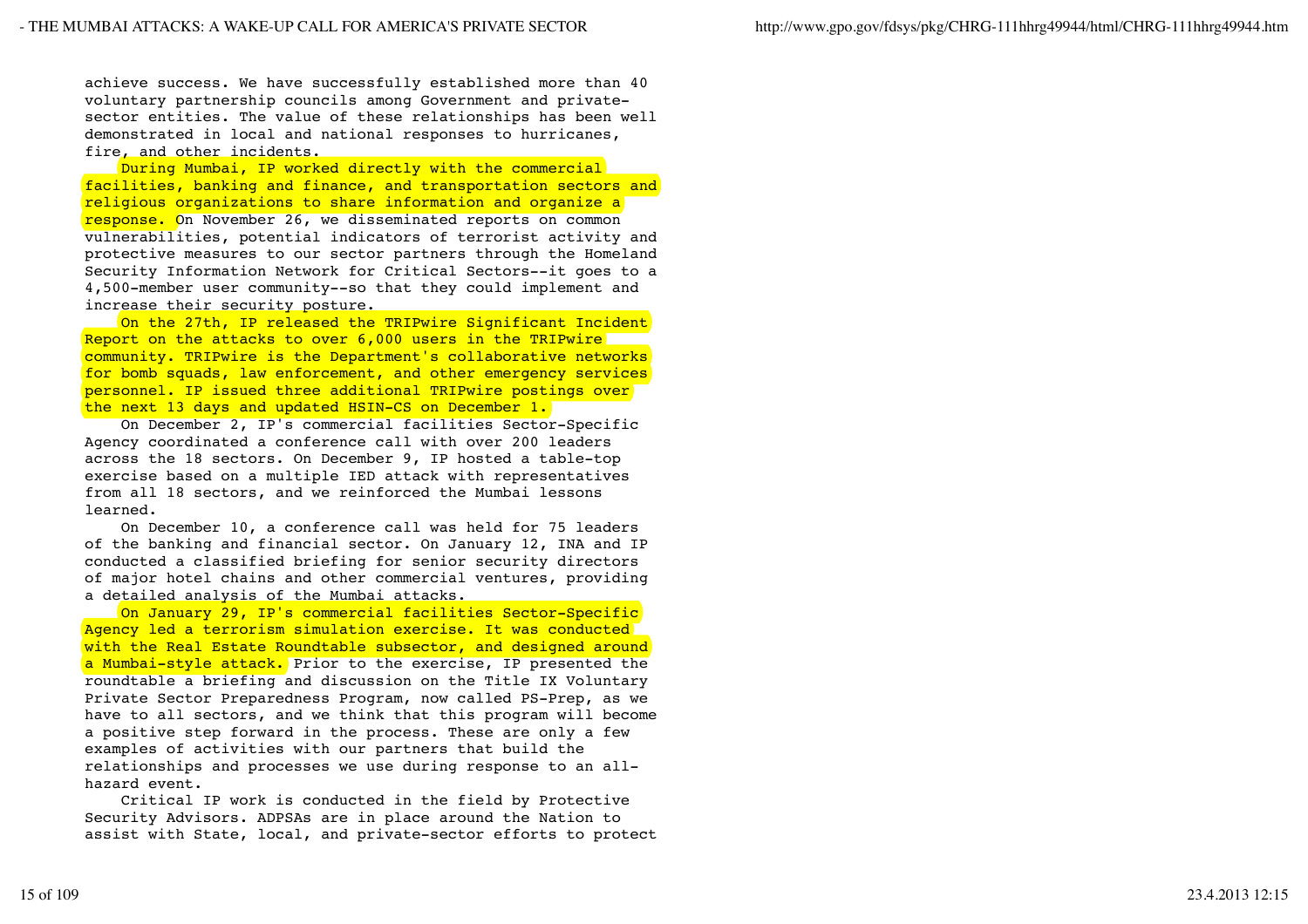achieve success. We have successfully established more than 40 voluntary partnership councils among Government and privatesector entities. The value of these relationships has been well demonstrated in local and national responses to hurricanes, fire, and other incidents.

During Mumbai, IP worked directly with the commercial facilities, banking and finance, and transportation sectors and religious organizations to share information and organize a response. On November 26, we disseminated reports on common vulnerabilities, potential indicators of terrorist activity and protective measures to our sector partners through the Homeland Security Information Network for Critical Sectors--it goes to a 4,500-member user community--so that they could implement and increase their security posture.

 On the 27th, IP released the TRIPwire Significant Incident Report on the attacks to over 6,000 users in the TRIPwire community. TRIPwire is the Department's collaborative networks for bomb squads, law enforcement, and other emergency services personnel. IP issued three additional TRIPwire postings over the next 13 days and updated HSIN-CS on December 1.

 On December 2, IP's commercial facilities Sector-Specific Agency coordinated a conference call with over 200 leaders across the 18 sectors. On December 9, IP hosted a table-top exercise based on a multiple IED attack with representatives from all 18 sectors, and we reinforced the Mumbai lessons learned.

 On December 10, a conference call was held for 75 leaders of the banking and financial sector. On January 12, INA and IP conducted a classified briefing for senior security directors of major hotel chains and other commercial ventures, providing a detailed analysis of the Mumbai attacks.

 On January 29, IP's commercial facilities Sector-Specific Agency led a terrorism simulation exercise. It was conducted with the Real Estate Roundtable subsector, and designed around a Mumbai-style attack. Prior to the exercise, IP presented the roundtable a briefing and discussion on the Title IX Voluntary Private Sector Preparedness Program, now called PS-Prep, as we have to all sectors, and we think that this program will become a positive step forward in the process. These are only a few examples of activities with our partners that build the relationships and processes we use during response to an allhazard event.

 Critical IP work is conducted in the field by Protective Security Advisors. ADPSAs are in place around the Nation to assist with State, local, and private-sector efforts to protect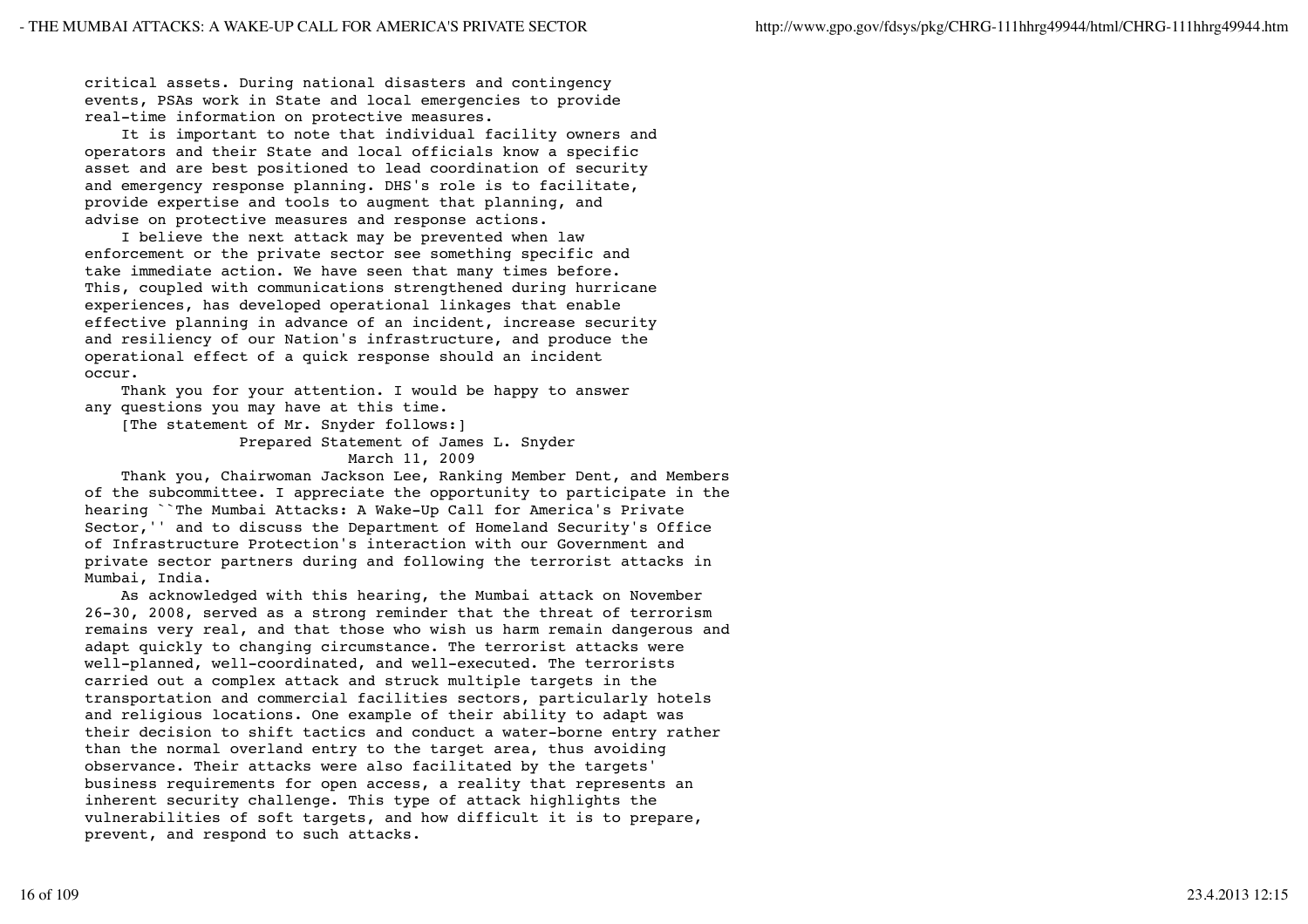critical assets. During national disasters and contingency events, PSAs work in State and local emergencies to provide real-time information on protective measures.

 It is important to note that individual facility owners and operators and their State and local officials know a specific asset and are best positioned to lead coordination of security and emergency response planning. DHS's role is to facilitate, provide expertise and tools to augment that planning, and advise on protective measures and response actions.

 I believe the next attack may be prevented when law enforcement or the private sector see something specific and take immediate action. We have seen that many times before. This, coupled with communications strengthened during hurricane experiences, has developed operational linkages that enable effective planning in advance of an incident, increase security and resiliency of our Nation's infrastructure, and produce the operational effect of a quick response should an incident occur.

 Thank you for your attention. I would be happy to answer any questions you may have at this time.

[The statement of Mr. Snyder follows:]

 Prepared Statement of James L. Snyder March 11, 2009

 Thank you, Chairwoman Jackson Lee, Ranking Member Dent, and Members of the subcommittee. I appreciate the opportunity to participate in the hearing ``The Mumbai Attacks: A Wake-Up Call for America's Private Sector,'' and to discuss the Department of Homeland Security's Office of Infrastructure Protection's interaction with our Government and private sector partners during and following the terrorist attacks in Mumbai, India.

 As acknowledged with this hearing, the Mumbai attack on November 26-30, 2008, served as a strong reminder that the threat of terrorism remains very real, and that those who wish us harm remain dangerous and adapt quickly to changing circumstance. The terrorist attacks were well-planned, well-coordinated, and well-executed. The terrorists carried out a complex attack and struck multiple targets in the transportation and commercial facilities sectors, particularly hotels and religious locations. One example of their ability to adapt was their decision to shift tactics and conduct a water-borne entry rather than the normal overland entry to the target area, thus avoiding observance. Their attacks were also facilitated by the targets' business requirements for open access, a reality that represents an inherent security challenge. This type of attack highlights the vulnerabilities of soft targets, and how difficult it is to prepare, prevent, and respond to such attacks.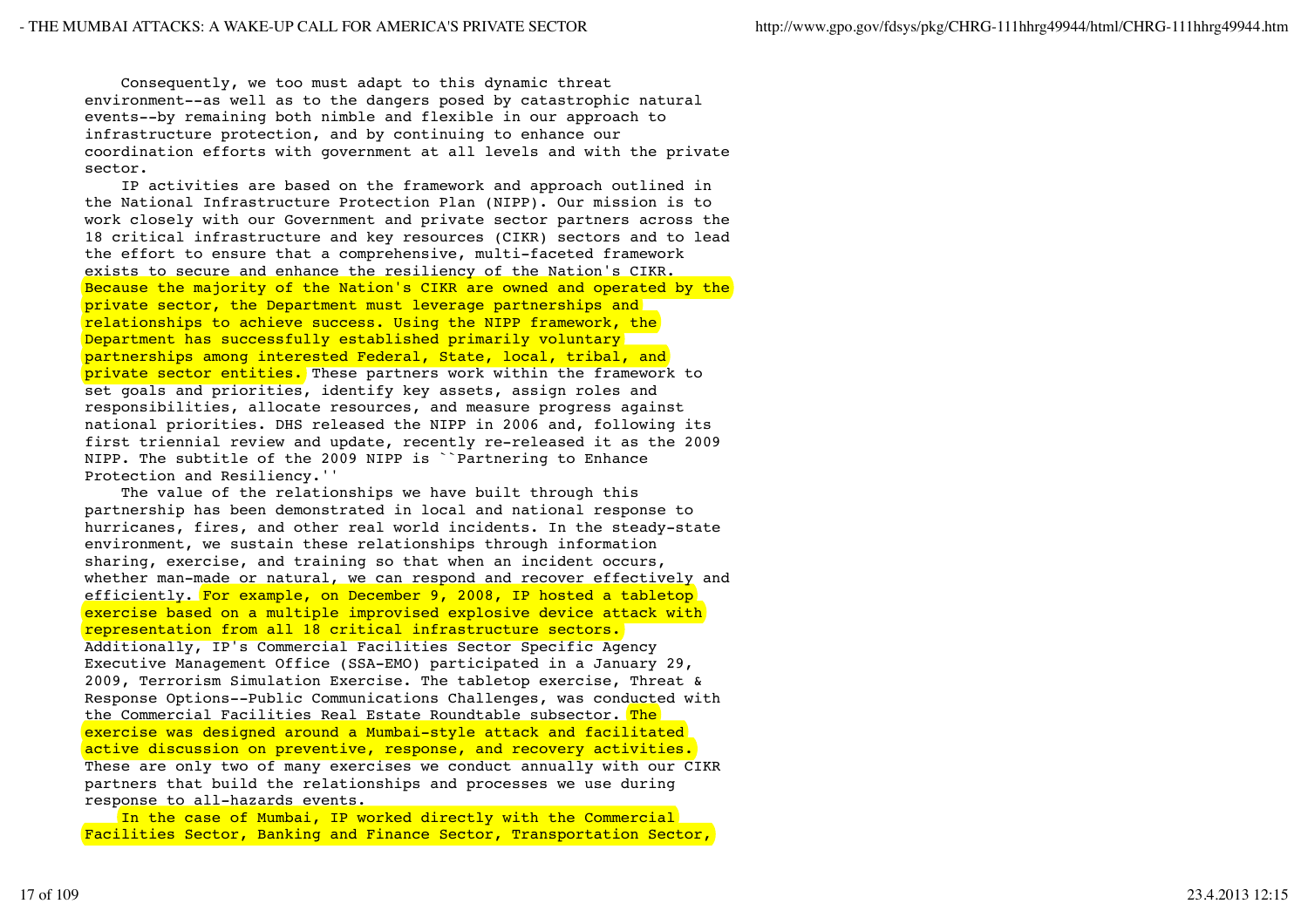Consequently, we too must adapt to this dynamic threat environment--as well as to the dangers posed by catastrophic natural events--by remaining both nimble and flexible in our approach to infrastructure protection, and by continuing to enhance our coordination efforts with government at all levels and with the private sector.

 IP activities are based on the framework and approach outlined in the National Infrastructure Protection Plan (NIPP). Our mission is to work closely with our Government and private sector partners across the 18 critical infrastructure and key resources (CIKR) sectors and to lead the effort to ensure that a comprehensive, multi-faceted framework exists to secure and enhance the resiliency of the Nation's CIKR. Because the majority of the Nation's CIKR are owned and operated by the private sector, the Department must leverage partnerships and relationships to achieve success. Using the NIPP framework, the Department has successfully established primarily voluntary partnerships among interested Federal, State, local, tribal, and private sector entities. These partners work within the framework to set goals and priorities, identify key assets, assign roles and responsibilities, allocate resources, and measure progress against national priorities. DHS released the NIPP in 2006 and, following its first triennial review and update, recently re-released it as the 2009 NIPP. The subtitle of the 2009 NIPP is ``Partnering to Enhance Protection and Resiliency.''

 The value of the relationships we have built through this partnership has been demonstrated in local and national response to hurricanes, fires, and other real world incidents. In the steady-state environment, we sustain these relationships through information sharing, exercise, and training so that when an incident occurs, whether man-made or natural, we can respond and recover effectively and efficiently. For example, on December 9, 2008, IP hosted a tabletop exercise based on a multiple improvised explosive device attack with representation from all 18 critical infrastructure sectors. Additionally, IP's Commercial Facilities Sector Specific Agency Executive Management Office (SSA-EMO) participated in a January 29, 2009, Terrorism Simulation Exercise. The tabletop exercise, Threat & Response Options--Public Communications Challenges, was conducted with the Commercial Facilities Real Estate Roundtable subsector. The exercise was designed around a Mumbai-style attack and facilitated active discussion on preventive, response, and recovery activities. These are only two of many exercises we conduct annually with our CIKR partners that build the relationships and processes we use during response to all-hazards events.

 In the case of Mumbai, IP worked directly with the Commercial Facilities Sector, Banking and Finance Sector, Transportation Sector,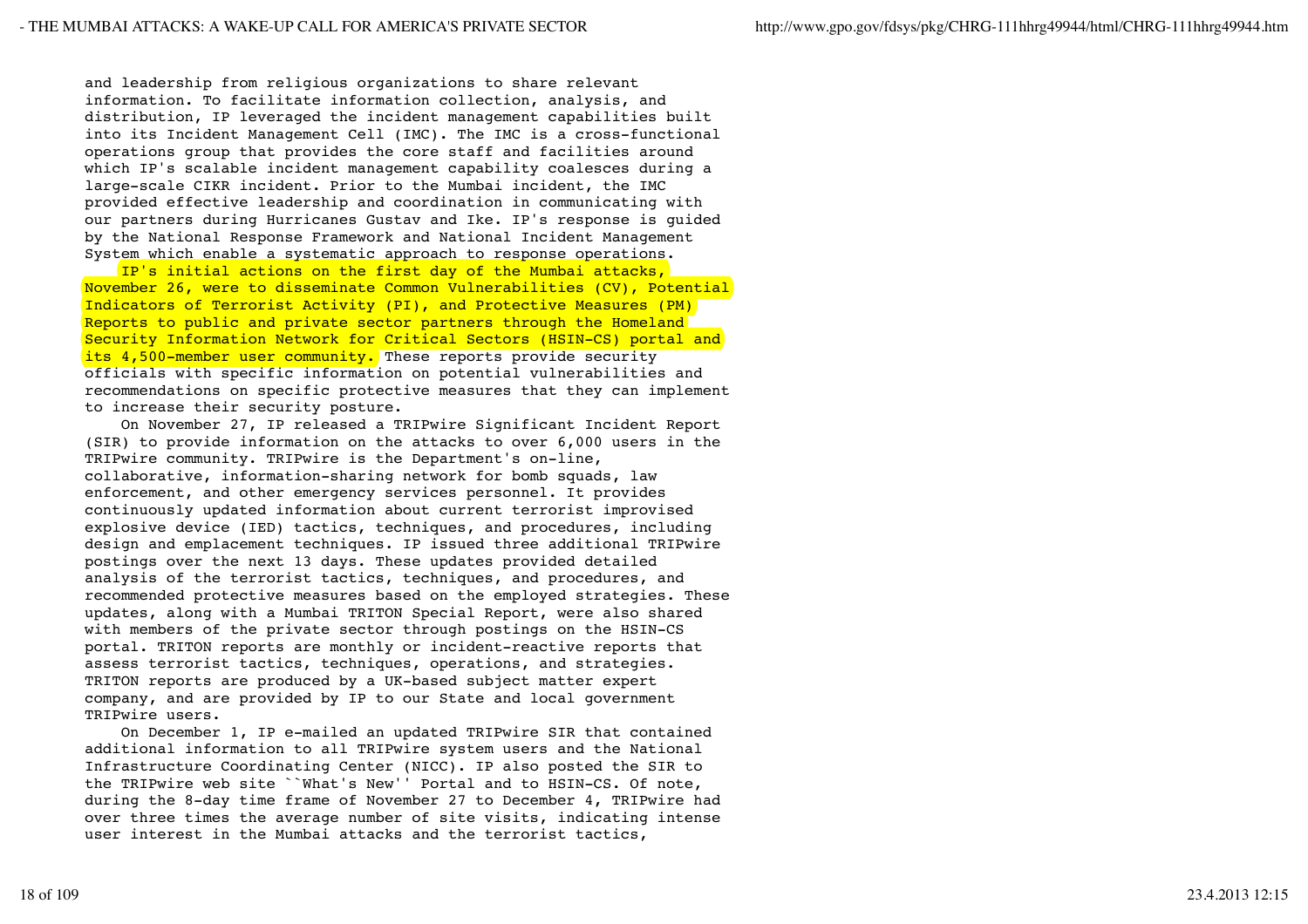and leadership from religious organizations to share relevant information. To facilitate information collection, analysis, and distribution, IP leveraged the incident management capabilities built into its Incident Management Cell (IMC). The IMC is a cross-functional operations group that provides the core staff and facilities around which IP's scalable incident management capability coalesces during a large-scale CIKR incident. Prior to the Mumbai incident, the IMC provided effective leadership and coordination in communicating with our partners during Hurricanes Gustav and Ike. IP's response is guided by the National Response Framework and National Incident Management System which enable a systematic approach to response operations.

 IP's initial actions on the first day of the Mumbai attacks, November 26, were to disseminate Common Vulnerabilities (CV), Potential Indicators of Terrorist Activity (PI), and Protective Measures (PM) Reports to public and private sector partners through the Homeland Security Information Network for Critical Sectors (HSIN-CS) portal and its 4,500-member user community. These reports provide security officials with specific information on potential vulnerabilities and recommendations on specific protective measures that they can implement to increase their security posture.

 On November 27, IP released a TRIPwire Significant Incident Report (SIR) to provide information on the attacks to over 6,000 users in the TRIPwire community. TRIPwire is the Department's on-line, collaborative, information-sharing network for bomb squads, law enforcement, and other emergency services personnel. It provides continuously updated information about current terrorist improvised explosive device (IED) tactics, techniques, and procedures, including design and emplacement techniques. IP issued three additional TRIPwire postings over the next 13 days. These updates provided detailed analysis of the terrorist tactics, techniques, and procedures, and recommended protective measures based on the employed strategies. These updates, along with a Mumbai TRITON Special Report, were also shared with members of the private sector through postings on the HSIN-CS portal. TRITON reports are monthly or incident-reactive reports that assess terrorist tactics, techniques, operations, and strategies. TRITON reports are produced by a UK-based subject matter expert company, and are provided by IP to our State and local government TRIPwire users.

 On December 1, IP e-mailed an updated TRIPwire SIR that contained additional information to all TRIPwire system users and the National Infrastructure Coordinating Center (NICC). IP also posted the SIR to the TRIPwire web site ``What's New'' Portal and to HSIN-CS. Of note, during the 8-day time frame of November 27 to December 4, TRIPwire had over three times the average number of site visits, indicating intense user interest in the Mumbai attacks and the terrorist tactics,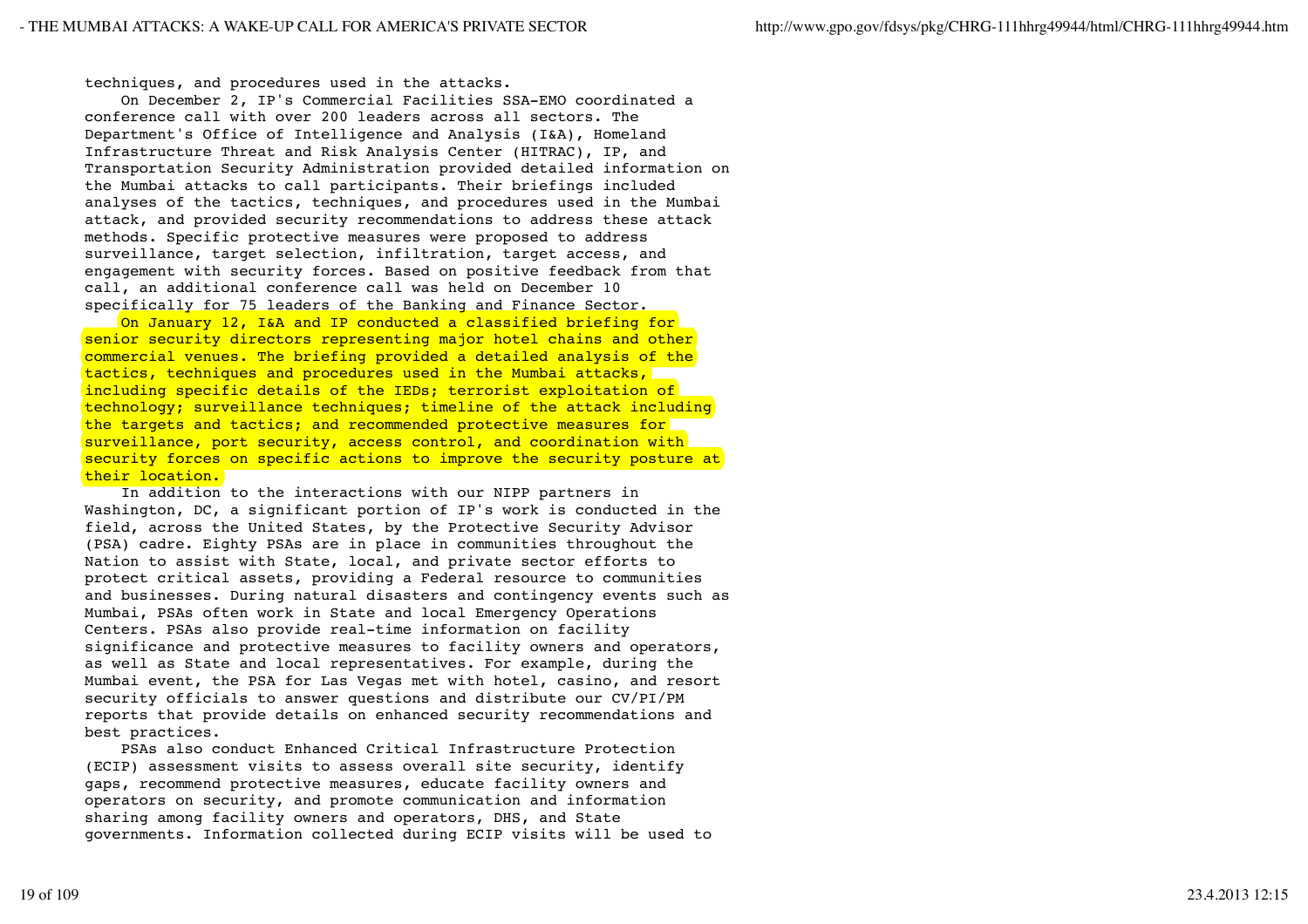techniques, and procedures used in the attacks.

 On December 2, IP's Commercial Facilities SSA-EMO coordinated a conference call with over 200 leaders across all sectors. The Department's Office of Intelligence and Analysis (I&A), Homeland Infrastructure Threat and Risk Analysis Center (HITRAC), IP, and Transportation Security Administration provided detailed information on the Mumbai attacks to call participants. Their briefings included analyses of the tactics, techniques, and procedures used in the Mumbai attack, and provided security recommendations to address these attack methods. Specific protective measures were proposed to address surveillance, target selection, infiltration, target access, and engagement with security forces. Based on positive feedback from that call, an additional conference call was held on December 10 specifically for 75 leaders of the Banking and Finance Sector.

 On January 12, I&A and IP conducted a classified briefing for senior security directors representing major hotel chains and other commercial venues. The briefing provided a detailed analysis of the tactics, techniques and procedures used in the Mumbai attacks, including specific details of the IEDs; terrorist exploitation of technology; surveillance techniques; timeline of the attack including the targets and tactics; and recommended protective measures for surveillance, port security, access control, and coordination with security forces on specific actions to improve the security posture at their location.

 In addition to the interactions with our NIPP partners in Washington, DC, a significant portion of IP's work is conducted in the field, across the United States, by the Protective Security Advisor (PSA) cadre. Eighty PSAs are in place in communities throughout the Nation to assist with State, local, and private sector efforts to protect critical assets, providing a Federal resource to communities and businesses. During natural disasters and contingency events such as Mumbai, PSAs often work in State and local Emergency Operations Centers. PSAs also provide real-time information on facility significance and protective measures to facility owners and operators, as well as State and local representatives. For example, during the Mumbai event, the PSA for Las Vegas met with hotel, casino, and resort security officials to answer questions and distribute our CV/PI/PM reports that provide details on enhanced security recommendations and best practices.

 PSAs also conduct Enhanced Critical Infrastructure Protection (ECIP) assessment visits to assess overall site security, identify gaps, recommend protective measures, educate facility owners and operators on security, and promote communication and information sharing among facility owners and operators, DHS, and State governments. Information collected during ECIP visits will be used to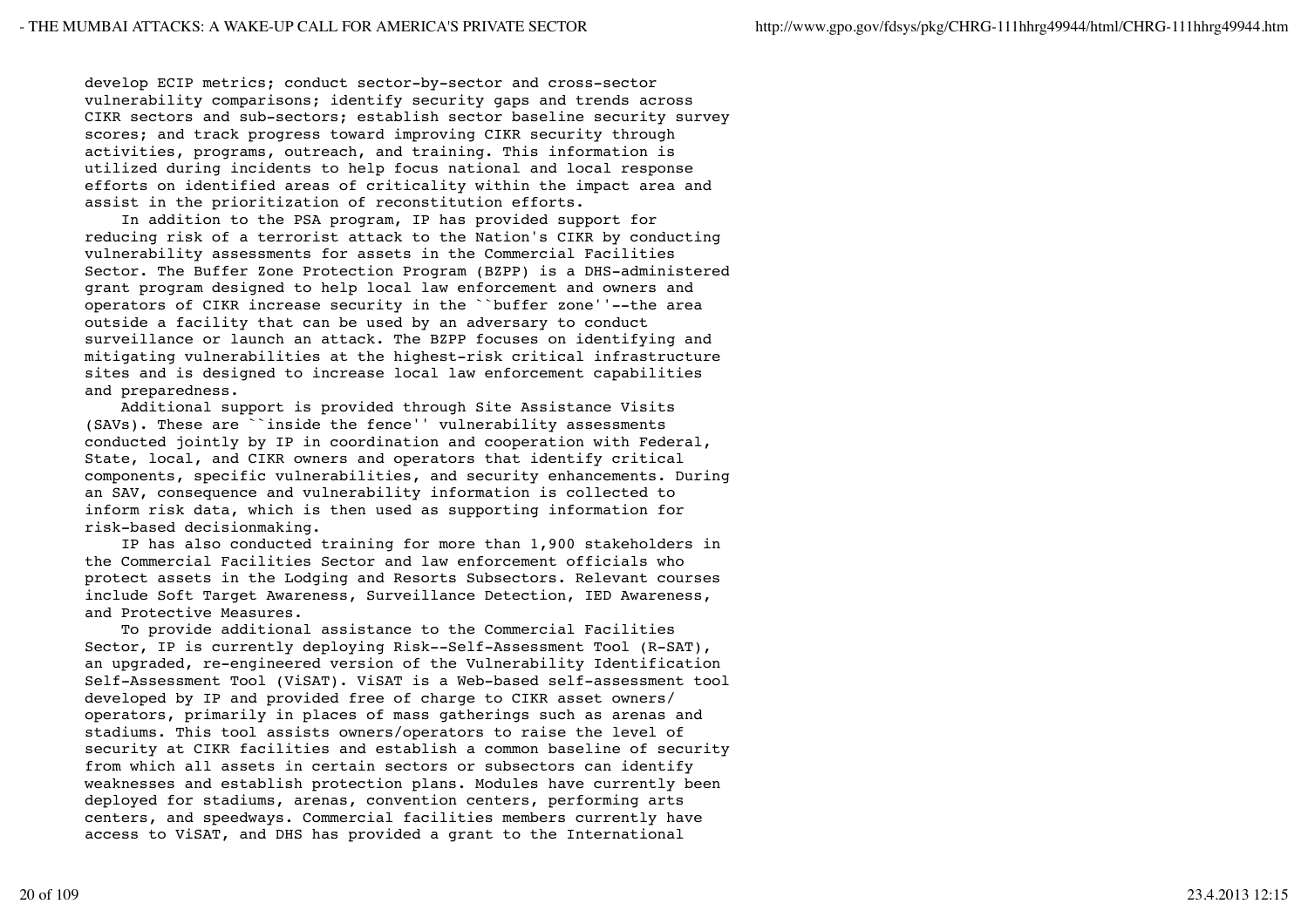develop ECIP metrics; conduct sector-by-sector and cross-sector vulnerability comparisons; identify security gaps and trends across CIKR sectors and sub-sectors; establish sector baseline security survey scores; and track progress toward improving CIKR security through activities, programs, outreach, and training. This information is utilized during incidents to help focus national and local response efforts on identified areas of criticality within the impact area and assist in the prioritization of reconstitution efforts.

 In addition to the PSA program, IP has provided support for reducing risk of a terrorist attack to the Nation's CIKR by conducting vulnerability assessments for assets in the Commercial Facilities Sector. The Buffer Zone Protection Program (BZPP) is a DHS-administered grant program designed to help local law enforcement and owners and operators of CIKR increase security in the ``buffer zone''--the area outside a facility that can be used by an adversary to conduct surveillance or launch an attack. The BZPP focuses on identifying and mitigating vulnerabilities at the highest-risk critical infrastructure sites and is designed to increase local law enforcement capabilities and preparedness.

 Additional support is provided through Site Assistance Visits (SAVs). These are ``inside the fence'' vulnerability assessments conducted jointly by IP in coordination and cooperation with Federal, State, local, and CIKR owners and operators that identify critical components, specific vulnerabilities, and security enhancements. During an SAV, consequence and vulnerability information is collected to inform risk data, which is then used as supporting information for risk-based decisionmaking.

 IP has also conducted training for more than 1,900 stakeholders in the Commercial Facilities Sector and law enforcement officials who protect assets in the Lodging and Resorts Subsectors. Relevant courses include Soft Target Awareness, Surveillance Detection, IED Awareness, and Protective Measures.

 To provide additional assistance to the Commercial Facilities Sector, IP is currently deploying Risk--Self-Assessment Tool (R-SAT), an upgraded, re-engineered version of the Vulnerability Identification Self-Assessment Tool (ViSAT). ViSAT is a Web-based self-assessment tool developed by IP and provided free of charge to CIKR asset owners/ operators, primarily in places of mass gatherings such as arenas and stadiums. This tool assists owners/operators to raise the level of security at CIKR facilities and establish a common baseline of security from which all assets in certain sectors or subsectors can identify weaknesses and establish protection plans. Modules have currently been deployed for stadiums, arenas, convention centers, performing arts centers, and speedways. Commercial facilities members currently have access to ViSAT, and DHS has provided a grant to the International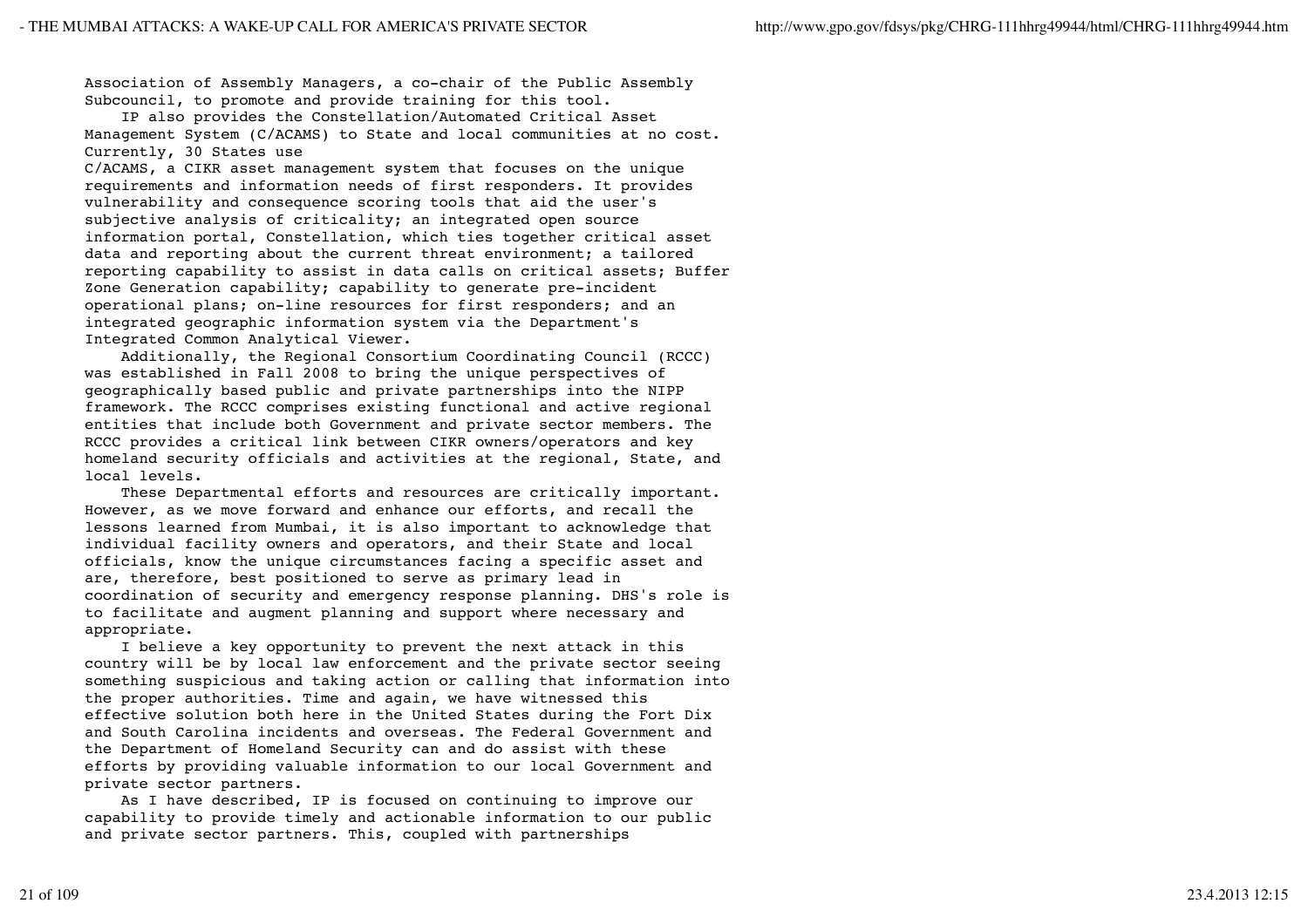Association of Assembly Managers, a co-chair of the Public Assembly Subcouncil, to promote and provide training for this tool.

 IP also provides the Constellation/Automated Critical Asset Management System (C/ACAMS) to State and local communities at no cost. Currently, 30 States use

C/ACAMS, a CIKR asset management system that focuses on the unique requirements and information needs of first responders. It provides vulnerability and consequence scoring tools that aid the user's subjective analysis of criticality; an integrated open source information portal, Constellation, which ties together critical asset data and reporting about the current threat environment; a tailored reporting capability to assist in data calls on critical assets; Buffer Zone Generation capability; capability to generate pre-incident operational plans; on-line resources for first responders; and an integrated geographic information system via the Department's Integrated Common Analytical Viewer.

 Additionally, the Regional Consortium Coordinating Council (RCCC) was established in Fall 2008 to bring the unique perspectives of geographically based public and private partnerships into the NIPP framework. The RCCC comprises existing functional and active regional entities that include both Government and private sector members. The RCCC provides a critical link between CIKR owners/operators and key homeland security officials and activities at the regional, State, and local levels.

 These Departmental efforts and resources are critically important. However, as we move forward and enhance our efforts, and recall the lessons learned from Mumbai, it is also important to acknowledge that individual facility owners and operators, and their State and local officials, know the unique circumstances facing a specific asset and are, therefore, best positioned to serve as primary lead in coordination of security and emergency response planning. DHS's role is to facilitate and augment planning and support where necessary and appropriate.

 I believe a key opportunity to prevent the next attack in this country will be by local law enforcement and the private sector seeing something suspicious and taking action or calling that information into the proper authorities. Time and again, we have witnessed this effective solution both here in the United States during the Fort Dix and South Carolina incidents and overseas. The Federal Government and the Department of Homeland Security can and do assist with these efforts by providing valuable information to our local Government and private sector partners.

 As I have described, IP is focused on continuing to improve our capability to provide timely and actionable information to our public and private sector partners. This, coupled with partnerships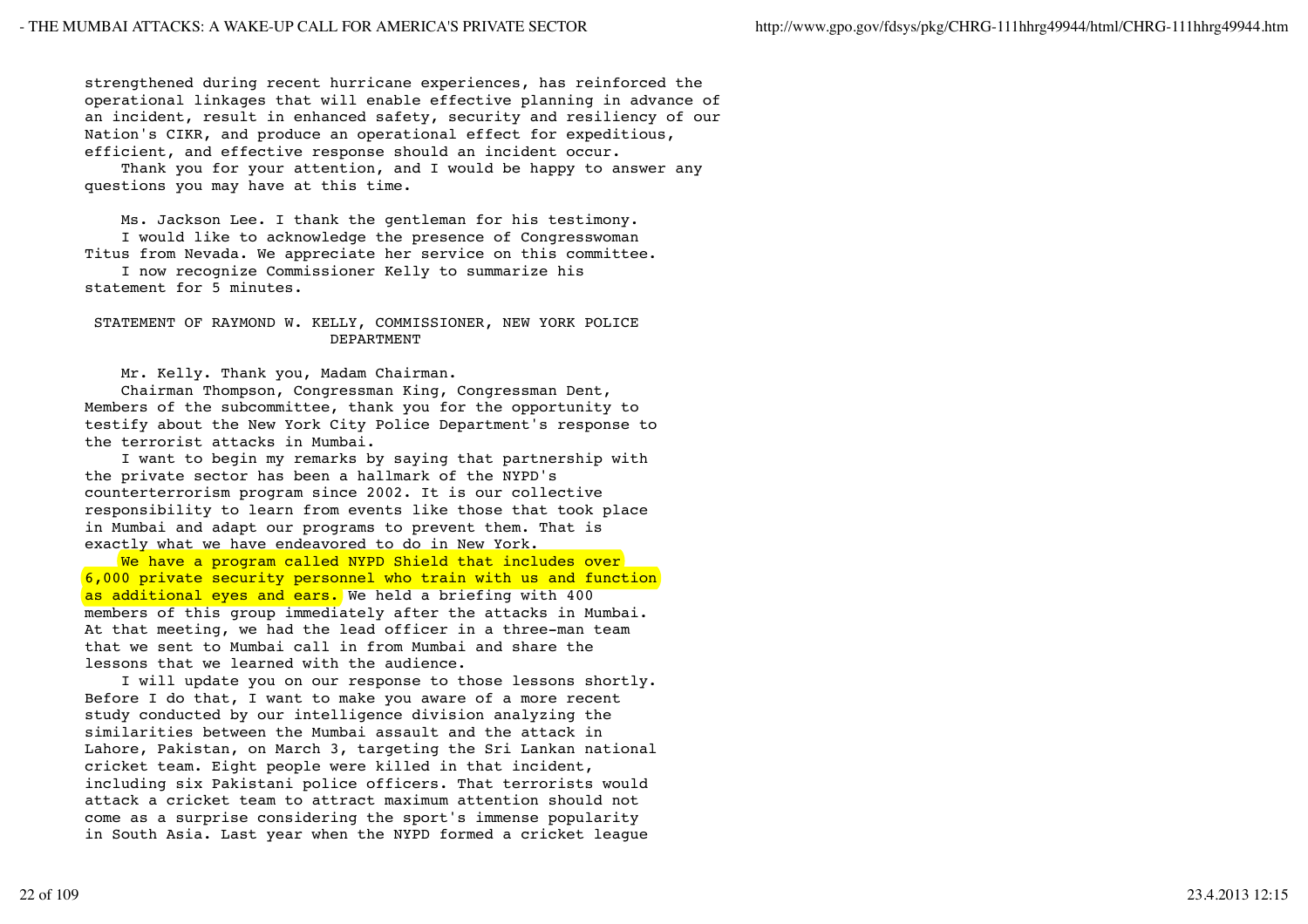strengthened during recent hurricane experiences, has reinforced the operational linkages that will enable effective planning in advance of an incident, result in enhanced safety, security and resiliency of our Nation's CIKR, and produce an operational effect for expeditious, efficient, and effective response should an incident occur.

 Thank you for your attention, and I would be happy to answer any questions you may have at this time.

 Ms. Jackson Lee. I thank the gentleman for his testimony. I would like to acknowledge the presence of Congresswoman Titus from Nevada. We appreciate her service on this committee.

 I now recognize Commissioner Kelly to summarize his statement for 5 minutes.

# STATEMENT OF RAYMOND W. KELLY, COMMISSIONER, NEW YORK POLICE DEPARTMENT

Mr. Kelly. Thank you, Madam Chairman.

 Chairman Thompson, Congressman King, Congressman Dent, Members of the subcommittee, thank you for the opportunity to testify about the New York City Police Department's response to the terrorist attacks in Mumbai.

 I want to begin my remarks by saying that partnership with the private sector has been a hallmark of the NYPD's counterterrorism program since 2002. It is our collective responsibility to learn from events like those that took place in Mumbai and adapt our programs to prevent them. That is exactly what we have endeavored to do in New York.

We have a program called NYPD Shield that includes over 6,000 private security personnel who train with us and function as additional eyes and ears. We held a briefing with 400 members of this group immediately after the attacks in Mumbai. At that meeting, we had the lead officer in a three-man team that we sent to Mumbai call in from Mumbai and share the lessons that we learned with the audience.

 I will update you on our response to those lessons shortly. Before I do that, I want to make you aware of a more recent study conducted by our intelligence division analyzing the similarities between the Mumbai assault and the attack in Lahore, Pakistan, on March 3, targeting the Sri Lankan national cricket team. Eight people were killed in that incident, including six Pakistani police officers. That terrorists would attack a cricket team to attract maximum attention should not come as a surprise considering the sport's immense popularity in South Asia. Last year when the NYPD formed a cricket league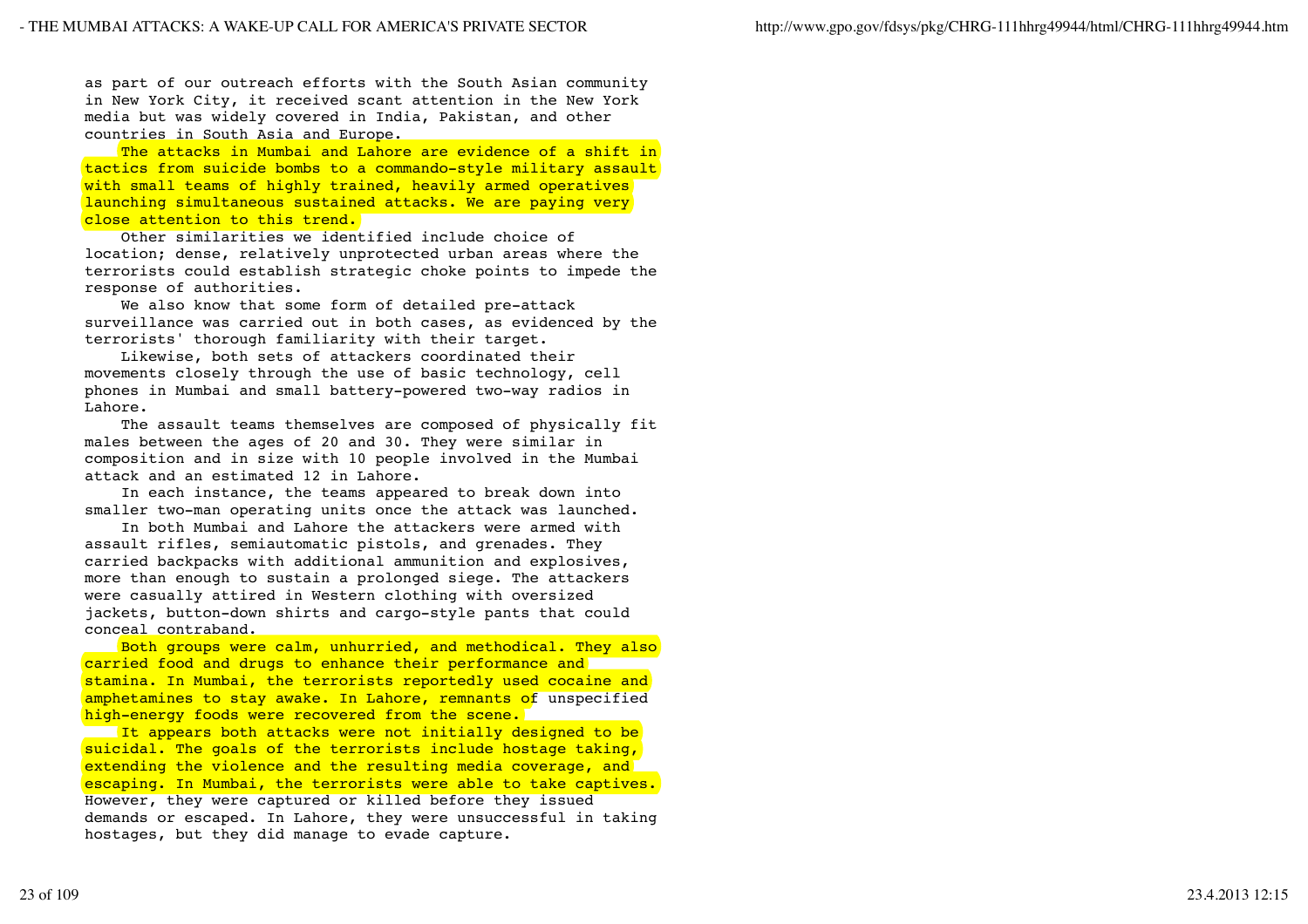as part of our outreach efforts with the South Asian community in New York City, it received scant attention in the New York media but was widely covered in India, Pakistan, and other countries in South Asia and Europe.

The attacks in Mumbai and Lahore are evidence of a shift in tactics from suicide bombs to a commando-style military assault with small teams of highly trained, heavily armed operatives launching simultaneous sustained attacks. We are paying very close attention to this trend.

 Other similarities we identified include choice of location; dense, relatively unprotected urban areas where the terrorists could establish strategic choke points to impede the response of authorities.

 We also know that some form of detailed pre-attack surveillance was carried out in both cases, as evidenced by the terrorists' thorough familiarity with their target.

 Likewise, both sets of attackers coordinated their movements closely through the use of basic technology, cell phones in Mumbai and small battery-powered two-way radios in Lahore.

 The assault teams themselves are composed of physically fit males between the ages of 20 and 30. They were similar in composition and in size with 10 people involved in the Mumbai attack and an estimated 12 in Lahore.

 In each instance, the teams appeared to break down into smaller two-man operating units once the attack was launched.

 In both Mumbai and Lahore the attackers were armed with assault rifles, semiautomatic pistols, and grenades. They carried backpacks with additional ammunition and explosives, more than enough to sustain a prolonged siege. The attackers were casually attired in Western clothing with oversized jackets, button-down shirts and cargo-style pants that could conceal contraband.

 Both groups were calm, unhurried, and methodical. They also carried food and drugs to enhance their performance and stamina. In Mumbai, the terrorists reportedly used cocaine and amphetamines to stay awake. In Lahore, remnants of unspecified high-energy foods were recovered from the scene.

It appears both attacks were not initially designed to be suicidal. The goals of the terrorists include hostage taking, extending the violence and the resulting media coverage, and escaping. In Mumbai, the terrorists were able to take captives. However, they were captured or killed before they issued demands or escaped. In Lahore, they were unsuccessful in taking hostages, but they did manage to evade capture.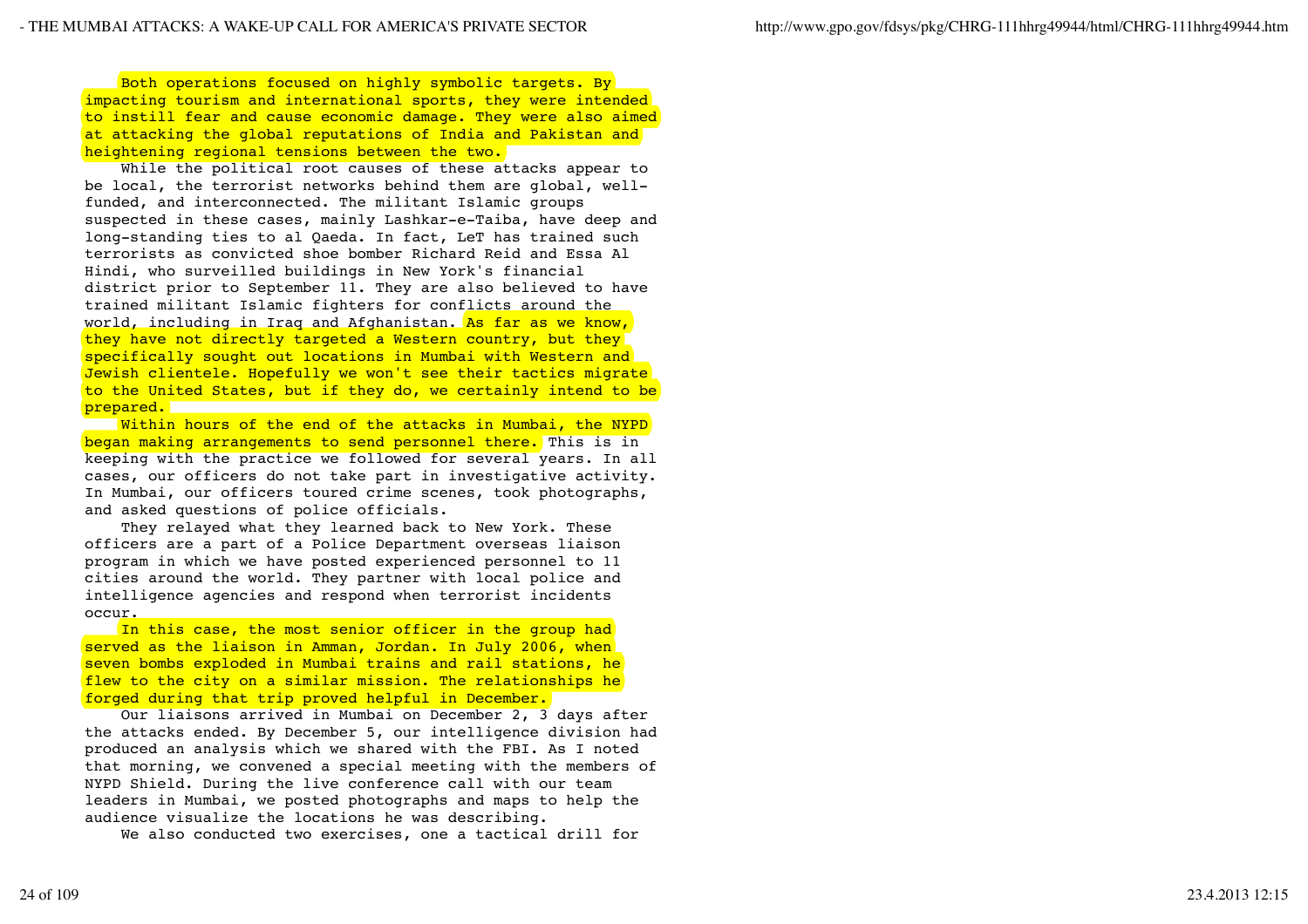Both operations focused on highly symbolic targets. By impacting tourism and international sports, they were intended to instill fear and cause economic damage. They were also aimed at attacking the global reputations of India and Pakistan and heightening regional tensions between the two.

 While the political root causes of these attacks appear to be local, the terrorist networks behind them are global, wellfunded, and interconnected. The militant Islamic groups suspected in these cases, mainly Lashkar-e-Taiba, have deep and long-standing ties to al Qaeda. In fact, LeT has trained such terrorists as convicted shoe bomber Richard Reid and Essa Al Hindi, who surveilled buildings in New York's financial district prior to September 11. They are also believed to have trained militant Islamic fighters for conflicts around the world, including in Iraq and Afghanistan. As far as we know, they have not directly targeted a Western country, but they specifically sought out locations in Mumbai with Western and Jewish clientele. Hopefully we won't see their tactics migrate to the United States, but if they do, we certainly intend to be prepared.

Within hours of the end of the attacks in Mumbai, the NYPD began making arrangements to send personnel there. This is in keeping with the practice we followed for several years. In all cases, our officers do not take part in investigative activity. In Mumbai, our officers toured crime scenes, took photographs, and asked questions of police officials.

 They relayed what they learned back to New York. These officers are a part of a Police Department overseas liaison program in which we have posted experienced personnel to 11 cities around the world. They partner with local police and intelligence agencies and respond when terrorist incidents occur.

In this case, the most senior officer in the group had served as the liaison in Amman, Jordan. In July 2006, when seven bombs exploded in Mumbai trains and rail stations, he flew to the city on a similar mission. The relationships he forged during that trip proved helpful in December.

 Our liaisons arrived in Mumbai on December 2, 3 days after the attacks ended. By December 5, our intelligence division had produced an analysis which we shared with the FBI. As I noted that morning, we convened a special meeting with the members of NYPD Shield. During the live conference call with our team leaders in Mumbai, we posted photographs and maps to help the audience visualize the locations he was describing.

We also conducted two exercises, one a tactical drill for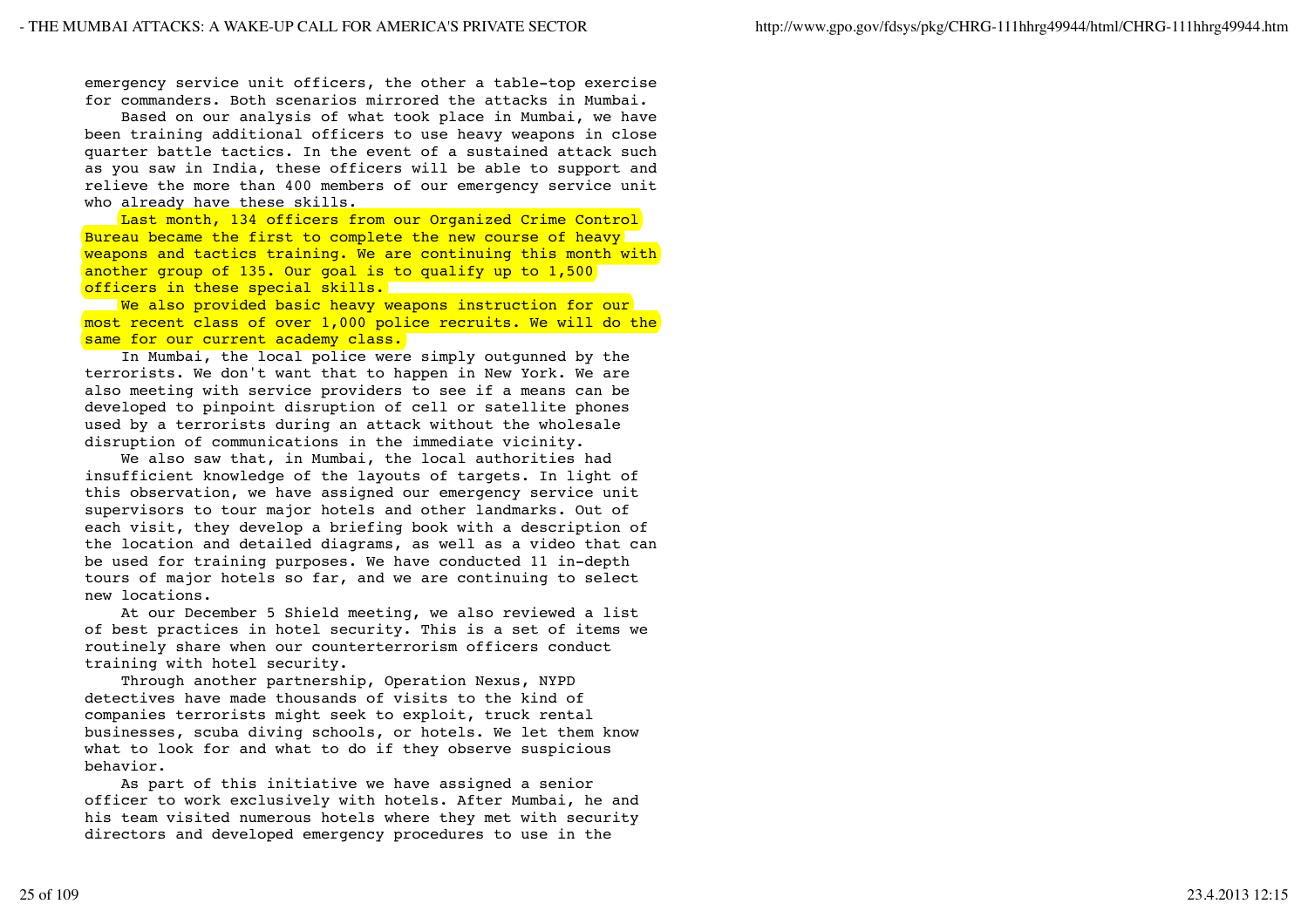emergency service unit officers, the other a table-top exercise for commanders. Both scenarios mirrored the attacks in Mumbai.

 Based on our analysis of what took place in Mumbai, we have been training additional officers to use heavy weapons in close quarter battle tactics. In the event of a sustained attack such as you saw in India, these officers will be able to support and relieve the more than 400 members of our emergency service unit who already have these skills.

Last month, 134 officers from our Organized Crime Control Bureau became the first to complete the new course of heavy weapons and tactics training. We are continuing this month with another group of 135. Our goal is to qualify up to 1,500 officers in these special skills.

We also provided basic heavy weapons instruction for our most recent class of over 1,000 police recruits. We will do the same for our current academy class.

 In Mumbai, the local police were simply outgunned by the terrorists. We don't want that to happen in New York. We are also meeting with service providers to see if a means can be developed to pinpoint disruption of cell or satellite phones used by a terrorists during an attack without the wholesale disruption of communications in the immediate vicinity.

 We also saw that, in Mumbai, the local authorities had insufficient knowledge of the layouts of targets. In light of this observation, we have assigned our emergency service unit supervisors to tour major hotels and other landmarks. Out of each visit, they develop a briefing book with a description of the location and detailed diagrams, as well as a video that can be used for training purposes. We have conducted 11 in-depth tours of major hotels so far, and we are continuing to select new locations.

 At our December 5 Shield meeting, we also reviewed a list of best practices in hotel security. This is a set of items we routinely share when our counterterrorism officers conduct training with hotel security.

 Through another partnership, Operation Nexus, NYPD detectives have made thousands of visits to the kind of companies terrorists might seek to exploit, truck rental businesses, scuba diving schools, or hotels. We let them know what to look for and what to do if they observe suspicious behavior.

 As part of this initiative we have assigned a senior officer to work exclusively with hotels. After Mumbai, he and his team visited numerous hotels where they met with security directors and developed emergency procedures to use in the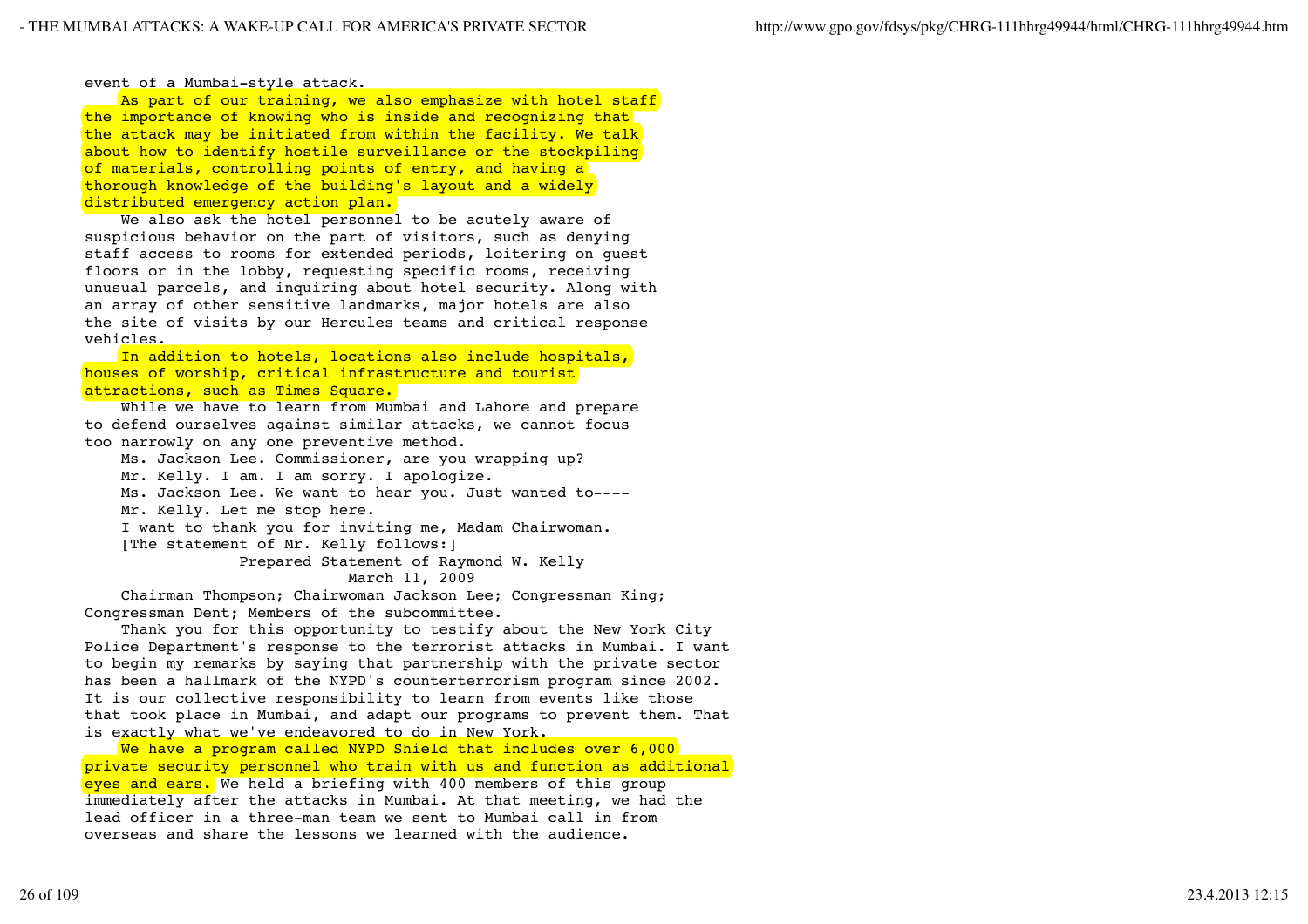event of a Mumbai-style attack.

As part of our training, we also emphasize with hotel staff the importance of knowing who is inside and recognizing that the attack may be initiated from within the facility. We talk about how to identify hostile surveillance or the stockpiling of materials, controlling points of entry, and having a thorough knowledge of the building's layout and a widely distributed emergency action plan.

We also ask the hotel personnel to be acutely aware of suspicious behavior on the part of visitors, such as denying staff access to rooms for extended periods, loitering on guest floors or in the lobby, requesting specific rooms, receiving unusual parcels, and inquiring about hotel security. Along with an array of other sensitive landmarks, major hotels are also the site of visits by our Hercules teams and critical response vehicles.

 In addition to hotels, locations also include hospitals, houses of worship, critical infrastructure and tourist attractions, such as Times Square.

 While we have to learn from Mumbai and Lahore and prepare to defend ourselves against similar attacks, we cannot focus too narrowly on any one preventive method.

Ms. Jackson Lee. Commissioner, are you wrapping up?

Mr. Kelly. I am. I am sorry. I apologize.

 Ms. Jackson Lee. We want to hear you. Just wanted to---- Mr. Kelly. Let me stop here.

 I want to thank you for inviting me, Madam Chairwoman. [The statement of Mr. Kelly follows:]

Prepared Statement of Raymond W. Kelly

March 11, 2009

 Chairman Thompson; Chairwoman Jackson Lee; Congressman King; Congressman Dent; Members of the subcommittee.

 Thank you for this opportunity to testify about the New York City Police Department's response to the terrorist attacks in Mumbai. I want to begin my remarks by saying that partnership with the private sector has been a hallmark of the NYPD's counterterrorism program since 2002. It is our collective responsibility to learn from events like those that took place in Mumbai, and adapt our programs to prevent them. That is exactly what we've endeavored to do in New York.

We have a program called NYPD Shield that includes over 6,000 private security personnel who train with us and function as additional eyes and ears. We held a briefing with 400 members of this group immediately after the attacks in Mumbai. At that meeting, we had the lead officer in a three-man team we sent to Mumbai call in from overseas and share the lessons we learned with the audience.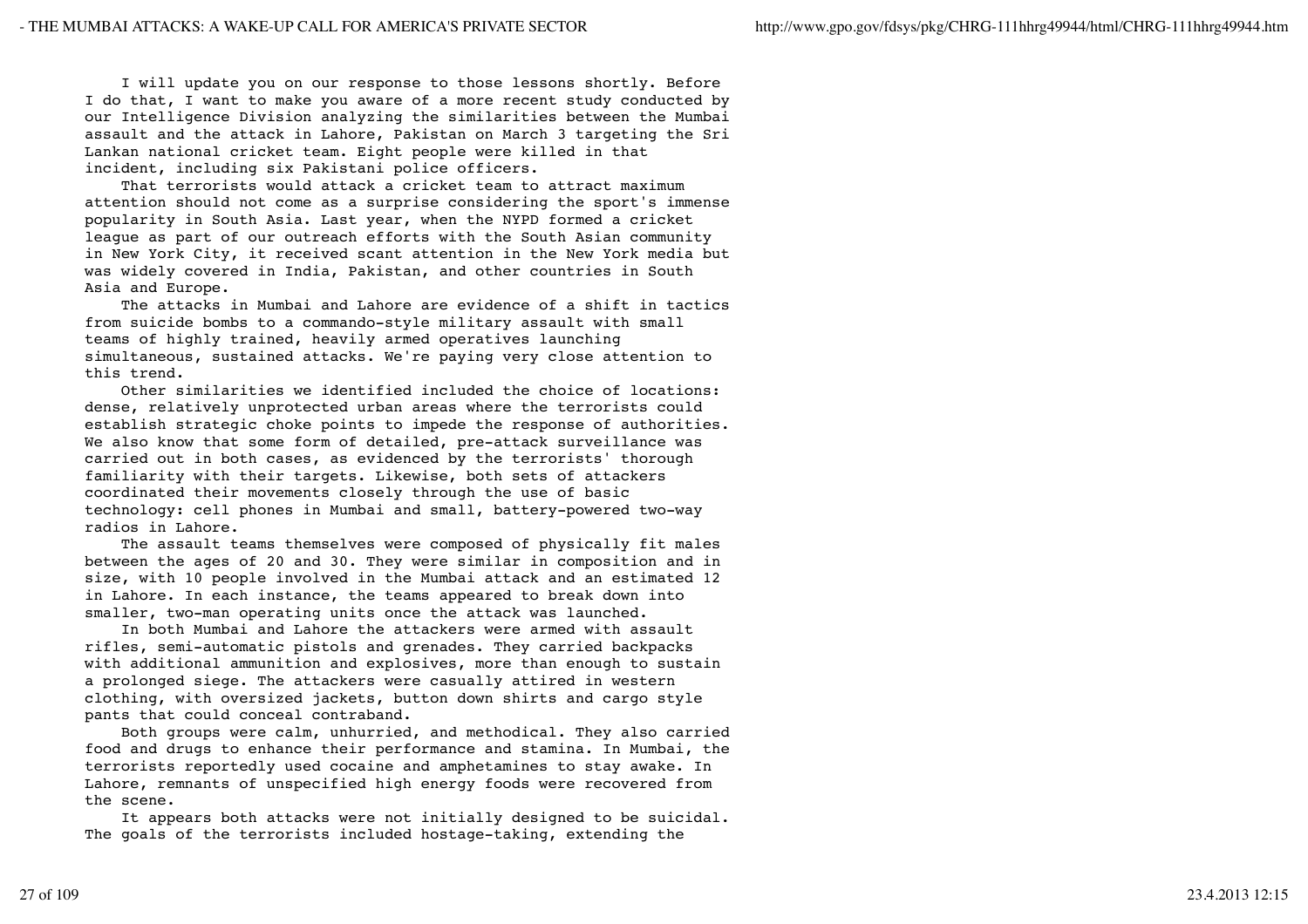I will update you on our response to those lessons shortly. Before I do that, I want to make you aware of a more recent study conducted by our Intelligence Division analyzing the similarities between the Mumbai assault and the attack in Lahore, Pakistan on March 3 targeting the Sri Lankan national cricket team. Eight people were killed in that incident, including six Pakistani police officers.

 That terrorists would attack a cricket team to attract maximum attention should not come as a surprise considering the sport's immense popularity in South Asia. Last year, when the NYPD formed a cricket league as part of our outreach efforts with the South Asian community in New York City, it received scant attention in the New York media but was widely covered in India, Pakistan, and other countries in South Asia and Europe.

 The attacks in Mumbai and Lahore are evidence of a shift in tactics from suicide bombs to a commando-style military assault with small teams of highly trained, heavily armed operatives launching simultaneous, sustained attacks. We're paying very close attention to this trend.

 Other similarities we identified included the choice of locations: dense, relatively unprotected urban areas where the terrorists could establish strategic choke points to impede the response of authorities. We also know that some form of detailed, pre-attack surveillance was carried out in both cases, as evidenced by the terrorists' thorough familiarity with their targets. Likewise, both sets of attackers coordinated their movements closely through the use of basic technology: cell phones in Mumbai and small, battery-powered two-way radios in Lahore.

 The assault teams themselves were composed of physically fit males between the ages of 20 and 30. They were similar in composition and in size, with 10 people involved in the Mumbai attack and an estimated 12 in Lahore. In each instance, the teams appeared to break down into smaller, two-man operating units once the attack was launched.

 In both Mumbai and Lahore the attackers were armed with assault rifles, semi-automatic pistols and grenades. They carried backpacks with additional ammunition and explosives, more than enough to sustain a prolonged siege. The attackers were casually attired in western clothing, with oversized jackets, button down shirts and cargo style pants that could conceal contraband.

 Both groups were calm, unhurried, and methodical. They also carried food and drugs to enhance their performance and stamina. In Mumbai, the terrorists reportedly used cocaine and amphetamines to stay awake. In Lahore, remnants of unspecified high energy foods were recovered from the scene.

 It appears both attacks were not initially designed to be suicidal. The goals of the terrorists included hostage-taking, extending the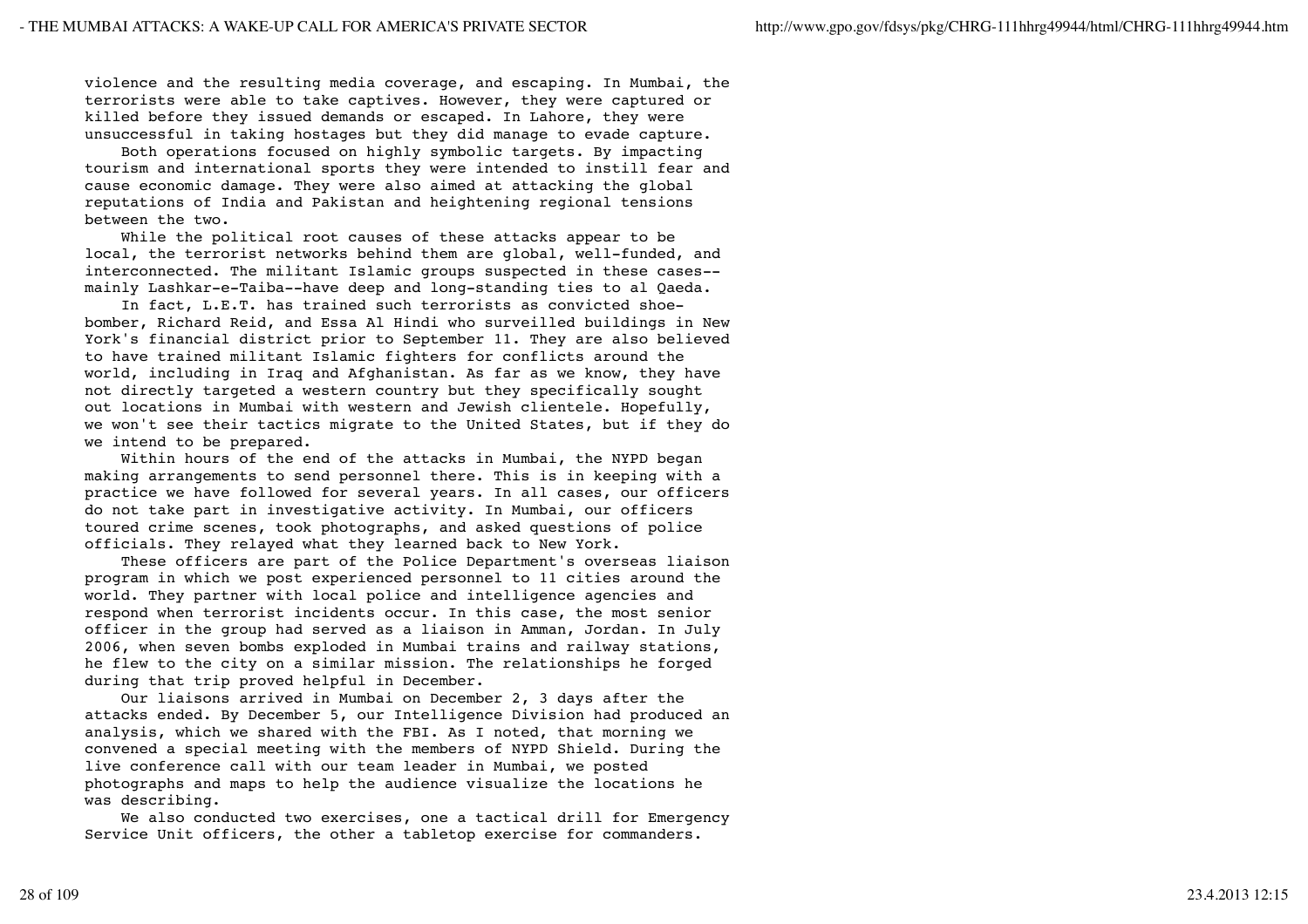violence and the resulting media coverage, and escaping. In Mumbai, the terrorists were able to take captives. However, they were captured or killed before they issued demands or escaped. In Lahore, they were unsuccessful in taking hostages but they did manage to evade capture.

 Both operations focused on highly symbolic targets. By impacting tourism and international sports they were intended to instill fear and cause economic damage. They were also aimed at attacking the global reputations of India and Pakistan and heightening regional tensions between the two.

 While the political root causes of these attacks appear to be local, the terrorist networks behind them are global, well-funded, and interconnected. The militant Islamic groups suspected in these cases- mainly Lashkar-e-Taiba--have deep and long-standing ties to al Qaeda.

 In fact, L.E.T. has trained such terrorists as convicted shoebomber, Richard Reid, and Essa Al Hindi who surveilled buildings in New York's financial district prior to September 11. They are also believed to have trained militant Islamic fighters for conflicts around the world, including in Iraq and Afghanistan. As far as we know, they have not directly targeted a western country but they specifically sought out locations in Mumbai with western and Jewish clientele. Hopefully, we won't see their tactics migrate to the United States, but if they do we intend to be prepared.

 Within hours of the end of the attacks in Mumbai, the NYPD began making arrangements to send personnel there. This is in keeping with a practice we have followed for several years. In all cases, our officers do not take part in investigative activity. In Mumbai, our officers toured crime scenes, took photographs, and asked questions of police officials. They relayed what they learned back to New York.

 These officers are part of the Police Department's overseas liaison program in which we post experienced personnel to 11 cities around the world. They partner with local police and intelligence agencies and respond when terrorist incidents occur. In this case, the most senior officer in the group had served as a liaison in Amman, Jordan. In July 2006, when seven bombs exploded in Mumbai trains and railway stations, he flew to the city on a similar mission. The relationships he forged during that trip proved helpful in December.

 Our liaisons arrived in Mumbai on December 2, 3 days after the attacks ended. By December 5, our Intelligence Division had produced an analysis, which we shared with the FBI. As I noted, that morning we convened a special meeting with the members of NYPD Shield. During the live conference call with our team leader in Mumbai, we posted photographs and maps to help the audience visualize the locations he was describing.

 We also conducted two exercises, one a tactical drill for Emergency Service Unit officers, the other a tabletop exercise for commanders.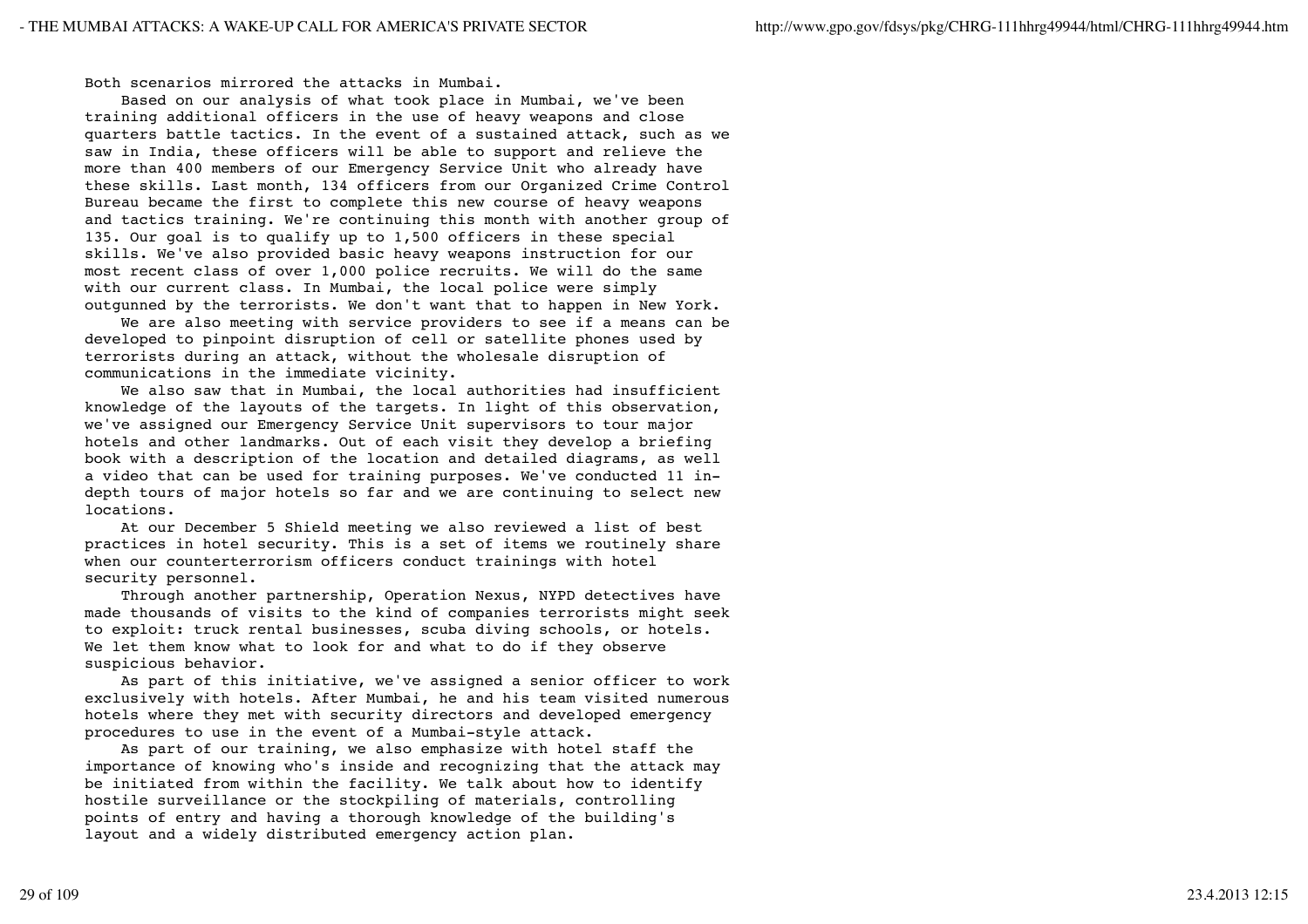Both scenarios mirrored the attacks in Mumbai.

 Based on our analysis of what took place in Mumbai, we've been training additional officers in the use of heavy weapons and close quarters battle tactics. In the event of a sustained attack, such as we saw in India, these officers will be able to support and relieve the more than 400 members of our Emergency Service Unit who already have these skills. Last month, 134 officers from our Organized Crime Control Bureau became the first to complete this new course of heavy weapons and tactics training. We're continuing this month with another group of 135. Our goal is to qualify up to 1,500 officers in these special skills. We've also provided basic heavy weapons instruction for our most recent class of over 1,000 police recruits. We will do the same with our current class. In Mumbai, the local police were simply outgunned by the terrorists. We don't want that to happen in New York.

 We are also meeting with service providers to see if a means can be developed to pinpoint disruption of cell or satellite phones used by terrorists during an attack, without the wholesale disruption of communications in the immediate vicinity.

 We also saw that in Mumbai, the local authorities had insufficient knowledge of the layouts of the targets. In light of this observation, we've assigned our Emergency Service Unit supervisors to tour major hotels and other landmarks. Out of each visit they develop a briefing book with a description of the location and detailed diagrams, as well a video that can be used for training purposes. We've conducted 11 indepth tours of major hotels so far and we are continuing to select new locations.

 At our December 5 Shield meeting we also reviewed a list of best practices in hotel security. This is a set of items we routinely share when our counterterrorism officers conduct trainings with hotel security personnel.

 Through another partnership, Operation Nexus, NYPD detectives have made thousands of visits to the kind of companies terrorists might seek to exploit: truck rental businesses, scuba diving schools, or hotels. We let them know what to look for and what to do if they observe suspicious behavior.

 As part of this initiative, we've assigned a senior officer to work exclusively with hotels. After Mumbai, he and his team visited numerous hotels where they met with security directors and developed emergency procedures to use in the event of a Mumbai-style attack.

 As part of our training, we also emphasize with hotel staff the importance of knowing who's inside and recognizing that the attack may be initiated from within the facility. We talk about how to identify hostile surveillance or the stockpiling of materials, controlling points of entry and having a thorough knowledge of the building's layout and a widely distributed emergency action plan.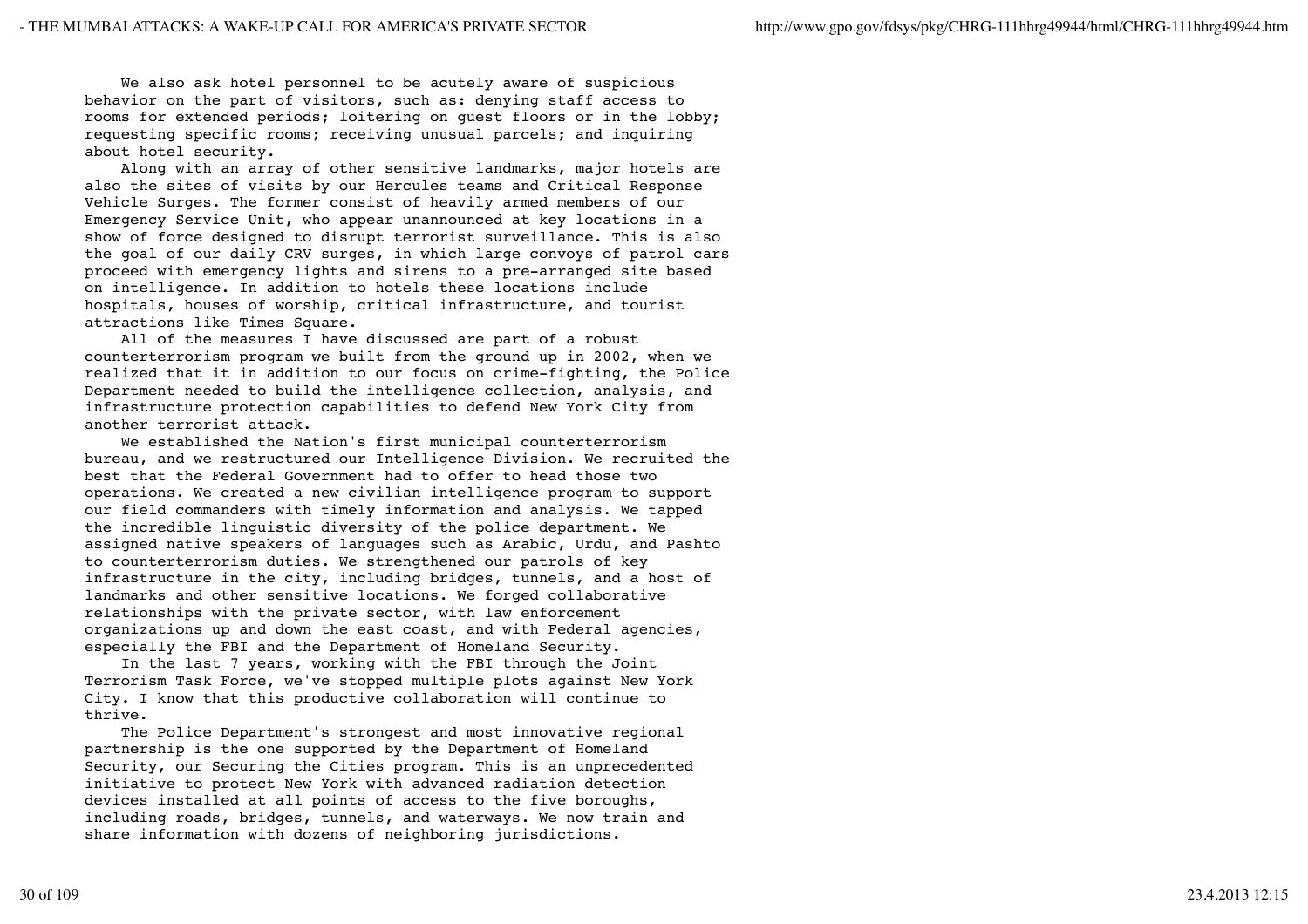We also ask hotel personnel to be acutely aware of suspicious behavior on the part of visitors, such as: denying staff access to rooms for extended periods; loitering on guest floors or in the lobby; requesting specific rooms; receiving unusual parcels; and inquiring about hotel security.

 Along with an array of other sensitive landmarks, major hotels are also the sites of visits by our Hercules teams and Critical Response Vehicle Surges. The former consist of heavily armed members of our Emergency Service Unit, who appear unannounced at key locations in a show of force designed to disrupt terrorist surveillance. This is also the goal of our daily CRV surges, in which large convoys of patrol cars proceed with emergency lights and sirens to a pre-arranged site based on intelligence. In addition to hotels these locations include hospitals, houses of worship, critical infrastructure, and tourist attractions like Times Square.

 All of the measures I have discussed are part of a robust counterterrorism program we built from the ground up in 2002, when we realized that it in addition to our focus on crime-fighting, the Police Department needed to build the intelligence collection, analysis, and infrastructure protection capabilities to defend New York City from another terrorist attack.

 We established the Nation's first municipal counterterrorism bureau, and we restructured our Intelligence Division. We recruited the best that the Federal Government had to offer to head those two operations. We created a new civilian intelligence program to support our field commanders with timely information and analysis. We tapped the incredible linguistic diversity of the police department. We assigned native speakers of languages such as Arabic, Urdu, and Pashto to counterterrorism duties. We strengthened our patrols of key infrastructure in the city, including bridges, tunnels, and a host of landmarks and other sensitive locations. We forged collaborative relationships with the private sector, with law enforcement organizations up and down the east coast, and with Federal agencies, especially the FBI and the Department of Homeland Security.

 In the last 7 years, working with the FBI through the Joint Terrorism Task Force, we've stopped multiple plots against New York City. I know that this productive collaboration will continue to thrive.

 The Police Department's strongest and most innovative regional partnership is the one supported by the Department of Homeland Security, our Securing the Cities program. This is an unprecedented initiative to protect New York with advanced radiation detection devices installed at all points of access to the five boroughs, including roads, bridges, tunnels, and waterways. We now train and share information with dozens of neighboring jurisdictions.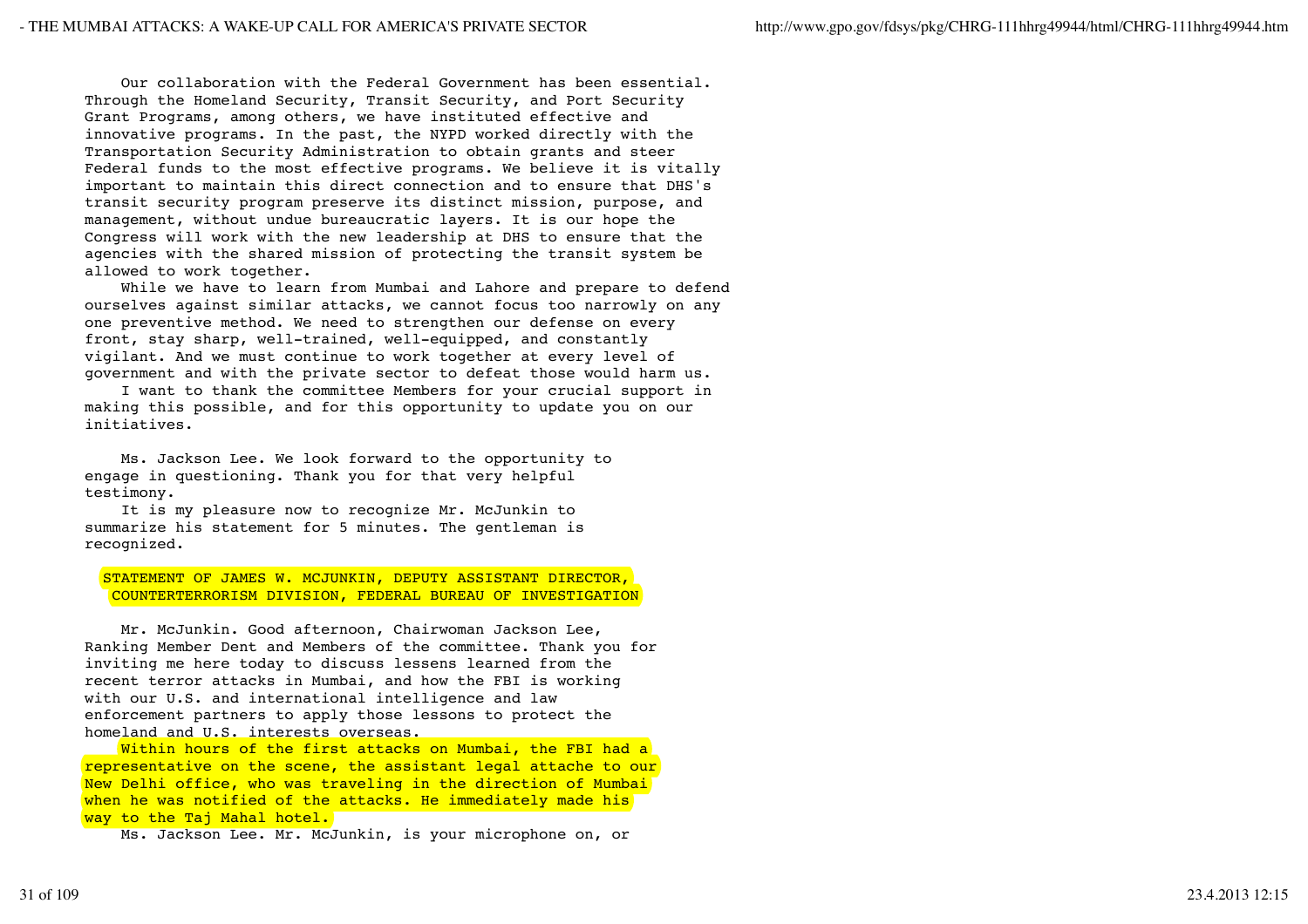Our collaboration with the Federal Government has been essential. Through the Homeland Security, Transit Security, and Port Security Grant Programs, among others, we have instituted effective and innovative programs. In the past, the NYPD worked directly with the Transportation Security Administration to obtain grants and steer Federal funds to the most effective programs. We believe it is vitally important to maintain this direct connection and to ensure that DHS's transit security program preserve its distinct mission, purpose, and management, without undue bureaucratic layers. It is our hope the Congress will work with the new leadership at DHS to ensure that the agencies with the shared mission of protecting the transit system be allowed to work together.

 While we have to learn from Mumbai and Lahore and prepare to defend ourselves against similar attacks, we cannot focus too narrowly on any one preventive method. We need to strengthen our defense on every front, stay sharp, well-trained, well-equipped, and constantly vigilant. And we must continue to work together at every level of government and with the private sector to defeat those would harm us.

 I want to thank the committee Members for your crucial support in making this possible, and for this opportunity to update you on our initiatives.

 Ms. Jackson Lee. We look forward to the opportunity to engage in questioning. Thank you for that very helpful testimony.

 It is my pleasure now to recognize Mr. McJunkin to summarize his statement for 5 minutes. The gentleman is recognized.

 STATEMENT OF JAMES W. MCJUNKIN, DEPUTY ASSISTANT DIRECTOR, COUNTERTERRORISM DIVISION, FEDERAL BUREAU OF INVESTIGATION

 Mr. McJunkin. Good afternoon, Chairwoman Jackson Lee, Ranking Member Dent and Members of the committee. Thank you for inviting me here today to discuss lessens learned from the recent terror attacks in Mumbai, and how the FBI is working with our U.S. and international intelligence and law enforcement partners to apply those lessons to protect the homeland and U.S. interests overseas.

Within hours of the first attacks on Mumbai, the FBI had a representative on the scene, the assistant legal attache to our New Delhi office, who was traveling in the direction of Mumbai when he was notified of the attacks. He immediately made his way to the Taj Mahal hotel.

Ms. Jackson Lee. Mr. McJunkin, is your microphone on, or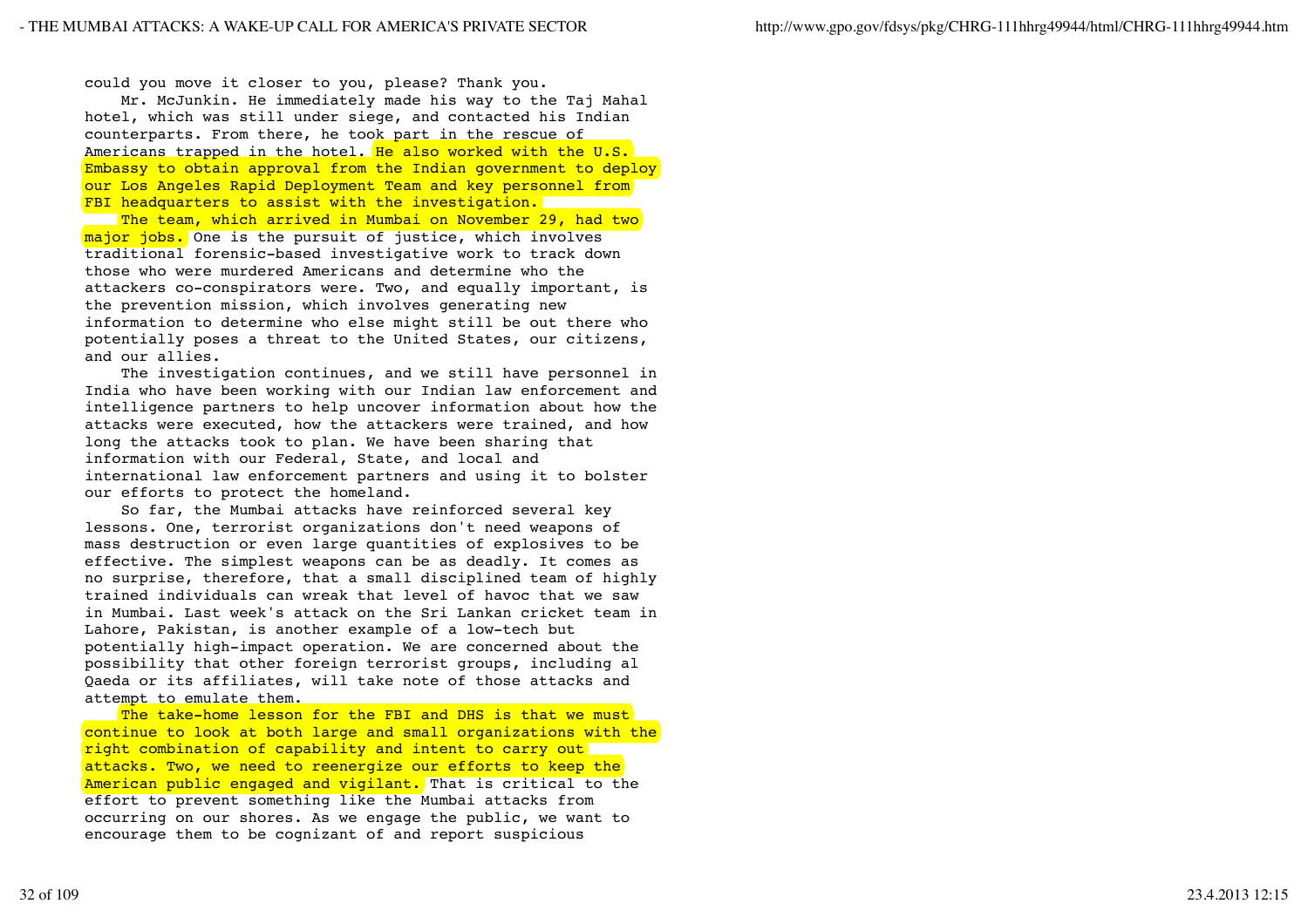could you move it closer to you, please? Thank you.

 Mr. McJunkin. He immediately made his way to the Taj Mahal hotel, which was still under siege, and contacted his Indian counterparts. From there, he took part in the rescue of Americans trapped in the hotel. He also worked with the U.S. Embassy to obtain approval from the Indian government to deploy our Los Angeles Rapid Deployment Team and key personnel from FBI headquarters to assist with the investigation.

The team, which arrived in Mumbai on November 29, had two major jobs. One is the pursuit of justice, which involves traditional forensic-based investigative work to track down those who were murdered Americans and determine who the attackers co-conspirators were. Two, and equally important, is the prevention mission, which involves generating new information to determine who else might still be out there who potentially poses a threat to the United States, our citizens, and our allies.

 The investigation continues, and we still have personnel in India who have been working with our Indian law enforcement and intelligence partners to help uncover information about how the attacks were executed, how the attackers were trained, and how long the attacks took to plan. We have been sharing that information with our Federal, State, and local and international law enforcement partners and using it to bolster our efforts to protect the homeland.

 So far, the Mumbai attacks have reinforced several key lessons. One, terrorist organizations don't need weapons of mass destruction or even large quantities of explosives to be effective. The simplest weapons can be as deadly. It comes as no surprise, therefore, that a small disciplined team of highly trained individuals can wreak that level of havoc that we saw in Mumbai. Last week's attack on the Sri Lankan cricket team in Lahore, Pakistan, is another example of a low-tech but potentially high-impact operation. We are concerned about the possibility that other foreign terrorist groups, including al Qaeda or its affiliates, will take note of those attacks and attempt to emulate them.

The take-home lesson for the FBI and DHS is that we must continue to look at both large and small organizations with the right combination of capability and intent to carry out attacks. Two, we need to reenergize our efforts to keep the American public engaged and vigilant. That is critical to the effort to prevent something like the Mumbai attacks from occurring on our shores. As we engage the public, we want to encourage them to be cognizant of and report suspicious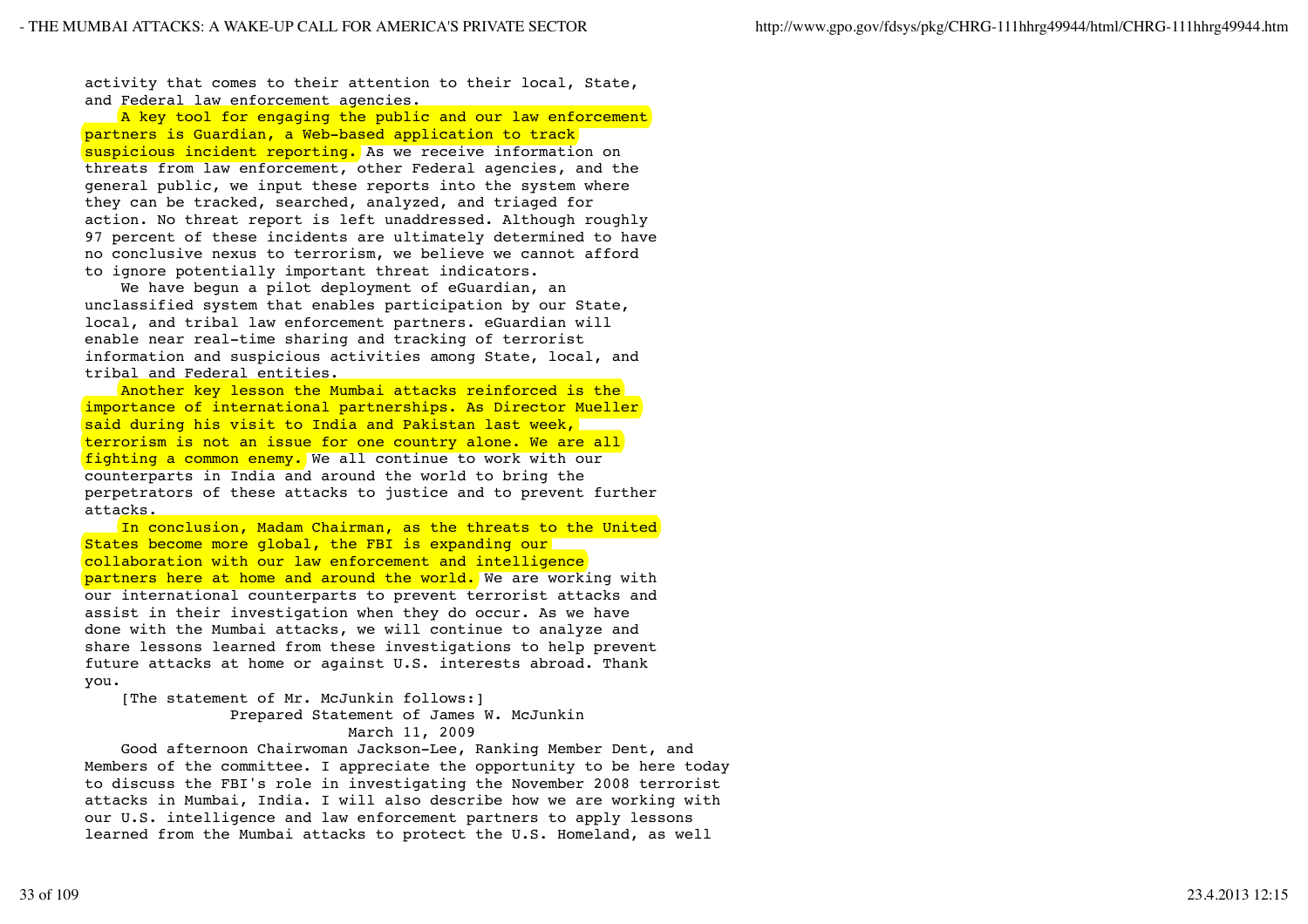activity that comes to their attention to their local, State, and Federal law enforcement agencies.

A key tool for engaging the public and our law enforcement partners is Guardian, a Web-based application to track suspicious incident reporting. As we receive information on threats from law enforcement, other Federal agencies, and the general public, we input these reports into the system where they can be tracked, searched, analyzed, and triaged for action. No threat report is left unaddressed. Although roughly 97 percent of these incidents are ultimately determined to have no conclusive nexus to terrorism, we believe we cannot afford to ignore potentially important threat indicators.

 We have begun a pilot deployment of eGuardian, an unclassified system that enables participation by our State, local, and tribal law enforcement partners. eGuardian will enable near real-time sharing and tracking of terrorist information and suspicious activities among State, local, and tribal and Federal entities.

 Another key lesson the Mumbai attacks reinforced is the importance of international partnerships. As Director Mueller said during his visit to India and Pakistan last week, terrorism is not an issue for one country alone. We are all fighting a common enemy. We all continue to work with our counterparts in India and around the world to bring the perpetrators of these attacks to justice and to prevent further attacks.

 In conclusion, Madam Chairman, as the threats to the United States become more global, the FBI is expanding our collaboration with our law enforcement and intelligence partners here at home and around the world. We are working with our international counterparts to prevent terrorist attacks and assist in their investigation when they do occur. As we have done with the Mumbai attacks, we will continue to analyze and share lessons learned from these investigations to help prevent future attacks at home or against U.S. interests abroad. Thank you.

 [The statement of Mr. McJunkin follows:] Prepared Statement of James W. McJunkin March 11, 2009

 Good afternoon Chairwoman Jackson-Lee, Ranking Member Dent, and Members of the committee. I appreciate the opportunity to be here today to discuss the FBI's role in investigating the November 2008 terrorist attacks in Mumbai, India. I will also describe how we are working with our U.S. intelligence and law enforcement partners to apply lessons learned from the Mumbai attacks to protect the U.S. Homeland, as well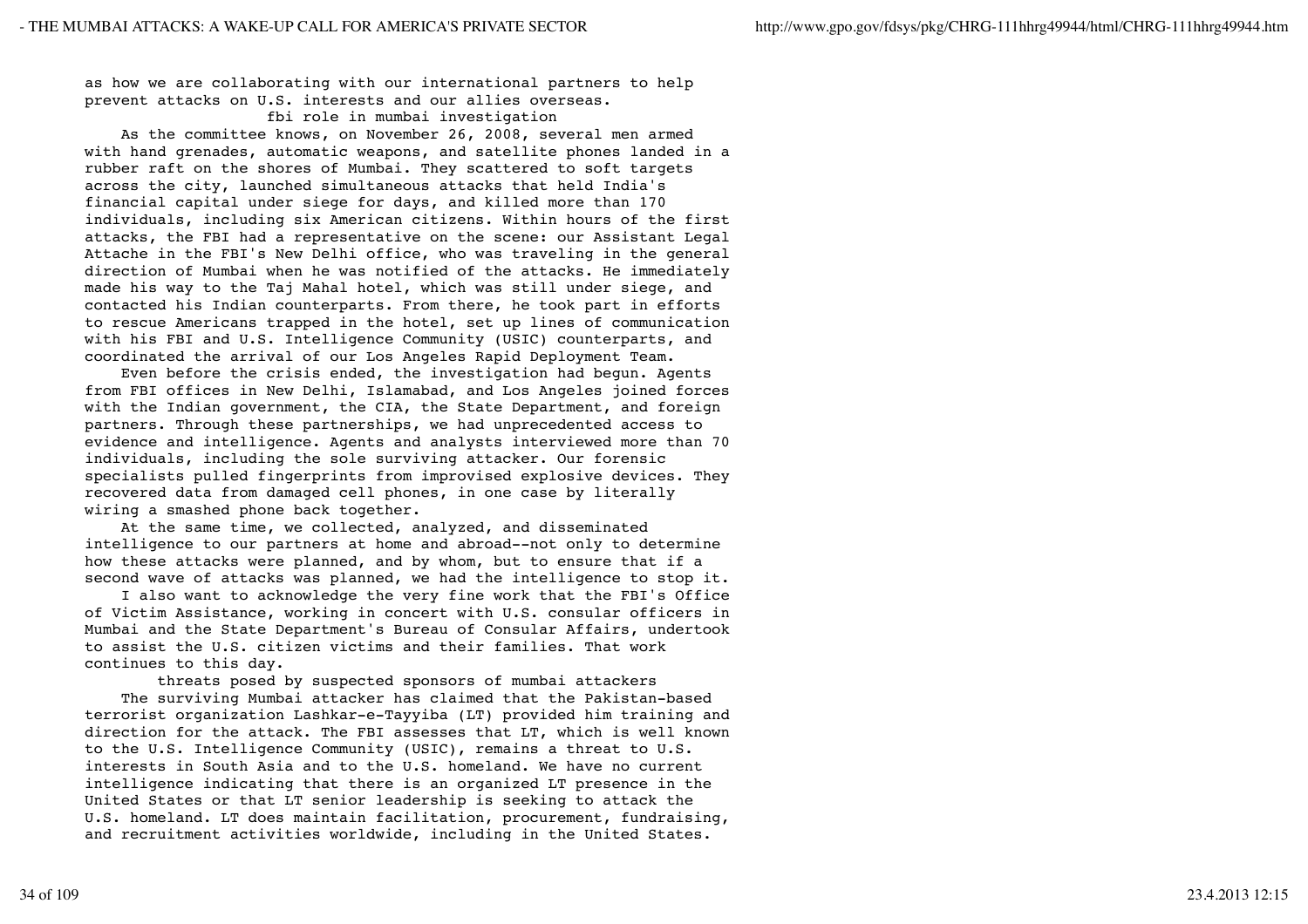as how we are collaborating with our international partners to help prevent attacks on U.S. interests and our allies overseas.

### fbi role in mumbai investigation

 As the committee knows, on November 26, 2008, several men armed with hand grenades, automatic weapons, and satellite phones landed in a rubber raft on the shores of Mumbai. They scattered to soft targets across the city, launched simultaneous attacks that held India's financial capital under siege for days, and killed more than 170 individuals, including six American citizens. Within hours of the first attacks, the FBI had a representative on the scene: our Assistant Legal Attache in the FBI's New Delhi office, who was traveling in the general direction of Mumbai when he was notified of the attacks. He immediately made his way to the Taj Mahal hotel, which was still under siege, and contacted his Indian counterparts. From there, he took part in efforts to rescue Americans trapped in the hotel, set up lines of communication with his FBI and U.S. Intelligence Community (USIC) counterparts, and coordinated the arrival of our Los Angeles Rapid Deployment Team.

 Even before the crisis ended, the investigation had begun. Agents from FBI offices in New Delhi, Islamabad, and Los Angeles joined forces with the Indian government, the CIA, the State Department, and foreign partners. Through these partnerships, we had unprecedented access to evidence and intelligence. Agents and analysts interviewed more than 70 individuals, including the sole surviving attacker. Our forensic specialists pulled fingerprints from improvised explosive devices. They recovered data from damaged cell phones, in one case by literally wiring a smashed phone back together.

 At the same time, we collected, analyzed, and disseminated intelligence to our partners at home and abroad--not only to determine how these attacks were planned, and by whom, but to ensure that if a second wave of attacks was planned, we had the intelligence to stop it.

 I also want to acknowledge the very fine work that the FBI's Office of Victim Assistance, working in concert with U.S. consular officers in Mumbai and the State Department's Bureau of Consular Affairs, undertook to assist the U.S. citizen victims and their families. That work continues to this day.

 threats posed by suspected sponsors of mumbai attackers The surviving Mumbai attacker has claimed that the Pakistan-based terrorist organization Lashkar-e-Tayyiba (LT) provided him training and direction for the attack. The FBI assesses that LT, which is well known to the U.S. Intelligence Community (USIC), remains a threat to U.S. interests in South Asia and to the U.S. homeland. We have no current intelligence indicating that there is an organized LT presence in the United States or that LT senior leadership is seeking to attack the U.S. homeland. LT does maintain facilitation, procurement, fundraising, and recruitment activities worldwide, including in the United States.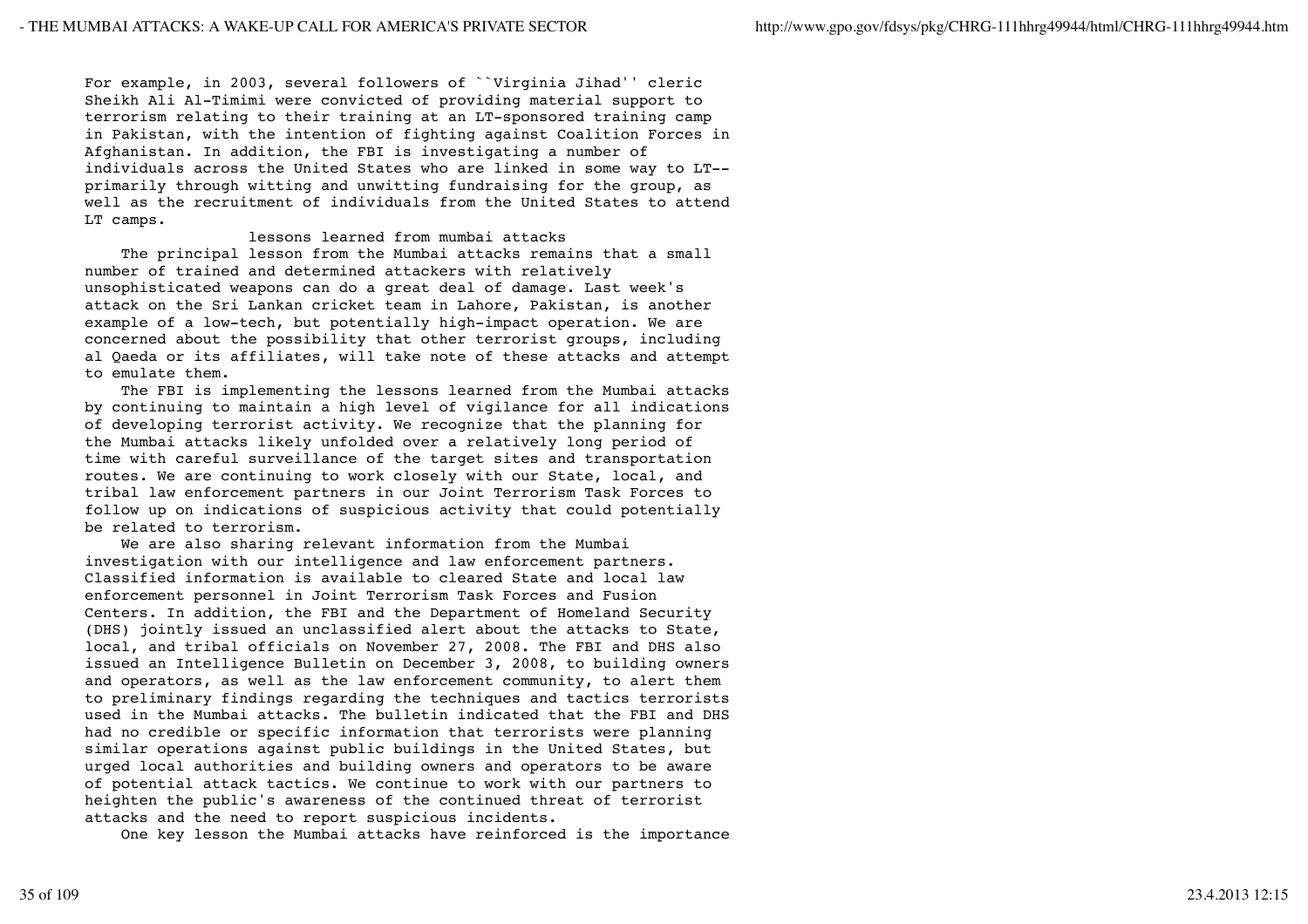For example, in 2003, several followers of ``Virginia Jihad'' cleric Sheikh Ali Al-Timimi were convicted of providing material support to terrorism relating to their training at an LT-sponsored training camp in Pakistan, with the intention of fighting against Coalition Forces in Afghanistan. In addition, the FBI is investigating a number of individuals across the United States who are linked in some way to LT- primarily through witting and unwitting fundraising for the group, as well as the recruitment of individuals from the United States to attend LT camps.

### lessons learned from mumbai attacks

 The principal lesson from the Mumbai attacks remains that a small number of trained and determined attackers with relatively unsophisticated weapons can do a great deal of damage. Last week's attack on the Sri Lankan cricket team in Lahore, Pakistan, is another example of a low-tech, but potentially high-impact operation. We are concerned about the possibility that other terrorist groups, including al Qaeda or its affiliates, will take note of these attacks and attempt to emulate them.

 The FBI is implementing the lessons learned from the Mumbai attacks by continuing to maintain a high level of vigilance for all indications of developing terrorist activity. We recognize that the planning for the Mumbai attacks likely unfolded over a relatively long period of time with careful surveillance of the target sites and transportation routes. We are continuing to work closely with our State, local, and tribal law enforcement partners in our Joint Terrorism Task Forces to follow up on indications of suspicious activity that could potentially be related to terrorism.

 We are also sharing relevant information from the Mumbai investigation with our intelligence and law enforcement partners. Classified information is available to cleared State and local law enforcement personnel in Joint Terrorism Task Forces and Fusion Centers. In addition, the FBI and the Department of Homeland Security (DHS) jointly issued an unclassified alert about the attacks to State, local, and tribal officials on November 27, 2008. The FBI and DHS also issued an Intelligence Bulletin on December 3, 2008, to building owners and operators, as well as the law enforcement community, to alert them to preliminary findings regarding the techniques and tactics terrorists used in the Mumbai attacks. The bulletin indicated that the FBI and DHS had no credible or specific information that terrorists were planning similar operations against public buildings in the United States, but urged local authorities and building owners and operators to be aware of potential attack tactics. We continue to work with our partners to heighten the public's awareness of the continued threat of terrorist attacks and the need to report suspicious incidents.

One key lesson the Mumbai attacks have reinforced is the importance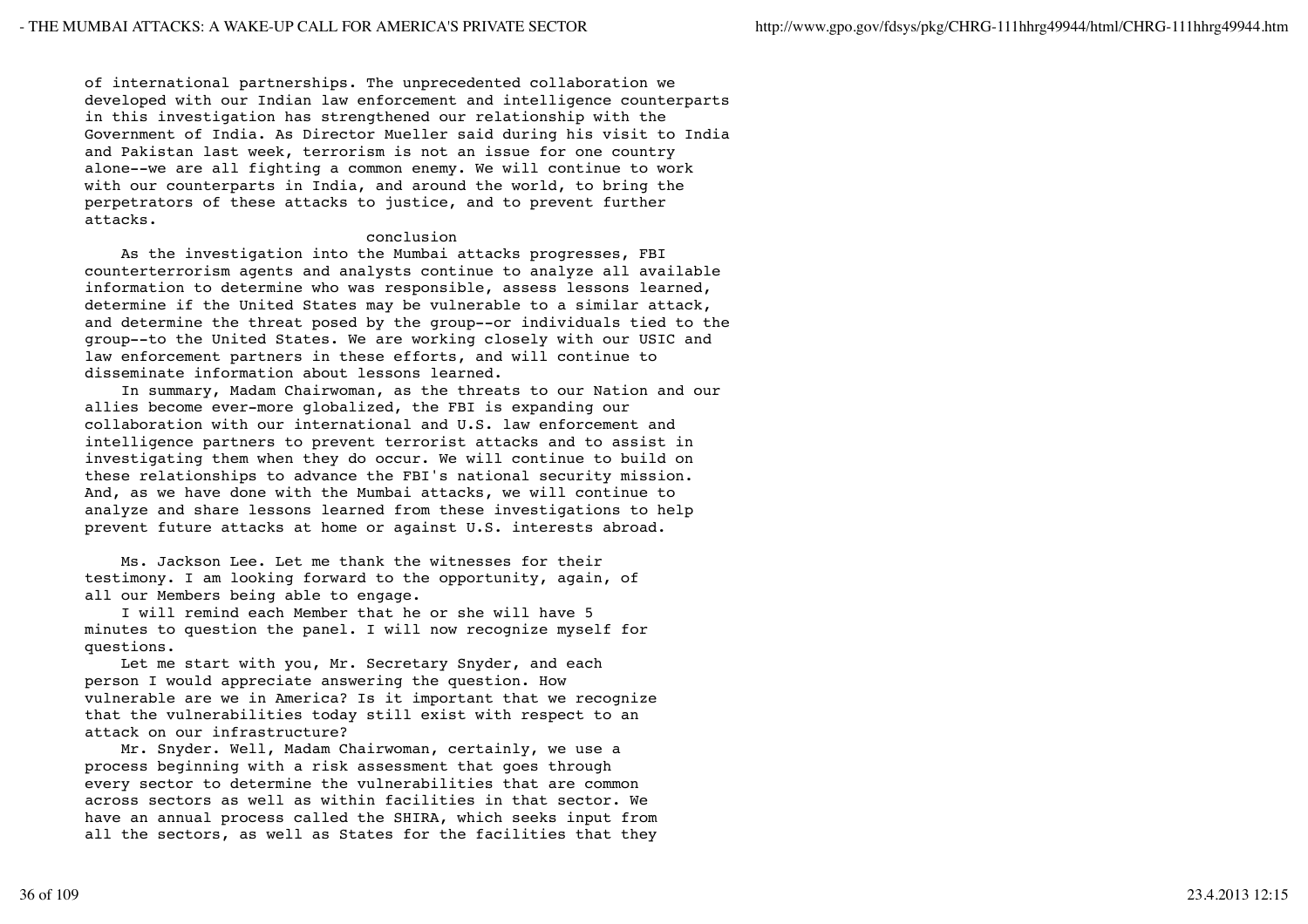of international partnerships. The unprecedented collaboration we developed with our Indian law enforcement and intelligence counterparts in this investigation has strengthened our relationship with the Government of India. As Director Mueller said during his visit to India and Pakistan last week, terrorism is not an issue for one country alone--we are all fighting a common enemy. We will continue to work with our counterparts in India, and around the world, to bring the perpetrators of these attacks to justice, and to prevent further attacks.

# conclusion

 As the investigation into the Mumbai attacks progresses, FBI counterterrorism agents and analysts continue to analyze all available information to determine who was responsible, assess lessons learned, determine if the United States may be vulnerable to a similar attack, and determine the threat posed by the group--or individuals tied to the group--to the United States. We are working closely with our USIC and law enforcement partners in these efforts, and will continue to disseminate information about lessons learned.

 In summary, Madam Chairwoman, as the threats to our Nation and our allies become ever-more globalized, the FBI is expanding our collaboration with our international and U.S. law enforcement and intelligence partners to prevent terrorist attacks and to assist in investigating them when they do occur. We will continue to build on these relationships to advance the FBI's national security mission. And, as we have done with the Mumbai attacks, we will continue to analyze and share lessons learned from these investigations to help prevent future attacks at home or against U.S. interests abroad.

 Ms. Jackson Lee. Let me thank the witnesses for their testimony. I am looking forward to the opportunity, again, of all our Members being able to engage.

 I will remind each Member that he or she will have 5 minutes to question the panel. I will now recognize myself for questions.

 Let me start with you, Mr. Secretary Snyder, and each person I would appreciate answering the question. How vulnerable are we in America? Is it important that we recognize that the vulnerabilities today still exist with respect to an attack on our infrastructure?

 Mr. Snyder. Well, Madam Chairwoman, certainly, we use a process beginning with a risk assessment that goes through every sector to determine the vulnerabilities that are common across sectors as well as within facilities in that sector. We have an annual process called the SHIRA, which seeks input from all the sectors, as well as States for the facilities that they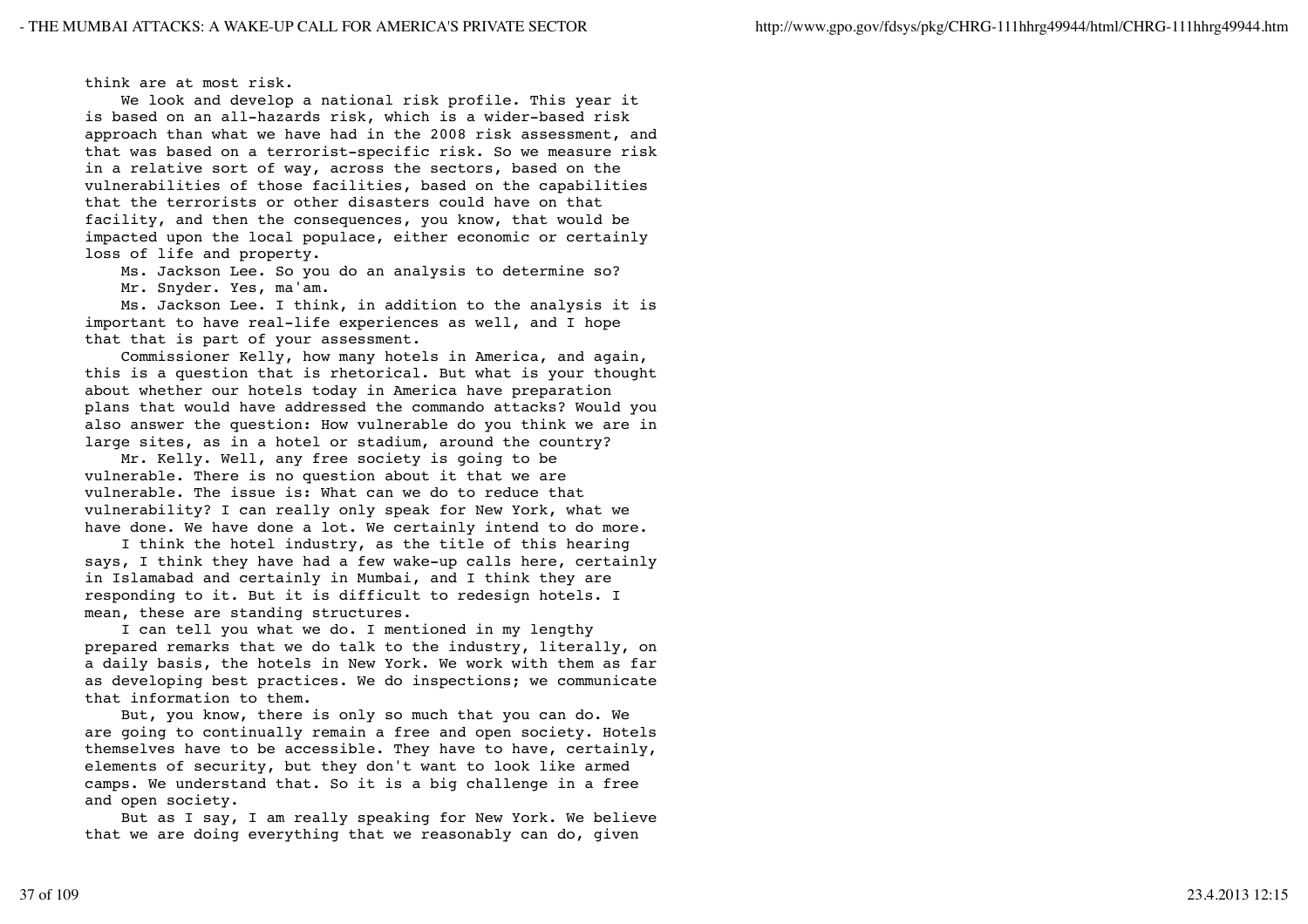think are at most risk.

 We look and develop a national risk profile. This year it is based on an all-hazards risk, which is a wider-based risk approach than what we have had in the 2008 risk assessment, and that was based on a terrorist-specific risk. So we measure risk in a relative sort of way, across the sectors, based on the vulnerabilities of those facilities, based on the capabilities that the terrorists or other disasters could have on that facility, and then the consequences, you know, that would be impacted upon the local populace, either economic or certainly loss of life and property.

Ms. Jackson Lee. So you do an analysis to determine so?

Mr. Snyder. Yes, ma'am.

 Ms. Jackson Lee. I think, in addition to the analysis it is important to have real-life experiences as well, and I hope that that is part of your assessment.

 Commissioner Kelly, how many hotels in America, and again, this is a question that is rhetorical. But what is your thought about whether our hotels today in America have preparation plans that would have addressed the commando attacks? Would you also answer the question: How vulnerable do you think we are in large sites, as in a hotel or stadium, around the country?

 Mr. Kelly. Well, any free society is going to be vulnerable. There is no question about it that we are vulnerable. The issue is: What can we do to reduce that vulnerability? I can really only speak for New York, what we have done. We have done a lot. We certainly intend to do more.

 I think the hotel industry, as the title of this hearing says, I think they have had a few wake-up calls here, certainly in Islamabad and certainly in Mumbai, and I think they are responding to it. But it is difficult to redesign hotels. I mean, these are standing structures.

 I can tell you what we do. I mentioned in my lengthy prepared remarks that we do talk to the industry, literally, on a daily basis, the hotels in New York. We work with them as far as developing best practices. We do inspections; we communicate that information to them.

 But, you know, there is only so much that you can do. We are going to continually remain a free and open society. Hotels themselves have to be accessible. They have to have, certainly, elements of security, but they don't want to look like armed camps. We understand that. So it is a big challenge in a free and open society.

 But as I say, I am really speaking for New York. We believe that we are doing everything that we reasonably can do, given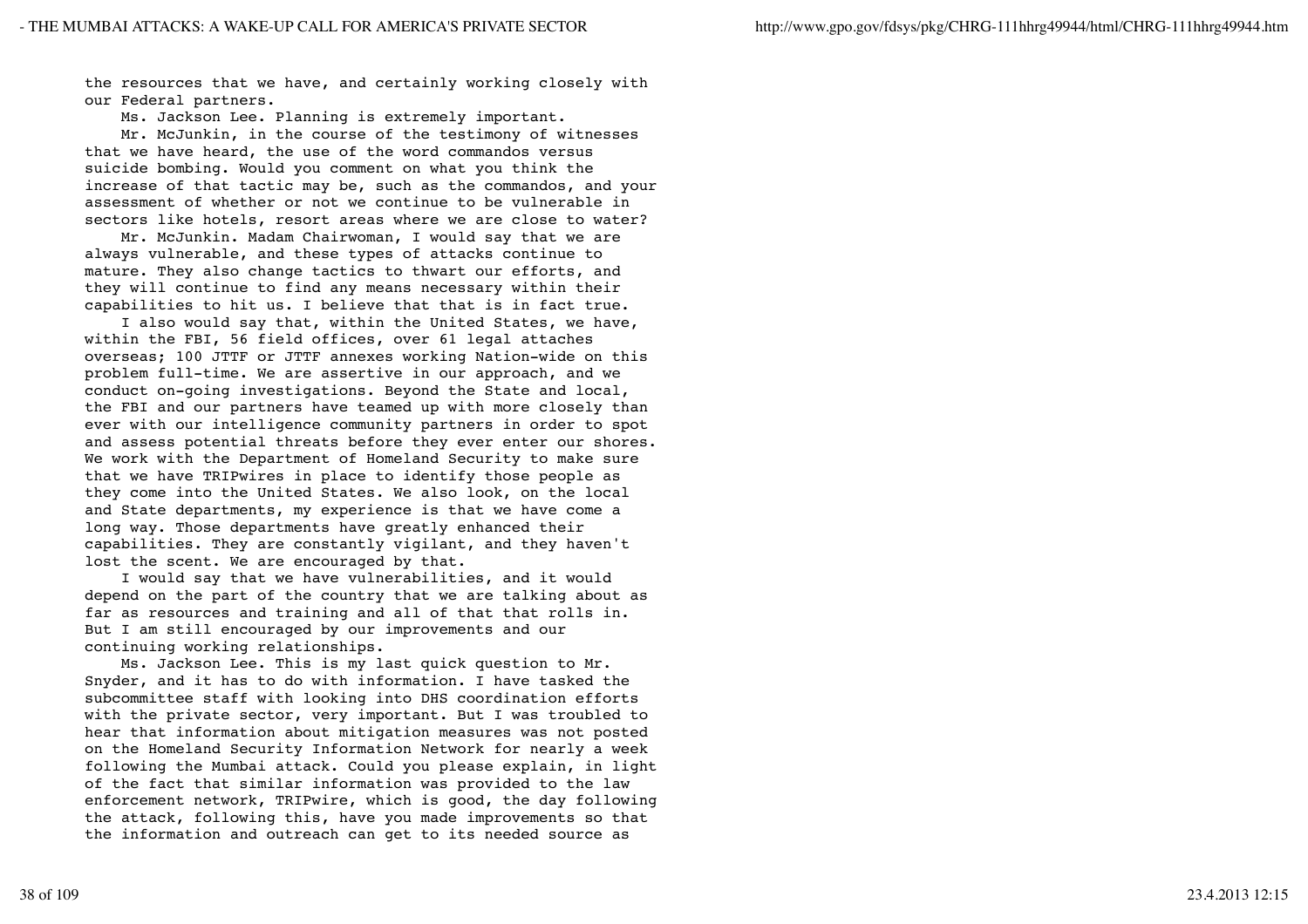the resources that we have, and certainly working closely with our Federal partners.

Ms. Jackson Lee. Planning is extremely important.

 Mr. McJunkin, in the course of the testimony of witnesses that we have heard, the use of the word commandos versus suicide bombing. Would you comment on what you think the increase of that tactic may be, such as the commandos, and your assessment of whether or not we continue to be vulnerable in sectors like hotels, resort areas where we are close to water?

 Mr. McJunkin. Madam Chairwoman, I would say that we are always vulnerable, and these types of attacks continue to mature. They also change tactics to thwart our efforts, and they will continue to find any means necessary within their capabilities to hit us. I believe that that is in fact true.

 I also would say that, within the United States, we have, within the FBI, 56 field offices, over 61 legal attaches overseas; 100 JTTF or JTTF annexes working Nation-wide on this problem full-time. We are assertive in our approach, and we conduct on-going investigations. Beyond the State and local, the FBI and our partners have teamed up with more closely than ever with our intelligence community partners in order to spot and assess potential threats before they ever enter our shores. We work with the Department of Homeland Security to make sure that we have TRIPwires in place to identify those people as they come into the United States. We also look, on the local and State departments, my experience is that we have come a long way. Those departments have greatly enhanced their capabilities. They are constantly vigilant, and they haven't lost the scent. We are encouraged by that.

 I would say that we have vulnerabilities, and it would depend on the part of the country that we are talking about as far as resources and training and all of that that rolls in. But I am still encouraged by our improvements and our continuing working relationships.

 Ms. Jackson Lee. This is my last quick question to Mr. Snyder, and it has to do with information. I have tasked the subcommittee staff with looking into DHS coordination efforts with the private sector, very important. But I was troubled to hear that information about mitigation measures was not posted on the Homeland Security Information Network for nearly a week following the Mumbai attack. Could you please explain, in light of the fact that similar information was provided to the law enforcement network, TRIPwire, which is good, the day following the attack, following this, have you made improvements so that the information and outreach can get to its needed source as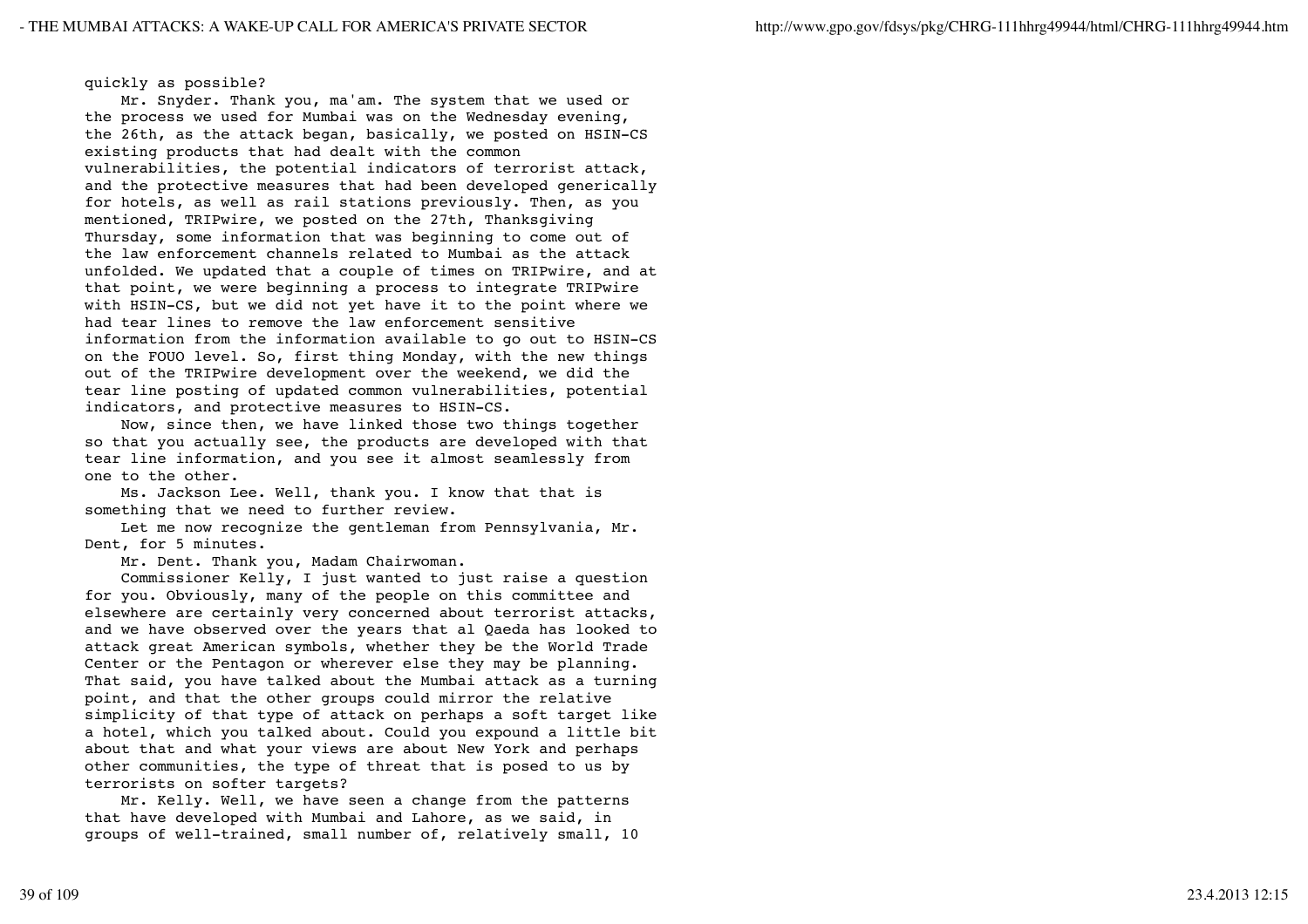## quickly as possible?

 Mr. Snyder. Thank you, ma'am. The system that we used or the process we used for Mumbai was on the Wednesday evening, the 26th, as the attack began, basically, we posted on HSIN-CS existing products that had dealt with the common vulnerabilities, the potential indicators of terrorist attack, and the protective measures that had been developed generically for hotels, as well as rail stations previously. Then, as you mentioned, TRIPwire, we posted on the 27th, Thanksgiving Thursday, some information that was beginning to come out of the law enforcement channels related to Mumbai as the attack unfolded. We updated that a couple of times on TRIPwire, and at that point, we were beginning a process to integrate TRIPwire with HSIN-CS, but we did not yet have it to the point where we had tear lines to remove the law enforcement sensitive information from the information available to go out to HSIN-CS on the FOUO level. So, first thing Monday, with the new things out of the TRIPwire development over the weekend, we did the tear line posting of updated common vulnerabilities, potential indicators, and protective measures to HSIN-CS.

 Now, since then, we have linked those two things together so that you actually see, the products are developed with that tear line information, and you see it almost seamlessly from one to the other.

 Ms. Jackson Lee. Well, thank you. I know that that is something that we need to further review.

 Let me now recognize the gentleman from Pennsylvania, Mr. Dent, for 5 minutes.

Mr. Dent. Thank you, Madam Chairwoman.

 Commissioner Kelly, I just wanted to just raise a question for you. Obviously, many of the people on this committee and elsewhere are certainly very concerned about terrorist attacks, and we have observed over the years that al Qaeda has looked to attack great American symbols, whether they be the World Trade Center or the Pentagon or wherever else they may be planning. That said, you have talked about the Mumbai attack as a turning point, and that the other groups could mirror the relative simplicity of that type of attack on perhaps a soft target like a hotel, which you talked about. Could you expound a little bit about that and what your views are about New York and perhaps other communities, the type of threat that is posed to us by terrorists on softer targets?

 Mr. Kelly. Well, we have seen a change from the patterns that have developed with Mumbai and Lahore, as we said, in groups of well-trained, small number of, relatively small, 10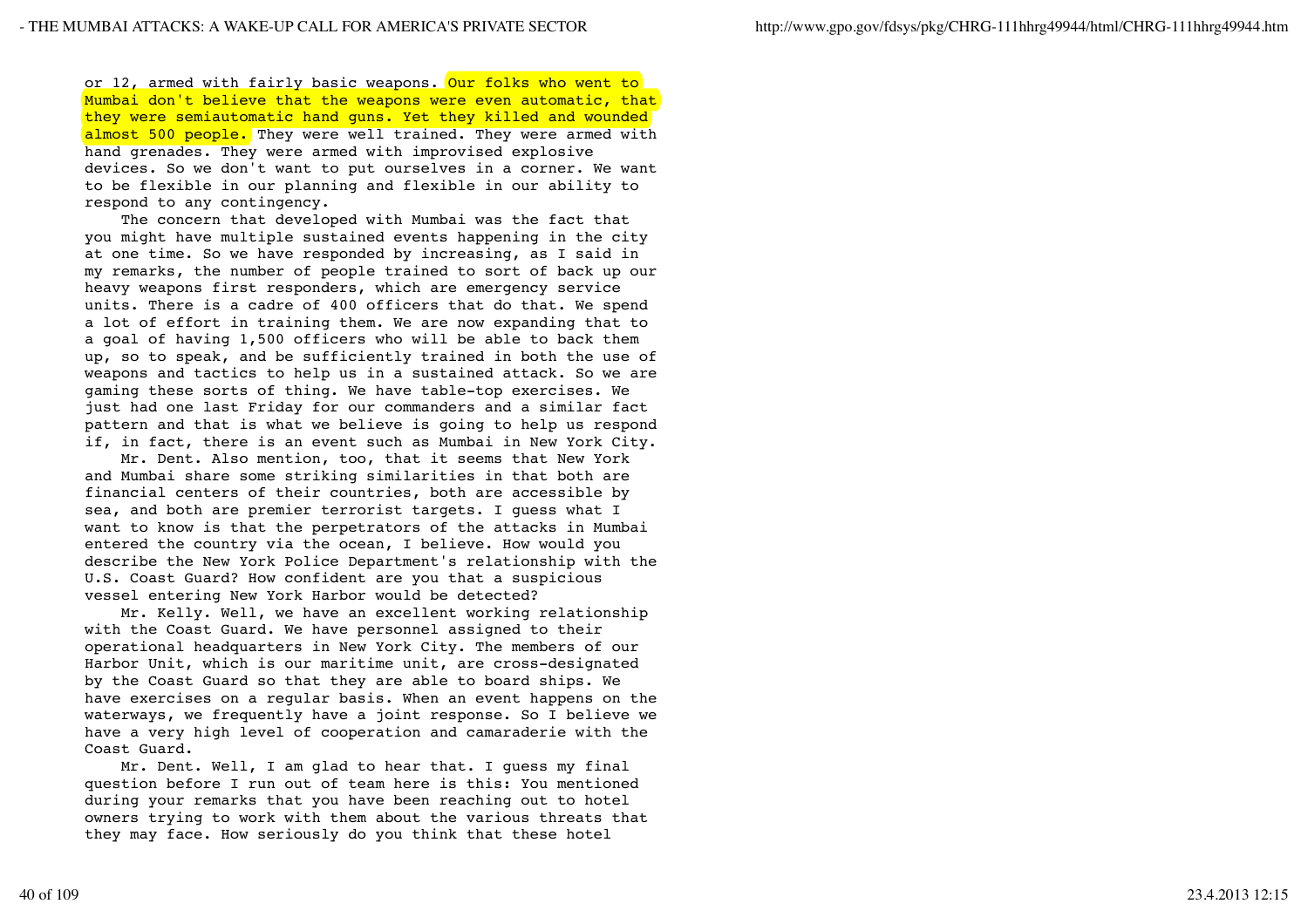or 12, armed with fairly basic weapons. Our folks who went to Mumbai don't believe that the weapons were even automatic, that they were semiautomatic hand guns. Yet they killed and wounded almost 500 people. They were well trained. They were armed with hand grenades. They were armed with improvised explosive devices. So we don't want to put ourselves in a corner. We want to be flexible in our planning and flexible in our ability to respond to any contingency.

 The concern that developed with Mumbai was the fact that you might have multiple sustained events happening in the city at one time. So we have responded by increasing, as I said in my remarks, the number of people trained to sort of back up our heavy weapons first responders, which are emergency service units. There is a cadre of 400 officers that do that. We spend a lot of effort in training them. We are now expanding that to a goal of having 1,500 officers who will be able to back them up, so to speak, and be sufficiently trained in both the use of weapons and tactics to help us in a sustained attack. So we are gaming these sorts of thing. We have table-top exercises. We just had one last Friday for our commanders and a similar fact pattern and that is what we believe is going to help us respond if, in fact, there is an event such as Mumbai in New York City.

 Mr. Dent. Also mention, too, that it seems that New York and Mumbai share some striking similarities in that both are financial centers of their countries, both are accessible by sea, and both are premier terrorist targets. I guess what I want to know is that the perpetrators of the attacks in Mumbai entered the country via the ocean, I believe. How would you describe the New York Police Department's relationship with the U.S. Coast Guard? How confident are you that a suspicious vessel entering New York Harbor would be detected?

 Mr. Kelly. Well, we have an excellent working relationship with the Coast Guard. We have personnel assigned to their operational headquarters in New York City. The members of our Harbor Unit, which is our maritime unit, are cross-designated by the Coast Guard so that they are able to board ships. We have exercises on a regular basis. When an event happens on the waterways, we frequently have a joint response. So I believe we have a very high level of cooperation and camaraderie with the Coast Guard.

 Mr. Dent. Well, I am glad to hear that. I guess my final question before I run out of team here is this: You mentioned during your remarks that you have been reaching out to hotel owners trying to work with them about the various threats that they may face. How seriously do you think that these hotel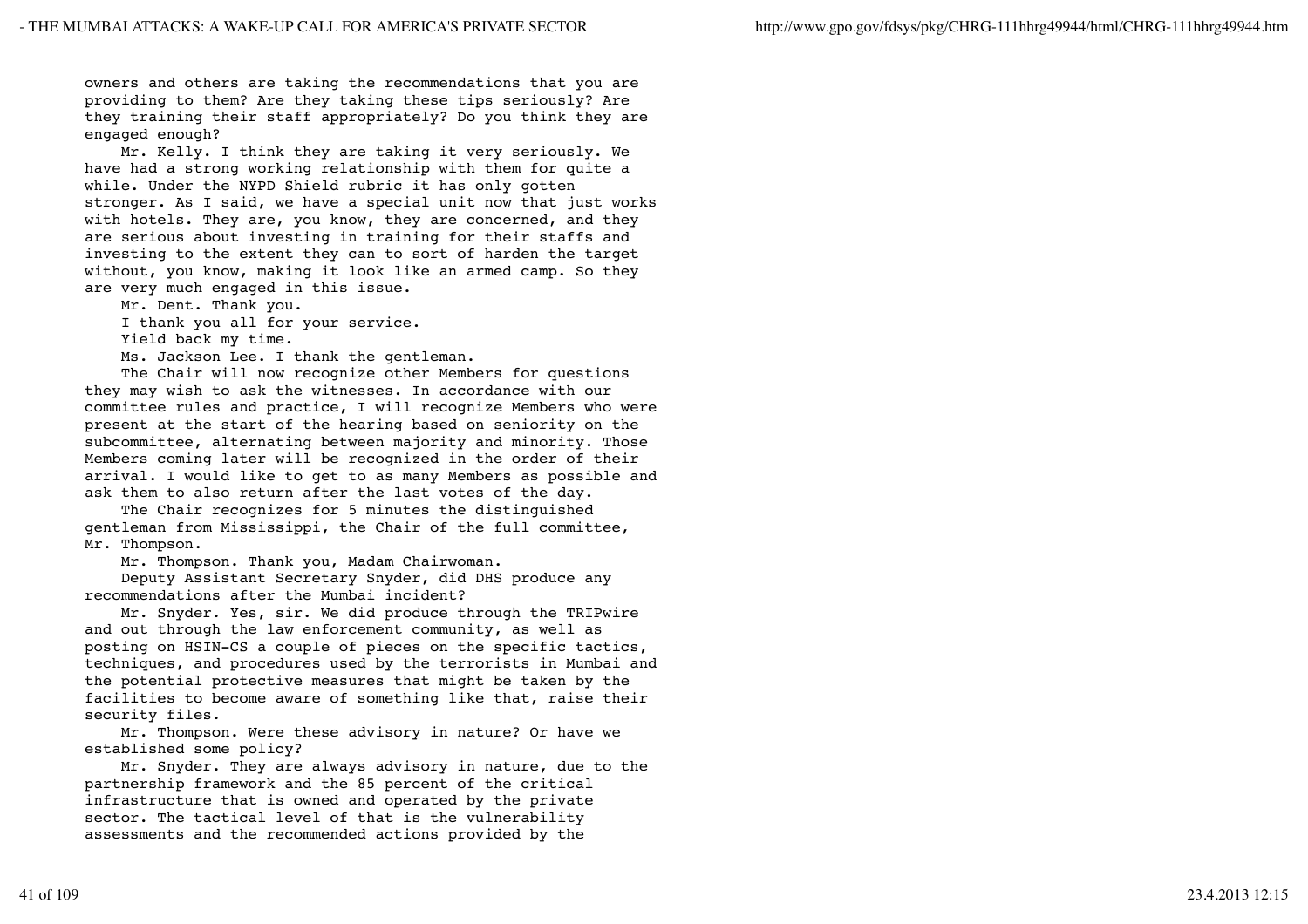owners and others are taking the recommendations that you are providing to them? Are they taking these tips seriously? Are they training their staff appropriately? Do you think they are engaged enough?

 Mr. Kelly. I think they are taking it very seriously. We have had a strong working relationship with them for quite a while. Under the NYPD Shield rubric it has only gotten stronger. As I said, we have a special unit now that just works with hotels. They are, you know, they are concerned, and they are serious about investing in training for their staffs and investing to the extent they can to sort of harden the target without, you know, making it look like an armed camp. So they are very much engaged in this issue.

Mr. Dent. Thank you.

I thank you all for your service.

Yield back my time.

Ms. Jackson Lee. I thank the gentleman.

 The Chair will now recognize other Members for questions they may wish to ask the witnesses. In accordance with our committee rules and practice, I will recognize Members who were present at the start of the hearing based on seniority on the subcommittee, alternating between majority and minority. Those Members coming later will be recognized in the order of their arrival. I would like to get to as many Members as possible and ask them to also return after the last votes of the day.

 The Chair recognizes for 5 minutes the distinguished gentleman from Mississippi, the Chair of the full committee, Mr. Thompson.

Mr. Thompson. Thank you, Madam Chairwoman.

 Deputy Assistant Secretary Snyder, did DHS produce any recommendations after the Mumbai incident?

 Mr. Snyder. Yes, sir. We did produce through the TRIPwire and out through the law enforcement community, as well as posting on HSIN-CS a couple of pieces on the specific tactics, techniques, and procedures used by the terrorists in Mumbai and the potential protective measures that might be taken by the facilities to become aware of something like that, raise their security files.

 Mr. Thompson. Were these advisory in nature? Or have we established some policy?

 Mr. Snyder. They are always advisory in nature, due to the partnership framework and the 85 percent of the critical infrastructure that is owned and operated by the private sector. The tactical level of that is the vulnerability assessments and the recommended actions provided by the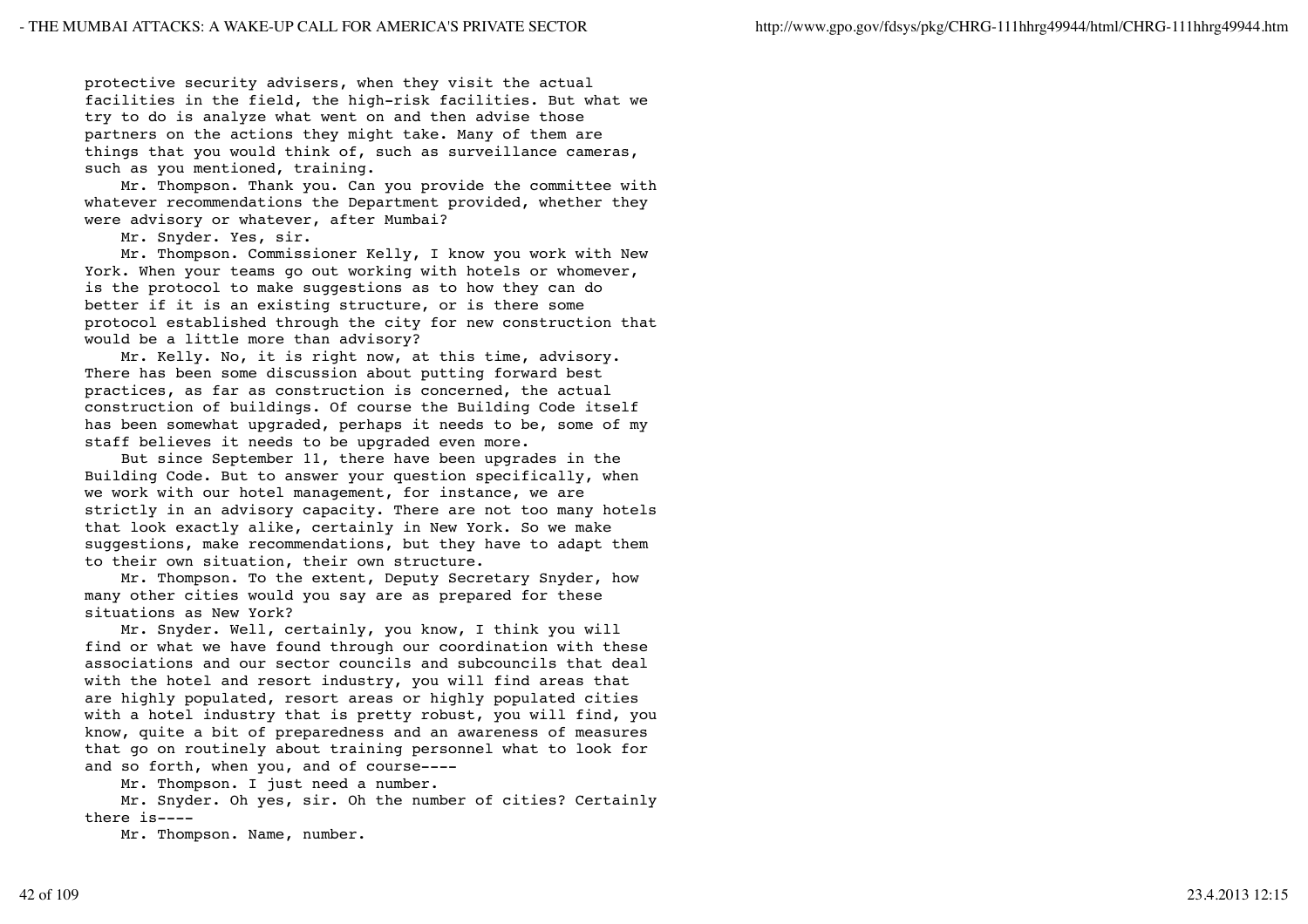protective security advisers, when they visit the actual facilities in the field, the high-risk facilities. But what we try to do is analyze what went on and then advise those partners on the actions they might take. Many of them are things that you would think of, such as surveillance cameras, such as you mentioned, training.

 Mr. Thompson. Thank you. Can you provide the committee with whatever recommendations the Department provided, whether they were advisory or whatever, after Mumbai?

Mr. Snyder. Yes, sir.

 Mr. Thompson. Commissioner Kelly, I know you work with New York. When your teams go out working with hotels or whomever, is the protocol to make suggestions as to how they can do better if it is an existing structure, or is there some protocol established through the city for new construction that would be a little more than advisory?

 Mr. Kelly. No, it is right now, at this time, advisory. There has been some discussion about putting forward best practices, as far as construction is concerned, the actual construction of buildings. Of course the Building Code itself has been somewhat upgraded, perhaps it needs to be, some of my staff believes it needs to be upgraded even more.

 But since September 11, there have been upgrades in the Building Code. But to answer your question specifically, when we work with our hotel management, for instance, we are strictly in an advisory capacity. There are not too many hotels that look exactly alike, certainly in New York. So we make suggestions, make recommendations, but they have to adapt them to their own situation, their own structure.

 Mr. Thompson. To the extent, Deputy Secretary Snyder, how many other cities would you say are as prepared for these situations as New York?

 Mr. Snyder. Well, certainly, you know, I think you will find or what we have found through our coordination with these associations and our sector councils and subcouncils that deal with the hotel and resort industry, you will find areas that are highly populated, resort areas or highly populated cities with a hotel industry that is pretty robust, you will find, you know, quite a bit of preparedness and an awareness of measures that go on routinely about training personnel what to look for and so forth, when you, and of course----

Mr. Thompson. I just need a number.

 Mr. Snyder. Oh yes, sir. Oh the number of cities? Certainly there is----

Mr. Thompson. Name, number.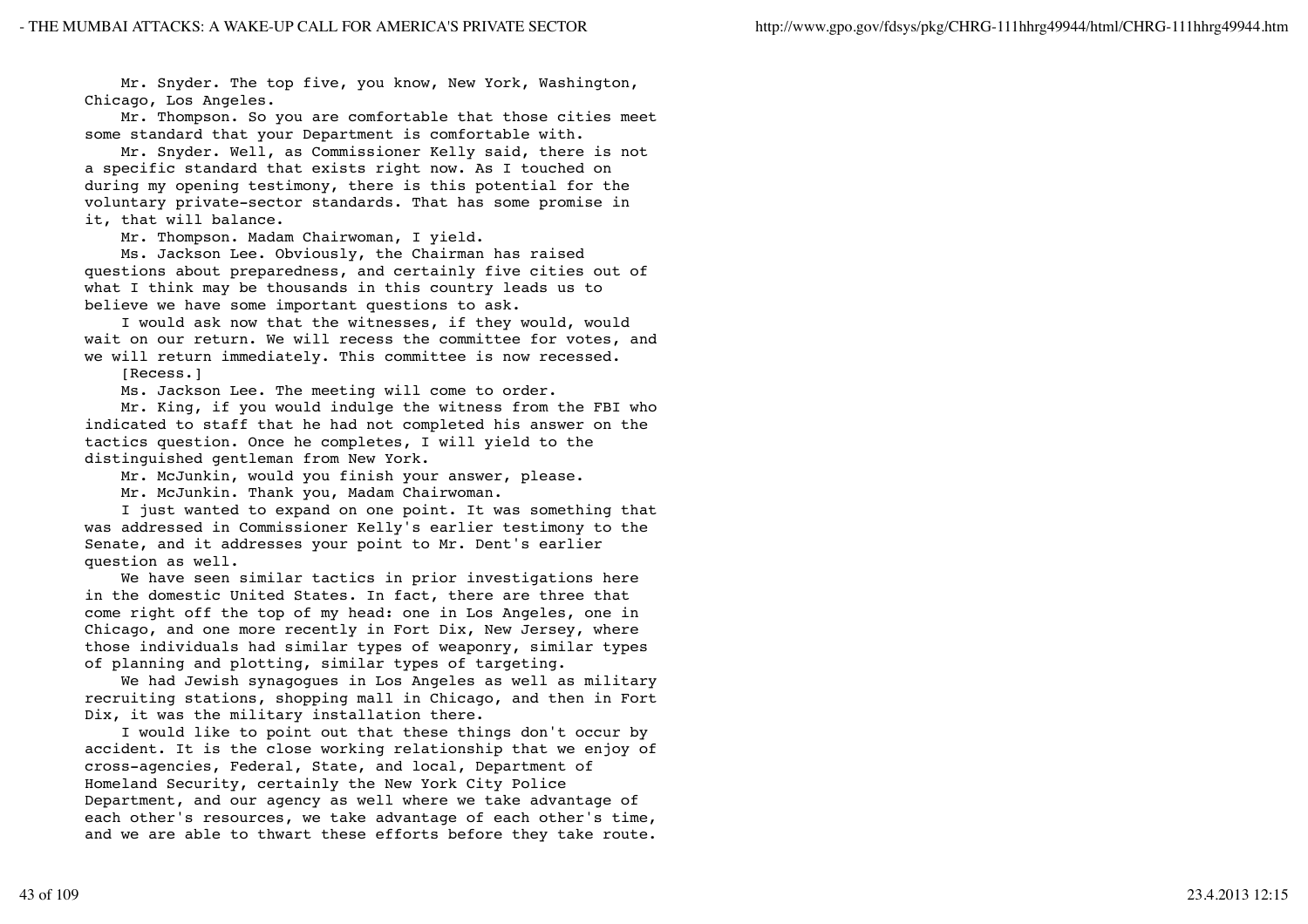Mr. Snyder. The top five, you know, New York, Washington, Chicago, Los Angeles.

 Mr. Thompson. So you are comfortable that those cities meet some standard that your Department is comfortable with.

 Mr. Snyder. Well, as Commissioner Kelly said, there is not a specific standard that exists right now. As I touched on during my opening testimony, there is this potential for the voluntary private-sector standards. That has some promise in it, that will balance.

Mr. Thompson. Madam Chairwoman, I yield.

 Ms. Jackson Lee. Obviously, the Chairman has raised questions about preparedness, and certainly five cities out of what I think may be thousands in this country leads us to believe we have some important questions to ask.

 I would ask now that the witnesses, if they would, would wait on our return. We will recess the committee for votes, and we will return immediately. This committee is now recessed.

[Recess.]

Ms. Jackson Lee. The meeting will come to order.

 Mr. King, if you would indulge the witness from the FBI who indicated to staff that he had not completed his answer on the tactics question. Once he completes, I will yield to the distinguished gentleman from New York.

Mr. McJunkin, would you finish your answer, please.

Mr. McJunkin. Thank you, Madam Chairwoman.

 I just wanted to expand on one point. It was something that was addressed in Commissioner Kelly's earlier testimony to the Senate, and it addresses your point to Mr. Dent's earlier question as well.

 We have seen similar tactics in prior investigations here in the domestic United States. In fact, there are three that come right off the top of my head: one in Los Angeles, one in Chicago, and one more recently in Fort Dix, New Jersey, where those individuals had similar types of weaponry, similar types of planning and plotting, similar types of targeting.

 We had Jewish synagogues in Los Angeles as well as military recruiting stations, shopping mall in Chicago, and then in Fort Dix, it was the military installation there.

 I would like to point out that these things don't occur by accident. It is the close working relationship that we enjoy of cross-agencies, Federal, State, and local, Department of Homeland Security, certainly the New York City Police Department, and our agency as well where we take advantage of each other's resources, we take advantage of each other's time, and we are able to thwart these efforts before they take route.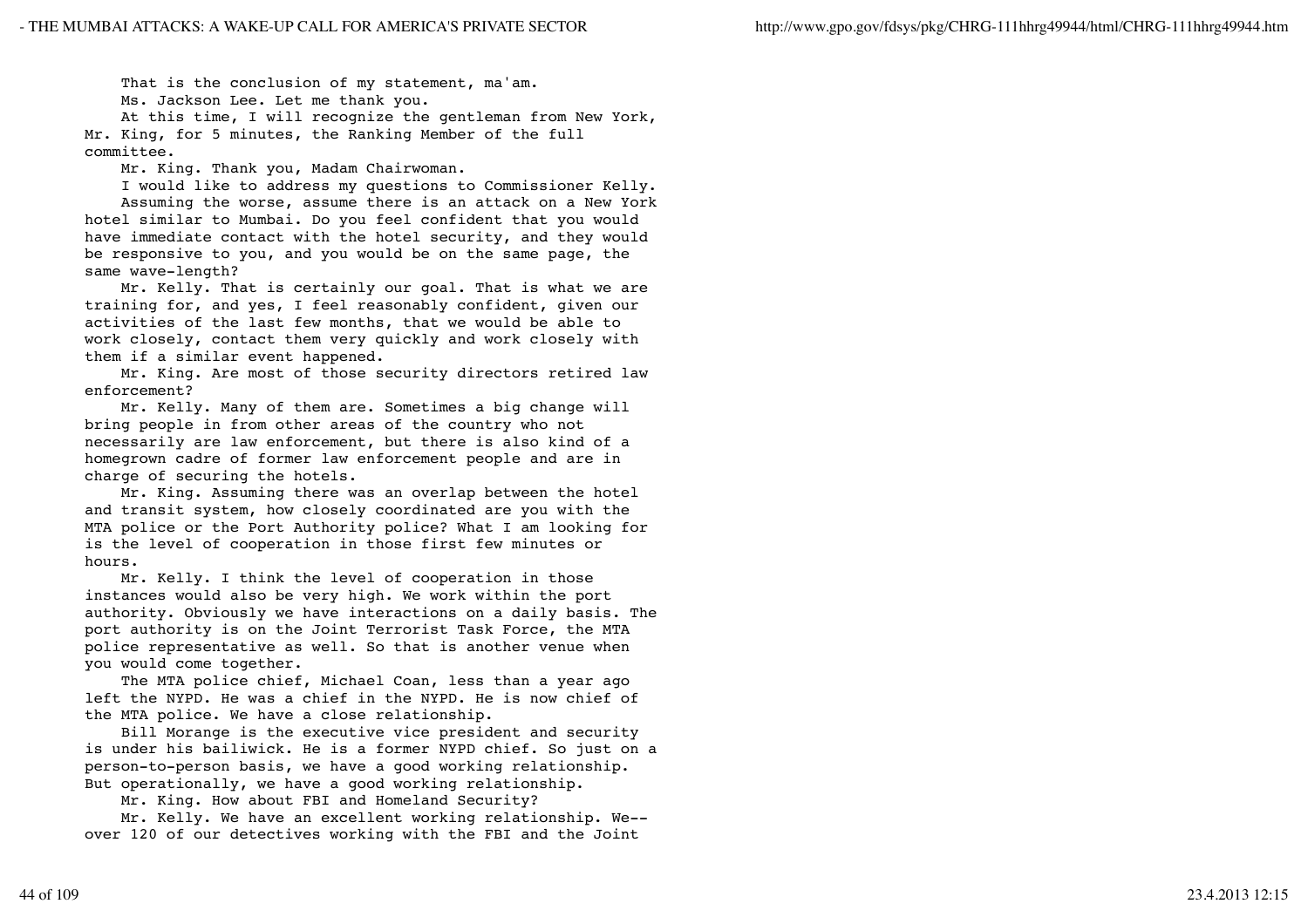That is the conclusion of my statement, ma'am.

Ms. Jackson Lee. Let me thank you.

 At this time, I will recognize the gentleman from New York, Mr. King, for 5 minutes, the Ranking Member of the full committee.

Mr. King. Thank you, Madam Chairwoman.

 I would like to address my questions to Commissioner Kelly. Assuming the worse, assume there is an attack on a New York hotel similar to Mumbai. Do you feel confident that you would have immediate contact with the hotel security, and they would be responsive to you, and you would be on the same page, the same wave-length?

 Mr. Kelly. That is certainly our goal. That is what we are training for, and yes, I feel reasonably confident, given our activities of the last few months, that we would be able to work closely, contact them very quickly and work closely with them if a similar event happened.

 Mr. King. Are most of those security directors retired law enforcement?

 Mr. Kelly. Many of them are. Sometimes a big change will bring people in from other areas of the country who not necessarily are law enforcement, but there is also kind of a homegrown cadre of former law enforcement people and are in charge of securing the hotels.

 Mr. King. Assuming there was an overlap between the hotel and transit system, how closely coordinated are you with the MTA police or the Port Authority police? What I am looking for is the level of cooperation in those first few minutes or hours.

 Mr. Kelly. I think the level of cooperation in those instances would also be very high. We work within the port authority. Obviously we have interactions on a daily basis. The port authority is on the Joint Terrorist Task Force, the MTA police representative as well. So that is another venue when you would come together.

 The MTA police chief, Michael Coan, less than a year ago left the NYPD. He was a chief in the NYPD. He is now chief of the MTA police. We have a close relationship.

 Bill Morange is the executive vice president and security is under his bailiwick. He is a former NYPD chief. So just on a person-to-person basis, we have a good working relationship. But operationally, we have a good working relationship.

Mr. King. How about FBI and Homeland Security?

 Mr. Kelly. We have an excellent working relationship. We- over 120 of our detectives working with the FBI and the Joint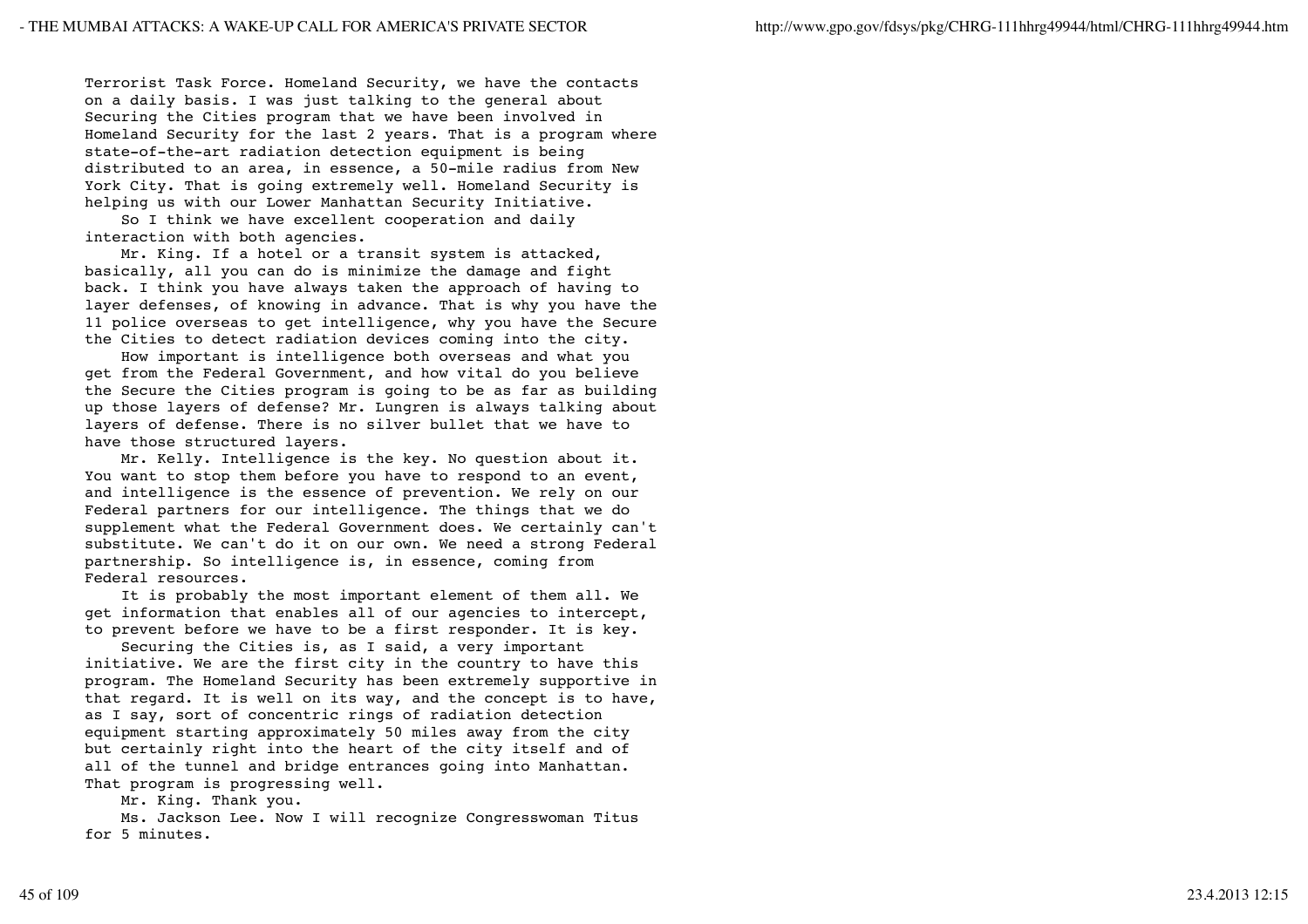Terrorist Task Force. Homeland Security, we have the contacts on a daily basis. I was just talking to the general about Securing the Cities program that we have been involved in Homeland Security for the last 2 years. That is a program where state-of-the-art radiation detection equipment is being distributed to an area, in essence, a 50-mile radius from New York City. That is going extremely well. Homeland Security is helping us with our Lower Manhattan Security Initiative.

 So I think we have excellent cooperation and daily interaction with both agencies.

 Mr. King. If a hotel or a transit system is attacked, basically, all you can do is minimize the damage and fight back. I think you have always taken the approach of having to layer defenses, of knowing in advance. That is why you have the 11 police overseas to get intelligence, why you have the Secure the Cities to detect radiation devices coming into the city.

 How important is intelligence both overseas and what you get from the Federal Government, and how vital do you believe the Secure the Cities program is going to be as far as building up those layers of defense? Mr. Lungren is always talking about layers of defense. There is no silver bullet that we have to have those structured layers.

 Mr. Kelly. Intelligence is the key. No question about it. You want to stop them before you have to respond to an event, and intelligence is the essence of prevention. We rely on our Federal partners for our intelligence. The things that we do supplement what the Federal Government does. We certainly can't substitute. We can't do it on our own. We need a strong Federal partnership. So intelligence is, in essence, coming from Federal resources.

 It is probably the most important element of them all. We get information that enables all of our agencies to intercept, to prevent before we have to be a first responder. It is key.

 Securing the Cities is, as I said, a very important initiative. We are the first city in the country to have this program. The Homeland Security has been extremely supportive in that regard. It is well on its way, and the concept is to have, as I say, sort of concentric rings of radiation detection equipment starting approximately 50 miles away from the city but certainly right into the heart of the city itself and of all of the tunnel and bridge entrances going into Manhattan. That program is progressing well.

Mr. King. Thank you.

 Ms. Jackson Lee. Now I will recognize Congresswoman Titus for 5 minutes.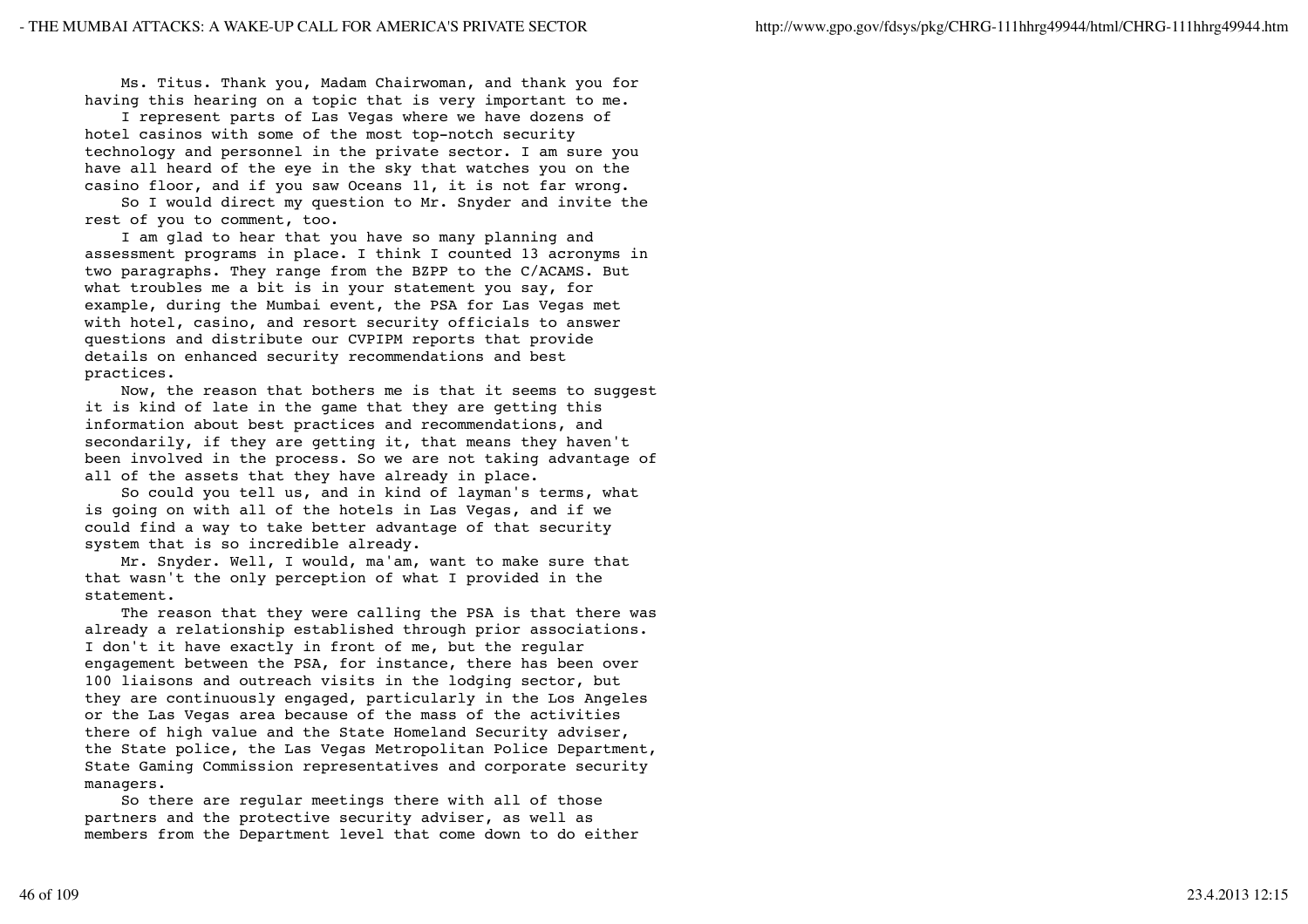Ms. Titus. Thank you, Madam Chairwoman, and thank you for having this hearing on a topic that is very important to me.

 I represent parts of Las Vegas where we have dozens of hotel casinos with some of the most top-notch security technology and personnel in the private sector. I am sure you have all heard of the eye in the sky that watches you on the casino floor, and if you saw Oceans 11, it is not far wrong.

 So I would direct my question to Mr. Snyder and invite the rest of you to comment, too.

 I am glad to hear that you have so many planning and assessment programs in place. I think I counted 13 acronyms in two paragraphs. They range from the BZPP to the C/ACAMS. But what troubles me a bit is in your statement you say, for example, during the Mumbai event, the PSA for Las Vegas met with hotel, casino, and resort security officials to answer questions and distribute our CVPIPM reports that provide details on enhanced security recommendations and best practices.

 Now, the reason that bothers me is that it seems to suggest it is kind of late in the game that they are getting this information about best practices and recommendations, and secondarily, if they are getting it, that means they haven't been involved in the process. So we are not taking advantage of all of the assets that they have already in place.

 So could you tell us, and in kind of layman's terms, what is going on with all of the hotels in Las Vegas, and if we could find a way to take better advantage of that security system that is so incredible already.

 Mr. Snyder. Well, I would, ma'am, want to make sure that that wasn't the only perception of what I provided in the statement.

 The reason that they were calling the PSA is that there was already a relationship established through prior associations. I don't it have exactly in front of me, but the regular engagement between the PSA, for instance, there has been over 100 liaisons and outreach visits in the lodging sector, but they are continuously engaged, particularly in the Los Angeles or the Las Vegas area because of the mass of the activities there of high value and the State Homeland Security adviser, the State police, the Las Vegas Metropolitan Police Department, State Gaming Commission representatives and corporate security managers.

 So there are regular meetings there with all of those partners and the protective security adviser, as well as members from the Department level that come down to do either

46 of 109 23.4.2013 12:15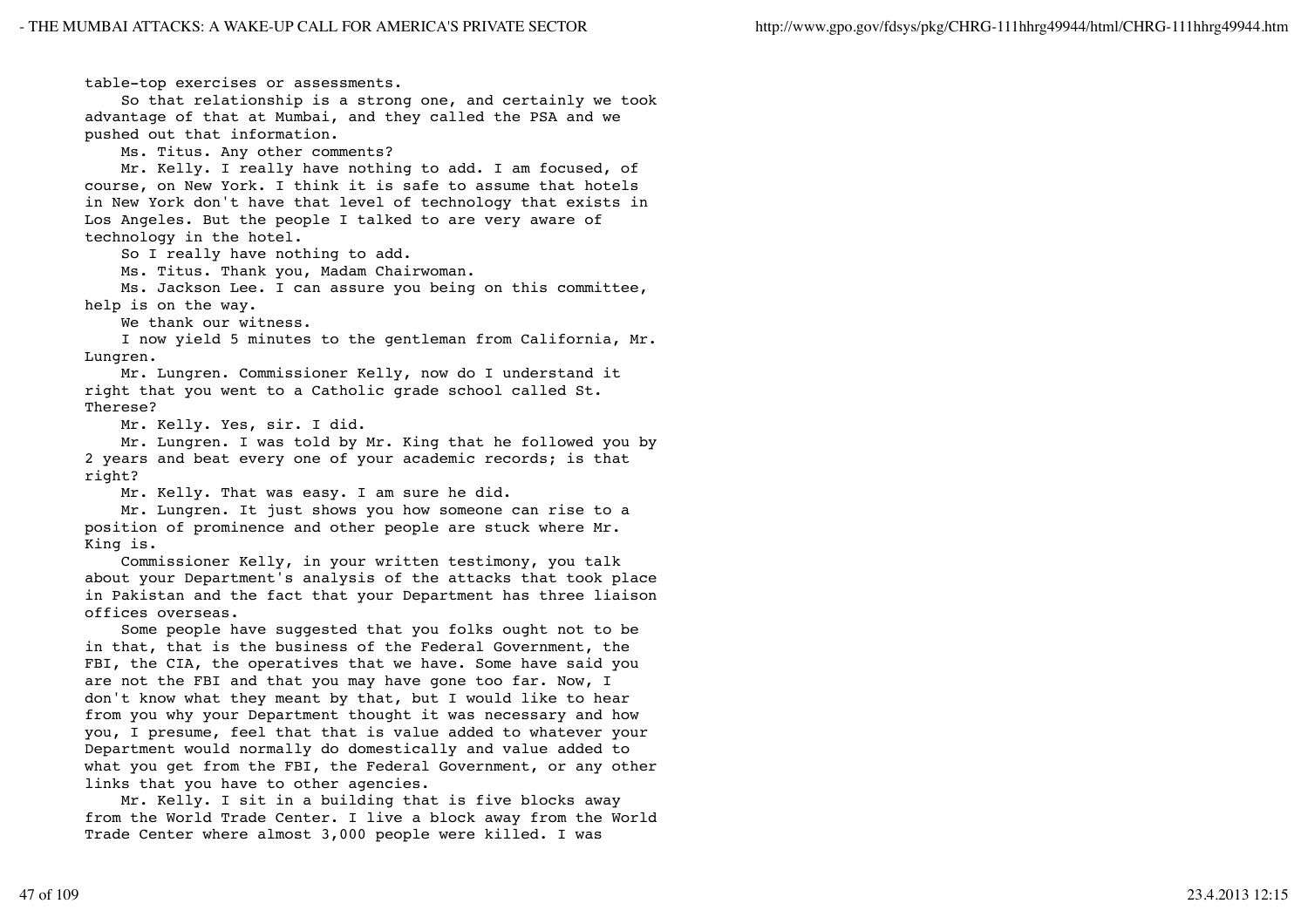table-top exercises or assessments.

 So that relationship is a strong one, and certainly we took advantage of that at Mumbai, and they called the PSA and we pushed out that information.

Ms. Titus. Any other comments?

 Mr. Kelly. I really have nothing to add. I am focused, of course, on New York. I think it is safe to assume that hotels in New York don't have that level of technology that exists in Los Angeles. But the people I talked to are very aware of technology in the hotel.

So I really have nothing to add.

Ms. Titus. Thank you, Madam Chairwoman.

 Ms. Jackson Lee. I can assure you being on this committee, help is on the way.

We thank our witness.

 I now yield 5 minutes to the gentleman from California, Mr. Lungren.

 Mr. Lungren. Commissioner Kelly, now do I understand it right that you went to a Catholic grade school called St. Therese?

Mr. Kelly. Yes, sir. I did.

 Mr. Lungren. I was told by Mr. King that he followed you by 2 years and beat every one of your academic records; is that right?

Mr. Kelly. That was easy. I am sure he did.

 Mr. Lungren. It just shows you how someone can rise to a position of prominence and other people are stuck where Mr. King is.

 Commissioner Kelly, in your written testimony, you talk about your Department's analysis of the attacks that took place in Pakistan and the fact that your Department has three liaison offices overseas.

 Some people have suggested that you folks ought not to be in that, that is the business of the Federal Government, the FBI, the CIA, the operatives that we have. Some have said you are not the FBI and that you may have gone too far. Now, I don't know what they meant by that, but I would like to hear from you why your Department thought it was necessary and how you, I presume, feel that that is value added to whatever your Department would normally do domestically and value added to what you get from the FBI, the Federal Government, or any other links that you have to other agencies.

 Mr. Kelly. I sit in a building that is five blocks away from the World Trade Center. I live a block away from the World Trade Center where almost 3,000 people were killed. I was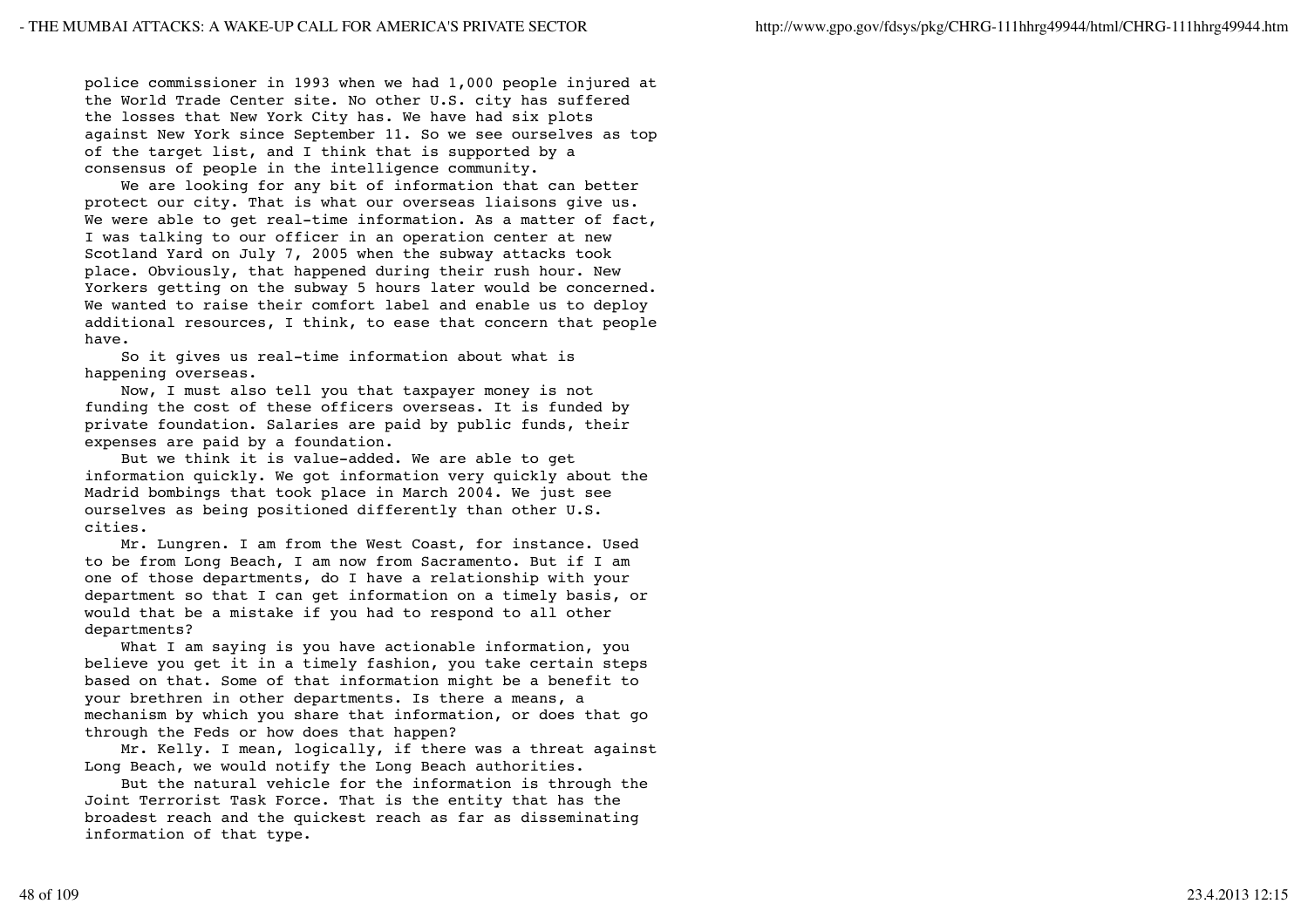police commissioner in 1993 when we had 1,000 people injured at the World Trade Center site. No other U.S. city has suffered the losses that New York City has. We have had six plots against New York since September 11. So we see ourselves as top of the target list, and I think that is supported by a consensus of people in the intelligence community.

 We are looking for any bit of information that can better protect our city. That is what our overseas liaisons give us. We were able to get real-time information. As a matter of fact, I was talking to our officer in an operation center at new Scotland Yard on July 7, 2005 when the subway attacks took place. Obviously, that happened during their rush hour. New Yorkers getting on the subway 5 hours later would be concerned. We wanted to raise their comfort label and enable us to deploy additional resources, I think, to ease that concern that people have.

 So it gives us real-time information about what is happening overseas.

 Now, I must also tell you that taxpayer money is not funding the cost of these officers overseas. It is funded by private foundation. Salaries are paid by public funds, their expenses are paid by a foundation.

 But we think it is value-added. We are able to get information quickly. We got information very quickly about the Madrid bombings that took place in March 2004. We just see ourselves as being positioned differently than other U.S. cities.

 Mr. Lungren. I am from the West Coast, for instance. Used to be from Long Beach, I am now from Sacramento. But if I am one of those departments, do I have a relationship with your department so that I can get information on a timely basis, or would that be a mistake if you had to respond to all other departments?

 What I am saying is you have actionable information, you believe you get it in a timely fashion, you take certain steps based on that. Some of that information might be a benefit to your brethren in other departments. Is there a means, a mechanism by which you share that information, or does that go through the Feds or how does that happen?

 Mr. Kelly. I mean, logically, if there was a threat against Long Beach, we would notify the Long Beach authorities.

 But the natural vehicle for the information is through the Joint Terrorist Task Force. That is the entity that has the broadest reach and the quickest reach as far as disseminating information of that type.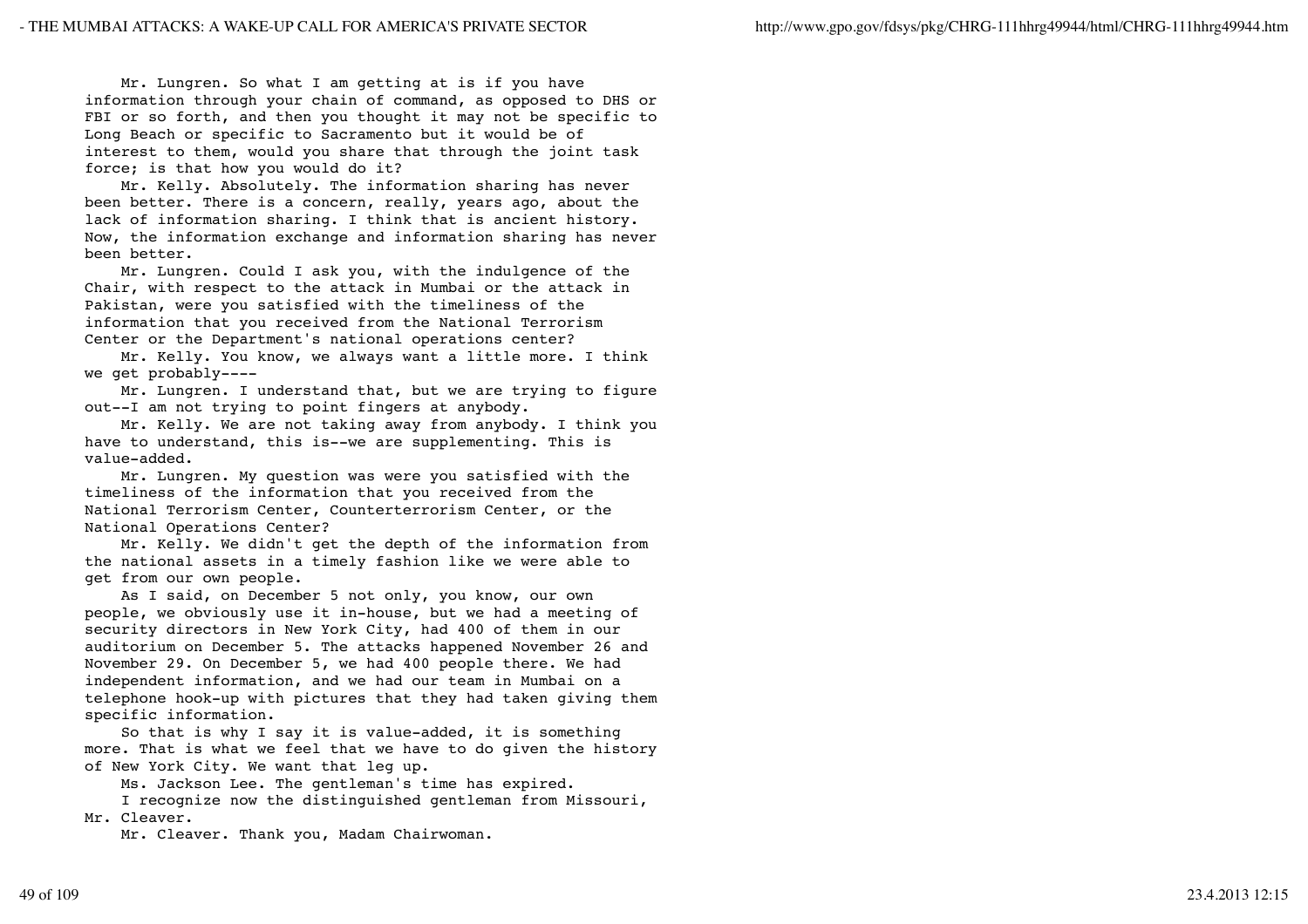Mr. Lungren. So what I am getting at is if you have information through your chain of command, as opposed to DHS or FBI or so forth, and then you thought it may not be specific to Long Beach or specific to Sacramento but it would be of interest to them, would you share that through the joint task force; is that how you would do it?

 Mr. Kelly. Absolutely. The information sharing has never been better. There is a concern, really, years ago, about the lack of information sharing. I think that is ancient history. Now, the information exchange and information sharing has never been better.

 Mr. Lungren. Could I ask you, with the indulgence of the Chair, with respect to the attack in Mumbai or the attack in Pakistan, were you satisfied with the timeliness of the information that you received from the National Terrorism Center or the Department's national operations center?

 Mr. Kelly. You know, we always want a little more. I think we get probably----

 Mr. Lungren. I understand that, but we are trying to figure out--I am not trying to point fingers at anybody.

 Mr. Kelly. We are not taking away from anybody. I think you have to understand, this is--we are supplementing. This is value-added.

 Mr. Lungren. My question was were you satisfied with the timeliness of the information that you received from the National Terrorism Center, Counterterrorism Center, or the National Operations Center?

 Mr. Kelly. We didn't get the depth of the information from the national assets in a timely fashion like we were able to get from our own people.

 As I said, on December 5 not only, you know, our own people, we obviously use it in-house, but we had a meeting of security directors in New York City, had 400 of them in our auditorium on December 5. The attacks happened November 26 and November 29. On December 5, we had 400 people there. We had independent information, and we had our team in Mumbai on a telephone hook-up with pictures that they had taken giving them specific information.

 So that is why I say it is value-added, it is something more. That is what we feel that we have to do given the history of New York City. We want that leg up.

Ms. Jackson Lee. The gentleman's time has expired.

I recognize now the distinguished gentleman from Missouri,

Mr. Cleaver.

Mr. Cleaver. Thank you, Madam Chairwoman.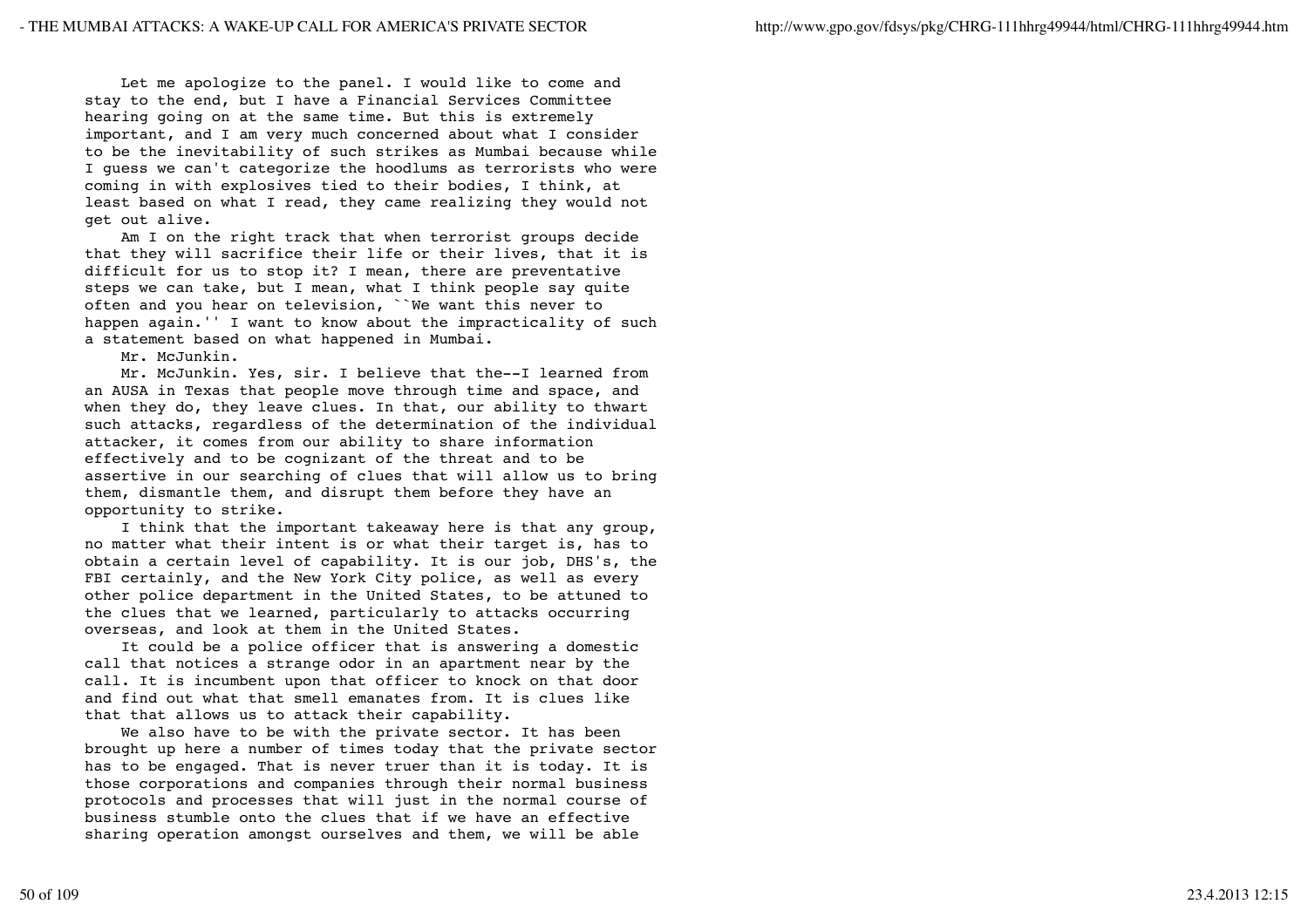Let me apologize to the panel. I would like to come and stay to the end, but I have a Financial Services Committee hearing going on at the same time. But this is extremely important, and I am very much concerned about what I consider to be the inevitability of such strikes as Mumbai because while I guess we can't categorize the hoodlums as terrorists who were coming in with explosives tied to their bodies, I think, at least based on what I read, they came realizing they would not get out alive.

 Am I on the right track that when terrorist groups decide that they will sacrifice their life or their lives, that it is difficult for us to stop it? I mean, there are preventative steps we can take, but I mean, what I think people say quite often and you hear on television, ``We want this never to happen again.'' I want to know about the impracticality of such a statement based on what happened in Mumbai.

Mr. McJunkin.

 Mr. McJunkin. Yes, sir. I believe that the--I learned from an AUSA in Texas that people move through time and space, and when they do, they leave clues. In that, our ability to thwart such attacks, regardless of the determination of the individual attacker, it comes from our ability to share information effectively and to be cognizant of the threat and to be assertive in our searching of clues that will allow us to bring them, dismantle them, and disrupt them before they have an opportunity to strike.

 I think that the important takeaway here is that any group, no matter what their intent is or what their target is, has to obtain a certain level of capability. It is our job, DHS's, the FBI certainly, and the New York City police, as well as every other police department in the United States, to be attuned to the clues that we learned, particularly to attacks occurring overseas, and look at them in the United States.

 It could be a police officer that is answering a domestic call that notices a strange odor in an apartment near by the call. It is incumbent upon that officer to knock on that door and find out what that smell emanates from. It is clues like that that allows us to attack their capability.

 We also have to be with the private sector. It has been brought up here a number of times today that the private sector has to be engaged. That is never truer than it is today. It is those corporations and companies through their normal business protocols and processes that will just in the normal course of business stumble onto the clues that if we have an effective sharing operation amongst ourselves and them, we will be able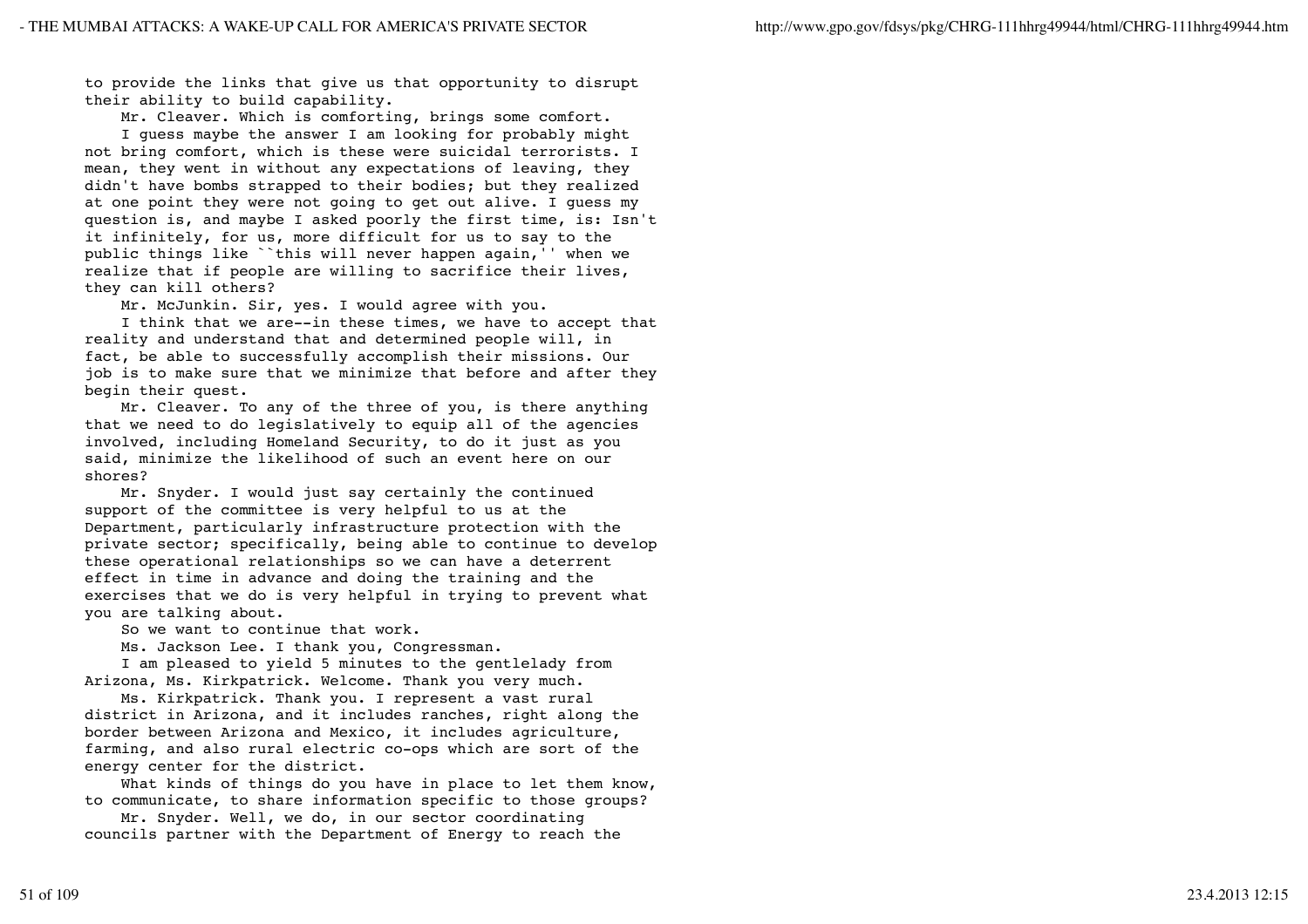to provide the links that give us that opportunity to disrupt their ability to build capability.

Mr. Cleaver. Which is comforting, brings some comfort.

 I guess maybe the answer I am looking for probably might not bring comfort, which is these were suicidal terrorists. I mean, they went in without any expectations of leaving, they didn't have bombs strapped to their bodies; but they realized at one point they were not going to get out alive. I guess my question is, and maybe I asked poorly the first time, is: Isn't it infinitely, for us, more difficult for us to say to the public things like ``this will never happen again,'' when we realize that if people are willing to sacrifice their lives, they can kill others?

Mr. McJunkin. Sir, yes. I would agree with you.

 I think that we are--in these times, we have to accept that reality and understand that and determined people will, in fact, be able to successfully accomplish their missions. Our job is to make sure that we minimize that before and after they begin their quest.

 Mr. Cleaver. To any of the three of you, is there anything that we need to do legislatively to equip all of the agencies involved, including Homeland Security, to do it just as you said, minimize the likelihood of such an event here on our shores?

 Mr. Snyder. I would just say certainly the continued support of the committee is very helpful to us at the Department, particularly infrastructure protection with the private sector; specifically, being able to continue to develop these operational relationships so we can have a deterrent effect in time in advance and doing the training and the exercises that we do is very helpful in trying to prevent what you are talking about.

So we want to continue that work.

Ms. Jackson Lee. I thank you, Congressman.

 I am pleased to yield 5 minutes to the gentlelady from Arizona, Ms. Kirkpatrick. Welcome. Thank you very much.

 Ms. Kirkpatrick. Thank you. I represent a vast rural district in Arizona, and it includes ranches, right along the border between Arizona and Mexico, it includes agriculture, farming, and also rural electric co-ops which are sort of the energy center for the district.

What kinds of things do you have in place to let them know, to communicate, to share information specific to those groups?

 Mr. Snyder. Well, we do, in our sector coordinating councils partner with the Department of Energy to reach the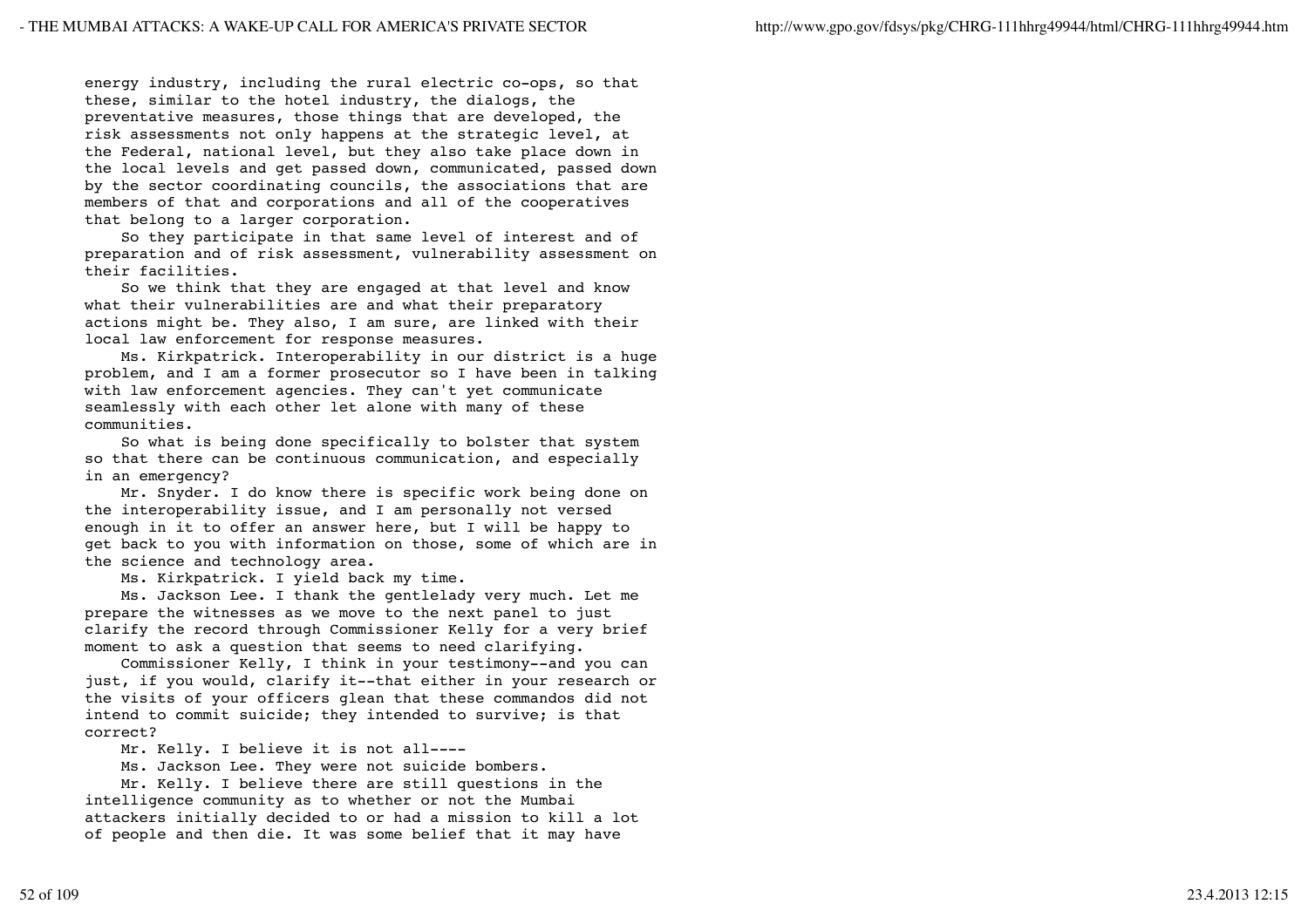energy industry, including the rural electric co-ops, so that these, similar to the hotel industry, the dialogs, the preventative measures, those things that are developed, the risk assessments not only happens at the strategic level, at the Federal, national level, but they also take place down in the local levels and get passed down, communicated, passed down by the sector coordinating councils, the associations that are members of that and corporations and all of the cooperatives that belong to a larger corporation.

 So they participate in that same level of interest and of preparation and of risk assessment, vulnerability assessment on their facilities.

 So we think that they are engaged at that level and know what their vulnerabilities are and what their preparatory actions might be. They also, I am sure, are linked with their local law enforcement for response measures.

 Ms. Kirkpatrick. Interoperability in our district is a huge problem, and I am a former prosecutor so I have been in talking with law enforcement agencies. They can't yet communicate seamlessly with each other let alone with many of these communities.

 So what is being done specifically to bolster that system so that there can be continuous communication, and especially in an emergency?

 Mr. Snyder. I do know there is specific work being done on the interoperability issue, and I am personally not versed enough in it to offer an answer here, but I will be happy to get back to you with information on those, some of which are in the science and technology area.

Ms. Kirkpatrick. I yield back my time.

 Ms. Jackson Lee. I thank the gentlelady very much. Let me prepare the witnesses as we move to the next panel to just clarify the record through Commissioner Kelly for a very brief moment to ask a question that seems to need clarifying.

 Commissioner Kelly, I think in your testimony--and you can just, if you would, clarify it--that either in your research or the visits of your officers glean that these commandos did not intend to commit suicide; they intended to survive; is that correct?

Mr. Kelly. I believe it is not all----

Ms. Jackson Lee. They were not suicide bombers.

 Mr. Kelly. I believe there are still questions in the intelligence community as to whether or not the Mumbai attackers initially decided to or had a mission to kill a lot of people and then die. It was some belief that it may have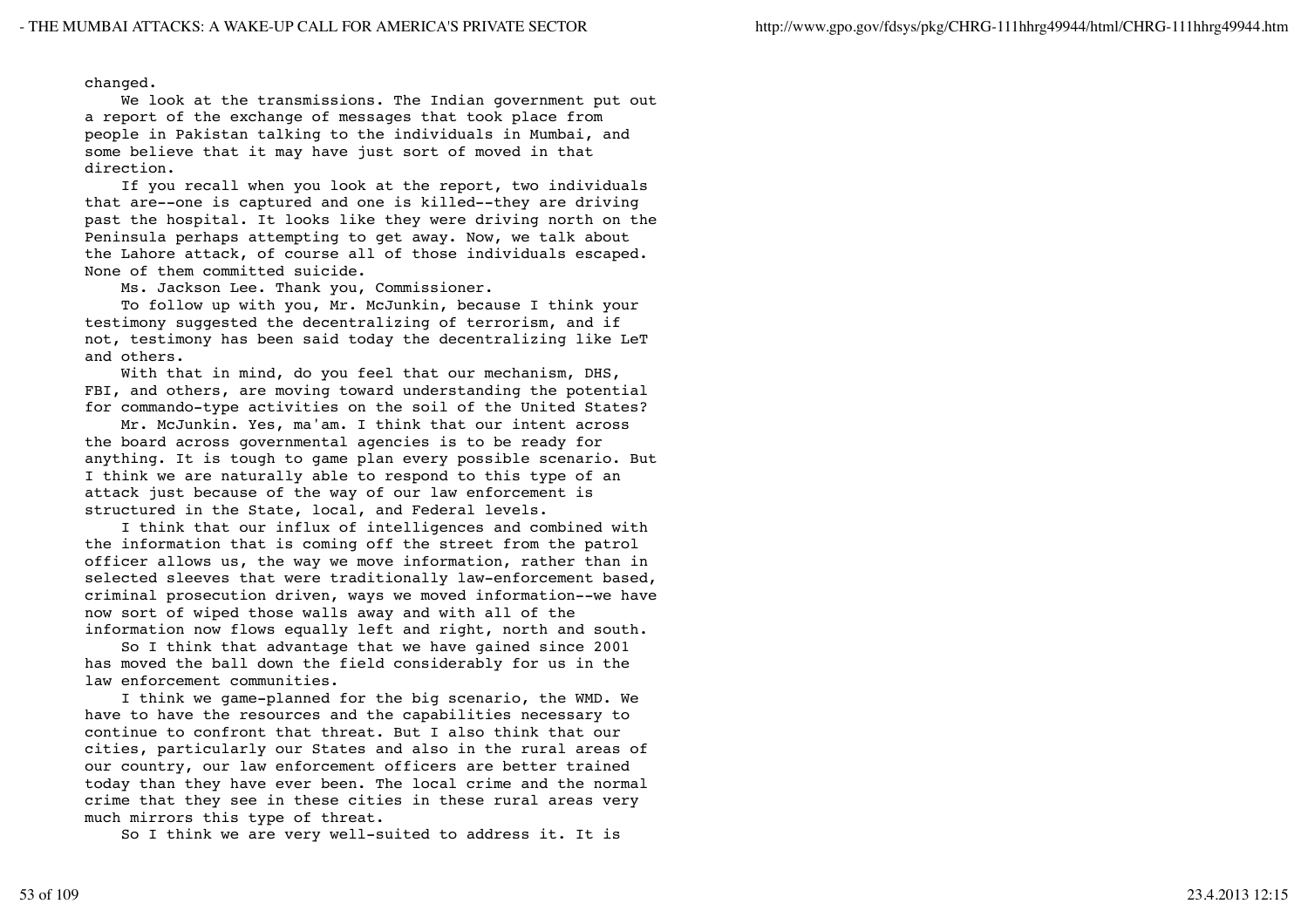changed.

 We look at the transmissions. The Indian government put out a report of the exchange of messages that took place from people in Pakistan talking to the individuals in Mumbai, and some believe that it may have just sort of moved in that direction.

 If you recall when you look at the report, two individuals that are--one is captured and one is killed--they are driving past the hospital. It looks like they were driving north on the Peninsula perhaps attempting to get away. Now, we talk about the Lahore attack, of course all of those individuals escaped. None of them committed suicide.

Ms. Jackson Lee. Thank you, Commissioner.

 To follow up with you, Mr. McJunkin, because I think your testimony suggested the decentralizing of terrorism, and if not, testimony has been said today the decentralizing like LeT and others.

With that in mind, do you feel that our mechanism, DHS, FBI, and others, are moving toward understanding the potential for commando-type activities on the soil of the United States?

 Mr. McJunkin. Yes, ma'am. I think that our intent across the board across governmental agencies is to be ready for anything. It is tough to game plan every possible scenario. But I think we are naturally able to respond to this type of an attack just because of the way of our law enforcement is structured in the State, local, and Federal levels.

 I think that our influx of intelligences and combined with the information that is coming off the street from the patrol officer allows us, the way we move information, rather than in selected sleeves that were traditionally law-enforcement based, criminal prosecution driven, ways we moved information--we have now sort of wiped those walls away and with all of the information now flows equally left and right, north and south.

 So I think that advantage that we have gained since 2001 has moved the ball down the field considerably for us in the law enforcement communities.

 I think we game-planned for the big scenario, the WMD. We have to have the resources and the capabilities necessary to continue to confront that threat. But I also think that our cities, particularly our States and also in the rural areas of our country, our law enforcement officers are better trained today than they have ever been. The local crime and the normal crime that they see in these cities in these rural areas very much mirrors this type of threat.

So I think we are very well-suited to address it. It is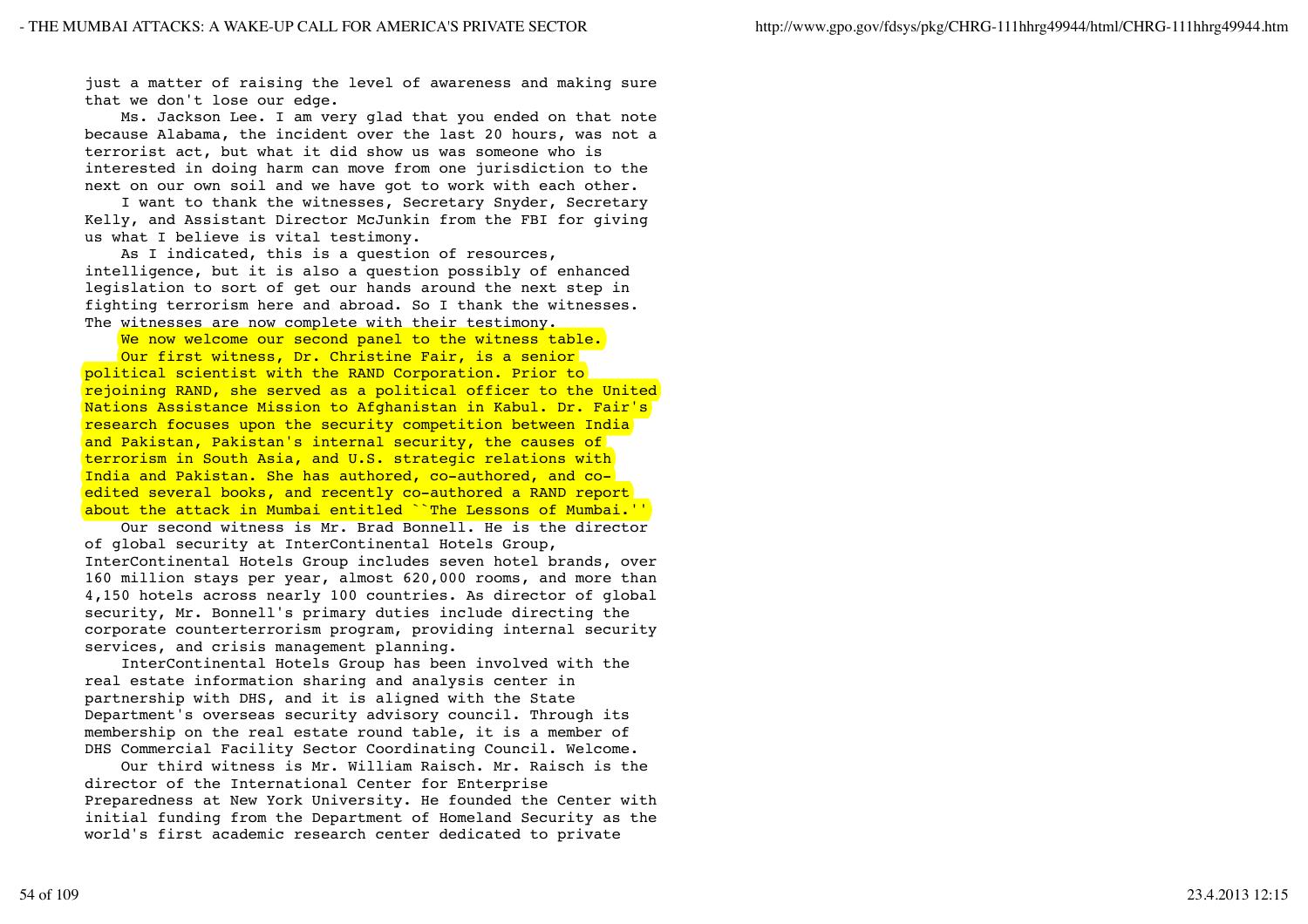just a matter of raising the level of awareness and making sure that we don't lose our edge.

 Ms. Jackson Lee. I am very glad that you ended on that note because Alabama, the incident over the last 20 hours, was not a terrorist act, but what it did show us was someone who is interested in doing harm can move from one jurisdiction to the next on our own soil and we have got to work with each other.

 I want to thank the witnesses, Secretary Snyder, Secretary Kelly, and Assistant Director McJunkin from the FBI for giving us what I believe is vital testimony.

 As I indicated, this is a question of resources, intelligence, but it is also a question possibly of enhanced legislation to sort of get our hands around the next step in fighting terrorism here and abroad. So I thank the witnesses. The witnesses are now complete with their testimony.

We now welcome our second panel to the witness table.

 Our first witness, Dr. Christine Fair, is a senior political scientist with the RAND Corporation. Prior to rejoining RAND, she served as a political officer to the United Nations Assistance Mission to Afghanistan in Kabul. Dr. Fair's research focuses upon the security competition between India and Pakistan, Pakistan's internal security, the causes of terrorism in South Asia, and U.S. strategic relations with India and Pakistan. She has authored, co-authored, and coedited several books, and recently co-authored a RAND report about the attack in Mumbai entitled ``The Lessons of Mumbai.''

 Our second witness is Mr. Brad Bonnell. He is the director of global security at InterContinental Hotels Group, InterContinental Hotels Group includes seven hotel brands, over 160 million stays per year, almost 620,000 rooms, and more than 4,150 hotels across nearly 100 countries. As director of global security, Mr. Bonnell's primary duties include directing the corporate counterterrorism program, providing internal security services, and crisis management planning.

 InterContinental Hotels Group has been involved with the real estate information sharing and analysis center in partnership with DHS, and it is aligned with the State Department's overseas security advisory council. Through its membership on the real estate round table, it is a member of DHS Commercial Facility Sector Coordinating Council. Welcome.

 Our third witness is Mr. William Raisch. Mr. Raisch is the director of the International Center for Enterprise Preparedness at New York University. He founded the Center with initial funding from the Department of Homeland Security as the world's first academic research center dedicated to private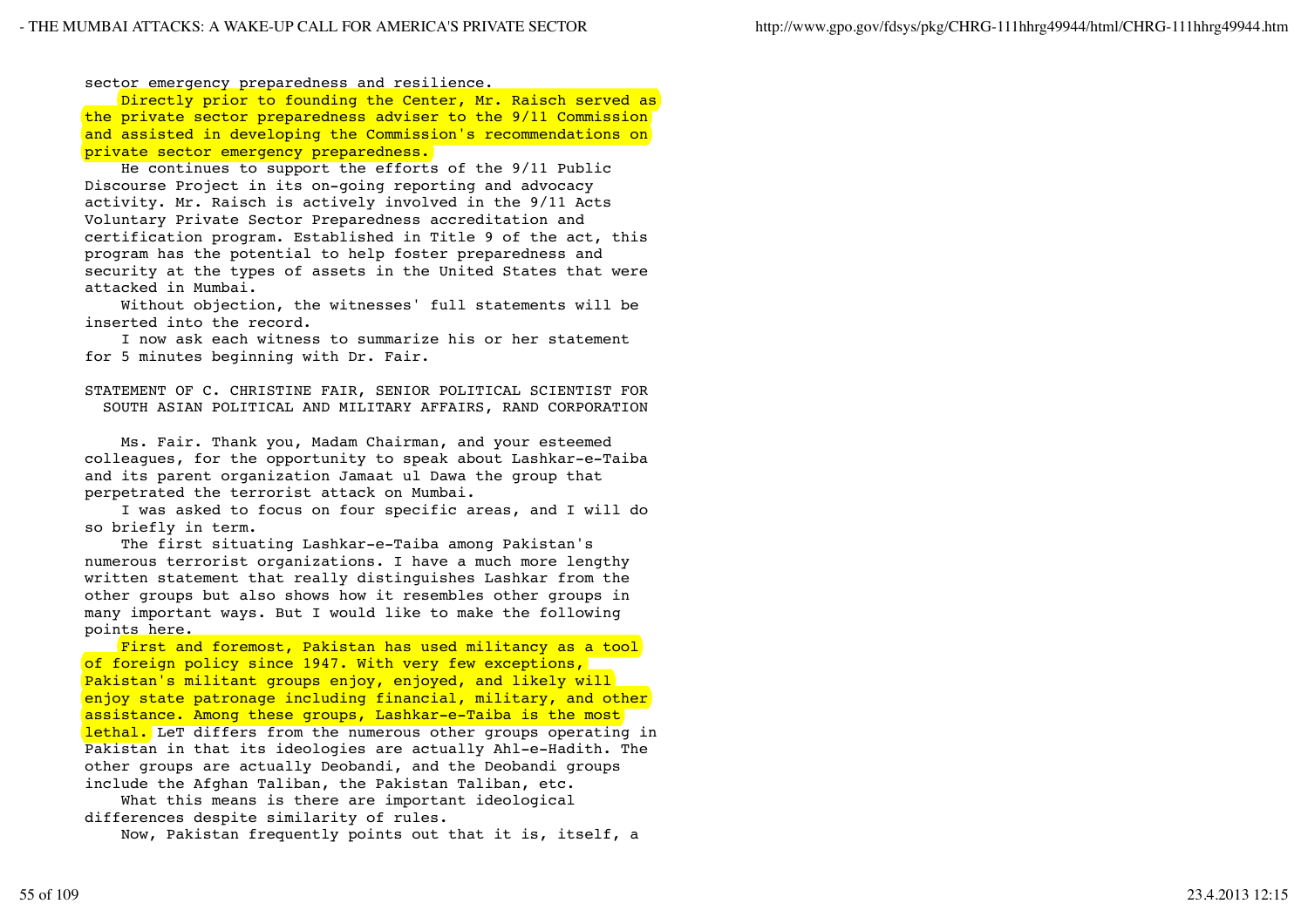sector emergency preparedness and resilience.

Directly prior to founding the Center, Mr. Raisch served as the private sector preparedness adviser to the 9/11 Commission and assisted in developing the Commission's recommendations on private sector emergency preparedness.

 He continues to support the efforts of the 9/11 Public Discourse Project in its on-going reporting and advocacy activity. Mr. Raisch is actively involved in the 9/11 Acts Voluntary Private Sector Preparedness accreditation and certification program. Established in Title 9 of the act, this program has the potential to help foster preparedness and security at the types of assets in the United States that were attacked in Mumbai.

 Without objection, the witnesses' full statements will be inserted into the record.

 I now ask each witness to summarize his or her statement for 5 minutes beginning with Dr. Fair.

STATEMENT OF C. CHRISTINE FAIR, SENIOR POLITICAL SCIENTIST FOR SOUTH ASIAN POLITICAL AND MILITARY AFFAIRS, RAND CORPORATION

 Ms. Fair. Thank you, Madam Chairman, and your esteemed colleagues, for the opportunity to speak about Lashkar-e-Taiba and its parent organization Jamaat ul Dawa the group that perpetrated the terrorist attack on Mumbai.

 I was asked to focus on four specific areas, and I will do so briefly in term.

 The first situating Lashkar-e-Taiba among Pakistan's numerous terrorist organizations. I have a much more lengthy written statement that really distinguishes Lashkar from the other groups but also shows how it resembles other groups in many important ways. But I would like to make the following points here.

 First and foremost, Pakistan has used militancy as a tool of foreign policy since 1947. With very few exceptions, Pakistan's militant groups enjoy, enjoyed, and likely will enjoy state patronage including financial, military, and other assistance. Among these groups, Lashkar-e-Taiba is the most lethal. LeT differs from the numerous other groups operating in Pakistan in that its ideologies are actually Ahl-e-Hadith. The other groups are actually Deobandi, and the Deobandi groups include the Afghan Taliban, the Pakistan Taliban, etc.

 What this means is there are important ideological differences despite similarity of rules.

Now, Pakistan frequently points out that it is, itself, a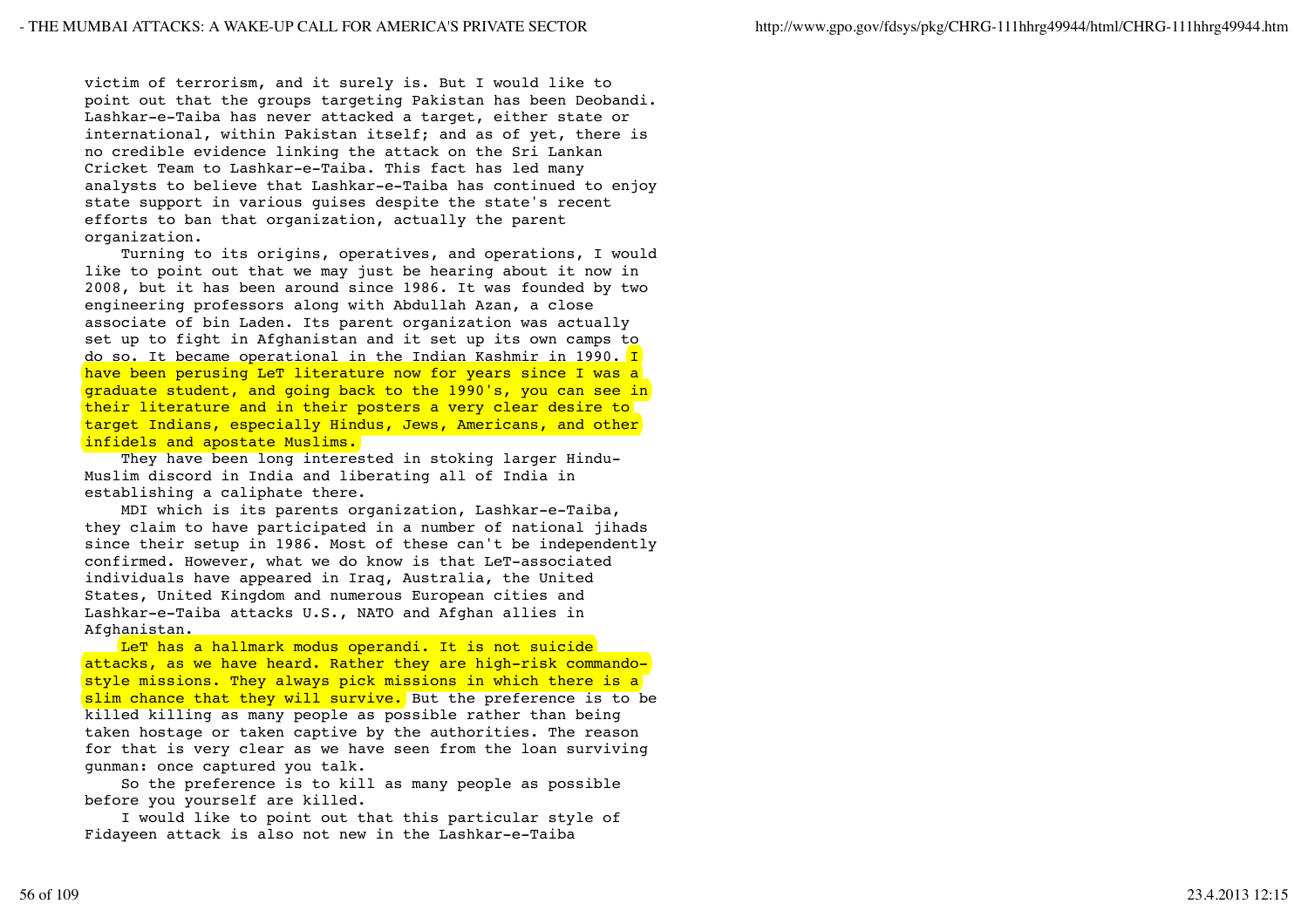victim of terrorism, and it surely is. But I would like to point out that the groups targeting Pakistan has been Deobandi. Lashkar-e-Taiba has never attacked a target, either state or international, within Pakistan itself; and as of yet, there is no credible evidence linking the attack on the Sri Lankan Cricket Team to Lashkar-e-Taiba. This fact has led many analysts to believe that Lashkar-e-Taiba has continued to enjoy state support in various guises despite the state's recent efforts to ban that organization, actually the parent organization.

 Turning to its origins, operatives, and operations, I would like to point out that we may just be hearing about it now in 2008, but it has been around since 1986. It was founded by two engineering professors along with Abdullah Azan, a close associate of bin Laden. Its parent organization was actually set up to fight in Afghanistan and it set up its own camps to do so. It became operational in the Indian Kashmir in 1990. I have been perusing LeT literature now for years since I was a graduate student, and going back to the 1990's, you can see in their literature and in their posters a very clear desire to target Indians, especially Hindus, Jews, Americans, and other infidels and apostate Muslims.

 They have been long interested in stoking larger Hindu-Muslim discord in India and liberating all of India in establishing a caliphate there.

 MDI which is its parents organization, Lashkar-e-Taiba, they claim to have participated in a number of national jihads since their setup in 1986. Most of these can't be independently confirmed. However, what we do know is that LeT-associated individuals have appeared in Iraq, Australia, the United States, United Kingdom and numerous European cities and Lashkar-e-Taiba attacks U.S., NATO and Afghan allies in Afghanistan.

LeT has a hallmark modus operandi. It is not suicide attacks, as we have heard. Rather they are high-risk commandostyle missions. They always pick missions in which there is a slim chance that they will survive. But the preference is to be killed killing as many people as possible rather than being taken hostage or taken captive by the authorities. The reason for that is very clear as we have seen from the loan surviving gunman: once captured you talk.

 So the preference is to kill as many people as possible before you yourself are killed.

 I would like to point out that this particular style of Fidayeen attack is also not new in the Lashkar-e-Taiba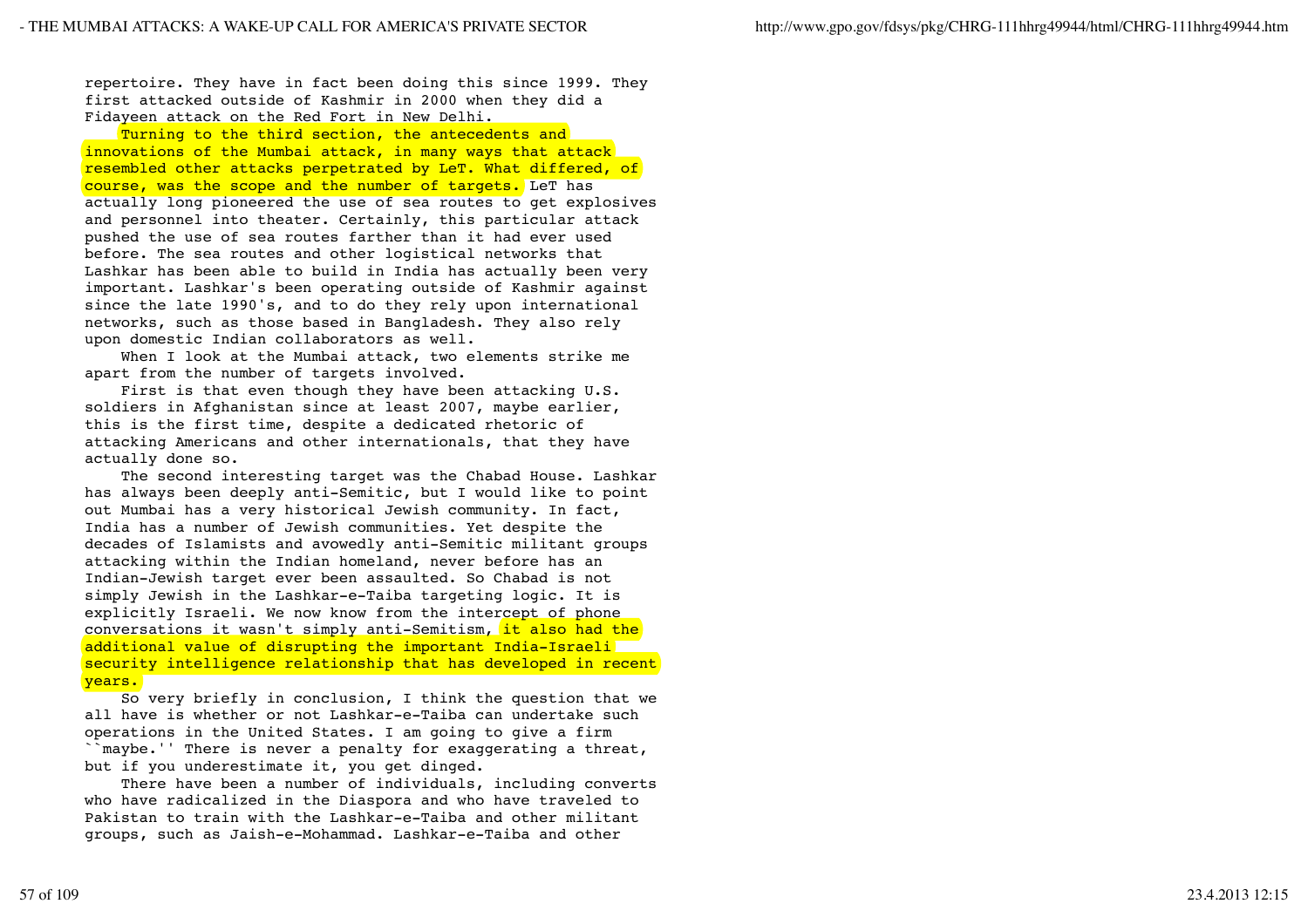repertoire. They have in fact been doing this since 1999. They first attacked outside of Kashmir in 2000 when they did a Fidayeen attack on the Red Fort in New Delhi.

Turning to the third section, the antecedents and innovations of the Mumbai attack, in many ways that attack resembled other attacks perpetrated by LeT. What differed, of course, was the scope and the number of targets. LeT has actually long pioneered the use of sea routes to get explosives and personnel into theater. Certainly, this particular attack pushed the use of sea routes farther than it had ever used before. The sea routes and other logistical networks that Lashkar has been able to build in India has actually been very important. Lashkar's been operating outside of Kashmir against since the late 1990's, and to do they rely upon international networks, such as those based in Bangladesh. They also rely upon domestic Indian collaborators as well.

When I look at the Mumbai attack, two elements strike me apart from the number of targets involved.

 First is that even though they have been attacking U.S. soldiers in Afghanistan since at least 2007, maybe earlier, this is the first time, despite a dedicated rhetoric of attacking Americans and other internationals, that they have actually done so.

 The second interesting target was the Chabad House. Lashkar has always been deeply anti-Semitic, but I would like to point out Mumbai has a very historical Jewish community. In fact, India has a number of Jewish communities. Yet despite the decades of Islamists and avowedly anti-Semitic militant groups attacking within the Indian homeland, never before has an Indian-Jewish target ever been assaulted. So Chabad is not simply Jewish in the Lashkar-e-Taiba targeting logic. It is explicitly Israeli. We now know from the intercept of phone conversations it wasn't simply anti-Semitism, it also had the additional value of disrupting the important India-Israeli security intelligence relationship that has developed in recent years.

 So very briefly in conclusion, I think the question that we all have is whether or not Lashkar-e-Taiba can undertake such operations in the United States. I am going to give a firm ``maybe.'' There is never a penalty for exaggerating a threat, but if you underestimate it, you get dinged.

 There have been a number of individuals, including converts who have radicalized in the Diaspora and who have traveled to Pakistan to train with the Lashkar-e-Taiba and other militant groups, such as Jaish-e-Mohammad. Lashkar-e-Taiba and other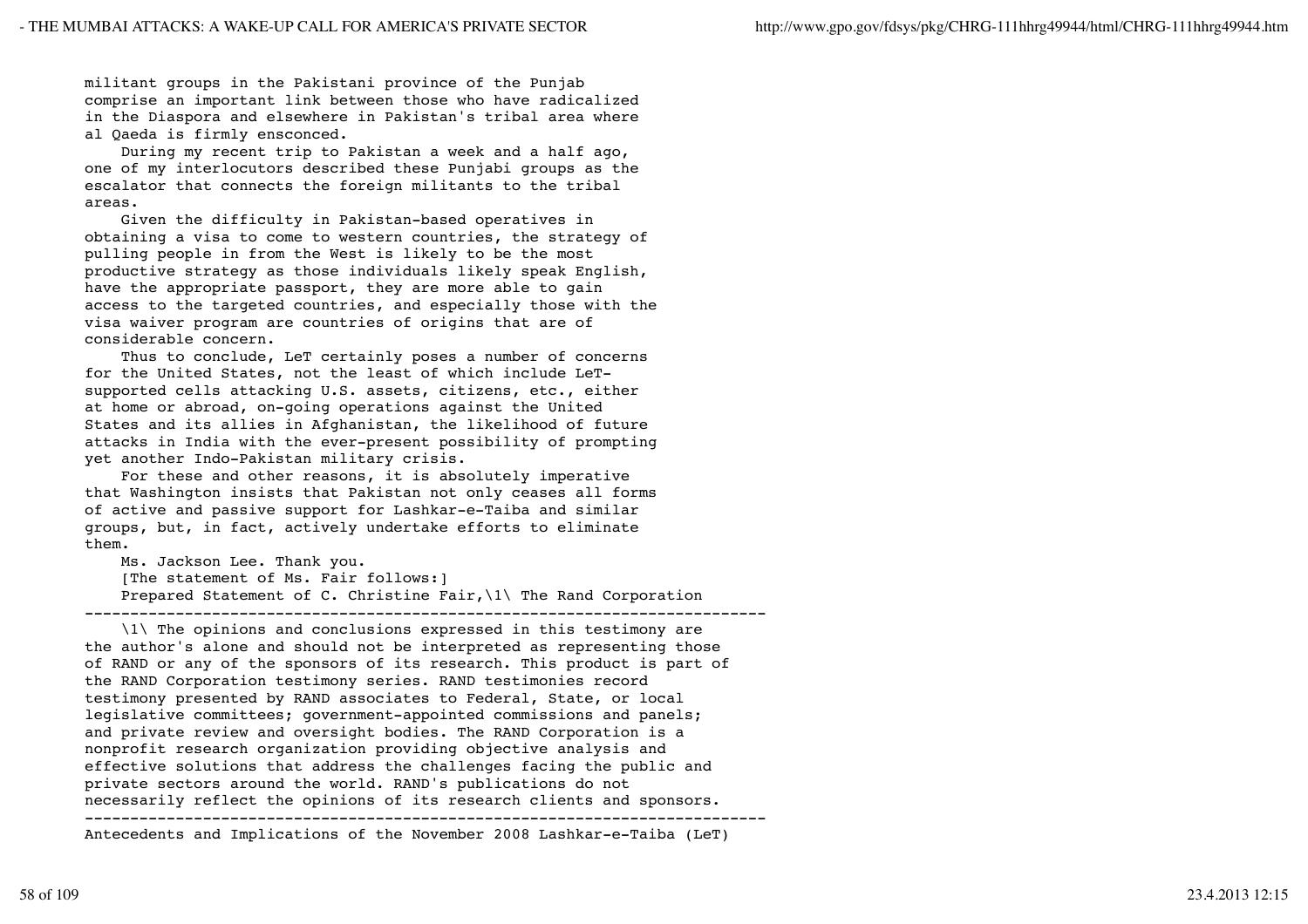militant groups in the Pakistani province of the Punjab comprise an important link between those who have radicalized in the Diaspora and elsewhere in Pakistan's tribal area where al Qaeda is firmly ensconced.

 During my recent trip to Pakistan a week and a half ago, one of my interlocutors described these Punjabi groups as the escalator that connects the foreign militants to the tribal areas.

 Given the difficulty in Pakistan-based operatives in obtaining a visa to come to western countries, the strategy of pulling people in from the West is likely to be the most productive strategy as those individuals likely speak English, have the appropriate passport, they are more able to gain access to the targeted countries, and especially those with the visa waiver program are countries of origins that are of considerable concern.

 Thus to conclude, LeT certainly poses a number of concerns for the United States, not the least of which include LeTsupported cells attacking U.S. assets, citizens, etc., either at home or abroad, on-going operations against the United States and its allies in Afghanistan, the likelihood of future attacks in India with the ever-present possibility of prompting yet another Indo-Pakistan military crisis.

 For these and other reasons, it is absolutely imperative that Washington insists that Pakistan not only ceases all forms of active and passive support for Lashkar-e-Taiba and similar groups, but, in fact, actively undertake efforts to eliminate them.

Ms. Jackson Lee. Thank you.

[The statement of Ms. Fair follows:]

 Prepared Statement of C. Christine Fair,\1\ The Rand Corporation ---------------------------------------------------------------------------

 \1\ The opinions and conclusions expressed in this testimony are the author's alone and should not be interpreted as representing those of RAND or any of the sponsors of its research. This product is part of the RAND Corporation testimony series. RAND testimonies record testimony presented by RAND associates to Federal, State, or local legislative committees; government-appointed commissions and panels; and private review and oversight bodies. The RAND Corporation is a nonprofit research organization providing objective analysis and effective solutions that address the challenges facing the public and private sectors around the world. RAND's publications do not necessarily reflect the opinions of its research clients and sponsors.

--------------------------------------------------------------------------- Antecedents and Implications of the November 2008 Lashkar-e-Taiba (LeT)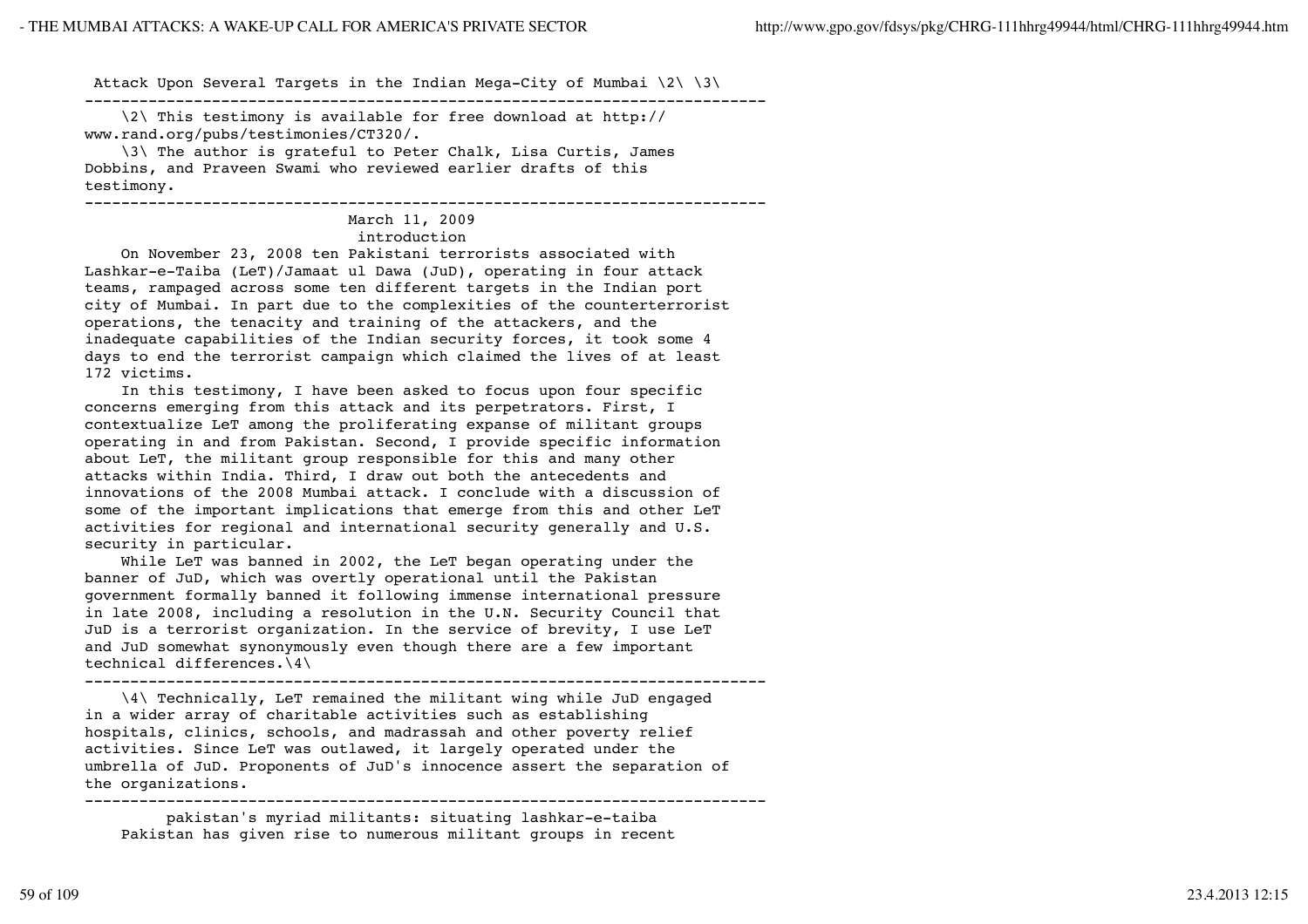Attack Upon Several Targets in the Indian Mega-City of Mumbai  $\{2\}$   $\{3\}$ 

---------------------------------------------------------------------------

 \2\ This testimony is available for free download at http:// www.rand.org/pubs/testimonies/CT320/.

 \3\ The author is grateful to Peter Chalk, Lisa Curtis, James Dobbins, and Praveen Swami who reviewed earlier drafts of this testimony.

---------------------------------------------------------------------------

## March 11, 2009

## introduction

 On November 23, 2008 ten Pakistani terrorists associated with Lashkar-e-Taiba (LeT)/Jamaat ul Dawa (JuD), operating in four attack teams, rampaged across some ten different targets in the Indian port city of Mumbai. In part due to the complexities of the counterterrorist operations, the tenacity and training of the attackers, and the inadequate capabilities of the Indian security forces, it took some 4 days to end the terrorist campaign which claimed the lives of at least 172 victims.

 In this testimony, I have been asked to focus upon four specific concerns emerging from this attack and its perpetrators. First, I contextualize LeT among the proliferating expanse of militant groups operating in and from Pakistan. Second, I provide specific information about LeT, the militant group responsible for this and many other attacks within India. Third, I draw out both the antecedents and innovations of the 2008 Mumbai attack. I conclude with a discussion of some of the important implications that emerge from this and other LeT activities for regional and international security generally and U.S. security in particular.

 While LeT was banned in 2002, the LeT began operating under the banner of JuD, which was overtly operational until the Pakistan government formally banned it following immense international pressure in late 2008, including a resolution in the U.N. Security Council that JuD is a terrorist organization. In the service of brevity, I use LeT and JuD somewhat synonymously even though there are a few important technical differences.\4\

---------------------------------------------------------------------------

 \4\ Technically, LeT remained the militant wing while JuD engaged in a wider array of charitable activities such as establishing hospitals, clinics, schools, and madrassah and other poverty relief activities. Since LeT was outlawed, it largely operated under the umbrella of JuD. Proponents of JuD's innocence assert the separation of the organizations. ---------------------------------------------------------------------------

 pakistan's myriad militants: situating lashkar-e-taiba Pakistan has given rise to numerous militant groups in recent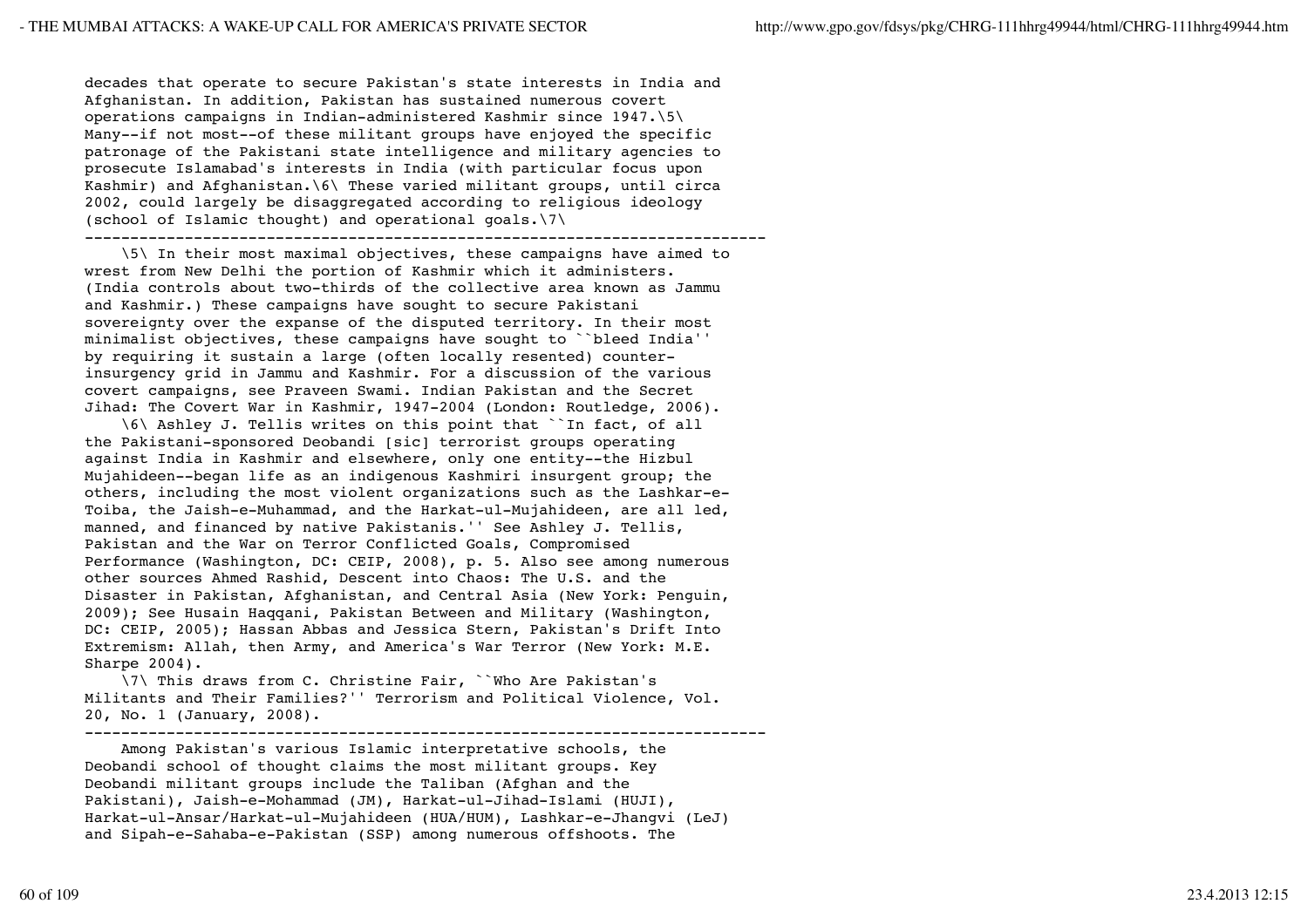decades that operate to secure Pakistan's state interests in India and Afghanistan. In addition, Pakistan has sustained numerous covert operations campaigns in Indian-administered Kashmir since 1947.\5\ Many--if not most--of these militant groups have enjoyed the specific patronage of the Pakistani state intelligence and military agencies to prosecute Islamabad's interests in India (with particular focus upon Kashmir) and Afghanistan.\6\ These varied militant groups, until circa 2002, could largely be disaggregated according to religious ideology (school of Islamic thought) and operational goals.\7\

---------------------------------------------------------------------------

 \5\ In their most maximal objectives, these campaigns have aimed to wrest from New Delhi the portion of Kashmir which it administers. (India controls about two-thirds of the collective area known as Jammu and Kashmir.) These campaigns have sought to secure Pakistani sovereignty over the expanse of the disputed territory. In their most minimalist objectives, these campaigns have sought to ``bleed India'' by requiring it sustain a large (often locally resented) counterinsurgency grid in Jammu and Kashmir. For a discussion of the various covert campaigns, see Praveen Swami. Indian Pakistan and the Secret Jihad: The Covert War in Kashmir, 1947-2004 (London: Routledge, 2006).

 \6\ Ashley J. Tellis writes on this point that ``In fact, of all the Pakistani-sponsored Deobandi [sic] terrorist groups operating against India in Kashmir and elsewhere, only one entity--the Hizbul Mujahideen--began life as an indigenous Kashmiri insurgent group; the others, including the most violent organizations such as the Lashkar-e-Toiba, the Jaish-e-Muhammad, and the Harkat-ul-Mujahideen, are all led, manned, and financed by native Pakistanis.'' See Ashley J. Tellis, Pakistan and the War on Terror Conflicted Goals, Compromised Performance (Washington, DC: CEIP, 2008), p. 5. Also see among numerous other sources Ahmed Rashid, Descent into Chaos: The U.S. and the Disaster in Pakistan, Afghanistan, and Central Asia (New York: Penguin, 2009); See Husain Haqqani, Pakistan Between and Military (Washington, DC: CEIP, 2005); Hassan Abbas and Jessica Stern, Pakistan's Drift Into Extremism: Allah, then Army, and America's War Terror (New York: M.E. Sharpe 2004).

 \7\ This draws from C. Christine Fair, ``Who Are Pakistan's Militants and Their Families?'' Terrorism and Political Violence, Vol. 20, No. 1 (January, 2008).

---------------------------------------------------------------------------

 Among Pakistan's various Islamic interpretative schools, the Deobandi school of thought claims the most militant groups. Key Deobandi militant groups include the Taliban (Afghan and the Pakistani), Jaish-e-Mohammad (JM), Harkat-ul-Jihad-Islami (HUJI), Harkat-ul-Ansar/Harkat-ul-Mujahideen (HUA/HUM), Lashkar-e-Jhangvi (LeJ) and Sipah-e-Sahaba-e-Pakistan (SSP) among numerous offshoots. The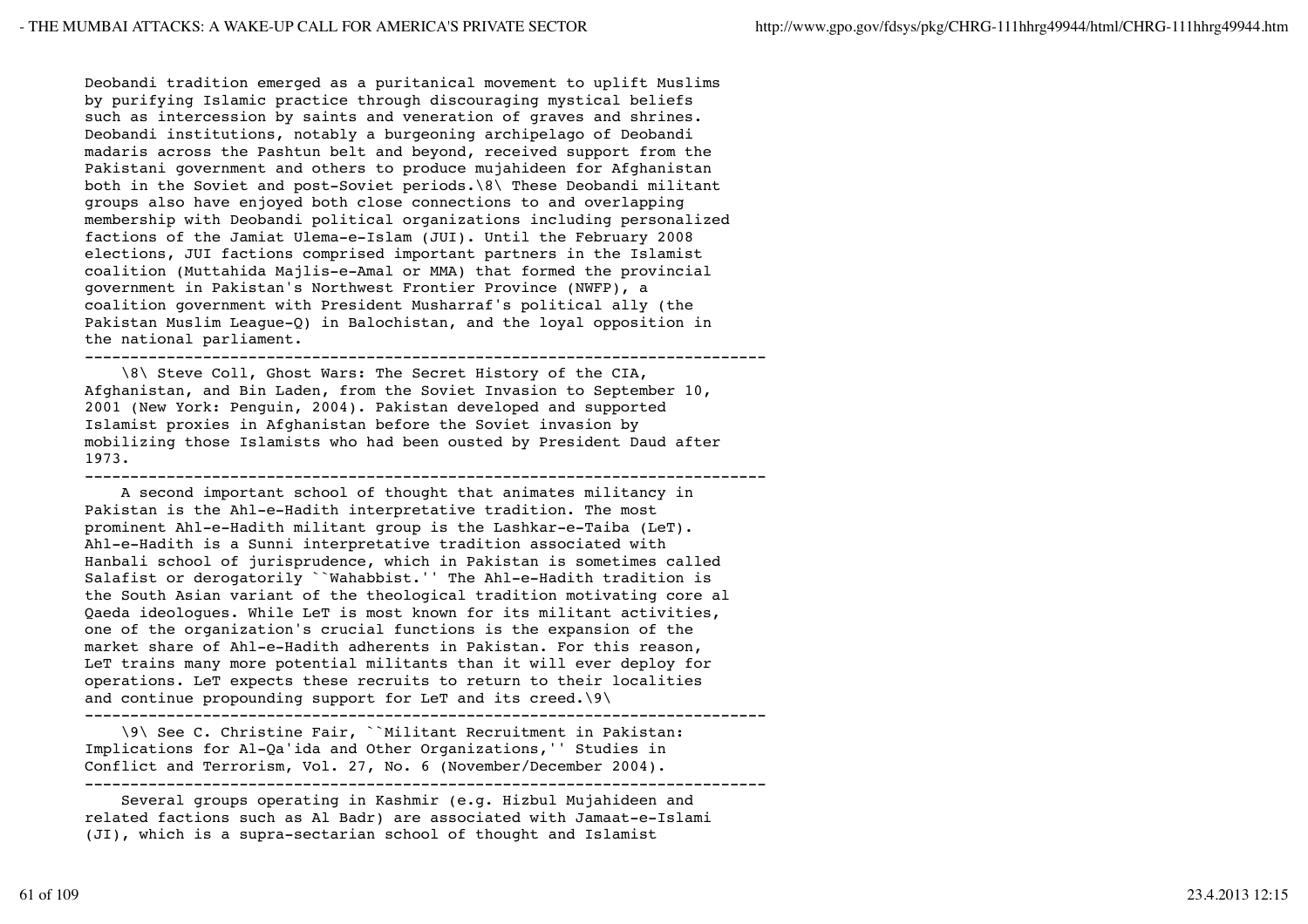Deobandi tradition emerged as a puritanical movement to uplift Muslims by purifying Islamic practice through discouraging mystical beliefs such as intercession by saints and veneration of graves and shrines. Deobandi institutions, notably a burgeoning archipelago of Deobandi madaris across the Pashtun belt and beyond, received support from the Pakistani government and others to produce mujahideen for Afghanistan both in the Soviet and post-Soviet periods.\8\ These Deobandi militant groups also have enjoyed both close connections to and overlapping membership with Deobandi political organizations including personalized factions of the Jamiat Ulema-e-Islam (JUI). Until the February 2008 elections, JUI factions comprised important partners in the Islamist coalition (Muttahida Majlis-e-Amal or MMA) that formed the provincial government in Pakistan's Northwest Frontier Province (NWFP), a coalition government with President Musharraf's political ally (the Pakistan Muslim League-Q) in Balochistan, and the loyal opposition in the national parliament.

--------------------------------------------------------------------------- \8\ Steve Coll, Ghost Wars: The Secret History of the CIA, Afghanistan, and Bin Laden, from the Soviet Invasion to September 10, 2001 (New York: Penguin, 2004). Pakistan developed and supported Islamist proxies in Afghanistan before the Soviet invasion by mobilizing those Islamists who had been ousted by President Daud after

---------------------------------------------------------------------------

 A second important school of thought that animates militancy in Pakistan is the Ahl-e-Hadith interpretative tradition. The most prominent Ahl-e-Hadith militant group is the Lashkar-e-Taiba (LeT). Ahl-e-Hadith is a Sunni interpretative tradition associated with Hanbali school of jurisprudence, which in Pakistan is sometimes called Salafist or derogatorily ``Wahabbist.'' The Ahl-e-Hadith tradition is the South Asian variant of the theological tradition motivating core al Qaeda ideologues. While LeT is most known for its militant activities, one of the organization's crucial functions is the expansion of the market share of Ahl-e-Hadith adherents in Pakistan. For this reason, LeT trains many more potential militants than it will ever deploy for operations. LeT expects these recruits to return to their localities and continue propounding support for LeT and its creed.\9\

--------------------------------------------------------------------------- \9\ See C. Christine Fair, ``Militant Recruitment in Pakistan: Implications for Al-Qa'ida and Other Organizations,'' Studies in Conflict and Terrorism, Vol. 27, No. 6 (November/December 2004). ---------------------------------------------------------------------------

 Several groups operating in Kashmir (e.g. Hizbul Mujahideen and related factions such as Al Badr) are associated with Jamaat-e-Islami (JI), which is a supra-sectarian school of thought and Islamist

1973.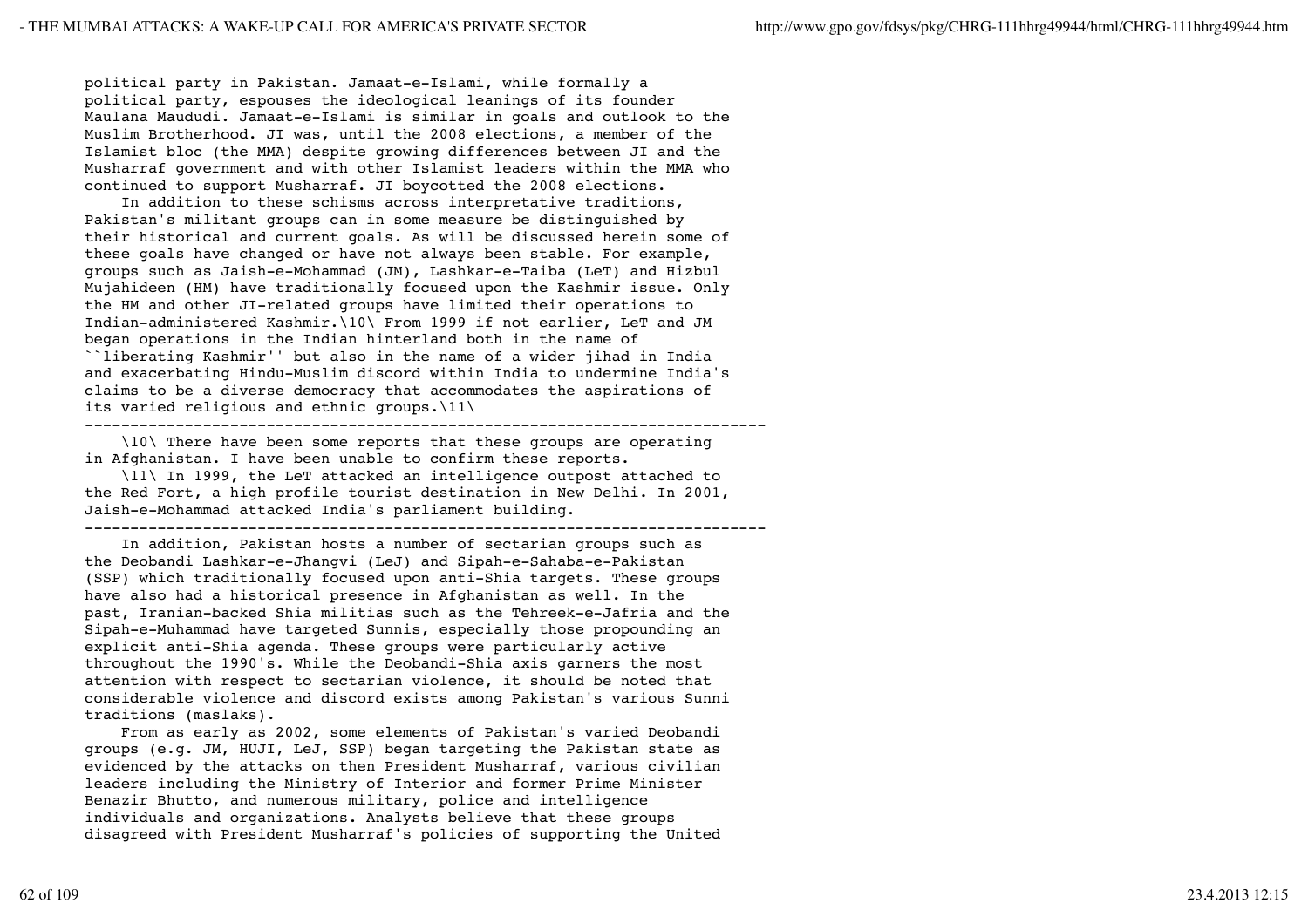political party in Pakistan. Jamaat-e-Islami, while formally a political party, espouses the ideological leanings of its founder Maulana Maududi. Jamaat-e-Islami is similar in goals and outlook to the Muslim Brotherhood. JI was, until the 2008 elections, a member of the Islamist bloc (the MMA) despite growing differences between JI and the Musharraf government and with other Islamist leaders within the MMA who continued to support Musharraf. JI boycotted the 2008 elections.

 In addition to these schisms across interpretative traditions, Pakistan's militant groups can in some measure be distinguished by their historical and current goals. As will be discussed herein some of these goals have changed or have not always been stable. For example, groups such as Jaish-e-Mohammad (JM), Lashkar-e-Taiba (LeT) and Hizbul Mujahideen (HM) have traditionally focused upon the Kashmir issue. Only the HM and other JI-related groups have limited their operations to Indian-administered Kashmir.\10\ From 1999 if not earlier, LeT and JM began operations in the Indian hinterland both in the name of ``liberating Kashmir'' but also in the name of a wider jihad in India and exacerbating Hindu-Muslim discord within India to undermine India's claims to be a diverse democracy that accommodates the aspirations of its varied religious and ethnic groups.\11\

---------------------------------------------------------------------------

 \10\ There have been some reports that these groups are operating in Afghanistan. I have been unable to confirm these reports.

 \11\ In 1999, the LeT attacked an intelligence outpost attached to the Red Fort, a high profile tourist destination in New Delhi. In 2001, Jaish-e-Mohammad attacked India's parliament building.

---------------------------------------------------------------------------

 In addition, Pakistan hosts a number of sectarian groups such as the Deobandi Lashkar-e-Jhangvi (LeJ) and Sipah-e-Sahaba-e-Pakistan (SSP) which traditionally focused upon anti-Shia targets. These groups have also had a historical presence in Afghanistan as well. In the past, Iranian-backed Shia militias such as the Tehreek-e-Jafria and the Sipah-e-Muhammad have targeted Sunnis, especially those propounding an explicit anti-Shia agenda. These groups were particularly active throughout the 1990's. While the Deobandi-Shia axis garners the most attention with respect to sectarian violence, it should be noted that considerable violence and discord exists among Pakistan's various Sunni traditions (maslaks).

 From as early as 2002, some elements of Pakistan's varied Deobandi groups (e.g. JM, HUJI, LeJ, SSP) began targeting the Pakistan state as evidenced by the attacks on then President Musharraf, various civilian leaders including the Ministry of Interior and former Prime Minister Benazir Bhutto, and numerous military, police and intelligence individuals and organizations. Analysts believe that these groups disagreed with President Musharraf's policies of supporting the United

62 of 109 23.4.2013 12:15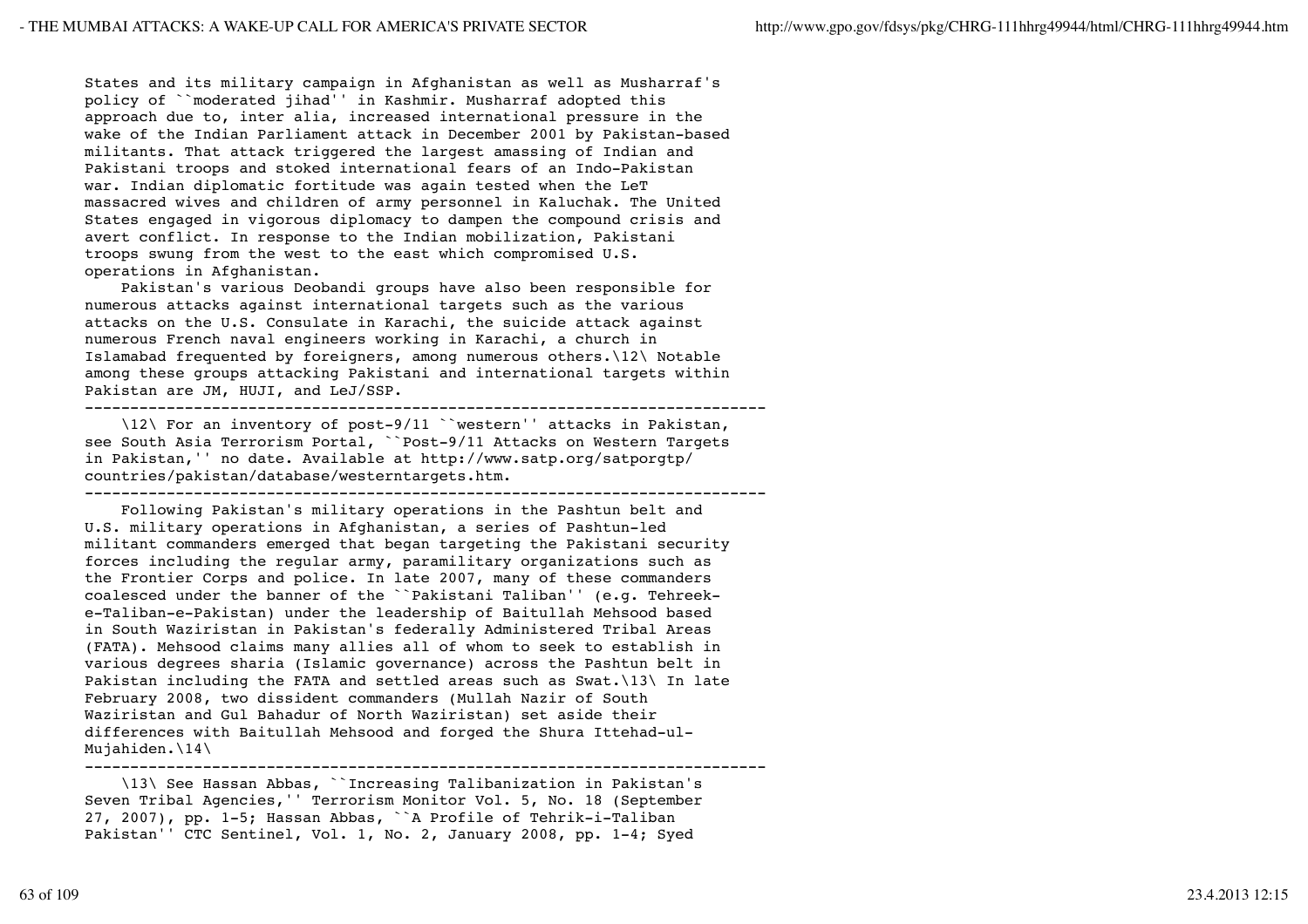States and its military campaign in Afghanistan as well as Musharraf's policy of ``moderated jihad'' in Kashmir. Musharraf adopted this approach due to, inter alia, increased international pressure in the wake of the Indian Parliament attack in December 2001 by Pakistan-based militants. That attack triggered the largest amassing of Indian and Pakistani troops and stoked international fears of an Indo-Pakistan war. Indian diplomatic fortitude was again tested when the LeT massacred wives and children of army personnel in Kaluchak. The United States engaged in vigorous diplomacy to dampen the compound crisis and avert conflict. In response to the Indian mobilization, Pakistani troops swung from the west to the east which compromised U.S. operations in Afghanistan.

 Pakistan's various Deobandi groups have also been responsible for numerous attacks against international targets such as the various attacks on the U.S. Consulate in Karachi, the suicide attack against numerous French naval engineers working in Karachi, a church in Islamabad frequented by foreigners, among numerous others.\12\ Notable among these groups attacking Pakistani and international targets within Pakistan are JM, HUJI, and LeJ/SSP.

---------------------------------------------------------------------------

 \12\ For an inventory of post-9/11 ``western'' attacks in Pakistan, see South Asia Terrorism Portal, ``Post-9/11 Attacks on Western Targets in Pakistan,'' no date. Available at http://www.satp.org/satporgtp/ countries/pakistan/database/westerntargets.htm.

---------------------------------------------------------------------------

 Following Pakistan's military operations in the Pashtun belt and U.S. military operations in Afghanistan, a series of Pashtun-led militant commanders emerged that began targeting the Pakistani security forces including the regular army, paramilitary organizations such as the Frontier Corps and police. In late 2007, many of these commanders coalesced under the banner of the ``Pakistani Taliban'' (e.g. Tehreeke-Taliban-e-Pakistan) under the leadership of Baitullah Mehsood based in South Waziristan in Pakistan's federally Administered Tribal Areas (FATA). Mehsood claims many allies all of whom to seek to establish in various degrees sharia (Islamic governance) across the Pashtun belt in Pakistan including the FATA and settled areas such as Swat.\13\ In late February 2008, two dissident commanders (Mullah Nazir of South Waziristan and Gul Bahadur of North Waziristan) set aside their differences with Baitullah Mehsood and forged the Shura Ittehad-ul-Mujahiden.\14\ ---------------------------------------------------------------------------

 \13\ See Hassan Abbas, ``Increasing Talibanization in Pakistan's Seven Tribal Agencies,'' Terrorism Monitor Vol. 5, No. 18 (September 27, 2007), pp. 1-5; Hassan Abbas, ``A Profile of Tehrik-i-Taliban Pakistan'' CTC Sentinel, Vol. 1, No. 2, January 2008, pp. 1-4; Syed

63 of 109 23.4.2013 12:15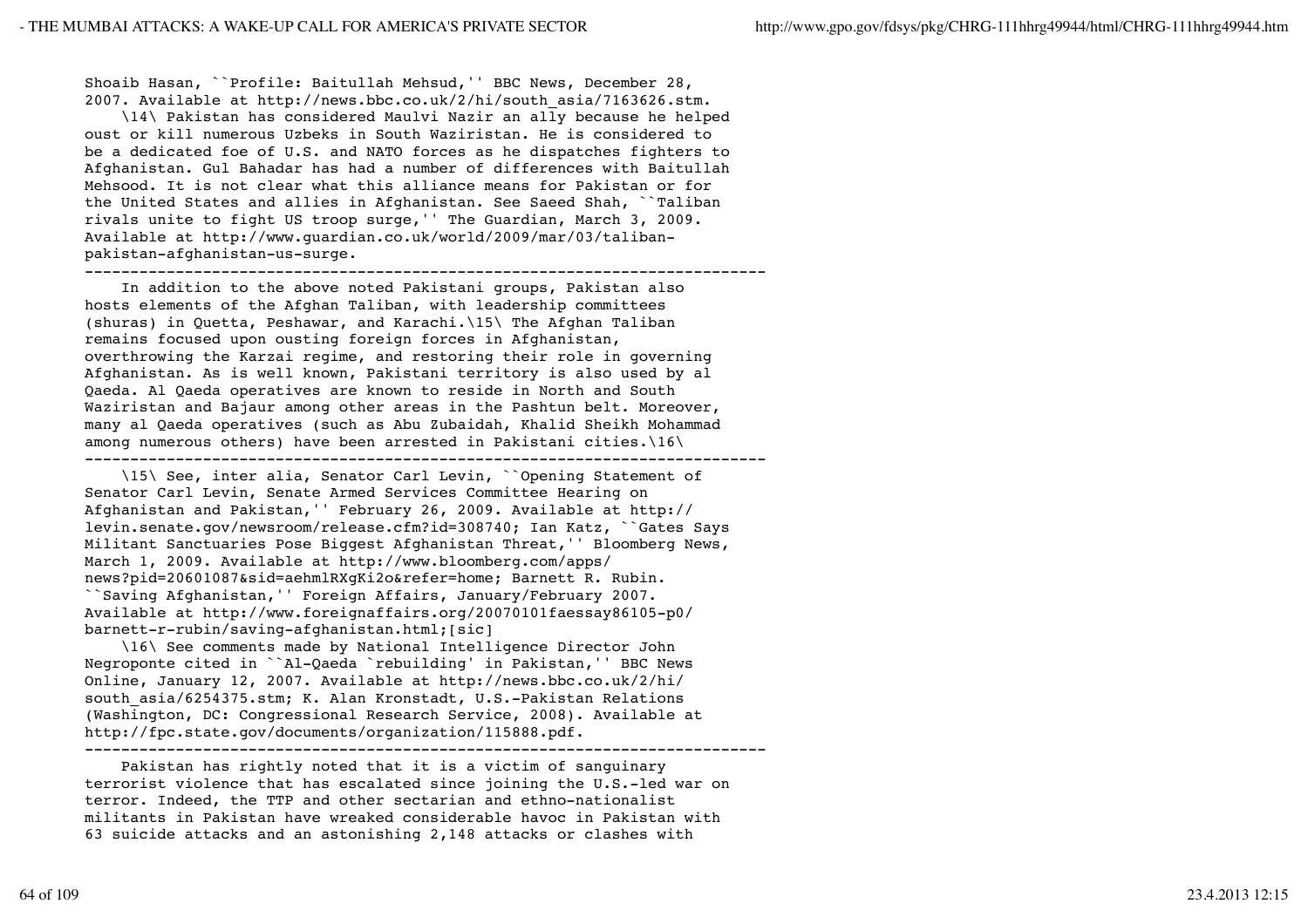Shoaib Hasan, ``Profile: Baitullah Mehsud,'' BBC News, December 28, 2007. Available at http://news.bbc.co.uk/2/hi/south\_asia/7163626.stm.

 \14\ Pakistan has considered Maulvi Nazir an ally because he helped oust or kill numerous Uzbeks in South Waziristan. He is considered to be a dedicated foe of U.S. and NATO forces as he dispatches fighters to Afghanistan. Gul Bahadar has had a number of differences with Baitullah Mehsood. It is not clear what this alliance means for Pakistan or for the United States and allies in Afghanistan. See Saeed Shah, ``Taliban rivals unite to fight US troop surge,'' The Guardian, March 3, 2009. Available at http://www.guardian.co.uk/world/2009/mar/03/talibanpakistan-afghanistan-us-surge.

---------------------------------------------------------------------------

 In addition to the above noted Pakistani groups, Pakistan also hosts elements of the Afghan Taliban, with leadership committees (shuras) in Quetta, Peshawar, and Karachi.\15\ The Afghan Taliban remains focused upon ousting foreign forces in Afghanistan, overthrowing the Karzai regime, and restoring their role in governing Afghanistan. As is well known, Pakistani territory is also used by al Qaeda. Al Qaeda operatives are known to reside in North and South Waziristan and Bajaur among other areas in the Pashtun belt. Moreover, many al Qaeda operatives (such as Abu Zubaidah, Khalid Sheikh Mohammad among numerous others) have been arrested in Pakistani cities.\16\ ---------------------------------------------------------------------------

 \15\ See, inter alia, Senator Carl Levin, ``Opening Statement of Senator Carl Levin, Senate Armed Services Committee Hearing on Afghanistan and Pakistan,'' February 26, 2009. Available at http:// levin.senate.gov/newsroom/release.cfm?id=308740; Ian Katz, ``Gates Says Militant Sanctuaries Pose Biggest Afghanistan Threat,'' Bloomberg News, March 1, 2009. Available at http://www.bloomberg.com/apps/ news?pid=20601087&sid=aehmlRXgKi2o&refer=home; Barnett R. Rubin. ``Saving Afghanistan,'' Foreign Affairs, January/February 2007. Available at http://www.foreignaffairs.org/20070101faessay86105-p0/ barnett-r-rubin/saving-afghanistan.html;[sic]

 \16\ See comments made by National Intelligence Director John Negroponte cited in ``Al-Qaeda `rebuilding' in Pakistan,'' BBC News Online, January 12, 2007. Available at http://news.bbc.co.uk/2/hi/ south asia/6254375.stm; K. Alan Kronstadt, U.S.-Pakistan Relations (Washington, DC: Congressional Research Service, 2008). Available at http://fpc.state.gov/documents/organization/115888.pdf. ---------------------------------------------------------------------------

 Pakistan has rightly noted that it is a victim of sanguinary terrorist violence that has escalated since joining the U.S.-led war on terror. Indeed, the TTP and other sectarian and ethno-nationalist militants in Pakistan have wreaked considerable havoc in Pakistan with 63 suicide attacks and an astonishing 2,148 attacks or clashes with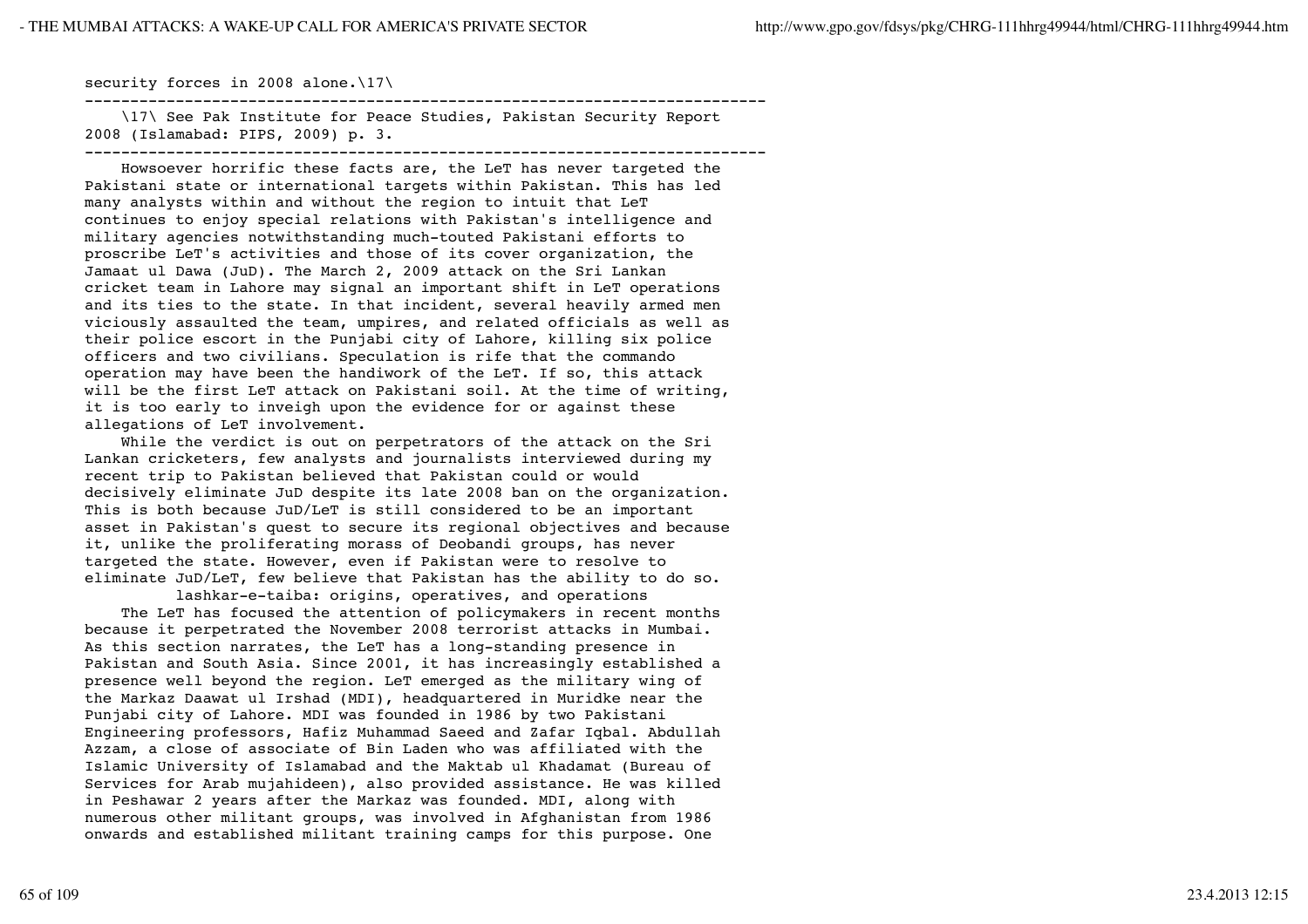## security forces in 2008 alone.\17\

--------------------------------------------------------------------------- \17\ See Pak Institute for Peace Studies, Pakistan Security Report

2008 (Islamabad: PIPS, 2009) p. 3. ---------------------------------------------------------------------------

 Howsoever horrific these facts are, the LeT has never targeted the Pakistani state or international targets within Pakistan. This has led many analysts within and without the region to intuit that LeT continues to enjoy special relations with Pakistan's intelligence and military agencies notwithstanding much-touted Pakistani efforts to proscribe LeT's activities and those of its cover organization, the Jamaat ul Dawa (JuD). The March 2, 2009 attack on the Sri Lankan cricket team in Lahore may signal an important shift in LeT operations and its ties to the state. In that incident, several heavily armed men viciously assaulted the team, umpires, and related officials as well as their police escort in the Punjabi city of Lahore, killing six police officers and two civilians. Speculation is rife that the commando operation may have been the handiwork of the LeT. If so, this attack will be the first LeT attack on Pakistani soil. At the time of writing, it is too early to inveigh upon the evidence for or against these allegations of LeT involvement.

 While the verdict is out on perpetrators of the attack on the Sri Lankan cricketers, few analysts and journalists interviewed during my recent trip to Pakistan believed that Pakistan could or would decisively eliminate JuD despite its late 2008 ban on the organization. This is both because JuD/LeT is still considered to be an important asset in Pakistan's quest to secure its regional objectives and because it, unlike the proliferating morass of Deobandi groups, has never targeted the state. However, even if Pakistan were to resolve to eliminate JuD/LeT, few believe that Pakistan has the ability to do so.

 lashkar-e-taiba: origins, operatives, and operations The LeT has focused the attention of policymakers in recent months because it perpetrated the November 2008 terrorist attacks in Mumbai. As this section narrates, the LeT has a long-standing presence in Pakistan and South Asia. Since 2001, it has increasingly established a presence well beyond the region. LeT emerged as the military wing of the Markaz Daawat ul Irshad (MDI), headquartered in Muridke near the Punjabi city of Lahore. MDI was founded in 1986 by two Pakistani Engineering professors, Hafiz Muhammad Saeed and Zafar Iqbal. Abdullah Azzam, a close of associate of Bin Laden who was affiliated with the Islamic University of Islamabad and the Maktab ul Khadamat (Bureau of Services for Arab mujahideen), also provided assistance. He was killed in Peshawar 2 years after the Markaz was founded. MDI, along with numerous other militant groups, was involved in Afghanistan from 1986 onwards and established militant training camps for this purpose. One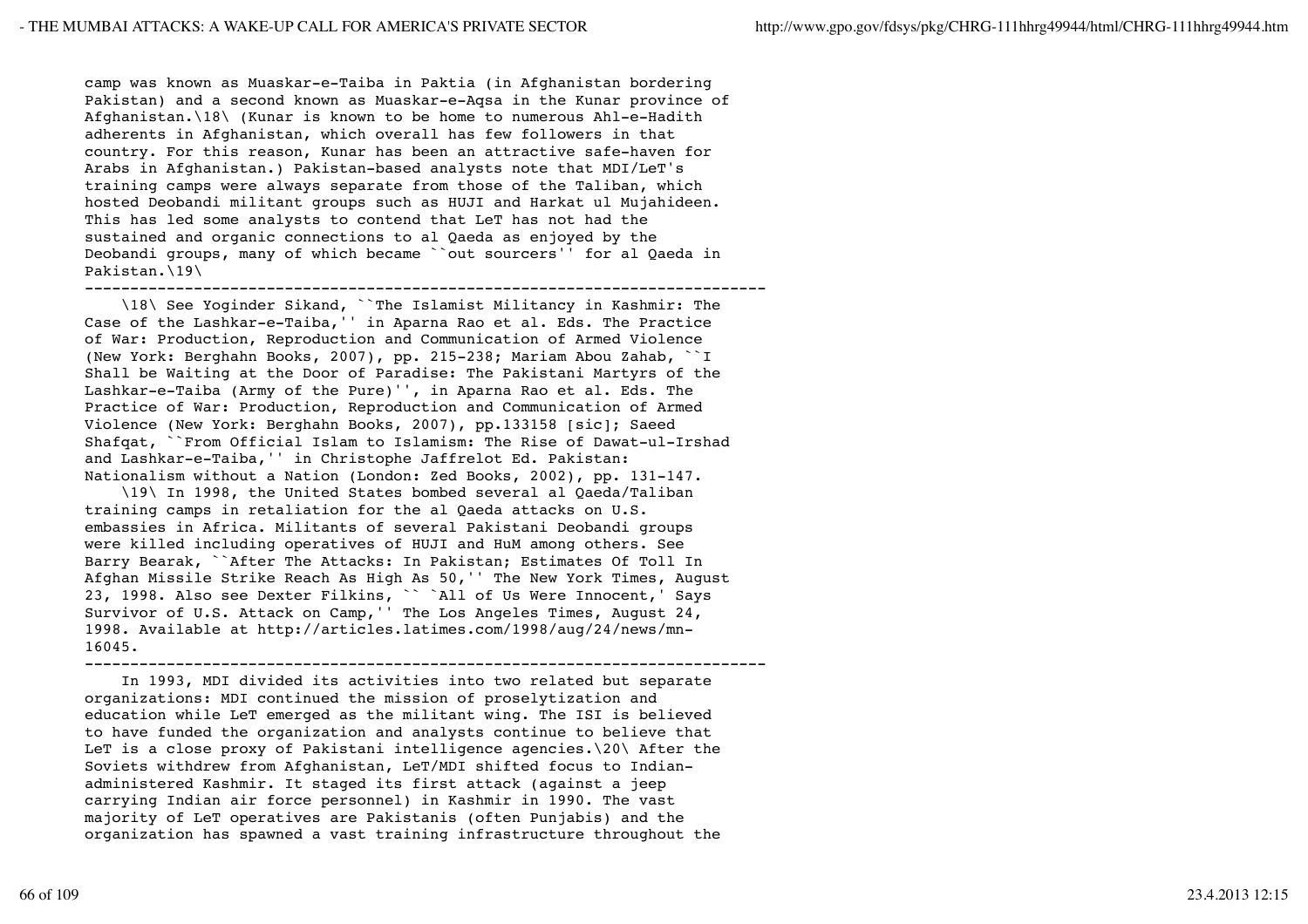camp was known as Muaskar-e-Taiba in Paktia (in Afghanistan bordering Pakistan) and a second known as Muaskar-e-Aqsa in the Kunar province of Afghanistan.\18\ (Kunar is known to be home to numerous Ahl-e-Hadith adherents in Afghanistan, which overall has few followers in that country. For this reason, Kunar has been an attractive safe-haven for Arabs in Afghanistan.) Pakistan-based analysts note that MDI/LeT's training camps were always separate from those of the Taliban, which hosted Deobandi militant groups such as HUJI and Harkat ul Mujahideen. This has led some analysts to contend that LeT has not had the sustained and organic connections to al Qaeda as enjoyed by the Deobandi groups, many of which became ``out sourcers'' for al Qaeda in Pakistan.\19\

---------------------------------------------------------------------------

 \18\ See Yoginder Sikand, ``The Islamist Militancy in Kashmir: The Case of the Lashkar-e-Taiba,'' in Aparna Rao et al. Eds. The Practice of War: Production, Reproduction and Communication of Armed Violence (New York: Berghahn Books, 2007), pp. 215-238; Mariam Abou Zahab, ``I Shall be Waiting at the Door of Paradise: The Pakistani Martyrs of the Lashkar-e-Taiba (Army of the Pure)'', in Aparna Rao et al. Eds. The Practice of War: Production, Reproduction and Communication of Armed Violence (New York: Berghahn Books, 2007), pp.133158 [sic]; Saeed Shafqat, ``From Official Islam to Islamism: The Rise of Dawat-ul-Irshad and Lashkar-e-Taiba,'' in Christophe Jaffrelot Ed. Pakistan: Nationalism without a Nation (London: Zed Books, 2002), pp. 131-147.

 \19\ In 1998, the United States bombed several al Qaeda/Taliban training camps in retaliation for the al Qaeda attacks on U.S. embassies in Africa. Militants of several Pakistani Deobandi groups were killed including operatives of HUJI and HuM among others. See Barry Bearak, ``After The Attacks: In Pakistan; Estimates Of Toll In Afghan Missile Strike Reach As High As 50,'' The New York Times, August 23, 1998. Also see Dexter Filkins, `` `All of Us Were Innocent,' Says Survivor of U.S. Attack on Camp,'' The Los Angeles Times, August 24, 1998. Available at http://articles.latimes.com/1998/aug/24/news/mn-16045.

---------------------------------------------------------------------------

 In 1993, MDI divided its activities into two related but separate organizations: MDI continued the mission of proselytization and education while LeT emerged as the militant wing. The ISI is believed to have funded the organization and analysts continue to believe that LeT is a close proxy of Pakistani intelligence agencies.\20\ After the Soviets withdrew from Afghanistan, LeT/MDI shifted focus to Indianadministered Kashmir. It staged its first attack (against a jeep carrying Indian air force personnel) in Kashmir in 1990. The vast majority of LeT operatives are Pakistanis (often Punjabis) and the organization has spawned a vast training infrastructure throughout the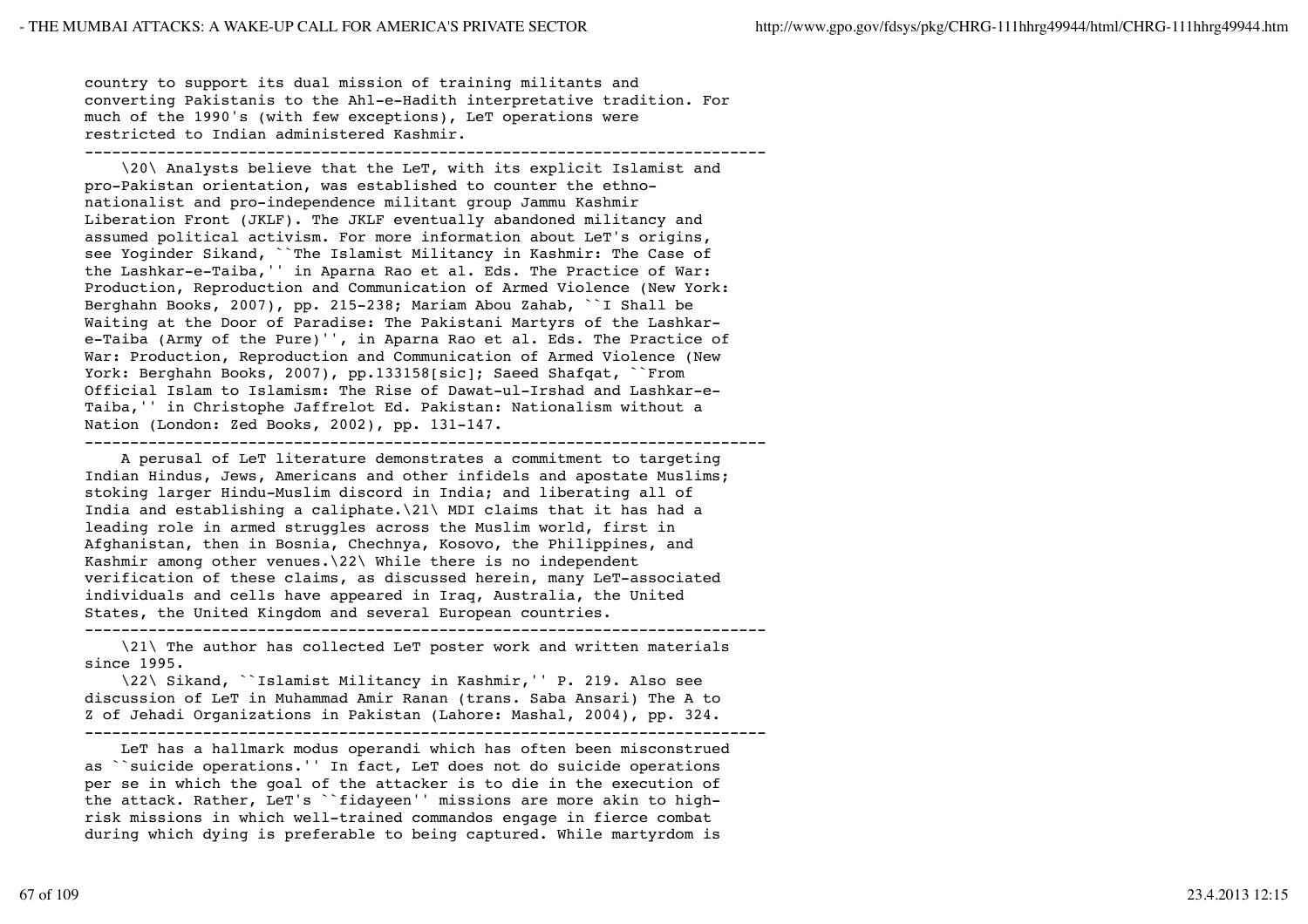country to support its dual mission of training militants and converting Pakistanis to the Ahl-e-Hadith interpretative tradition. For much of the 1990's (with few exceptions), LeT operations were restricted to Indian administered Kashmir. ---------------------------------------------------------------------------

 \20\ Analysts believe that the LeT, with its explicit Islamist and pro-Pakistan orientation, was established to counter the ethnonationalist and pro-independence militant group Jammu Kashmir Liberation Front (JKLF). The JKLF eventually abandoned militancy and assumed political activism. For more information about LeT's origins, see Yoginder Sikand, ``The Islamist Militancy in Kashmir: The Case of the Lashkar-e-Taiba,'' in Aparna Rao et al. Eds. The Practice of War: Production, Reproduction and Communication of Armed Violence (New York: Berghahn Books, 2007), pp. 215-238; Mariam Abou Zahab, ``I Shall be Waiting at the Door of Paradise: The Pakistani Martyrs of the Lashkare-Taiba (Army of the Pure)'', in Aparna Rao et al. Eds. The Practice of War: Production, Reproduction and Communication of Armed Violence (New York: Berghahn Books, 2007), pp.133158[sic]; Saeed Shafqat, ``From Official Islam to Islamism: The Rise of Dawat-ul-Irshad and Lashkar-e-Taiba,'' in Christophe Jaffrelot Ed. Pakistan: Nationalism without a Nation (London: Zed Books, 2002), pp. 131-147.

---------------------------------------------------------------------------

 A perusal of LeT literature demonstrates a commitment to targeting Indian Hindus, Jews, Americans and other infidels and apostate Muslims; stoking larger Hindu-Muslim discord in India; and liberating all of India and establishing a caliphate.\21\ MDI claims that it has had a leading role in armed struggles across the Muslim world, first in Afghanistan, then in Bosnia, Chechnya, Kosovo, the Philippines, and Kashmir among other venues. $\22\$  While there is no independent verification of these claims, as discussed herein, many LeT-associated individuals and cells have appeared in Iraq, Australia, the United States, the United Kingdom and several European countries. ---------------------------------------------------------------------------

 \21\ The author has collected LeT poster work and written materials since 1995.

 \22\ Sikand, ``Islamist Militancy in Kashmir,'' P. 219. Also see discussion of LeT in Muhammad Amir Ranan (trans. Saba Ansari) The A to Z of Jehadi Organizations in Pakistan (Lahore: Mashal, 2004), pp. 324. ---------------------------------------------------------------------------

 LeT has a hallmark modus operandi which has often been misconstrued as ``suicide operations.'' In fact, LeT does not do suicide operations per se in which the goal of the attacker is to die in the execution of the attack. Rather, LeT's ``fidayeen'' missions are more akin to highrisk missions in which well-trained commandos engage in fierce combat during which dying is preferable to being captured. While martyrdom is

67 of 109 23.4.2013 12:15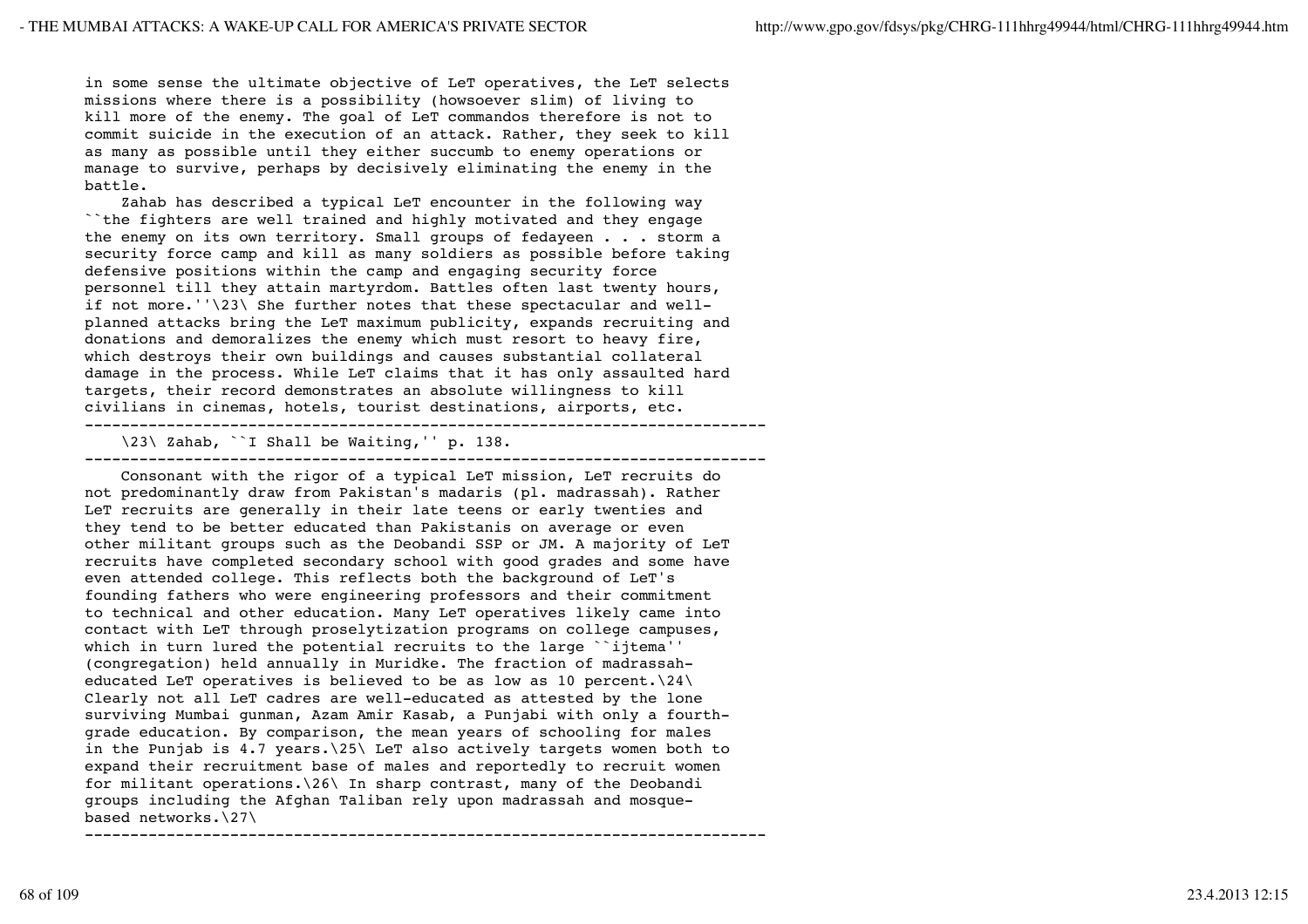in some sense the ultimate objective of LeT operatives, the LeT selects missions where there is a possibility (howsoever slim) of living to kill more of the enemy. The goal of LeT commandos therefore is not to commit suicide in the execution of an attack. Rather, they seek to kill as many as possible until they either succumb to enemy operations or manage to survive, perhaps by decisively eliminating the enemy in the battle.

 Zahab has described a typical LeT encounter in the following way ``the fighters are well trained and highly motivated and they engage the enemy on its own territory. Small groups of fedayeen . . . storm a security force camp and kill as many soldiers as possible before taking defensive positions within the camp and engaging security force personnel till they attain martyrdom. Battles often last twenty hours, if not more.''\23\ She further notes that these spectacular and wellplanned attacks bring the LeT maximum publicity, expands recruiting and donations and demoralizes the enemy which must resort to heavy fire, which destroys their own buildings and causes substantial collateral damage in the process. While LeT claims that it has only assaulted hard targets, their record demonstrates an absolute willingness to kill civilians in cinemas, hotels, tourist destinations, airports, etc. ---------------------------------------------------------------------------

---------------------------------------------------------------------------

\23\ Zahab, ``I Shall be Waiting,'' p. 138.

 Consonant with the rigor of a typical LeT mission, LeT recruits do not predominantly draw from Pakistan's madaris (pl. madrassah). Rather LeT recruits are generally in their late teens or early twenties and they tend to be better educated than Pakistanis on average or even other militant groups such as the Deobandi SSP or JM. A majority of LeT recruits have completed secondary school with good grades and some have even attended college. This reflects both the background of LeT's founding fathers who were engineering professors and their commitment to technical and other education. Many LeT operatives likely came into contact with LeT through proselytization programs on college campuses, which in turn lured the potential recruits to the large ``ijtema'' (congregation) held annually in Muridke. The fraction of madrassaheducated LeT operatives is believed to be as low as 10 percent.\24\ Clearly not all LeT cadres are well-educated as attested by the lone surviving Mumbai gunman, Azam Amir Kasab, a Punjabi with only a fourthgrade education. By comparison, the mean years of schooling for males in the Punjab is 4.7 years.\25\ LeT also actively targets women both to expand their recruitment base of males and reportedly to recruit women for militant operations.\26\ In sharp contrast, many of the Deobandi groups including the Afghan Taliban rely upon madrassah and mosquebased networks.\27\ ---------------------------------------------------------------------------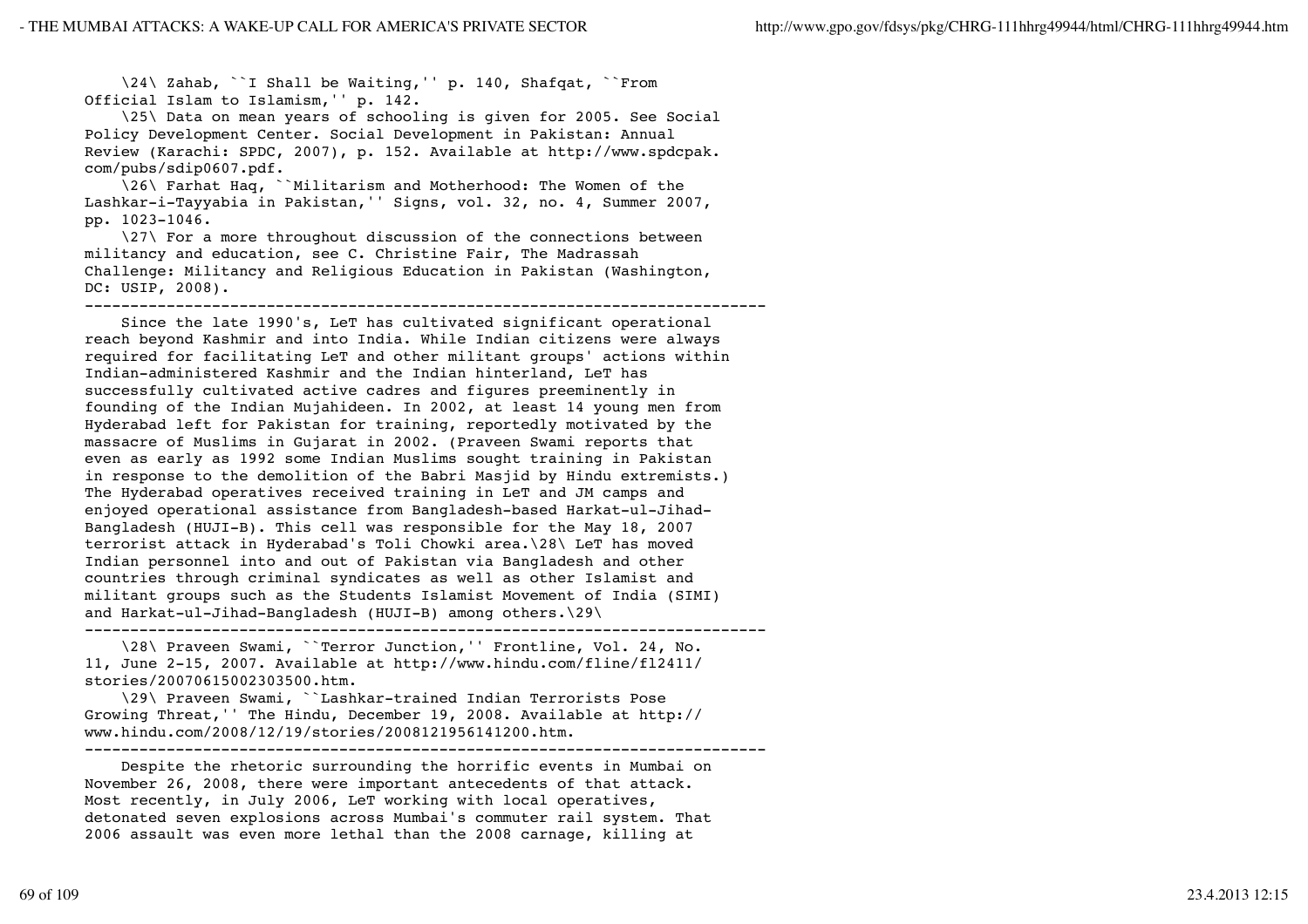\24\ Zahab, ``I Shall be Waiting,'' p. 140, Shafqat, ``From Official Islam to Islamism,'' p. 142.

 \25\ Data on mean years of schooling is given for 2005. See Social Policy Development Center. Social Development in Pakistan: Annual Review (Karachi: SPDC, 2007), p. 152. Available at http://www.spdcpak. com/pubs/sdip0607.pdf.

 \26\ Farhat Haq, ``Militarism and Motherhood: The Women of the Lashkar-i-Tayyabia in Pakistan,'' Signs, vol. 32, no. 4, Summer 2007, pp. 1023-1046.

 \27\ For a more throughout discussion of the connections between militancy and education, see C. Christine Fair, The Madrassah Challenge: Militancy and Religious Education in Pakistan (Washington, DC: USIP, 2008).

---------------------------------------------------------------------------

 Since the late 1990's, LeT has cultivated significant operational reach beyond Kashmir and into India. While Indian citizens were always required for facilitating LeT and other militant groups' actions within Indian-administered Kashmir and the Indian hinterland, LeT has successfully cultivated active cadres and figures preeminently in founding of the Indian Mujahideen. In 2002, at least 14 young men from Hyderabad left for Pakistan for training, reportedly motivated by the massacre of Muslims in Gujarat in 2002. (Praveen Swami reports that even as early as 1992 some Indian Muslims sought training in Pakistan in response to the demolition of the Babri Masjid by Hindu extremists.) The Hyderabad operatives received training in LeT and JM camps and enjoyed operational assistance from Bangladesh-based Harkat-ul-Jihad-Bangladesh (HUJI-B). This cell was responsible for the May 18, 2007 terrorist attack in Hyderabad's Toli Chowki area.\28\ LeT has moved Indian personnel into and out of Pakistan via Bangladesh and other countries through criminal syndicates as well as other Islamist and militant groups such as the Students Islamist Movement of India (SIMI) and Harkat-ul-Jihad-Bangladesh (HUJI-B) among others.\29\ ---------------------------------------------------------------------------

 \28\ Praveen Swami, ``Terror Junction,'' Frontline, Vol. 24, No. 11, June 2-15, 2007. Available at http://www.hindu.com/fline/fl2411/ stories/20070615002303500.htm.

 \29\ Praveen Swami, ``Lashkar-trained Indian Terrorists Pose Growing Threat,'' The Hindu, December 19, 2008. Available at http:// www.hindu.com/2008/12/19/stories/2008121956141200.htm.

 Despite the rhetoric surrounding the horrific events in Mumbai on November 26, 2008, there were important antecedents of that attack. Most recently, in July 2006, LeT working with local operatives, detonated seven explosions across Mumbai's commuter rail system. That 2006 assault was even more lethal than the 2008 carnage, killing at

---------------------------------------------------------------------------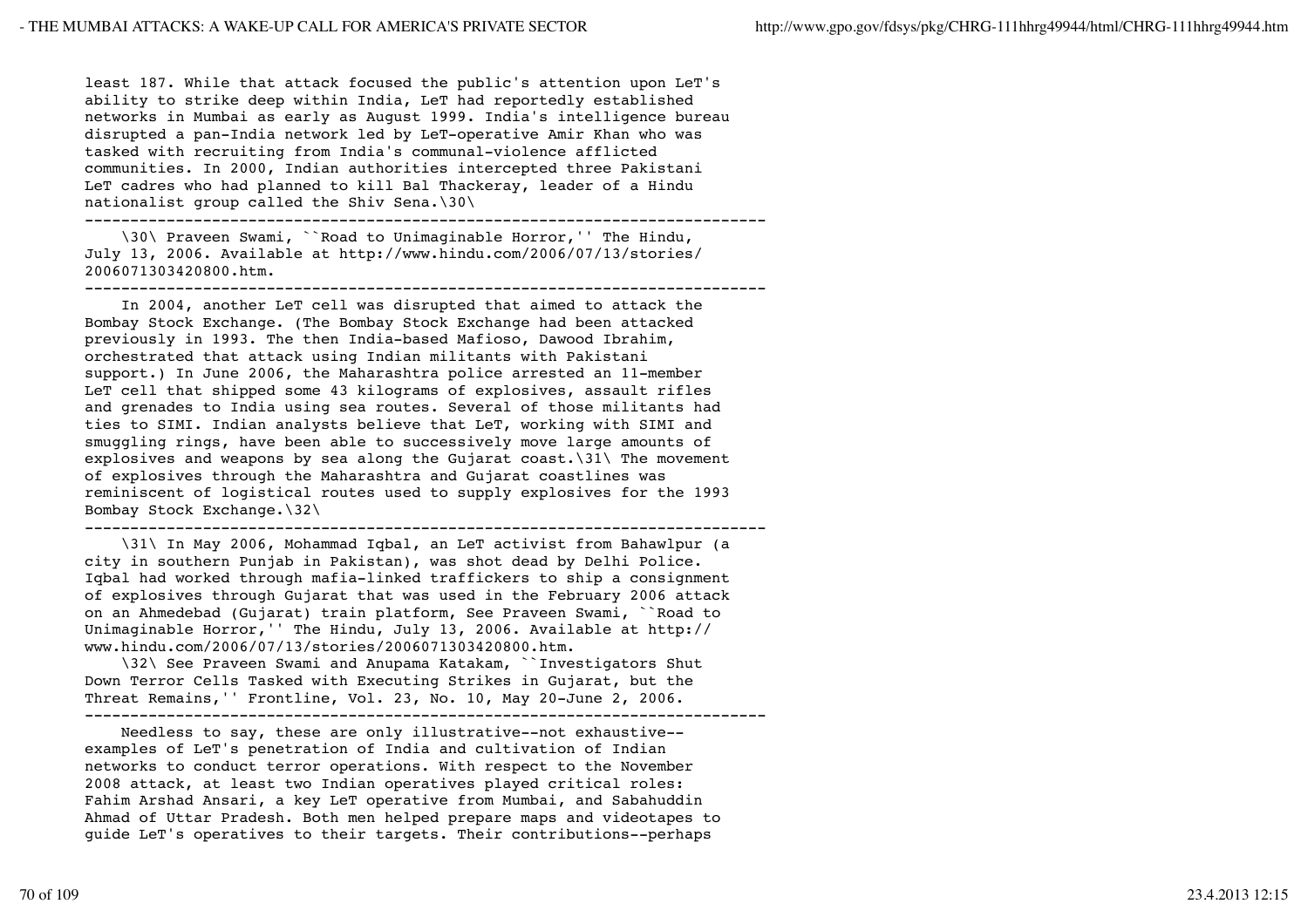least 187. While that attack focused the public's attention upon LeT's ability to strike deep within India, LeT had reportedly established networks in Mumbai as early as August 1999. India's intelligence bureau disrupted a pan-India network led by LeT-operative Amir Khan who was tasked with recruiting from India's communal-violence afflicted communities. In 2000, Indian authorities intercepted three Pakistani LeT cadres who had planned to kill Bal Thackeray, leader of a Hindu nationalist group called the Shiv Sena.\30\

---------------------------------------------------------------------------

 \30\ Praveen Swami, ``Road to Unimaginable Horror,'' The Hindu, July 13, 2006. Available at http://www.hindu.com/2006/07/13/stories/ 2006071303420800.htm.

---------------------------------------------------------------------------

 In 2004, another LeT cell was disrupted that aimed to attack the Bombay Stock Exchange. (The Bombay Stock Exchange had been attacked previously in 1993. The then India-based Mafioso, Dawood Ibrahim, orchestrated that attack using Indian militants with Pakistani support.) In June 2006, the Maharashtra police arrested an 11-member LeT cell that shipped some 43 kilograms of explosives, assault rifles and grenades to India using sea routes. Several of those militants had ties to SIMI. Indian analysts believe that LeT, working with SIMI and smuggling rings, have been able to successively move large amounts of explosives and weapons by sea along the Gujarat coast.\31\ The movement of explosives through the Maharashtra and Gujarat coastlines was reminiscent of logistical routes used to supply explosives for the 1993 Bombay Stock Exchange.\32\

---------------------------------------------------------------------------

 \31\ In May 2006, Mohammad Iqbal, an LeT activist from Bahawlpur (a city in southern Punjab in Pakistan), was shot dead by Delhi Police. Iqbal had worked through mafia-linked traffickers to ship a consignment of explosives through Gujarat that was used in the February 2006 attack on an Ahmedebad (Gujarat) train platform, See Praveen Swami, ``Road to Unimaginable Horror,'' The Hindu, July 13, 2006. Available at http:// www.hindu.com/2006/07/13/stories/2006071303420800.htm.

 \32\ See Praveen Swami and Anupama Katakam, ``Investigators Shut Down Terror Cells Tasked with Executing Strikes in Gujarat, but the Threat Remains,'' Frontline, Vol. 23, No. 10, May 20-June 2, 2006.

---------------------------------------------------------------------------

 Needless to say, these are only illustrative--not exhaustive- examples of LeT's penetration of India and cultivation of Indian networks to conduct terror operations. With respect to the November 2008 attack, at least two Indian operatives played critical roles: Fahim Arshad Ansari, a key LeT operative from Mumbai, and Sabahuddin Ahmad of Uttar Pradesh. Both men helped prepare maps and videotapes to guide LeT's operatives to their targets. Their contributions--perhaps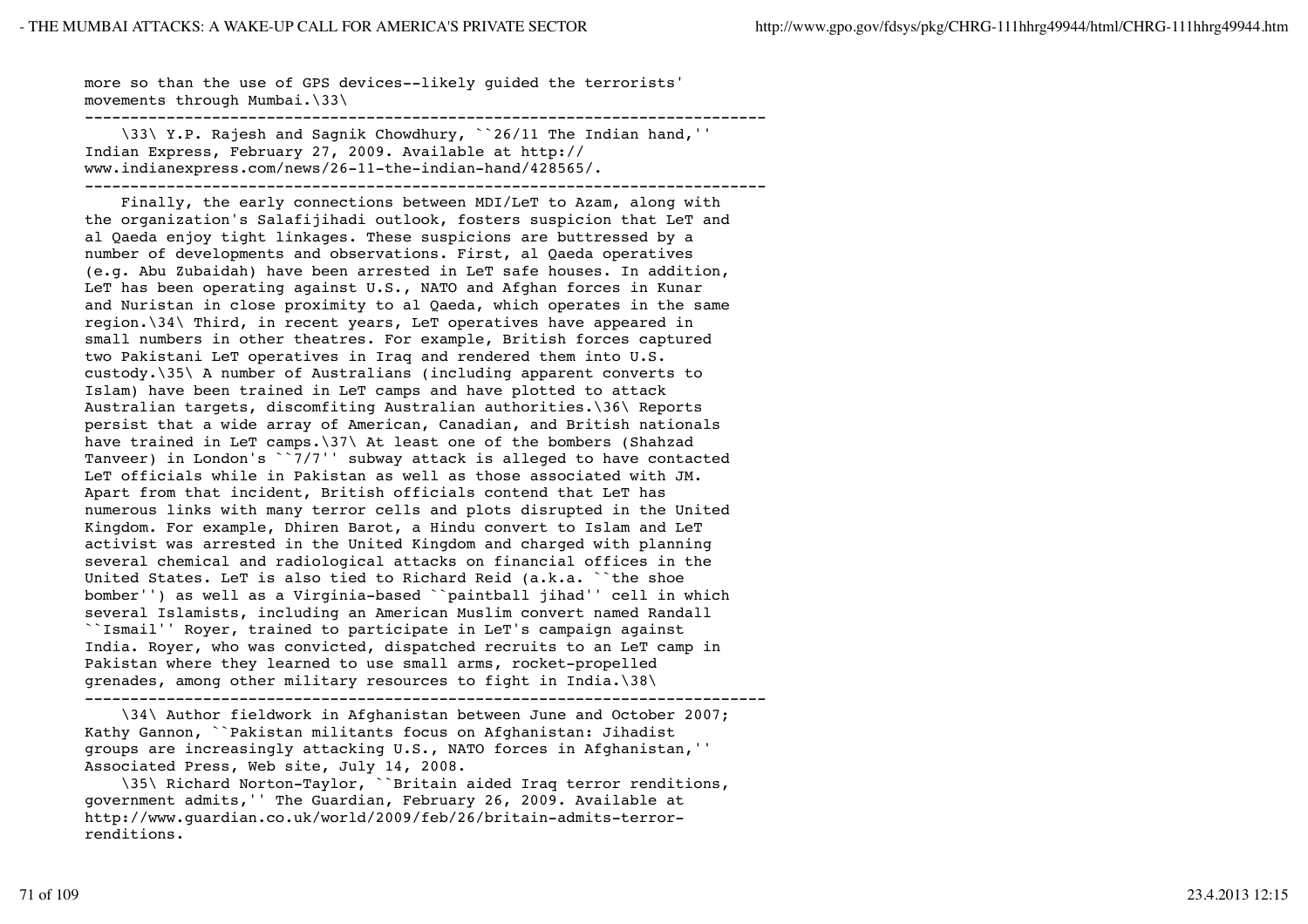more so than the use of GPS devices--likely guided the terrorists' movements through Mumbai.\33\

--------------------------------------------------------------------------- \33\ Y.P. Rajesh and Sagnik Chowdhury, ``26/11 The Indian hand,'' Indian Express, February 27, 2009. Available at http:// www.indianexpress.com/news/26-11-the-indian-hand/428565/. ---------------------------------------------------------------------------

 Finally, the early connections between MDI/LeT to Azam, along with the organization's Salafijihadi outlook, fosters suspicion that LeT and al Qaeda enjoy tight linkages. These suspicions are buttressed by a number of developments and observations. First, al Qaeda operatives (e.g. Abu Zubaidah) have been arrested in LeT safe houses. In addition, LeT has been operating against U.S., NATO and Afghan forces in Kunar and Nuristan in close proximity to al Qaeda, which operates in the same region.\34\ Third, in recent years, LeT operatives have appeared in small numbers in other theatres. For example, British forces captured two Pakistani LeT operatives in Iraq and rendered them into U.S. custody.\35\ A number of Australians (including apparent converts to Islam) have been trained in LeT camps and have plotted to attack Australian targets, discomfiting Australian authorities.\36\ Reports persist that a wide array of American, Canadian, and British nationals have trained in LeT camps.\37\ At least one of the bombers (Shahzad Tanveer) in London's ``7/7'' subway attack is alleged to have contacted LeT officials while in Pakistan as well as those associated with JM. Apart from that incident, British officials contend that LeT has numerous links with many terror cells and plots disrupted in the United Kingdom. For example, Dhiren Barot, a Hindu convert to Islam and LeT activist was arrested in the United Kingdom and charged with planning several chemical and radiological attacks on financial offices in the United States. LeT is also tied to Richard Reid (a.k.a. ``the shoe bomber'') as well as a Virginia-based ``paintball jihad'' cell in which several Islamists, including an American Muslim convert named Randall ``Ismail'' Royer, trained to participate in LeT's campaign against India. Royer, who was convicted, dispatched recruits to an LeT camp in Pakistan where they learned to use small arms, rocket-propelled grenades, among other military resources to fight in India.\38\ ---------------------------------------------------------------------------

 \34\ Author fieldwork in Afghanistan between June and October 2007; Kathy Gannon, ``Pakistan militants focus on Afghanistan: Jihadist groups are increasingly attacking U.S., NATO forces in Afghanistan,'' Associated Press, Web site, July 14, 2008.

 \35\ Richard Norton-Taylor, ``Britain aided Iraq terror renditions, government admits,'' The Guardian, February 26, 2009. Available at http://www.guardian.co.uk/world/2009/feb/26/britain-admits-terrorrenditions.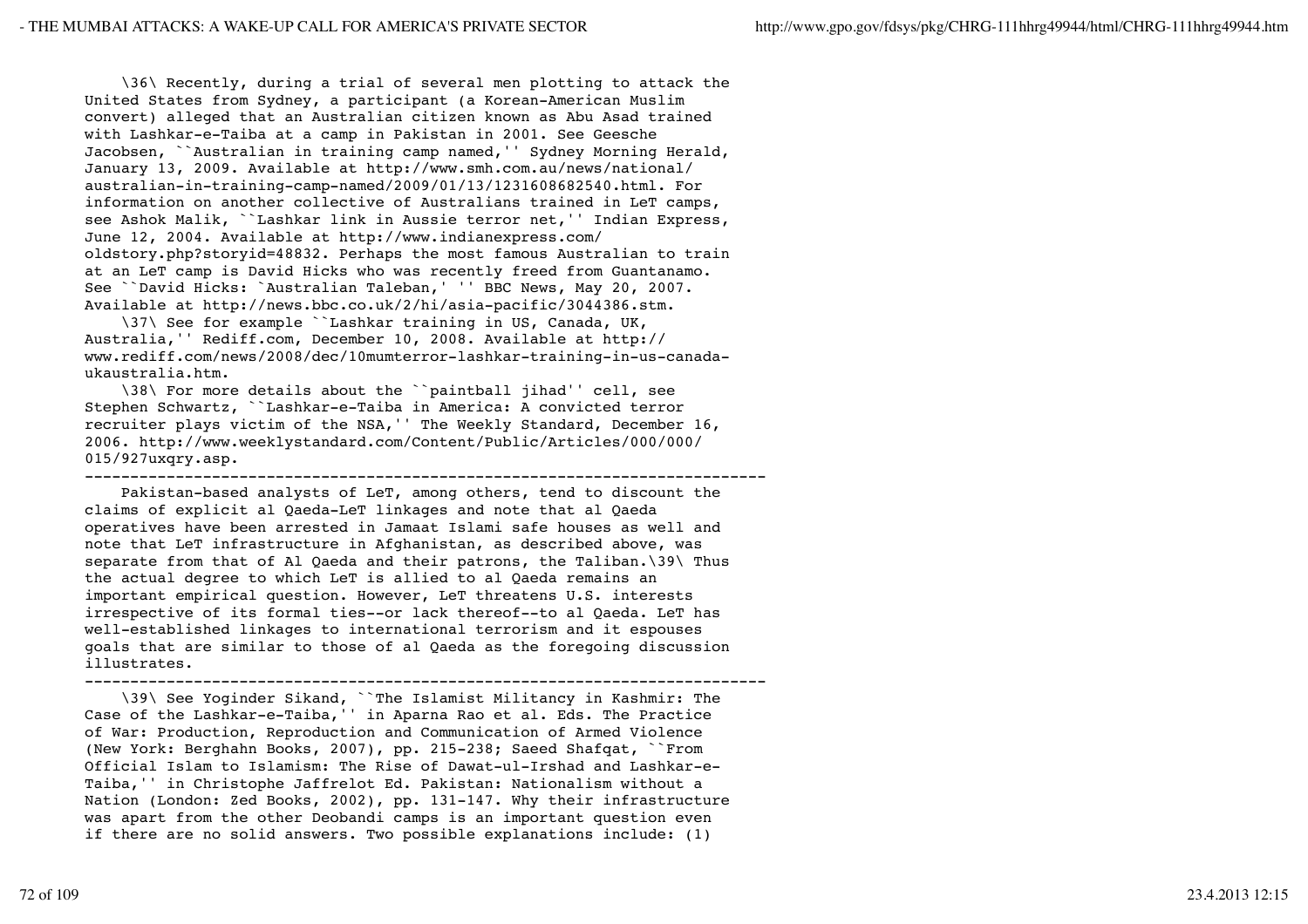\36\ Recently, during a trial of several men plotting to attack the United States from Sydney, a participant (a Korean-American Muslim convert) alleged that an Australian citizen known as Abu Asad trained with Lashkar-e-Taiba at a camp in Pakistan in 2001. See Geesche Jacobsen, ``Australian in training camp named,'' Sydney Morning Herald, January 13, 2009. Available at http://www.smh.com.au/news/national/ australian-in-training-camp-named/2009/01/13/1231608682540.html. For information on another collective of Australians trained in LeT camps, see Ashok Malik, ``Lashkar link in Aussie terror net,'' Indian Express, June 12, 2004. Available at http://www.indianexpress.com/ oldstory.php?storyid=48832. Perhaps the most famous Australian to train at an LeT camp is David Hicks who was recently freed from Guantanamo. See ``David Hicks: `Australian Taleban,' '' BBC News, May 20, 2007. Available at http://news.bbc.co.uk/2/hi/asia-pacific/3044386.stm.

 \37\ See for example ``Lashkar training in US, Canada, UK, Australia,'' Rediff.com, December 10, 2008. Available at http:// www.rediff.com/news/2008/dec/10mumterror-lashkar-training-in-us-canadaukaustralia.htm.

 \38\ For more details about the ``paintball jihad'' cell, see Stephen Schwartz, ``Lashkar-e-Taiba in America: A convicted terror recruiter plays victim of the NSA,'' The Weekly Standard, December 16, 2006. http://www.weeklystandard.com/Content/Public/Articles/000/000/ 015/927uxqry.asp.

--------------------------------------------------------------------------- Pakistan-based analysts of LeT, among others, tend to discount the claims of explicit al Qaeda-LeT linkages and note that al Qaeda operatives have been arrested in Jamaat Islami safe houses as well and note that LeT infrastructure in Afghanistan, as described above, was separate from that of Al Qaeda and their patrons, the Taliban.\39\ Thus the actual degree to which LeT is allied to al Qaeda remains an important empirical question. However, LeT threatens U.S. interests irrespective of its formal ties--or lack thereof--to al Qaeda. LeT has well-established linkages to international terrorism and it espouses goals that are similar to those of al Qaeda as the foregoing discussion illustrates.

---------------------------------------------------------------------------

 \39\ See Yoginder Sikand, ``The Islamist Militancy in Kashmir: The Case of the Lashkar-e-Taiba,'' in Aparna Rao et al. Eds. The Practice of War: Production, Reproduction and Communication of Armed Violence (New York: Berghahn Books, 2007), pp. 215-238; Saeed Shafqat, ``From Official Islam to Islamism: The Rise of Dawat-ul-Irshad and Lashkar-e-Taiba,'' in Christophe Jaffrelot Ed. Pakistan: Nationalism without a Nation (London: Zed Books, 2002), pp. 131-147. Why their infrastructure was apart from the other Deobandi camps is an important question even if there are no solid answers. Two possible explanations include: (1)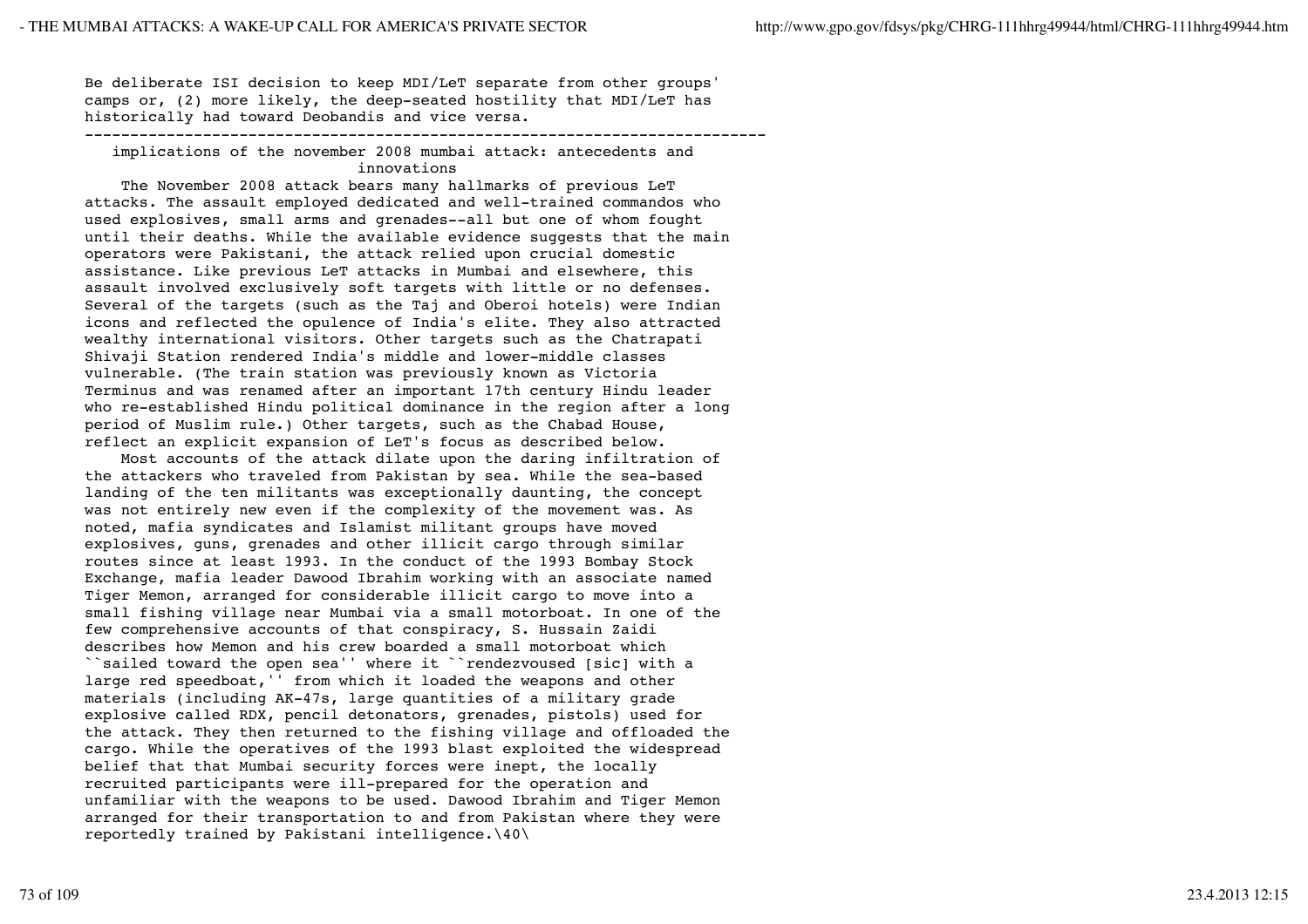Be deliberate ISI decision to keep MDI/LeT separate from other groups' camps or, (2) more likely, the deep-seated hostility that MDI/LeT has historically had toward Deobandis and vice versa.

#### ---------------------------------------------------------------------------

 implications of the november 2008 mumbai attack: antecedents and innovations

 The November 2008 attack bears many hallmarks of previous LeT attacks. The assault employed dedicated and well-trained commandos who used explosives, small arms and grenades--all but one of whom fought until their deaths. While the available evidence suggests that the main operators were Pakistani, the attack relied upon crucial domestic assistance. Like previous LeT attacks in Mumbai and elsewhere, this assault involved exclusively soft targets with little or no defenses. Several of the targets (such as the Taj and Oberoi hotels) were Indian icons and reflected the opulence of India's elite. They also attracted wealthy international visitors. Other targets such as the Chatrapati Shivaji Station rendered India's middle and lower-middle classes vulnerable. (The train station was previously known as Victoria Terminus and was renamed after an important 17th century Hindu leader who re-established Hindu political dominance in the region after a long period of Muslim rule.) Other targets, such as the Chabad House, reflect an explicit expansion of LeT's focus as described below.

 Most accounts of the attack dilate upon the daring infiltration of the attackers who traveled from Pakistan by sea. While the sea-based landing of the ten militants was exceptionally daunting, the concept was not entirely new even if the complexity of the movement was. As noted, mafia syndicates and Islamist militant groups have moved explosives, guns, grenades and other illicit cargo through similar routes since at least 1993. In the conduct of the 1993 Bombay Stock Exchange, mafia leader Dawood Ibrahim working with an associate named Tiger Memon, arranged for considerable illicit cargo to move into a small fishing village near Mumbai via a small motorboat. In one of the few comprehensive accounts of that conspiracy, S. Hussain Zaidi describes how Memon and his crew boarded a small motorboat which ``sailed toward the open sea'' where it ``rendezvoused [sic] with a large red speedboat,'' from which it loaded the weapons and other materials (including AK-47s, large quantities of a military grade explosive called RDX, pencil detonators, grenades, pistols) used for the attack. They then returned to the fishing village and offloaded the cargo. While the operatives of the 1993 blast exploited the widespread belief that that Mumbai security forces were inept, the locally recruited participants were ill-prepared for the operation and unfamiliar with the weapons to be used. Dawood Ibrahim and Tiger Memon arranged for their transportation to and from Pakistan where they were reportedly trained by Pakistani intelligence.\40\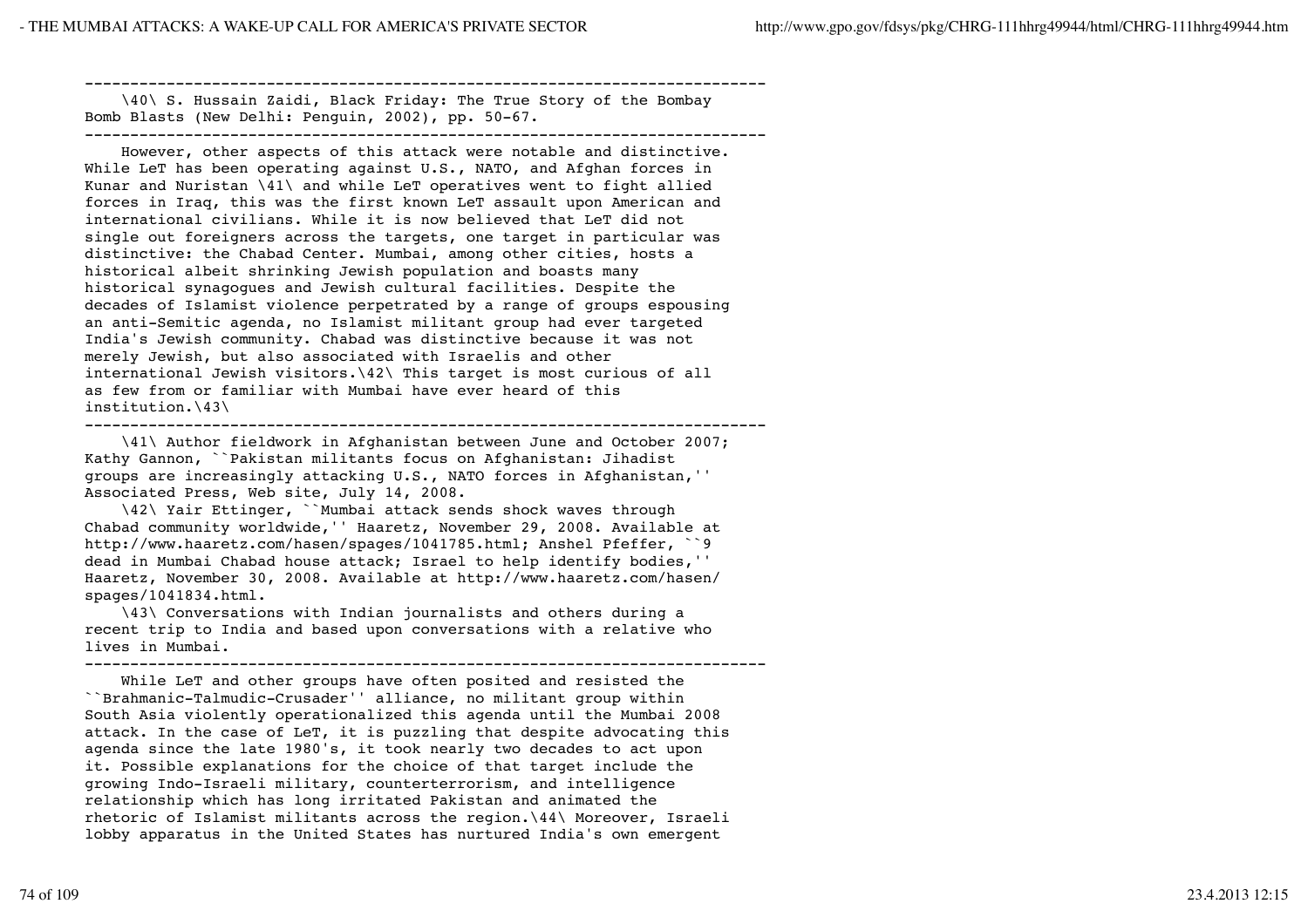--------------------------------------------------------------------------- \40\ S. Hussain Zaidi, Black Friday: The True Story of the Bombay Bomb Blasts (New Delhi: Penguin, 2002), pp. 50-67. ---------------------------------------------------------------------------

 However, other aspects of this attack were notable and distinctive. While LeT has been operating against U.S., NATO, and Afghan forces in Kunar and Nuristan \41\ and while LeT operatives went to fight allied forces in Iraq, this was the first known LeT assault upon American and international civilians. While it is now believed that LeT did not single out foreigners across the targets, one target in particular was distinctive: the Chabad Center. Mumbai, among other cities, hosts a historical albeit shrinking Jewish population and boasts many historical synagogues and Jewish cultural facilities. Despite the decades of Islamist violence perpetrated by a range of groups espousing an anti-Semitic agenda, no Islamist militant group had ever targeted India's Jewish community. Chabad was distinctive because it was not merely Jewish, but also associated with Israelis and other international Jewish visitors.\42\ This target is most curious of all as few from or familiar with Mumbai have ever heard of this  $institution.\43\$ 

```
---------------------------------------------------------------------------
```
 \41\ Author fieldwork in Afghanistan between June and October 2007; Kathy Gannon, ``Pakistan militants focus on Afghanistan: Jihadist groups are increasingly attacking U.S., NATO forces in Afghanistan,'' Associated Press, Web site, July 14, 2008.

 \42\ Yair Ettinger, ``Mumbai attack sends shock waves through Chabad community worldwide,'' Haaretz, November 29, 2008. Available at http://www.haaretz.com/hasen/spages/1041785.html; Anshel Pfeffer, ``9 dead in Mumbai Chabad house attack; Israel to help identify bodies,'' Haaretz, November 30, 2008. Available at http://www.haaretz.com/hasen/ spages/1041834.html.

 \43\ Conversations with Indian journalists and others during a recent trip to India and based upon conversations with a relative who lives in Mumbai.

---------------------------------------------------------------------------

 While LeT and other groups have often posited and resisted the ``Brahmanic-Talmudic-Crusader'' alliance, no militant group within South Asia violently operationalized this agenda until the Mumbai 2008 attack. In the case of LeT, it is puzzling that despite advocating this agenda since the late 1980's, it took nearly two decades to act upon it. Possible explanations for the choice of that target include the growing Indo-Israeli military, counterterrorism, and intelligence relationship which has long irritated Pakistan and animated the rhetoric of Islamist militants across the region.\44\ Moreover, Israeli lobby apparatus in the United States has nurtured India's own emergent

74 of 109 23.4.2013 12:15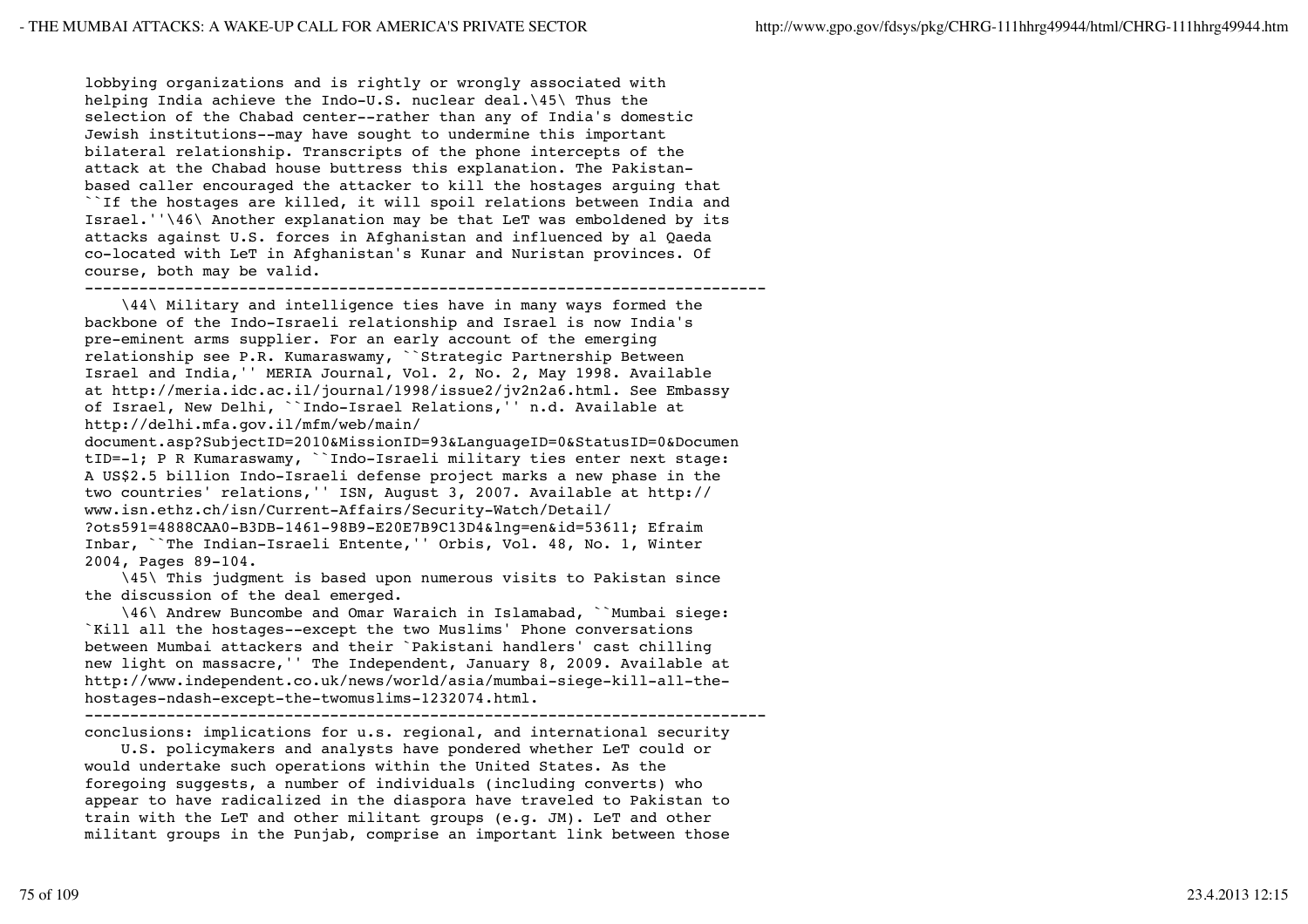lobbying organizations and is rightly or wrongly associated with helping India achieve the Indo-U.S. nuclear deal.\45\ Thus the selection of the Chabad center--rather than any of India's domestic Jewish institutions--may have sought to undermine this important bilateral relationship. Transcripts of the phone intercepts of the attack at the Chabad house buttress this explanation. The Pakistanbased caller encouraged the attacker to kill the hostages arguing that ``If the hostages are killed, it will spoil relations between India and Israel.''\46\ Another explanation may be that LeT was emboldened by its attacks against U.S. forces in Afghanistan and influenced by al Qaeda co-located with LeT in Afghanistan's Kunar and Nuristan provinces. Of course, both may be valid.

---------------------------------------------------------------------------

 \44\ Military and intelligence ties have in many ways formed the backbone of the Indo-Israeli relationship and Israel is now India's pre-eminent arms supplier. For an early account of the emerging relationship see P.R. Kumaraswamy, ``Strategic Partnership Between Israel and India,'' MERIA Journal, Vol. 2, No. 2, May 1998. Available at http://meria.idc.ac.il/journal/1998/issue2/jv2n2a6.html. See Embassy of Israel, New Delhi, ``Indo-Israel Relations,'' n.d. Available at http://delhi.mfa.gov.il/mfm/web/main/

document.asp?SubjectID=2010&MissionID=93&LanguageID=0&StatusID=0&Documen tID=-1; P R Kumaraswamy, ``Indo-Israeli military ties enter next stage: A US\$2.5 billion Indo-Israeli defense project marks a new phase in the two countries' relations,'' ISN, August 3, 2007. Available at http:// www.isn.ethz.ch/isn/Current-Affairs/Security-Watch/Detail/ ?ots591=4888CAA0-B3DB-1461-98B9-E20E7B9C13D4&lng=en&id=53611; Efraim Inbar, ``The Indian-Israeli Entente,'' Orbis, Vol. 48, No. 1, Winter 2004, Pages 89-104.

 \45\ This judgment is based upon numerous visits to Pakistan since the discussion of the deal emerged.

 \46\ Andrew Buncombe and Omar Waraich in Islamabad, ``Mumbai siege: `Kill all the hostages--except the two Muslims' Phone conversations between Mumbai attackers and their `Pakistani handlers' cast chilling new light on massacre,'' The Independent, January 8, 2009. Available at http://www.independent.co.uk/news/world/asia/mumbai-siege-kill-all-thehostages-ndash-except-the-twomuslims-1232074.html.

---------------------------------------------------------------------------

conclusions: implications for u.s. regional, and international security U.S. policymakers and analysts have pondered whether LeT could or

would undertake such operations within the United States. As the foregoing suggests, a number of individuals (including converts) who appear to have radicalized in the diaspora have traveled to Pakistan to train with the LeT and other militant groups (e.g. JM). LeT and other militant groups in the Punjab, comprise an important link between those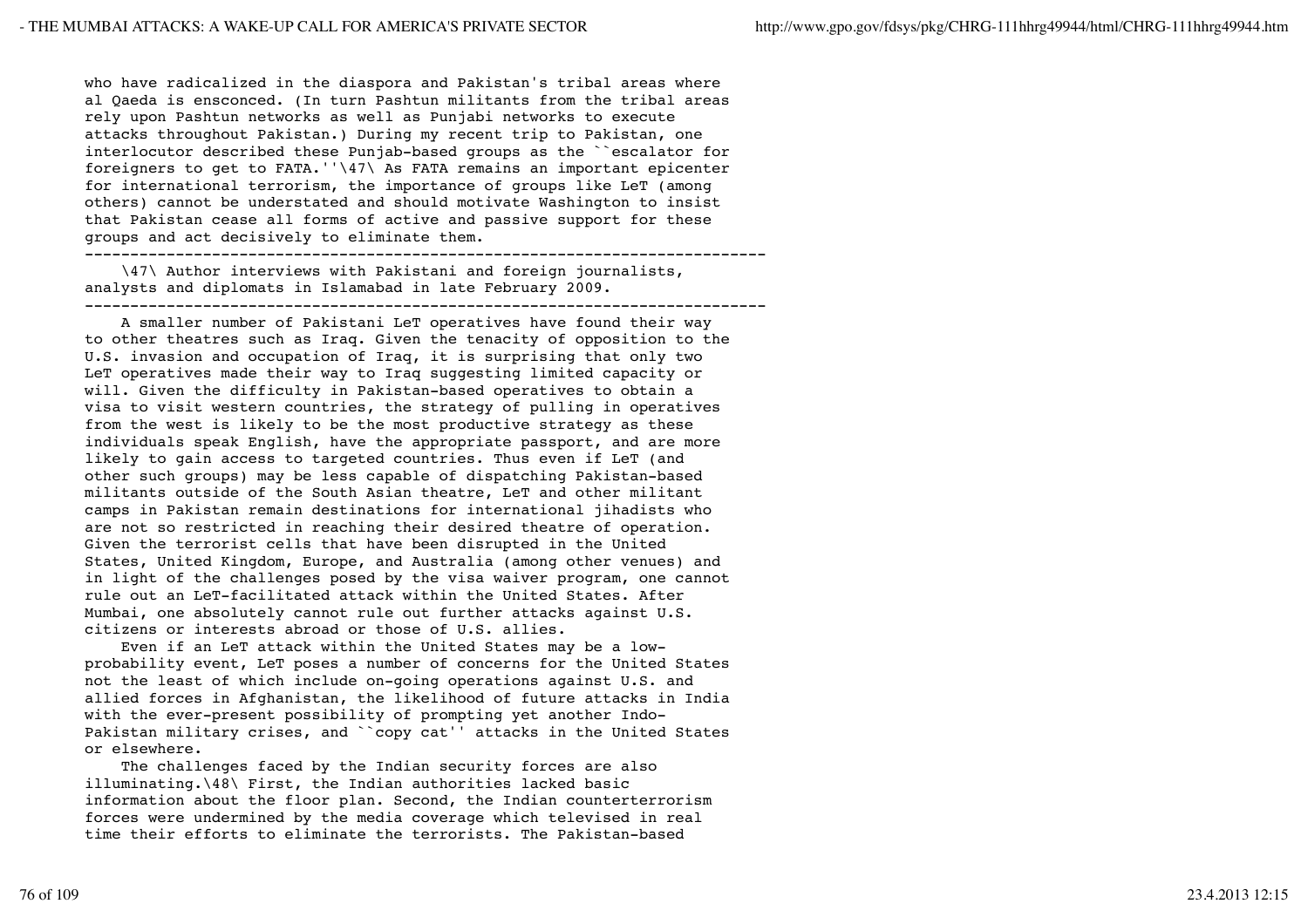who have radicalized in the diaspora and Pakistan's tribal areas where al Qaeda is ensconced. (In turn Pashtun militants from the tribal areas rely upon Pashtun networks as well as Punjabi networks to execute attacks throughout Pakistan.) During my recent trip to Pakistan, one interlocutor described these Punjab-based groups as the ``escalator for foreigners to get to FATA.''\47\ As FATA remains an important epicenter for international terrorism, the importance of groups like LeT (among others) cannot be understated and should motivate Washington to insist that Pakistan cease all forms of active and passive support for these groups and act decisively to eliminate them.

---------------------------------------------------------------------------

 \47\ Author interviews with Pakistani and foreign journalists, analysts and diplomats in Islamabad in late February 2009. ---------------------------------------------------------------------------

 A smaller number of Pakistani LeT operatives have found their way to other theatres such as Iraq. Given the tenacity of opposition to the U.S. invasion and occupation of Iraq, it is surprising that only two LeT operatives made their way to Iraq suggesting limited capacity or will. Given the difficulty in Pakistan-based operatives to obtain a visa to visit western countries, the strategy of pulling in operatives from the west is likely to be the most productive strategy as these individuals speak English, have the appropriate passport, and are more likely to gain access to targeted countries. Thus even if LeT (and other such groups) may be less capable of dispatching Pakistan-based militants outside of the South Asian theatre, LeT and other militant camps in Pakistan remain destinations for international jihadists who are not so restricted in reaching their desired theatre of operation. Given the terrorist cells that have been disrupted in the United States, United Kingdom, Europe, and Australia (among other venues) and in light of the challenges posed by the visa waiver program, one cannot rule out an LeT-facilitated attack within the United States. After Mumbai, one absolutely cannot rule out further attacks against U.S. citizens or interests abroad or those of U.S. allies.

 Even if an LeT attack within the United States may be a lowprobability event, LeT poses a number of concerns for the United States not the least of which include on-going operations against U.S. and allied forces in Afghanistan, the likelihood of future attacks in India with the ever-present possibility of prompting yet another Indo-Pakistan military crises, and ``copy cat'' attacks in the United States or elsewhere.

 The challenges faced by the Indian security forces are also illuminating.\48\ First, the Indian authorities lacked basic information about the floor plan. Second, the Indian counterterrorism forces were undermined by the media coverage which televised in real time their efforts to eliminate the terrorists. The Pakistan-based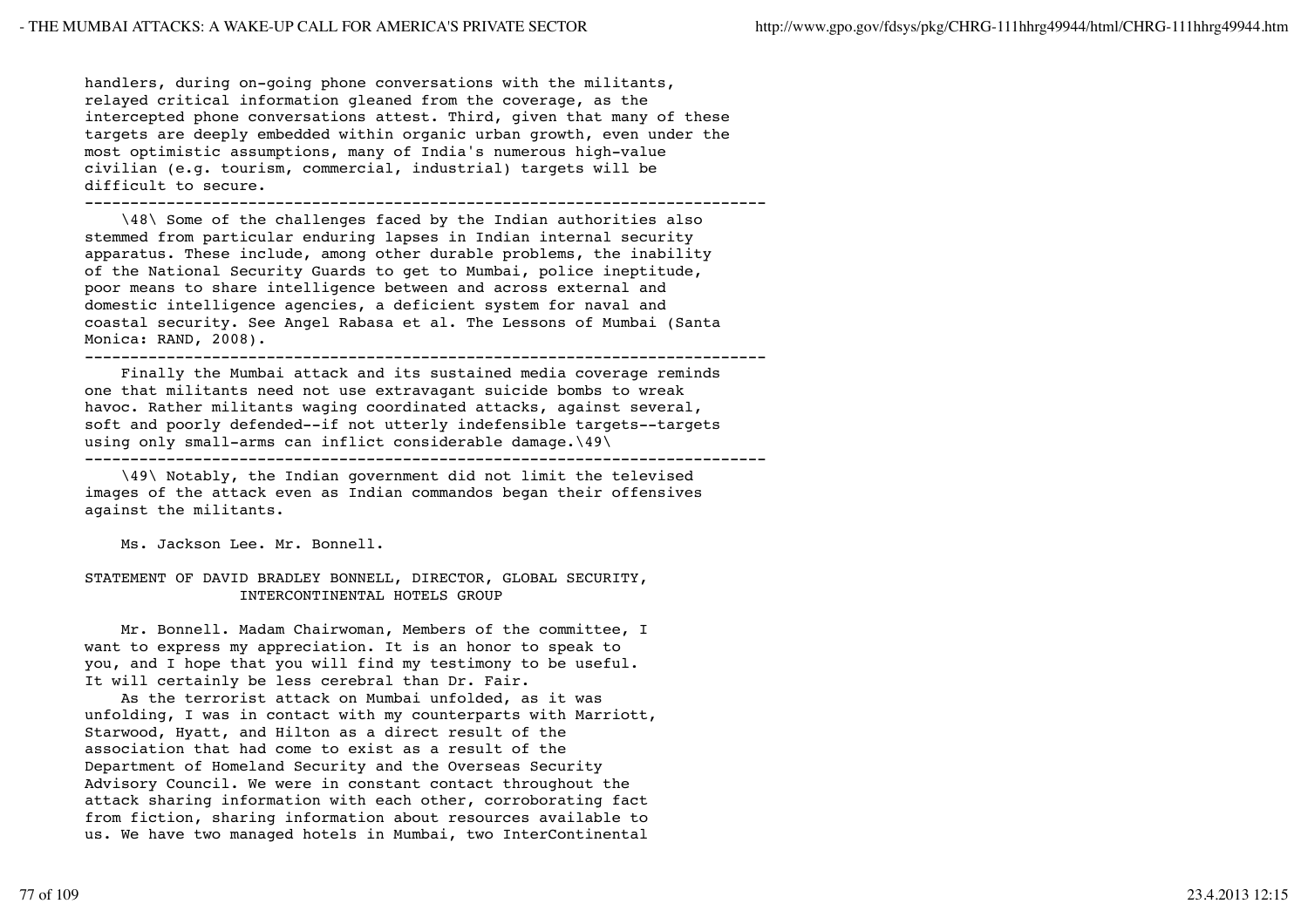handlers, during on-going phone conversations with the militants, relayed critical information gleaned from the coverage, as the intercepted phone conversations attest. Third, given that many of these targets are deeply embedded within organic urban growth, even under the most optimistic assumptions, many of India's numerous high-value civilian (e.g. tourism, commercial, industrial) targets will be difficult to secure.

---------------------------------------------------------------------------

 \48\ Some of the challenges faced by the Indian authorities also stemmed from particular enduring lapses in Indian internal security apparatus. These include, among other durable problems, the inability of the National Security Guards to get to Mumbai, police ineptitude, poor means to share intelligence between and across external and domestic intelligence agencies, a deficient system for naval and coastal security. See Angel Rabasa et al. The Lessons of Mumbai (Santa Monica: RAND, 2008).

---------------------------------------------------------------------------

 Finally the Mumbai attack and its sustained media coverage reminds one that militants need not use extravagant suicide bombs to wreak havoc. Rather militants waging coordinated attacks, against several, soft and poorly defended--if not utterly indefensible targets--targets using only small-arms can inflict considerable damage.\49\ ---------------------------------------------------------------------------

 \49\ Notably, the Indian government did not limit the televised images of the attack even as Indian commandos began their offensives against the militants.

Ms. Jackson Lee. Mr. Bonnell.

## STATEMENT OF DAVID BRADLEY BONNELL, DIRECTOR, GLOBAL SECURITY, INTERCONTINENTAL HOTELS GROUP

 Mr. Bonnell. Madam Chairwoman, Members of the committee, I want to express my appreciation. It is an honor to speak to you, and I hope that you will find my testimony to be useful. It will certainly be less cerebral than Dr. Fair.

 As the terrorist attack on Mumbai unfolded, as it was unfolding, I was in contact with my counterparts with Marriott, Starwood, Hyatt, and Hilton as a direct result of the association that had come to exist as a result of the Department of Homeland Security and the Overseas Security Advisory Council. We were in constant contact throughout the attack sharing information with each other, corroborating fact from fiction, sharing information about resources available to us. We have two managed hotels in Mumbai, two InterContinental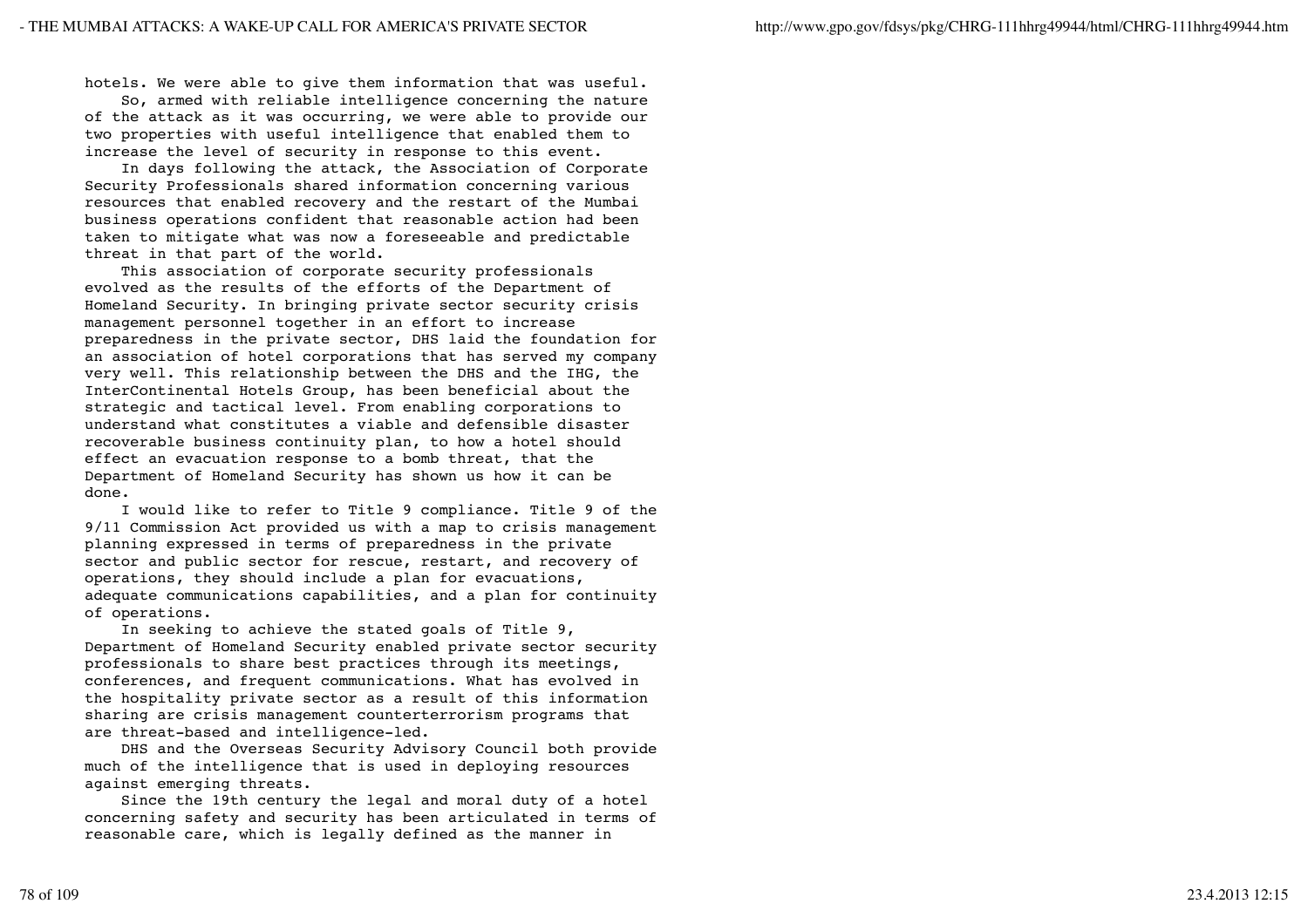hotels. We were able to give them information that was useful.

 So, armed with reliable intelligence concerning the nature of the attack as it was occurring, we were able to provide our two properties with useful intelligence that enabled them to increase the level of security in response to this event.

 In days following the attack, the Association of Corporate Security Professionals shared information concerning various resources that enabled recovery and the restart of the Mumbai business operations confident that reasonable action had been taken to mitigate what was now a foreseeable and predictable threat in that part of the world.

 This association of corporate security professionals evolved as the results of the efforts of the Department of Homeland Security. In bringing private sector security crisis management personnel together in an effort to increase preparedness in the private sector, DHS laid the foundation for an association of hotel corporations that has served my company very well. This relationship between the DHS and the IHG, the InterContinental Hotels Group, has been beneficial about the strategic and tactical level. From enabling corporations to understand what constitutes a viable and defensible disaster recoverable business continuity plan, to how a hotel should effect an evacuation response to a bomb threat, that the Department of Homeland Security has shown us how it can be done.

 I would like to refer to Title 9 compliance. Title 9 of the 9/11 Commission Act provided us with a map to crisis management planning expressed in terms of preparedness in the private sector and public sector for rescue, restart, and recovery of operations, they should include a plan for evacuations, adequate communications capabilities, and a plan for continuity of operations.

 In seeking to achieve the stated goals of Title 9, Department of Homeland Security enabled private sector security professionals to share best practices through its meetings, conferences, and frequent communications. What has evolved in the hospitality private sector as a result of this information sharing are crisis management counterterrorism programs that are threat-based and intelligence-led.

 DHS and the Overseas Security Advisory Council both provide much of the intelligence that is used in deploying resources against emerging threats.

 Since the 19th century the legal and moral duty of a hotel concerning safety and security has been articulated in terms of reasonable care, which is legally defined as the manner in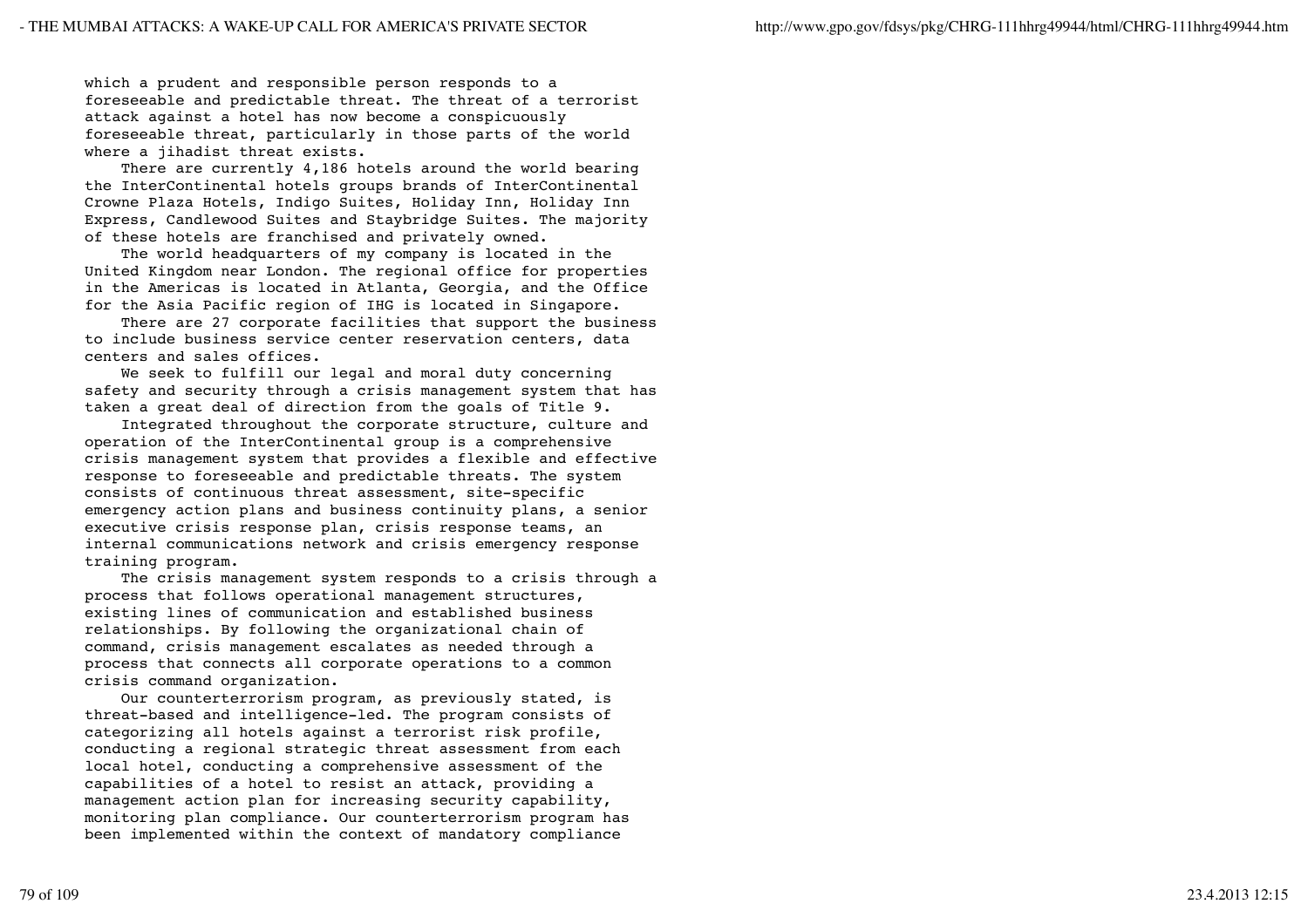which a prudent and responsible person responds to a foreseeable and predictable threat. The threat of a terrorist attack against a hotel has now become a conspicuously foreseeable threat, particularly in those parts of the world where a jihadist threat exists.

 There are currently 4,186 hotels around the world bearing the InterContinental hotels groups brands of InterContinental Crowne Plaza Hotels, Indigo Suites, Holiday Inn, Holiday Inn Express, Candlewood Suites and Staybridge Suites. The majority of these hotels are franchised and privately owned.

 The world headquarters of my company is located in the United Kingdom near London. The regional office for properties in the Americas is located in Atlanta, Georgia, and the Office for the Asia Pacific region of IHG is located in Singapore.

 There are 27 corporate facilities that support the business to include business service center reservation centers, data centers and sales offices.

 We seek to fulfill our legal and moral duty concerning safety and security through a crisis management system that has taken a great deal of direction from the goals of Title 9.

 Integrated throughout the corporate structure, culture and operation of the InterContinental group is a comprehensive crisis management system that provides a flexible and effective response to foreseeable and predictable threats. The system consists of continuous threat assessment, site-specific emergency action plans and business continuity plans, a senior executive crisis response plan, crisis response teams, an internal communications network and crisis emergency response training program.

 The crisis management system responds to a crisis through a process that follows operational management structures, existing lines of communication and established business relationships. By following the organizational chain of command, crisis management escalates as needed through a process that connects all corporate operations to a common crisis command organization.

 Our counterterrorism program, as previously stated, is threat-based and intelligence-led. The program consists of categorizing all hotels against a terrorist risk profile, conducting a regional strategic threat assessment from each local hotel, conducting a comprehensive assessment of the capabilities of a hotel to resist an attack, providing a management action plan for increasing security capability, monitoring plan compliance. Our counterterrorism program has been implemented within the context of mandatory compliance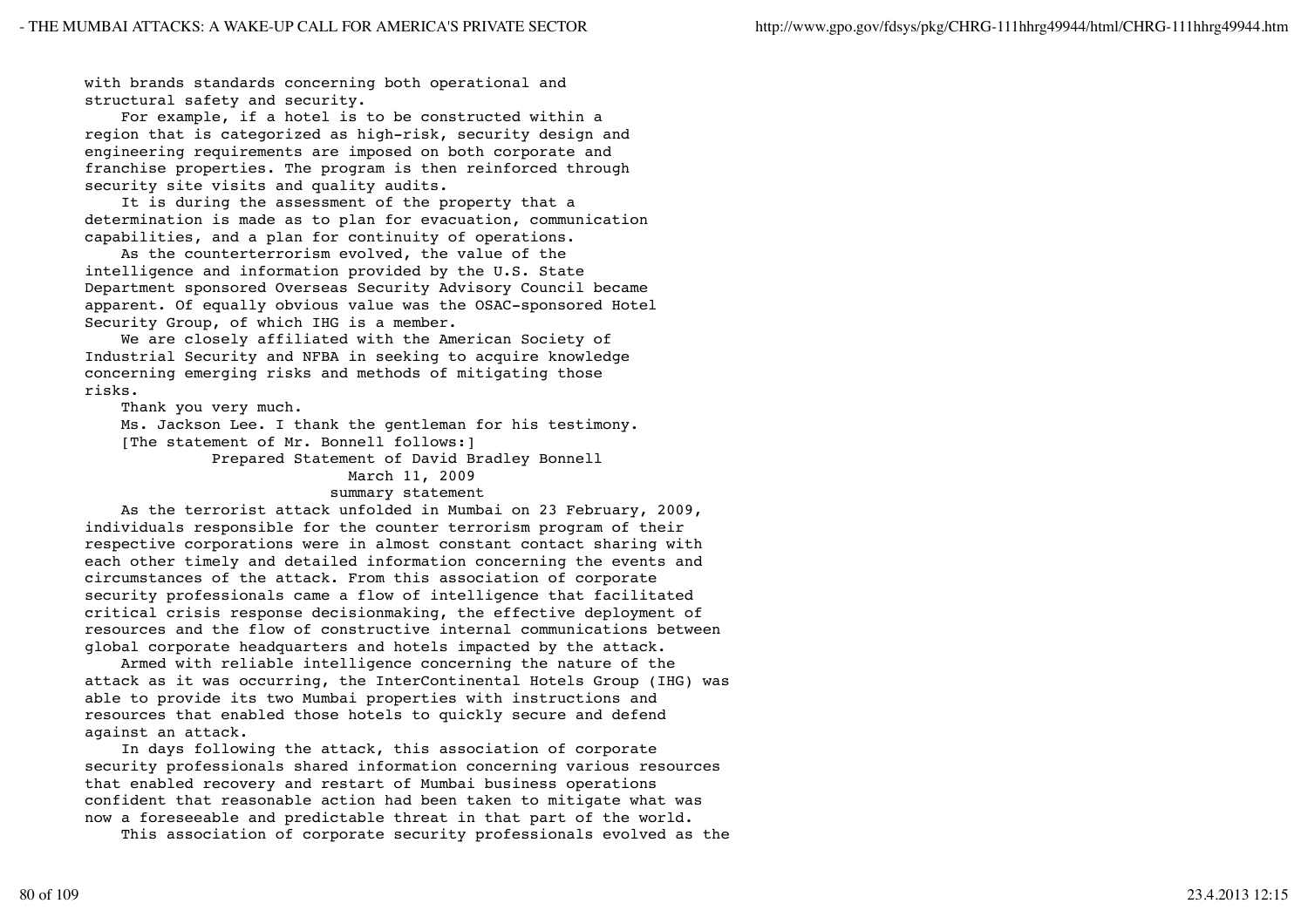with brands standards concerning both operational and structural safety and security.

 For example, if a hotel is to be constructed within a region that is categorized as high-risk, security design and engineering requirements are imposed on both corporate and franchise properties. The program is then reinforced through security site visits and quality audits.

 It is during the assessment of the property that a determination is made as to plan for evacuation, communication capabilities, and a plan for continuity of operations.

 As the counterterrorism evolved, the value of the intelligence and information provided by the U.S. State Department sponsored Overseas Security Advisory Council became apparent. Of equally obvious value was the OSAC-sponsored Hotel Security Group, of which IHG is a member.

 We are closely affiliated with the American Society of Industrial Security and NFBA in seeking to acquire knowledge concerning emerging risks and methods of mitigating those risks.

Thank you very much.

 Ms. Jackson Lee. I thank the gentleman for his testimony. [The statement of Mr. Bonnell follows:]

Prepared Statement of David Bradley Bonnell

### March 11, 2009

### summary statement

 As the terrorist attack unfolded in Mumbai on 23 February, 2009, individuals responsible for the counter terrorism program of their respective corporations were in almost constant contact sharing with each other timely and detailed information concerning the events and circumstances of the attack. From this association of corporate security professionals came a flow of intelligence that facilitated critical crisis response decisionmaking, the effective deployment of resources and the flow of constructive internal communications between global corporate headquarters and hotels impacted by the attack.

 Armed with reliable intelligence concerning the nature of the attack as it was occurring, the InterContinental Hotels Group (IHG) was able to provide its two Mumbai properties with instructions and resources that enabled those hotels to quickly secure and defend against an attack.

 In days following the attack, this association of corporate security professionals shared information concerning various resources that enabled recovery and restart of Mumbai business operations confident that reasonable action had been taken to mitigate what was now a foreseeable and predictable threat in that part of the world.

This association of corporate security professionals evolved as the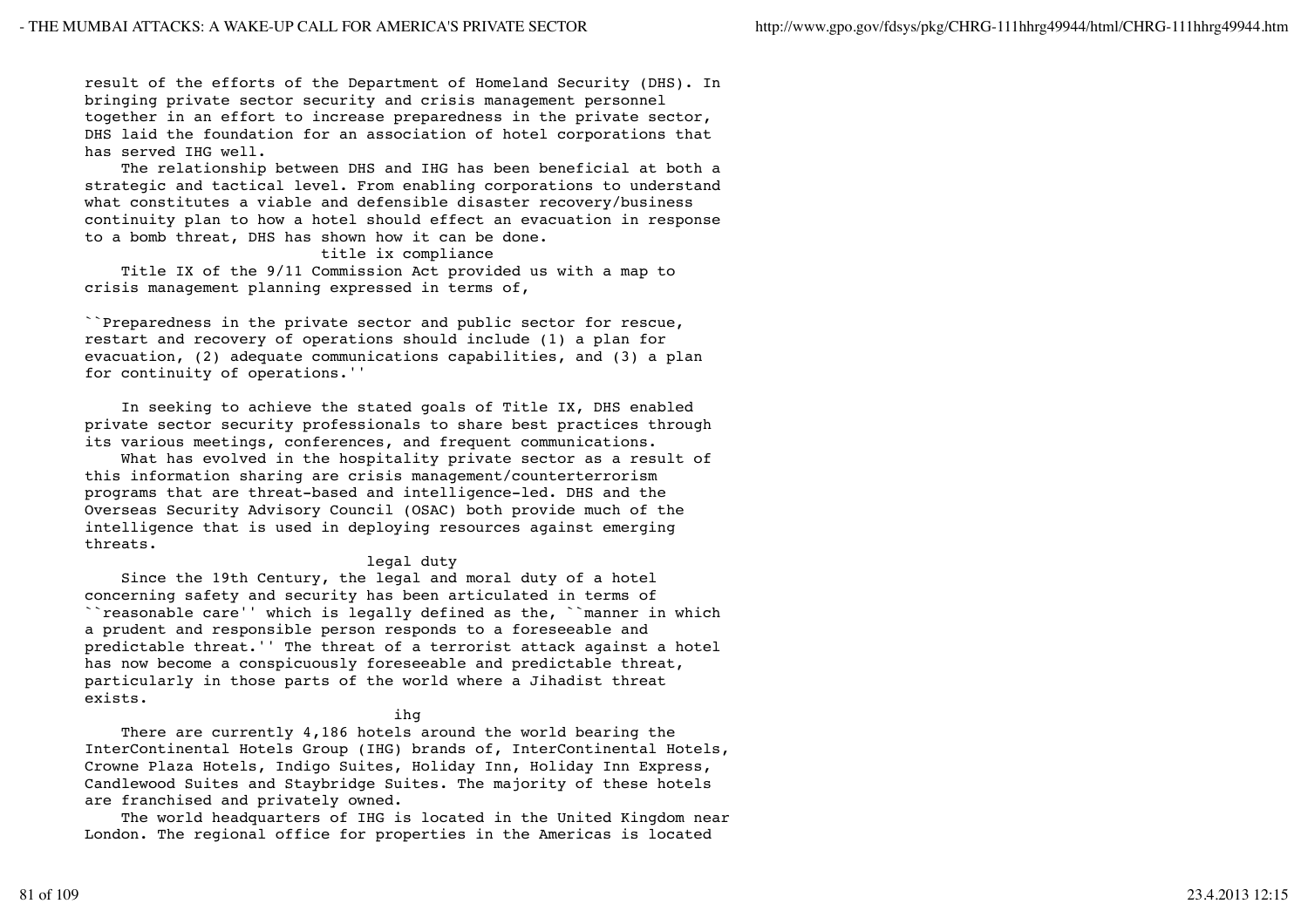result of the efforts of the Department of Homeland Security (DHS). In bringing private sector security and crisis management personnel together in an effort to increase preparedness in the private sector, DHS laid the foundation for an association of hotel corporations that has served IHG well.

 The relationship between DHS and IHG has been beneficial at both a strategic and tactical level. From enabling corporations to understand what constitutes a viable and defensible disaster recovery/business continuity plan to how a hotel should effect an evacuation in response to a bomb threat, DHS has shown how it can be done.

### title ix compliance

 Title IX of the 9/11 Commission Act provided us with a map to crisis management planning expressed in terms of,

``Preparedness in the private sector and public sector for rescue, restart and recovery of operations should include (1) a plan for evacuation, (2) adequate communications capabilities, and (3) a plan for continuity of operations.''

 In seeking to achieve the stated goals of Title IX, DHS enabled private sector security professionals to share best practices through its various meetings, conferences, and frequent communications.

 What has evolved in the hospitality private sector as a result of this information sharing are crisis management/counterterrorism programs that are threat-based and intelligence-led. DHS and the Overseas Security Advisory Council (OSAC) both provide much of the intelligence that is used in deploying resources against emerging threats.

## legal duty

 Since the 19th Century, the legal and moral duty of a hotel concerning safety and security has been articulated in terms of ``reasonable care'' which is legally defined as the, ``manner in which a prudent and responsible person responds to a foreseeable and predictable threat.'' The threat of a terrorist attack against a hotel has now become a conspicuously foreseeable and predictable threat, particularly in those parts of the world where a Jihadist threat exists.

## ihg in the state of the state of the state of the state of the state of the state of the state of the state of

 There are currently 4,186 hotels around the world bearing the InterContinental Hotels Group (IHG) brands of, InterContinental Hotels, Crowne Plaza Hotels, Indigo Suites, Holiday Inn, Holiday Inn Express, Candlewood Suites and Staybridge Suites. The majority of these hotels are franchised and privately owned.

 The world headquarters of IHG is located in the United Kingdom near London. The regional office for properties in the Americas is located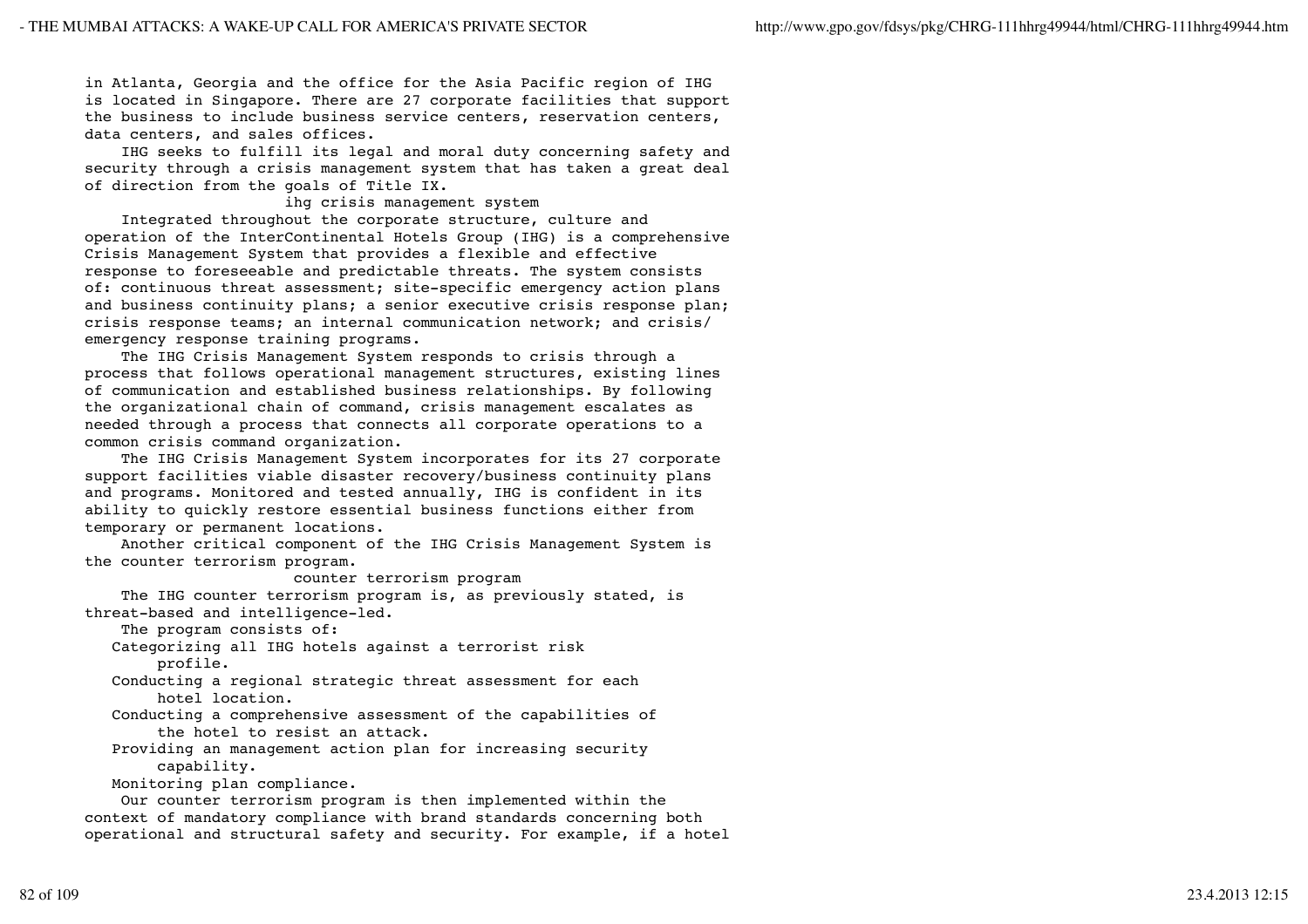in Atlanta, Georgia and the office for the Asia Pacific region of IHG is located in Singapore. There are 27 corporate facilities that support the business to include business service centers, reservation centers, data centers, and sales offices.

 IHG seeks to fulfill its legal and moral duty concerning safety and security through a crisis management system that has taken a great deal of direction from the goals of Title IX.

## ihg crisis management system

 Integrated throughout the corporate structure, culture and operation of the InterContinental Hotels Group (IHG) is a comprehensive Crisis Management System that provides a flexible and effective response to foreseeable and predictable threats. The system consists of: continuous threat assessment; site-specific emergency action plans and business continuity plans; a senior executive crisis response plan; crisis response teams; an internal communication network; and crisis/ emergency response training programs.

 The IHG Crisis Management System responds to crisis through a process that follows operational management structures, existing lines of communication and established business relationships. By following the organizational chain of command, crisis management escalates as needed through a process that connects all corporate operations to a common crisis command organization.

 The IHG Crisis Management System incorporates for its 27 corporate support facilities viable disaster recovery/business continuity plans and programs. Monitored and tested annually, IHG is confident in its ability to quickly restore essential business functions either from temporary or permanent locations.

 Another critical component of the IHG Crisis Management System is the counter terrorism program.

## counter terrorism program

 The IHG counter terrorism program is, as previously stated, is threat-based and intelligence-led.

The program consists of:

 Categorizing all IHG hotels against a terrorist risk profile.

 Conducting a regional strategic threat assessment for each hotel location.

- Conducting a comprehensive assessment of the capabilities of the hotel to resist an attack.
- Providing an management action plan for increasing security capability.

Monitoring plan compliance.

 Our counter terrorism program is then implemented within the context of mandatory compliance with brand standards concerning both operational and structural safety and security. For example, if a hotel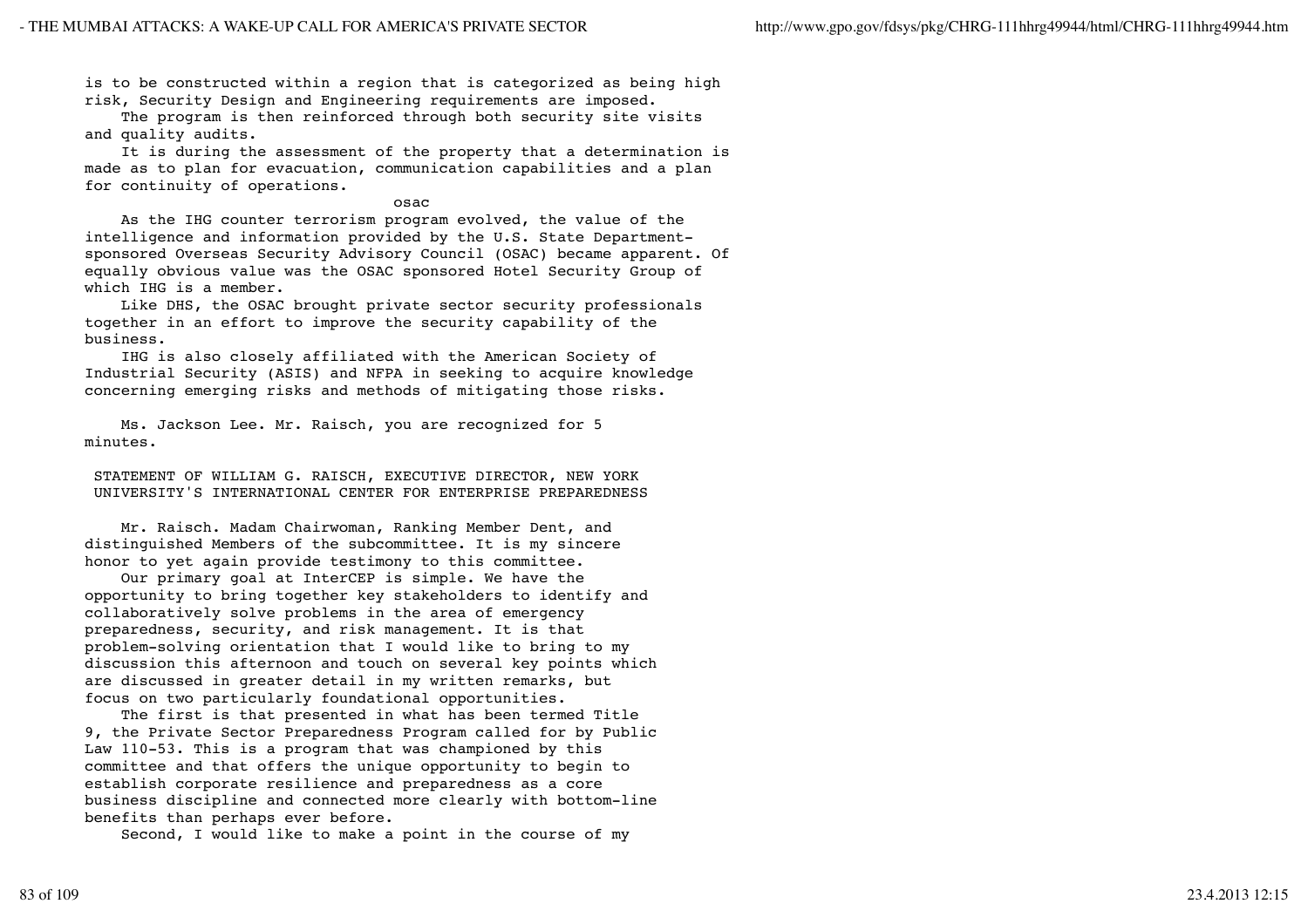is to be constructed within a region that is categorized as being high risk, Security Design and Engineering requirements are imposed.

 The program is then reinforced through both security site visits and quality audits.

 It is during the assessment of the property that a determination is made as to plan for evacuation, communication capabilities and a plan for continuity of operations.

### osach ann an t-ann an t-ann an t-ann an t-ann an t-ann an t-ann an t-ann an t-ann an t-ann an t-ann an t-ann a

 As the IHG counter terrorism program evolved, the value of the intelligence and information provided by the U.S. State Departmentsponsored Overseas Security Advisory Council (OSAC) became apparent. Of equally obvious value was the OSAC sponsored Hotel Security Group of which IHG is a member.

 Like DHS, the OSAC brought private sector security professionals together in an effort to improve the security capability of the business.

 IHG is also closely affiliated with the American Society of Industrial Security (ASIS) and NFPA in seeking to acquire knowledge concerning emerging risks and methods of mitigating those risks.

 Ms. Jackson Lee. Mr. Raisch, you are recognized for 5 minutes.

 STATEMENT OF WILLIAM G. RAISCH, EXECUTIVE DIRECTOR, NEW YORK UNIVERSITY'S INTERNATIONAL CENTER FOR ENTERPRISE PREPAREDNESS

 Mr. Raisch. Madam Chairwoman, Ranking Member Dent, and distinguished Members of the subcommittee. It is my sincere honor to yet again provide testimony to this committee.

 Our primary goal at InterCEP is simple. We have the opportunity to bring together key stakeholders to identify and collaboratively solve problems in the area of emergency preparedness, security, and risk management. It is that problem-solving orientation that I would like to bring to my discussion this afternoon and touch on several key points which are discussed in greater detail in my written remarks, but focus on two particularly foundational opportunities.

 The first is that presented in what has been termed Title 9, the Private Sector Preparedness Program called for by Public Law 110-53. This is a program that was championed by this committee and that offers the unique opportunity to begin to establish corporate resilience and preparedness as a core business discipline and connected more clearly with bottom-line benefits than perhaps ever before.

Second, I would like to make a point in the course of my

83 of 109 23.4.2013 12:15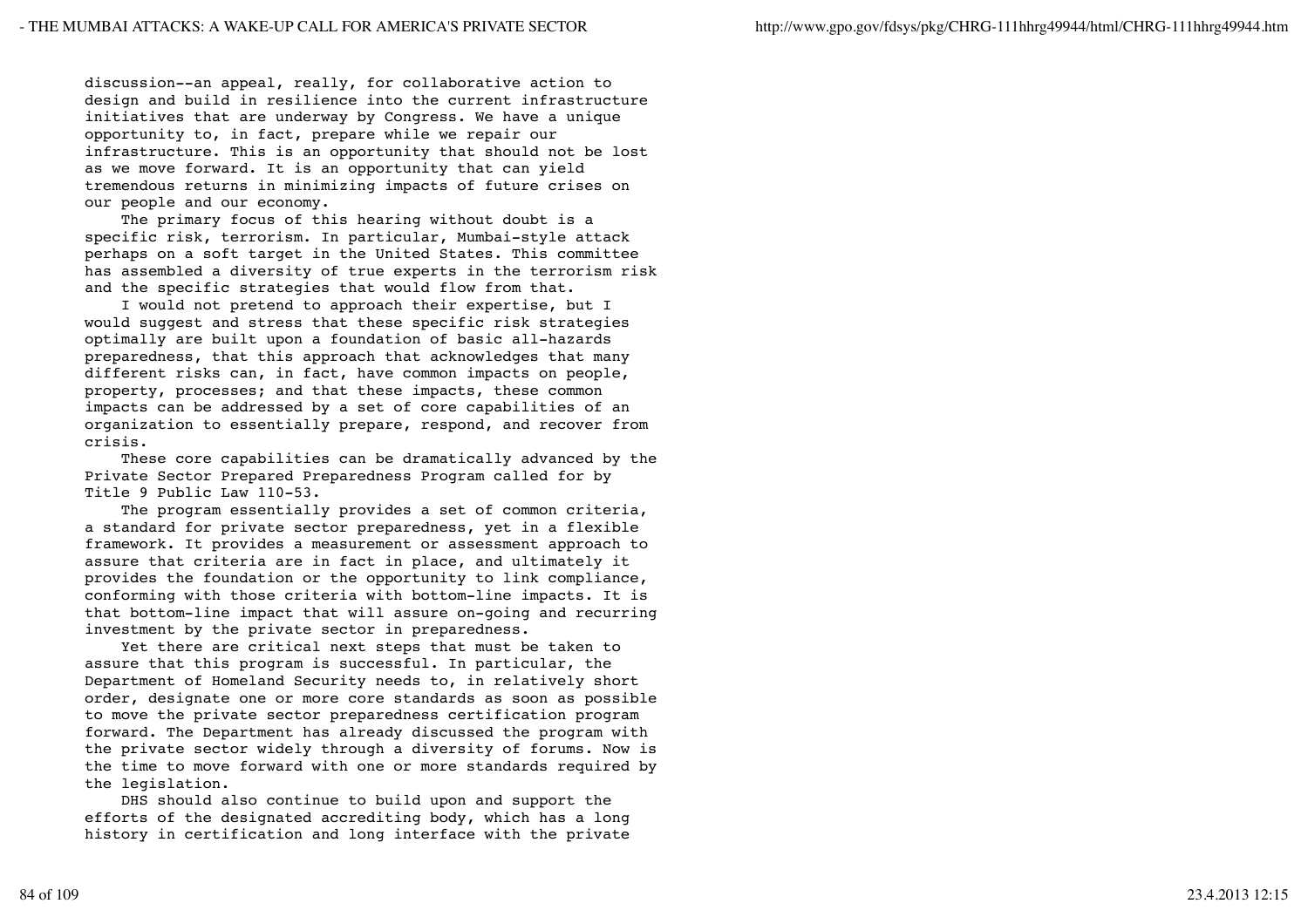discussion--an appeal, really, for collaborative action to design and build in resilience into the current infrastructure initiatives that are underway by Congress. We have a unique opportunity to, in fact, prepare while we repair our infrastructure. This is an opportunity that should not be lost as we move forward. It is an opportunity that can yield tremendous returns in minimizing impacts of future crises on our people and our economy.

 The primary focus of this hearing without doubt is a specific risk, terrorism. In particular, Mumbai-style attack perhaps on a soft target in the United States. This committee has assembled a diversity of true experts in the terrorism risk and the specific strategies that would flow from that.

 I would not pretend to approach their expertise, but I would suggest and stress that these specific risk strategies optimally are built upon a foundation of basic all-hazards preparedness, that this approach that acknowledges that many different risks can, in fact, have common impacts on people, property, processes; and that these impacts, these common impacts can be addressed by a set of core capabilities of an organization to essentially prepare, respond, and recover from crisis.

 These core capabilities can be dramatically advanced by the Private Sector Prepared Preparedness Program called for by Title 9 Public Law 110-53.

 The program essentially provides a set of common criteria, a standard for private sector preparedness, yet in a flexible framework. It provides a measurement or assessment approach to assure that criteria are in fact in place, and ultimately it provides the foundation or the opportunity to link compliance, conforming with those criteria with bottom-line impacts. It is that bottom-line impact that will assure on-going and recurring investment by the private sector in preparedness.

 Yet there are critical next steps that must be taken to assure that this program is successful. In particular, the Department of Homeland Security needs to, in relatively short order, designate one or more core standards as soon as possible to move the private sector preparedness certification program forward. The Department has already discussed the program with the private sector widely through a diversity of forums. Now is the time to move forward with one or more standards required by the legislation.

 DHS should also continue to build upon and support the efforts of the designated accrediting body, which has a long history in certification and long interface with the private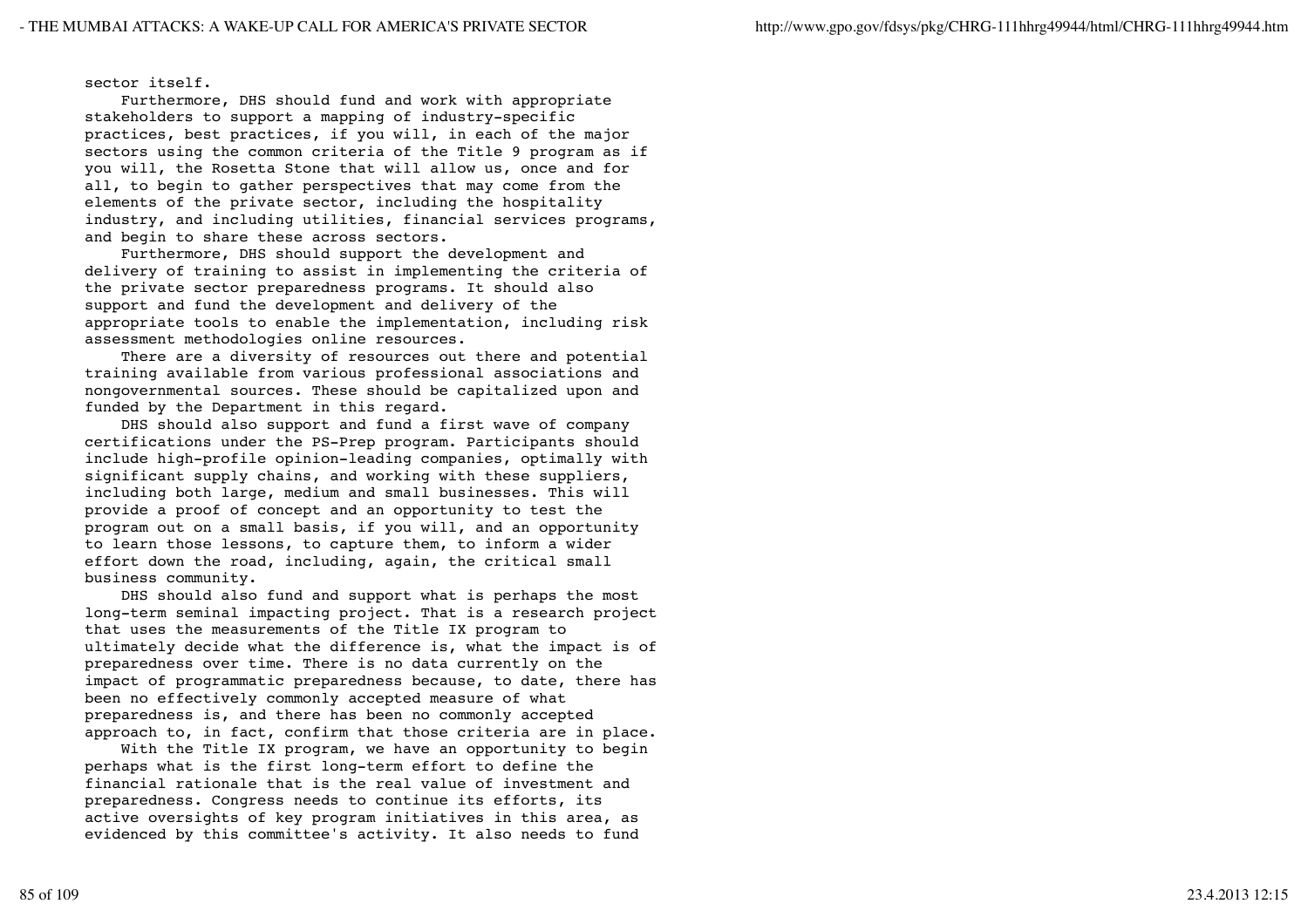sector itself.

 Furthermore, DHS should fund and work with appropriate stakeholders to support a mapping of industry-specific practices, best practices, if you will, in each of the major sectors using the common criteria of the Title 9 program as if you will, the Rosetta Stone that will allow us, once and for all, to begin to gather perspectives that may come from the elements of the private sector, including the hospitality industry, and including utilities, financial services programs, and begin to share these across sectors.

 Furthermore, DHS should support the development and delivery of training to assist in implementing the criteria of the private sector preparedness programs. It should also support and fund the development and delivery of the appropriate tools to enable the implementation, including risk assessment methodologies online resources.

 There are a diversity of resources out there and potential training available from various professional associations and nongovernmental sources. These should be capitalized upon and funded by the Department in this regard.

 DHS should also support and fund a first wave of company certifications under the PS-Prep program. Participants should include high-profile opinion-leading companies, optimally with significant supply chains, and working with these suppliers, including both large, medium and small businesses. This will provide a proof of concept and an opportunity to test the program out on a small basis, if you will, and an opportunity to learn those lessons, to capture them, to inform a wider effort down the road, including, again, the critical small business community.

 DHS should also fund and support what is perhaps the most long-term seminal impacting project. That is a research project that uses the measurements of the Title IX program to ultimately decide what the difference is, what the impact is of preparedness over time. There is no data currently on the impact of programmatic preparedness because, to date, there has been no effectively commonly accepted measure of what preparedness is, and there has been no commonly accepted approach to, in fact, confirm that those criteria are in place.

With the Title IX program, we have an opportunity to begin perhaps what is the first long-term effort to define the financial rationale that is the real value of investment and preparedness. Congress needs to continue its efforts, its active oversights of key program initiatives in this area, as evidenced by this committee's activity. It also needs to fund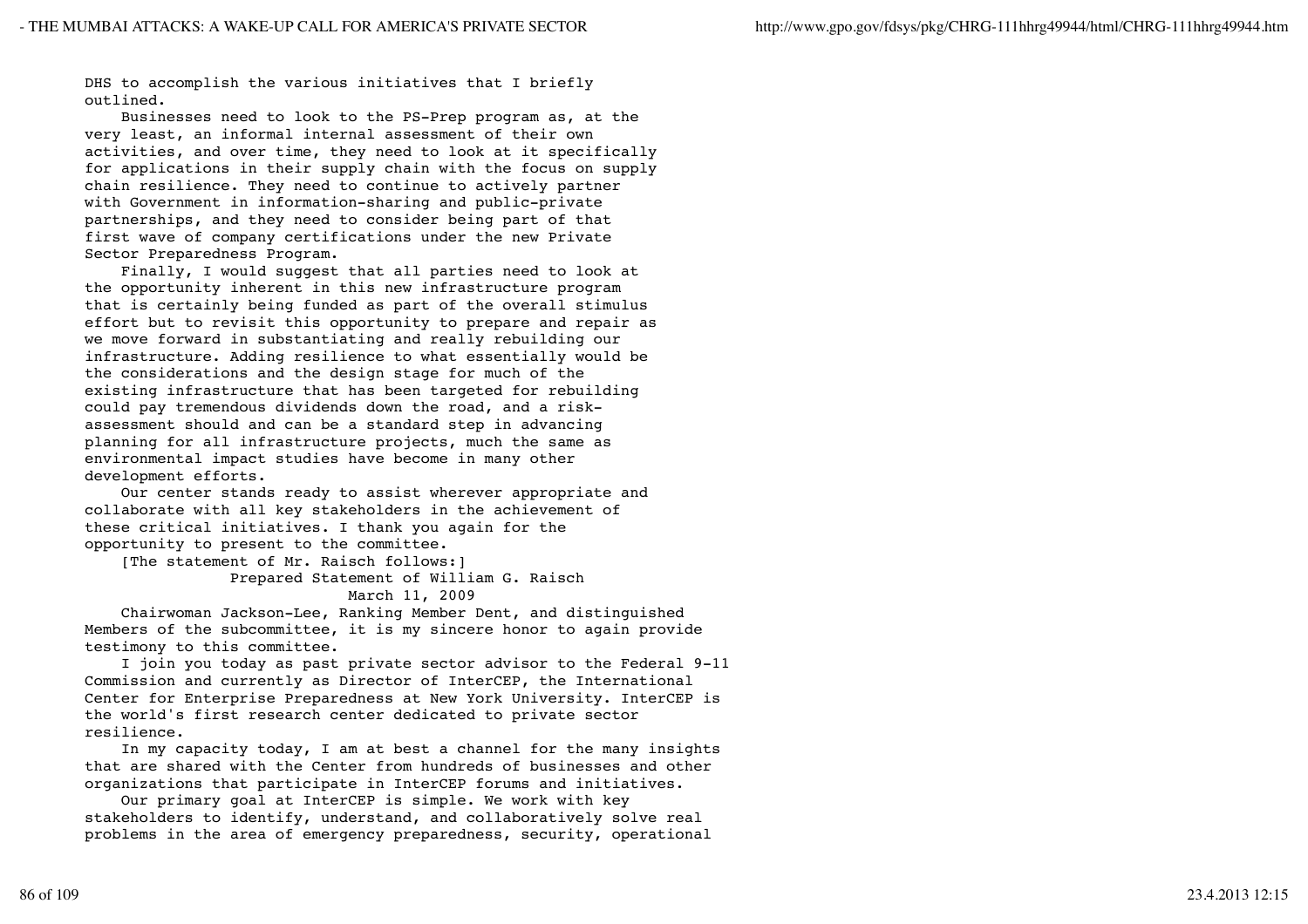DHS to accomplish the various initiatives that I briefly outlined.

 Businesses need to look to the PS-Prep program as, at the very least, an informal internal assessment of their own activities, and over time, they need to look at it specifically for applications in their supply chain with the focus on supply chain resilience. They need to continue to actively partner with Government in information-sharing and public-private partnerships, and they need to consider being part of that first wave of company certifications under the new Private Sector Preparedness Program.

 Finally, I would suggest that all parties need to look at the opportunity inherent in this new infrastructure program that is certainly being funded as part of the overall stimulus effort but to revisit this opportunity to prepare and repair as we move forward in substantiating and really rebuilding our infrastructure. Adding resilience to what essentially would be the considerations and the design stage for much of the existing infrastructure that has been targeted for rebuilding could pay tremendous dividends down the road, and a riskassessment should and can be a standard step in advancing planning for all infrastructure projects, much the same as environmental impact studies have become in many other development efforts.

 Our center stands ready to assist wherever appropriate and collaborate with all key stakeholders in the achievement of these critical initiatives. I thank you again for the opportunity to present to the committee.

 [The statement of Mr. Raisch follows:] Prepared Statement of William G. Raisch

March 11, 2009

 Chairwoman Jackson-Lee, Ranking Member Dent, and distinguished Members of the subcommittee, it is my sincere honor to again provide testimony to this committee.

 I join you today as past private sector advisor to the Federal 9-11 Commission and currently as Director of InterCEP, the International Center for Enterprise Preparedness at New York University. InterCEP is the world's first research center dedicated to private sector resilience.

 In my capacity today, I am at best a channel for the many insights that are shared with the Center from hundreds of businesses and other organizations that participate in InterCEP forums and initiatives.

 Our primary goal at InterCEP is simple. We work with key stakeholders to identify, understand, and collaboratively solve real problems in the area of emergency preparedness, security, operational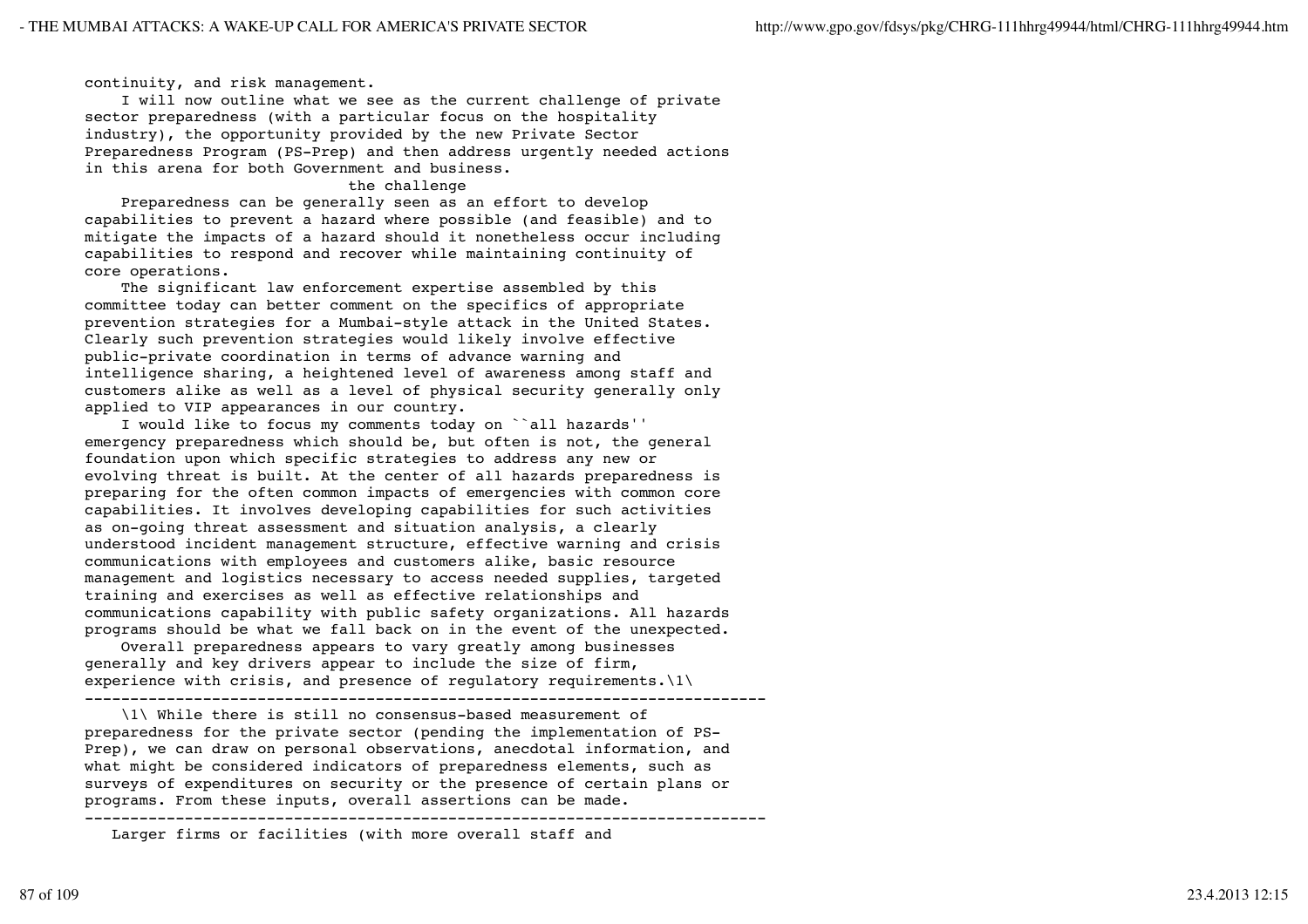continuity, and risk management.

 I will now outline what we see as the current challenge of private sector preparedness (with a particular focus on the hospitality industry), the opportunity provided by the new Private Sector Preparedness Program (PS-Prep) and then address urgently needed actions in this arena for both Government and business.

## the challenge

 Preparedness can be generally seen as an effort to develop capabilities to prevent a hazard where possible (and feasible) and to mitigate the impacts of a hazard should it nonetheless occur including capabilities to respond and recover while maintaining continuity of core operations.

 The significant law enforcement expertise assembled by this committee today can better comment on the specifics of appropriate prevention strategies for a Mumbai-style attack in the United States. Clearly such prevention strategies would likely involve effective public-private coordination in terms of advance warning and intelligence sharing, a heightened level of awareness among staff and customers alike as well as a level of physical security generally only applied to VIP appearances in our country.

 I would like to focus my comments today on ``all hazards'' emergency preparedness which should be, but often is not, the general foundation upon which specific strategies to address any new or evolving threat is built. At the center of all hazards preparedness is preparing for the often common impacts of emergencies with common core capabilities. It involves developing capabilities for such activities as on-going threat assessment and situation analysis, a clearly understood incident management structure, effective warning and crisis communications with employees and customers alike, basic resource management and logistics necessary to access needed supplies, targeted training and exercises as well as effective relationships and communications capability with public safety organizations. All hazards programs should be what we fall back on in the event of the unexpected.

 Overall preparedness appears to vary greatly among businesses generally and key drivers appear to include the size of firm, experience with crisis, and presence of requlatory requirements. $\lbrack 1\rbrack$ 

---------------------------------------------------------------------------

 \1\ While there is still no consensus-based measurement of preparedness for the private sector (pending the implementation of PS-Prep), we can draw on personal observations, anecdotal information, and what might be considered indicators of preparedness elements, such as surveys of expenditures on security or the presence of certain plans or programs. From these inputs, overall assertions can be made.

--------------------------------------------------------------------------- Larger firms or facilities (with more overall staff and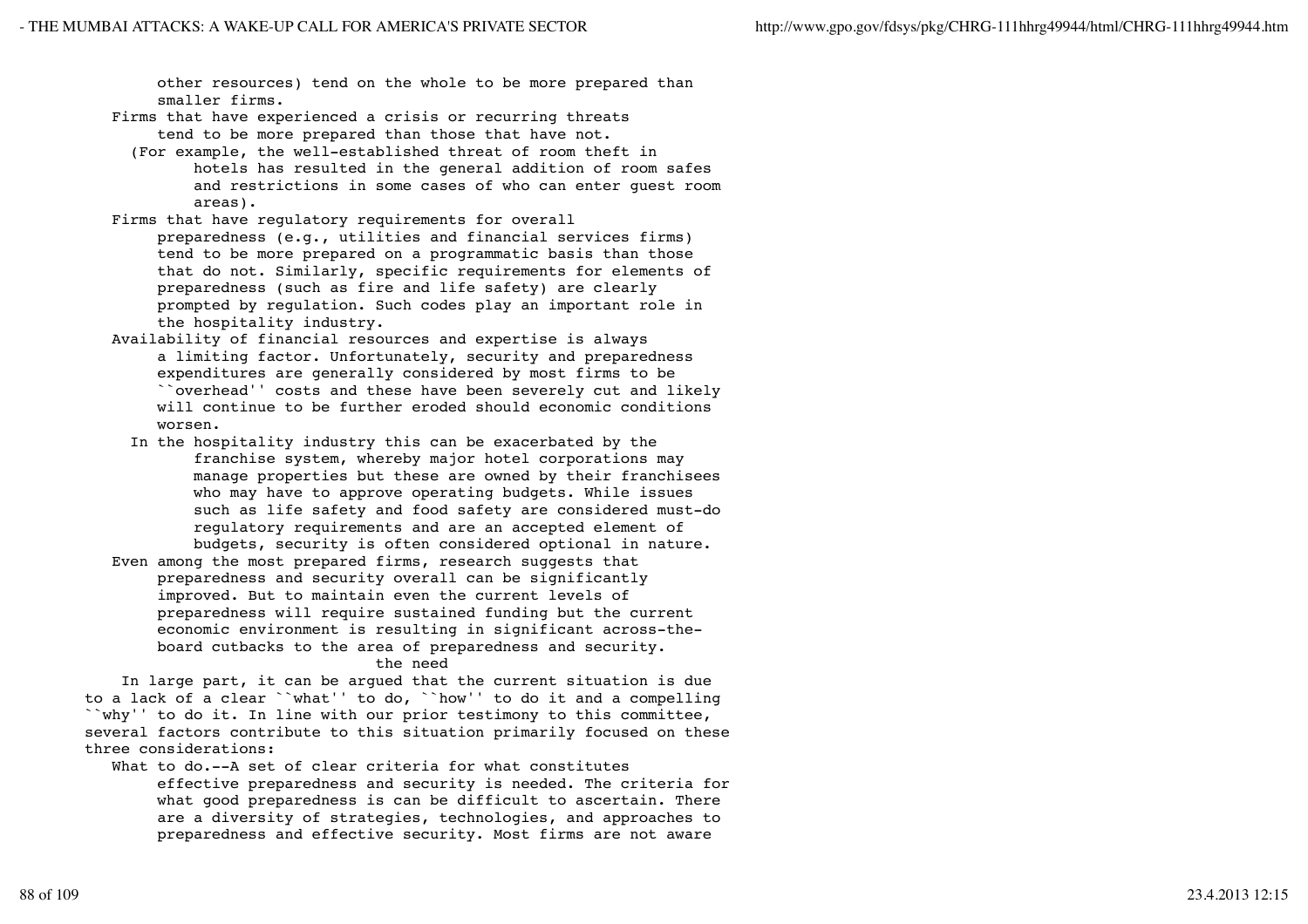other resources) tend on the whole to be more prepared than smaller firms.

 Firms that have experienced a crisis or recurring threats tend to be more prepared than those that have not.

- (For example, the well-established threat of room theft in hotels has resulted in the general addition of room safes and restrictions in some cases of who can enter guest room areas).
- Firms that have regulatory requirements for overall preparedness (e.g., utilities and financial services firms) tend to be more prepared on a programmatic basis than those that do not. Similarly, specific requirements for elements of preparedness (such as fire and life safety) are clearly prompted by regulation. Such codes play an important role in the hospitality industry.
- Availability of financial resources and expertise is always a limiting factor. Unfortunately, security and preparedness expenditures are generally considered by most firms to be ``overhead'' costs and these have been severely cut and likely will continue to be further eroded should economic conditions worsen.
	- In the hospitality industry this can be exacerbated by the franchise system, whereby major hotel corporations may manage properties but these are owned by their franchisees who may have to approve operating budgets. While issues such as life safety and food safety are considered must-do regulatory requirements and are an accepted element of budgets, security is often considered optional in nature.
- Even among the most prepared firms, research suggests that preparedness and security overall can be significantly improved. But to maintain even the current levels of preparedness will require sustained funding but the current economic environment is resulting in significant across-the board cutbacks to the area of preparedness and security. the need

 In large part, it can be argued that the current situation is due to a lack of a clear ``what'' to do, ``how'' to do it and a compelling ``why'' to do it. In line with our prior testimony to this committee, several factors contribute to this situation primarily focused on these three considerations:

What to do.--A set of clear criteria for what constitutes effective preparedness and security is needed. The criteria for what good preparedness is can be difficult to ascertain. There are a diversity of strategies, technologies, and approaches to preparedness and effective security. Most firms are not aware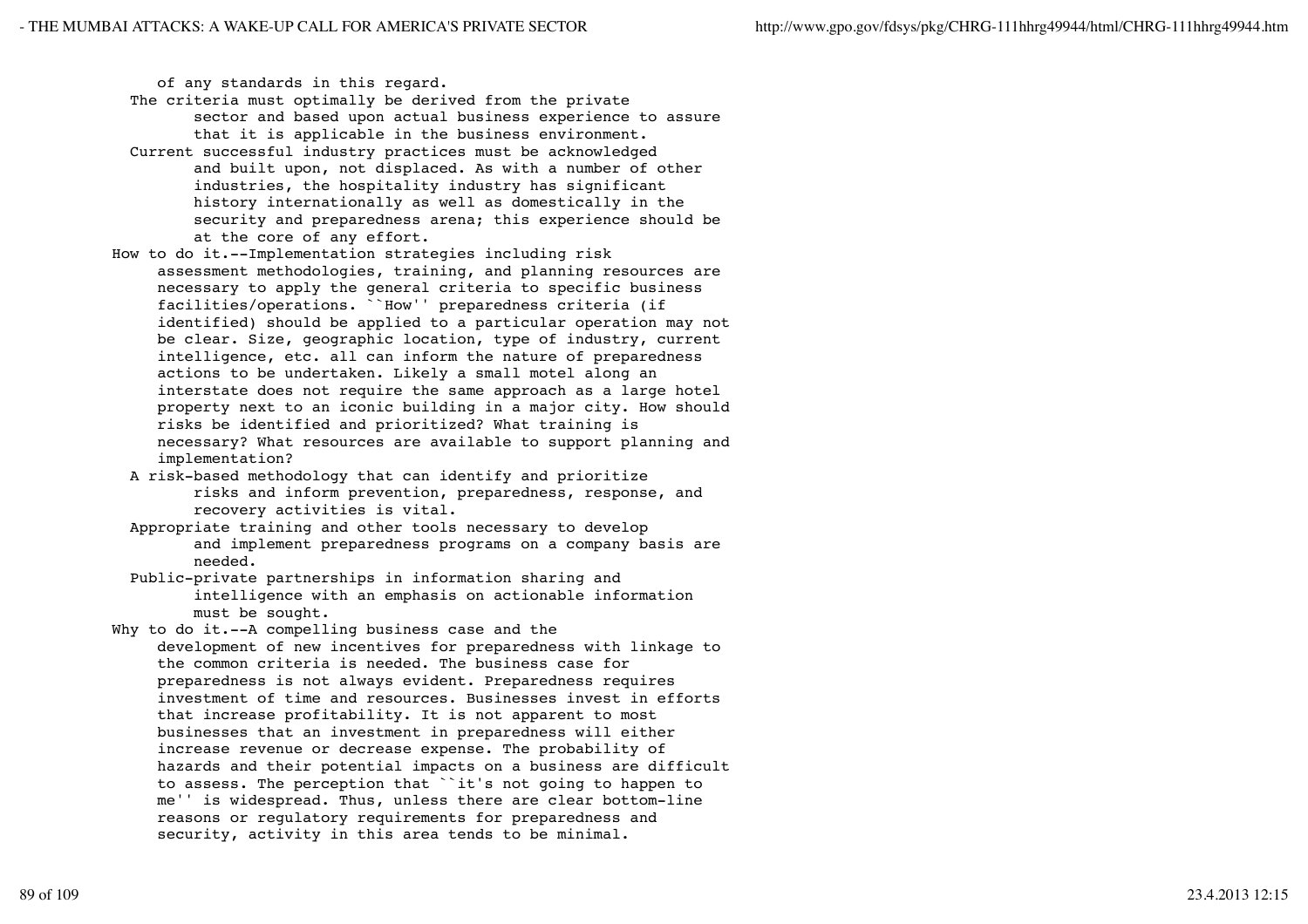of any standards in this regard.

- The criteria must optimally be derived from the private sector and based upon actual business experience to assure that it is applicable in the business environment.
- Current successful industry practices must be acknowledged and built upon, not displaced. As with a number of other industries, the hospitality industry has significant history internationally as well as domestically in the security and preparedness arena; this experience should be at the core of any effort.
- How to do it.--Implementation strategies including risk assessment methodologies, training, and planning resources are necessary to apply the general criteria to specific business facilities/operations. ``How'' preparedness criteria (if identified) should be applied to a particular operation may not be clear. Size, geographic location, type of industry, current intelligence, etc. all can inform the nature of preparedness actions to be undertaken. Likely a small motel along an interstate does not require the same approach as a large hotel property next to an iconic building in a major city. How should risks be identified and prioritized? What training is necessary? What resources are available to support planning and implementation?
	- A risk-based methodology that can identify and prioritize risks and inform prevention, preparedness, response, and recovery activities is vital.
	- Appropriate training and other tools necessary to develop and implement preparedness programs on a company basis are needed.
	- Public-private partnerships in information sharing and intelligence with an emphasis on actionable information must be sought.
- Why to do it.--A compelling business case and the development of new incentives for preparedness with linkage to the common criteria is needed. The business case for preparedness is not always evident. Preparedness requires investment of time and resources. Businesses invest in efforts that increase profitability. It is not apparent to most businesses that an investment in preparedness will either increase revenue or decrease expense. The probability of hazards and their potential impacts on a business are difficult to assess. The perception that ``it's not going to happen to me'' is widespread. Thus, unless there are clear bottom-line reasons or regulatory requirements for preparedness and security, activity in this area tends to be minimal.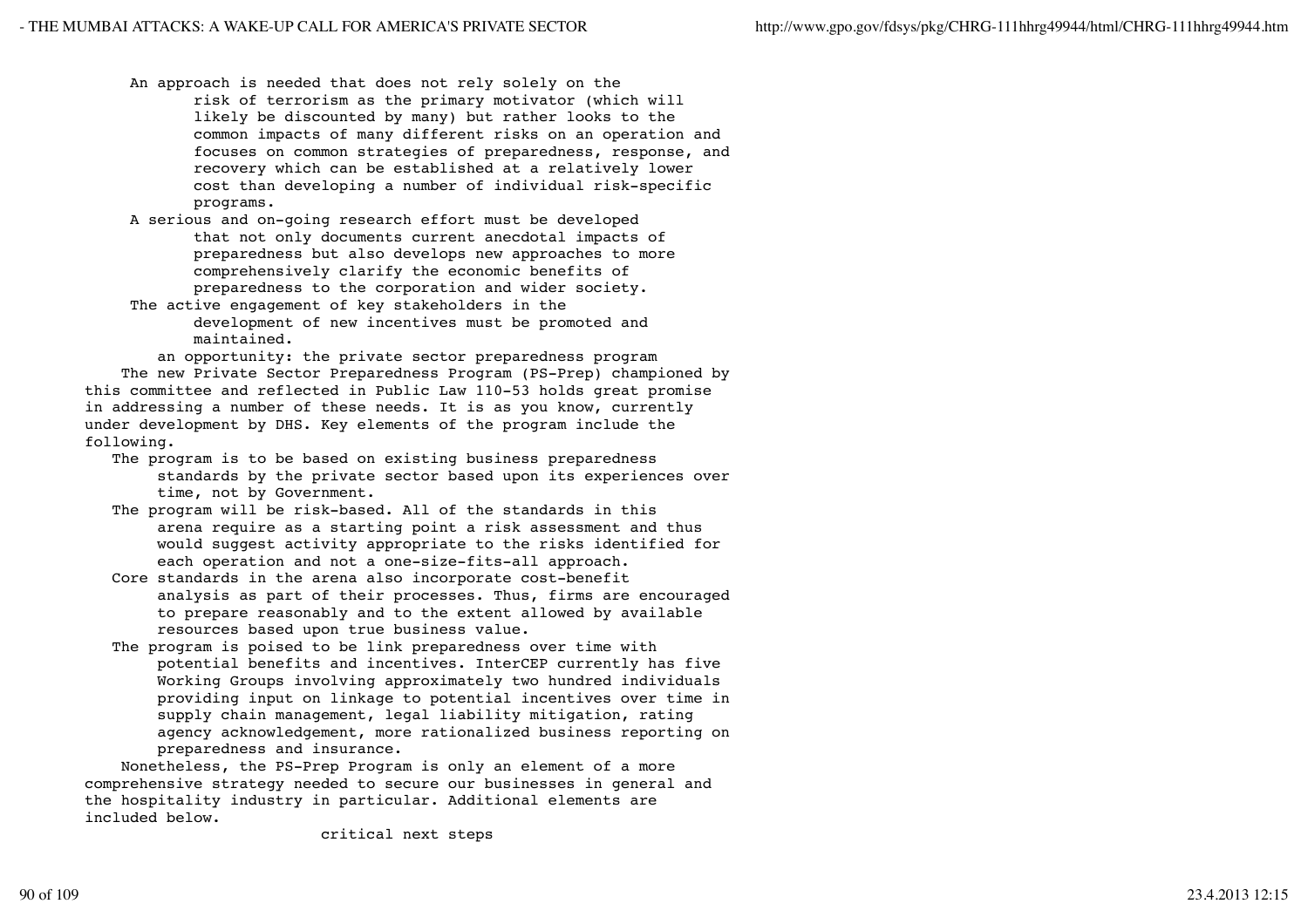- An approach is needed that does not rely solely on the risk of terrorism as the primary motivator (which will likely be discounted by many) but rather looks to the common impacts of many different risks on an operation and focuses on common strategies of preparedness, response, and recovery which can be established at a relatively lower cost than developing a number of individual risk-specific programs.
- A serious and on-going research effort must be developed that not only documents current anecdotal impacts of preparedness but also develops new approaches to more comprehensively clarify the economic benefits of preparedness to the corporation and wider society.
- The active engagement of key stakeholders in the development of new incentives must be promoted and maintained.

 an opportunity: the private sector preparedness program The new Private Sector Preparedness Program (PS-Prep) championed by this committee and reflected in Public Law 110-53 holds great promise in addressing a number of these needs. It is as you know, currently under development by DHS. Key elements of the program include the following.

- The program is to be based on existing business preparedness standards by the private sector based upon its experiences over time, not by Government.
- The program will be risk-based. All of the standards in this arena require as a starting point a risk assessment and thus would suggest activity appropriate to the risks identified for each operation and not a one-size-fits-all approach.
- Core standards in the arena also incorporate cost-benefit analysis as part of their processes. Thus, firms are encouraged to prepare reasonably and to the extent allowed by available resources based upon true business value.
- The program is poised to be link preparedness over time with potential benefits and incentives. InterCEP currently has five Working Groups involving approximately two hundred individuals providing input on linkage to potential incentives over time in supply chain management, legal liability mitigation, rating agency acknowledgement, more rationalized business reporting on preparedness and insurance.

 Nonetheless, the PS-Prep Program is only an element of a more comprehensive strategy needed to secure our businesses in general and the hospitality industry in particular. Additional elements are included below.

critical next steps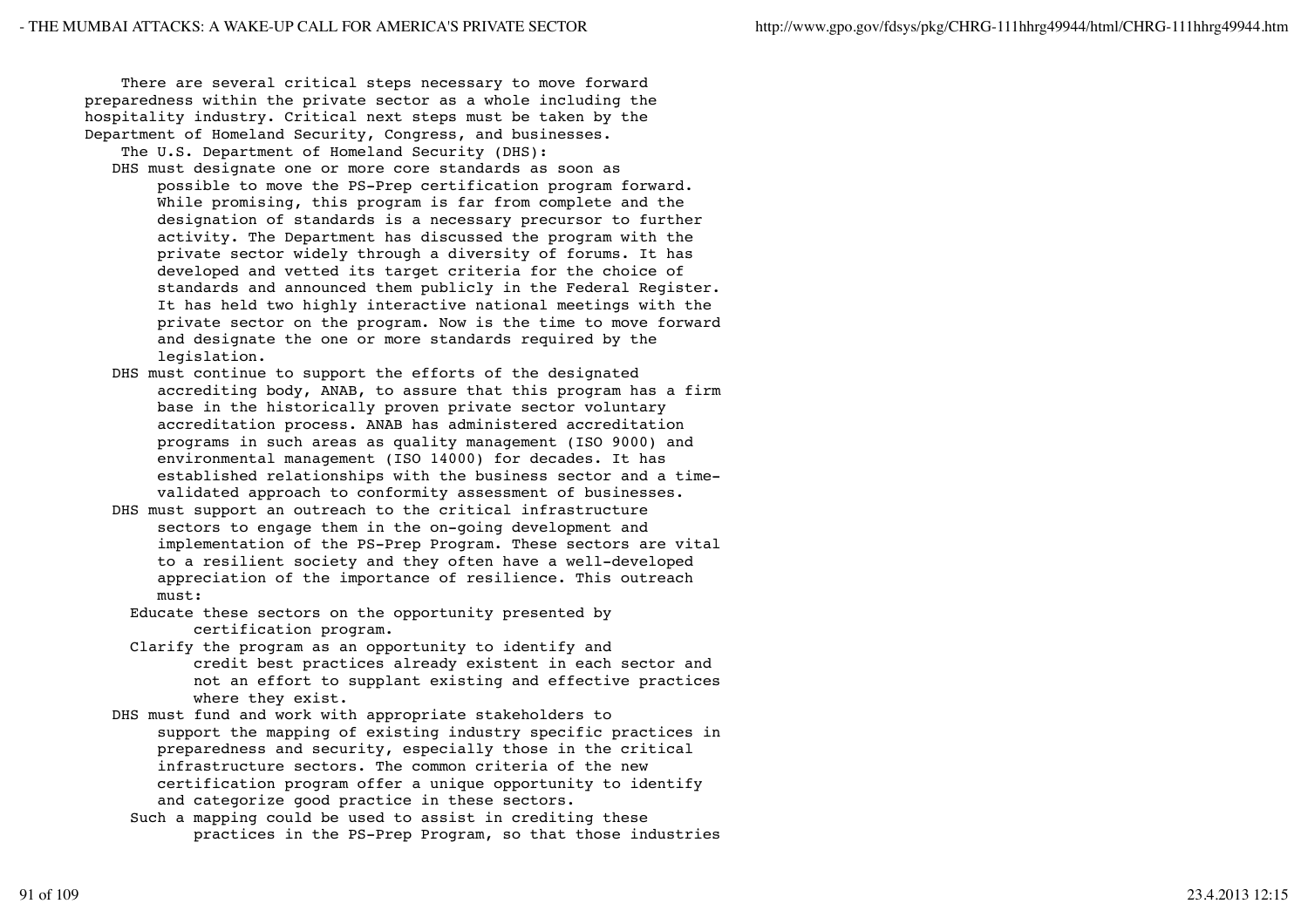There are several critical steps necessary to move forward preparedness within the private sector as a whole including the hospitality industry. Critical next steps must be taken by the Department of Homeland Security, Congress, and businesses.

The U.S. Department of Homeland Security (DHS):

- DHS must designate one or more core standards as soon as possible to move the PS-Prep certification program forward. While promising, this program is far from complete and the designation of standards is a necessary precursor to further activity. The Department has discussed the program with the private sector widely through a diversity of forums. It has developed and vetted its target criteria for the choice of standards and announced them publicly in the Federal Register. It has held two highly interactive national meetings with the private sector on the program. Now is the time to move forward and designate the one or more standards required by the legislation.
- DHS must continue to support the efforts of the designated accrediting body, ANAB, to assure that this program has a firm base in the historically proven private sector voluntary accreditation process. ANAB has administered accreditation programs in such areas as quality management (ISO 9000) and environmental management (ISO 14000) for decades. It has established relationships with the business sector and a time validated approach to conformity assessment of businesses.
- DHS must support an outreach to the critical infrastructure sectors to engage them in the on-going development and implementation of the PS-Prep Program. These sectors are vital to a resilient society and they often have a well-developed appreciation of the importance of resilience. This outreach must:
	- Educate these sectors on the opportunity presented by certification program.
	- Clarify the program as an opportunity to identify and credit best practices already existent in each sector and not an effort to supplant existing and effective practices where they exist.
- DHS must fund and work with appropriate stakeholders to support the mapping of existing industry specific practices in preparedness and security, especially those in the critical infrastructure sectors. The common criteria of the new certification program offer a unique opportunity to identify and categorize good practice in these sectors.
	- Such a mapping could be used to assist in crediting these practices in the PS-Prep Program, so that those industries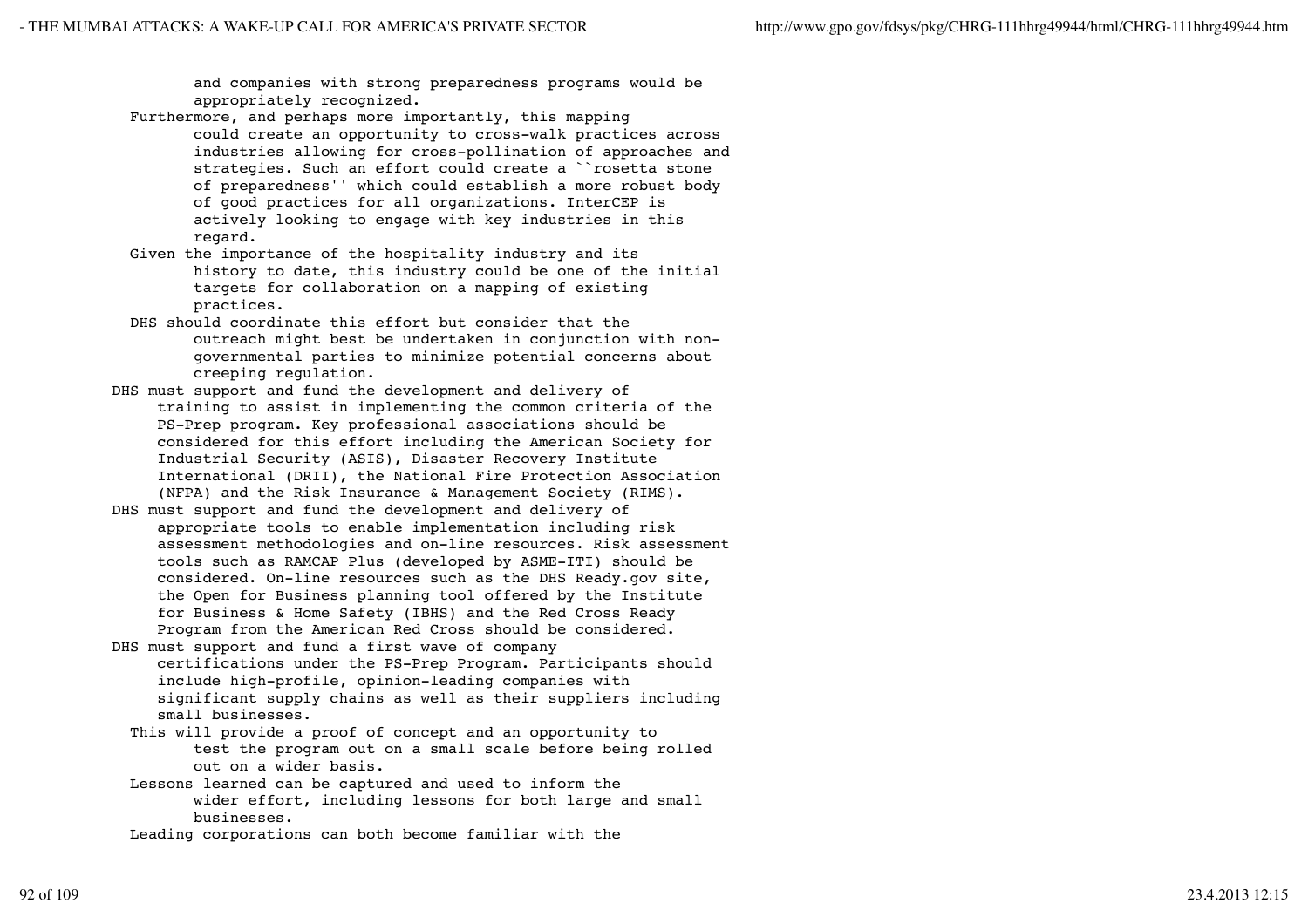and companies with strong preparedness programs would be appropriately recognized.

- Furthermore, and perhaps more importantly, this mapping could create an opportunity to cross-walk practices across industries allowing for cross-pollination of approaches and strategies. Such an effort could create a ``rosetta stone of preparedness'' which could establish a more robust body of good practices for all organizations. InterCEP is actively looking to engage with key industries in this regard.
- Given the importance of the hospitality industry and its history to date, this industry could be one of the initial targets for collaboration on a mapping of existing practices.
- DHS should coordinate this effort but consider that the outreach might best be undertaken in conjunction with non governmental parties to minimize potential concerns about creeping regulation.
- DHS must support and fund the development and delivery of training to assist in implementing the common criteria of the PS-Prep program. Key professional associations should be considered for this effort including the American Society for Industrial Security (ASIS), Disaster Recovery Institute International (DRII), the National Fire Protection Association (NFPA) and the Risk Insurance & Management Society (RIMS).
- DHS must support and fund the development and delivery of appropriate tools to enable implementation including risk assessment methodologies and on-line resources. Risk assessment tools such as RAMCAP Plus (developed by ASME-ITI) should be considered. On-line resources such as the DHS Ready.gov site, the Open for Business planning tool offered by the Institute for Business & Home Safety (IBHS) and the Red Cross Ready Program from the American Red Cross should be considered.
- DHS must support and fund a first wave of company certifications under the PS-Prep Program. Participants should include high-profile, opinion-leading companies with significant supply chains as well as their suppliers including small businesses.
	- This will provide a proof of concept and an opportunity to test the program out on a small scale before being rolled out on a wider basis.
	- Lessons learned can be captured and used to inform the wider effort, including lessons for both large and small businesses.
	- Leading corporations can both become familiar with the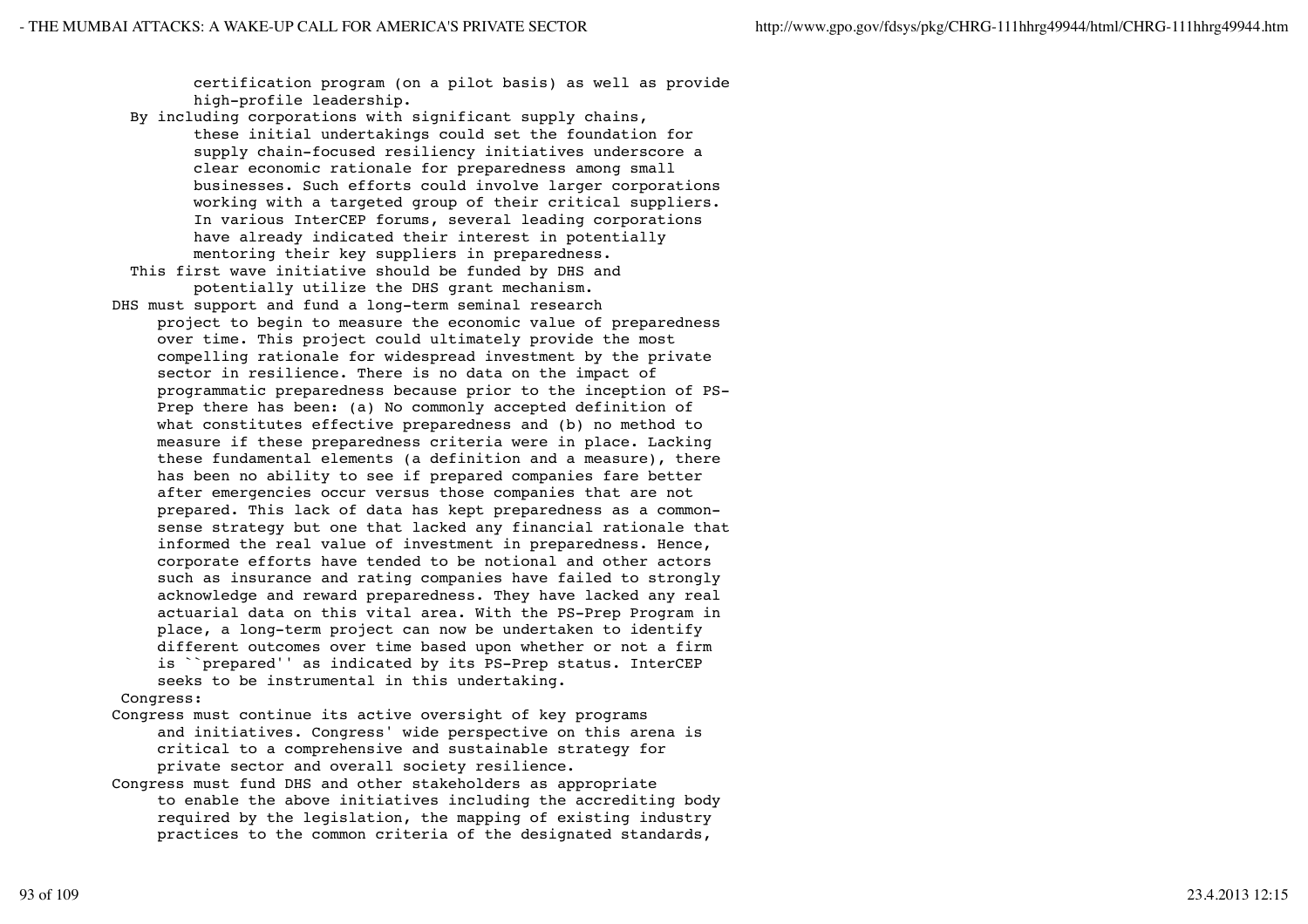certification program (on a pilot basis) as well as provide high-profile leadership.

- By including corporations with significant supply chains, these initial undertakings could set the foundation for supply chain-focused resiliency initiatives underscore a clear economic rationale for preparedness among small businesses. Such efforts could involve larger corporations working with a targeted group of their critical suppliers. In various InterCEP forums, several leading corporations have already indicated their interest in potentially mentoring their key suppliers in preparedness.
- This first wave initiative should be funded by DHS and potentially utilize the DHS grant mechanism.
- DHS must support and fund a long-term seminal research project to begin to measure the economic value of preparedness over time. This project could ultimately provide the most compelling rationale for widespread investment by the private sector in resilience. There is no data on the impact of programmatic preparedness because prior to the inception of PS- Prep there has been: (a) No commonly accepted definition of what constitutes effective preparedness and (b) no method to measure if these preparedness criteria were in place. Lacking these fundamental elements (a definition and a measure), there has been no ability to see if prepared companies fare better after emergencies occur versus those companies that are not prepared. This lack of data has kept preparedness as a common sense strategy but one that lacked any financial rationale that informed the real value of investment in preparedness. Hence, corporate efforts have tended to be notional and other actors such as insurance and rating companies have failed to strongly acknowledge and reward preparedness. They have lacked any real actuarial data on this vital area. With the PS-Prep Program in place, a long-term project can now be undertaken to identify different outcomes over time based upon whether or not a firm is ``prepared'' as indicated by its PS-Prep status. InterCEP seeks to be instrumental in this undertaking.

### Congress:

- Congress must continue its active oversight of key programs and initiatives. Congress' wide perspective on this arena is critical to a comprehensive and sustainable strategy for private sector and overall society resilience.
- Congress must fund DHS and other stakeholders as appropriate to enable the above initiatives including the accrediting body required by the legislation, the mapping of existing industry practices to the common criteria of the designated standards,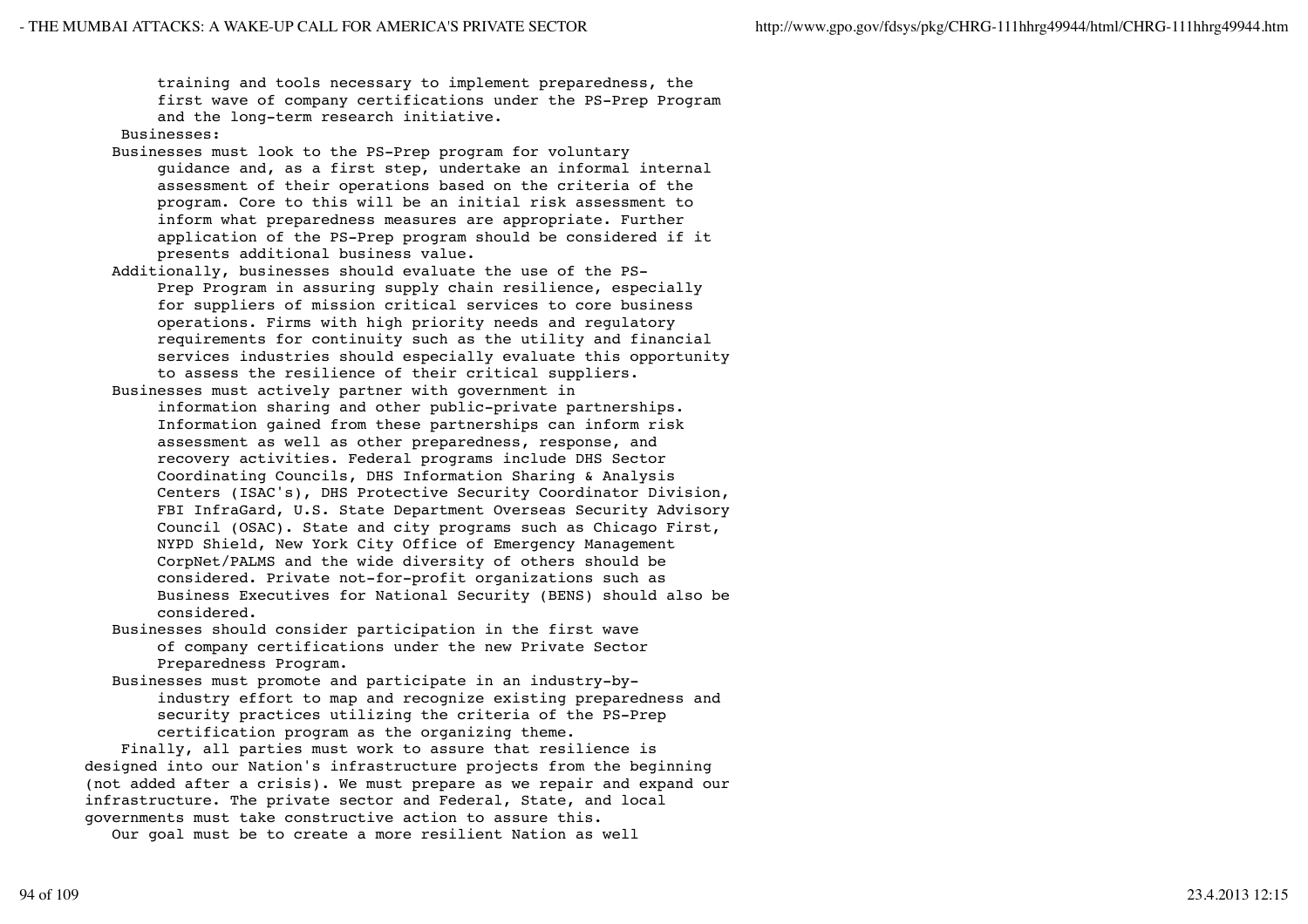training and tools necessary to implement preparedness, the first wave of company certifications under the PS-Prep Program and the long-term research initiative.

# Businesses:

- Businesses must look to the PS-Prep program for voluntary guidance and, as a first step, undertake an informal internal assessment of their operations based on the criteria of the program. Core to this will be an initial risk assessment to inform what preparedness measures are appropriate. Further application of the PS-Prep program should be considered if it presents additional business value.
- Additionally, businesses should evaluate the use of the PS- Prep Program in assuring supply chain resilience, especially for suppliers of mission critical services to core business operations. Firms with high priority needs and regulatory requirements for continuity such as the utility and financial services industries should especially evaluate this opportunity to assess the resilience of their critical suppliers.
- Businesses must actively partner with government in information sharing and other public-private partnerships. Information gained from these partnerships can inform risk assessment as well as other preparedness, response, and recovery activities. Federal programs include DHS Sector Coordinating Councils, DHS Information Sharing & Analysis Centers (ISAC's), DHS Protective Security Coordinator Division, FBI InfraGard, U.S. State Department Overseas Security Advisory Council (OSAC). State and city programs such as Chicago First, NYPD Shield, New York City Office of Emergency Management CorpNet/PALMS and the wide diversity of others should be considered. Private not-for-profit organizations such as Business Executives for National Security (BENS) should also be considered.
- Businesses should consider participation in the first wave of company certifications under the new Private Sector Preparedness Program.
- Businesses must promote and participate in an industry-by industry effort to map and recognize existing preparedness and security practices utilizing the criteria of the PS-Prep certification program as the organizing theme.

 Finally, all parties must work to assure that resilience is designed into our Nation's infrastructure projects from the beginning (not added after a crisis). We must prepare as we repair and expand our infrastructure. The private sector and Federal, State, and local governments must take constructive action to assure this.

Our goal must be to create a more resilient Nation as well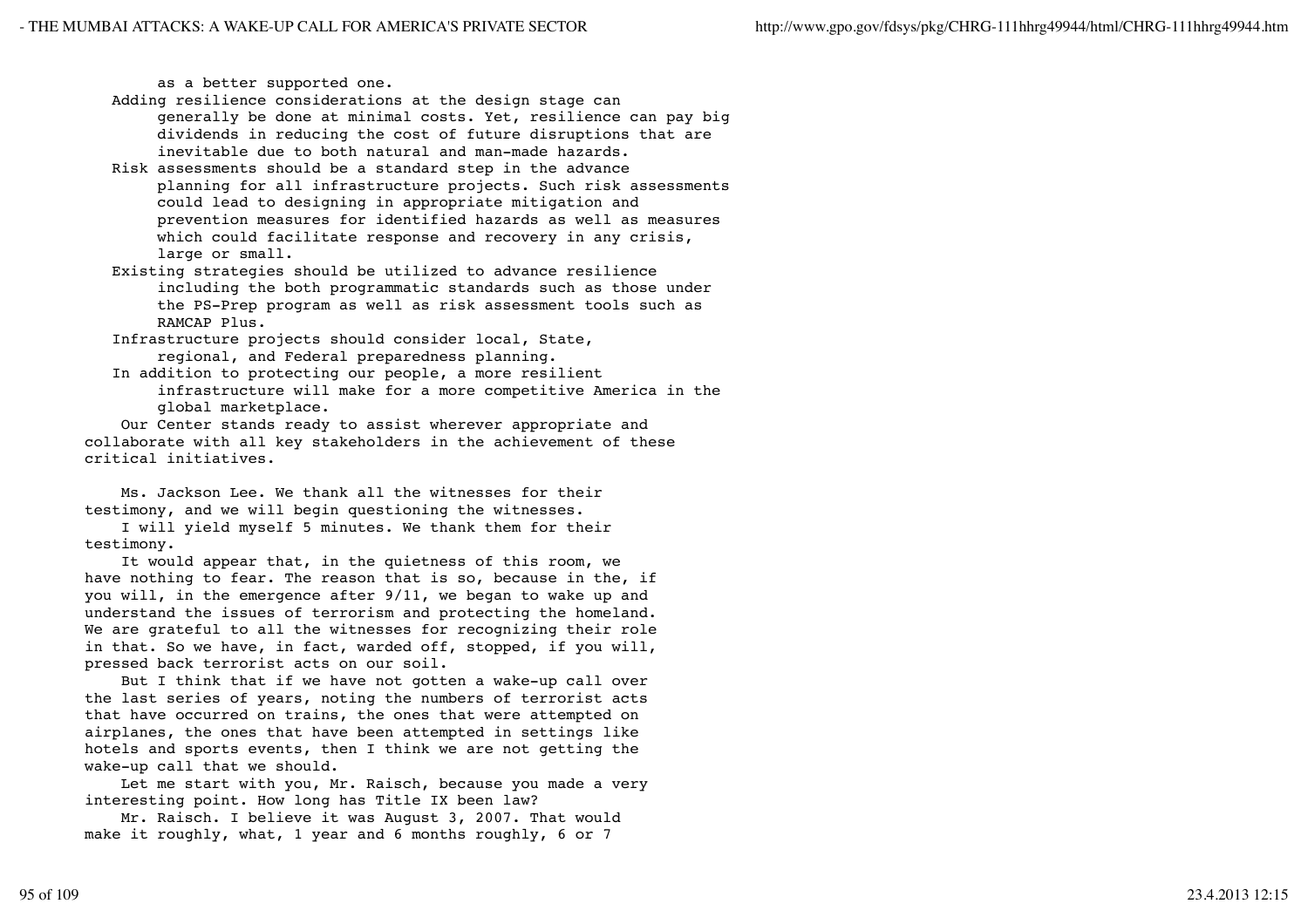as a better supported one.

 Adding resilience considerations at the design stage can generally be done at minimal costs. Yet, resilience can pay big dividends in reducing the cost of future disruptions that are inevitable due to both natural and man-made hazards.

- Risk assessments should be a standard step in the advance planning for all infrastructure projects. Such risk assessments could lead to designing in appropriate mitigation and prevention measures for identified hazards as well as measures which could facilitate response and recovery in any crisis, large or small.
- Existing strategies should be utilized to advance resilience including the both programmatic standards such as those under the PS-Prep program as well as risk assessment tools such as RAMCAP Plus.
- Infrastructure projects should consider local, State, regional, and Federal preparedness planning.
- In addition to protecting our people, a more resilient infrastructure will make for a more competitive America in the global marketplace.

 Our Center stands ready to assist wherever appropriate and collaborate with all key stakeholders in the achievement of these critical initiatives.

 Ms. Jackson Lee. We thank all the witnesses for their testimony, and we will begin questioning the witnesses.

 I will yield myself 5 minutes. We thank them for their testimony.

 It would appear that, in the quietness of this room, we have nothing to fear. The reason that is so, because in the, if you will, in the emergence after 9/11, we began to wake up and understand the issues of terrorism and protecting the homeland. We are grateful to all the witnesses for recognizing their role in that. So we have, in fact, warded off, stopped, if you will, pressed back terrorist acts on our soil.

 But I think that if we have not gotten a wake-up call over the last series of years, noting the numbers of terrorist acts that have occurred on trains, the ones that were attempted on airplanes, the ones that have been attempted in settings like hotels and sports events, then I think we are not getting the wake-up call that we should.

 Let me start with you, Mr. Raisch, because you made a very interesting point. How long has Title IX been law?

 Mr. Raisch. I believe it was August 3, 2007. That would make it roughly, what, 1 year and 6 months roughly, 6 or 7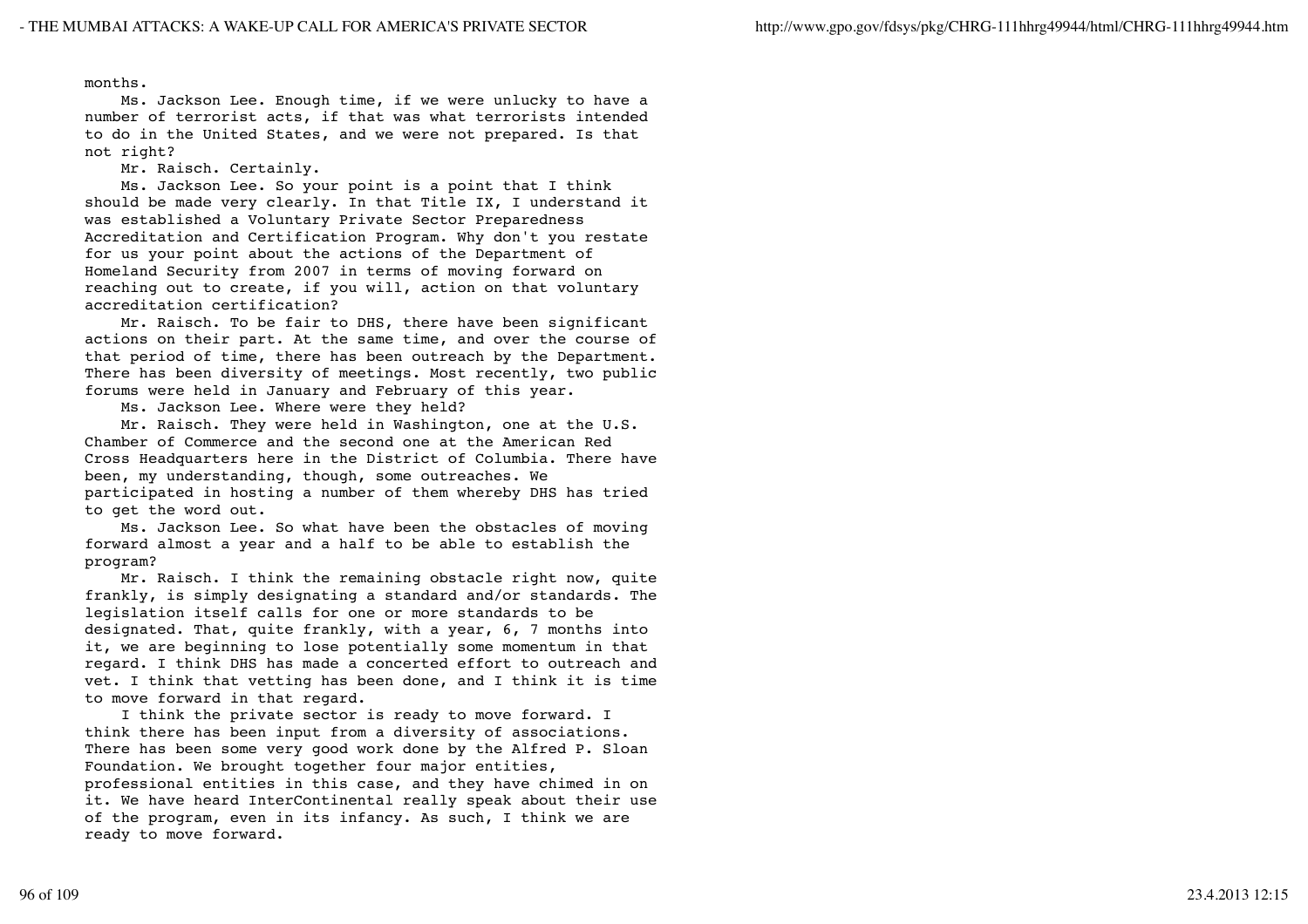months.

 Ms. Jackson Lee. Enough time, if we were unlucky to have a number of terrorist acts, if that was what terrorists intended to do in the United States, and we were not prepared. Is that not right?

Mr. Raisch. Certainly.

 Ms. Jackson Lee. So your point is a point that I think should be made very clearly. In that Title IX, I understand it was established a Voluntary Private Sector Preparedness Accreditation and Certification Program. Why don't you restate for us your point about the actions of the Department of Homeland Security from 2007 in terms of moving forward on reaching out to create, if you will, action on that voluntary accreditation certification?

 Mr. Raisch. To be fair to DHS, there have been significant actions on their part. At the same time, and over the course of that period of time, there has been outreach by the Department. There has been diversity of meetings. Most recently, two public forums were held in January and February of this year.

Ms. Jackson Lee. Where were they held?

 Mr. Raisch. They were held in Washington, one at the U.S. Chamber of Commerce and the second one at the American Red Cross Headquarters here in the District of Columbia. There have been, my understanding, though, some outreaches. We participated in hosting a number of them whereby DHS has tried to get the word out.

 Ms. Jackson Lee. So what have been the obstacles of moving forward almost a year and a half to be able to establish the program?

 Mr. Raisch. I think the remaining obstacle right now, quite frankly, is simply designating a standard and/or standards. The legislation itself calls for one or more standards to be designated. That, quite frankly, with a year, 6, 7 months into it, we are beginning to lose potentially some momentum in that regard. I think DHS has made a concerted effort to outreach and vet. I think that vetting has been done, and I think it is time to move forward in that regard.

 I think the private sector is ready to move forward. I think there has been input from a diversity of associations. There has been some very good work done by the Alfred P. Sloan Foundation. We brought together four major entities, professional entities in this case, and they have chimed in on it. We have heard InterContinental really speak about their use of the program, even in its infancy. As such, I think we are ready to move forward.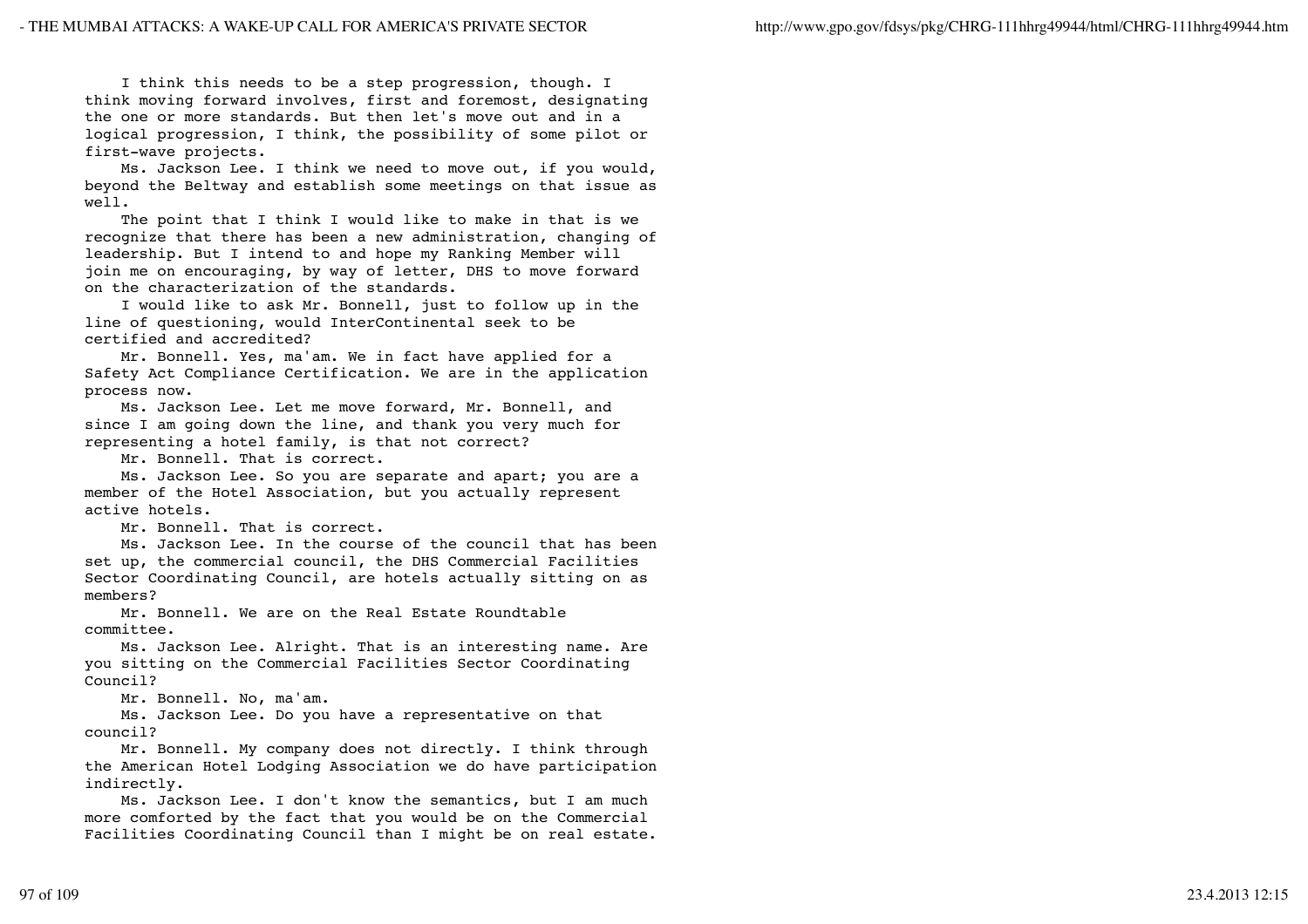I think this needs to be a step progression, though. I think moving forward involves, first and foremost, designating the one or more standards. But then let's move out and in a logical progression, I think, the possibility of some pilot or first-wave projects.

 Ms. Jackson Lee. I think we need to move out, if you would, beyond the Beltway and establish some meetings on that issue as well.

The point that I think I would like to make in that is we recognize that there has been a new administration, changing of leadership. But I intend to and hope my Ranking Member will join me on encouraging, by way of letter, DHS to move forward on the characterization of the standards.

 I would like to ask Mr. Bonnell, just to follow up in the line of questioning, would InterContinental seek to be certified and accredited?

 Mr. Bonnell. Yes, ma'am. We in fact have applied for a Safety Act Compliance Certification. We are in the application process now.

 Ms. Jackson Lee. Let me move forward, Mr. Bonnell, and since I am going down the line, and thank you very much for representing a hotel family, is that not correct?

Mr. Bonnell. That is correct.

 Ms. Jackson Lee. So you are separate and apart; you are a member of the Hotel Association, but you actually represent active hotels.

Mr. Bonnell. That is correct.

 Ms. Jackson Lee. In the course of the council that has been set up, the commercial council, the DHS Commercial Facilities Sector Coordinating Council, are hotels actually sitting on as members?

 Mr. Bonnell. We are on the Real Estate Roundtable committee.

 Ms. Jackson Lee. Alright. That is an interesting name. Are you sitting on the Commercial Facilities Sector Coordinating Council?

Mr. Bonnell. No, ma'am.

 Ms. Jackson Lee. Do you have a representative on that council?

 Mr. Bonnell. My company does not directly. I think through the American Hotel Lodging Association we do have participation indirectly.

 Ms. Jackson Lee. I don't know the semantics, but I am much more comforted by the fact that you would be on the Commercial Facilities Coordinating Council than I might be on real estate.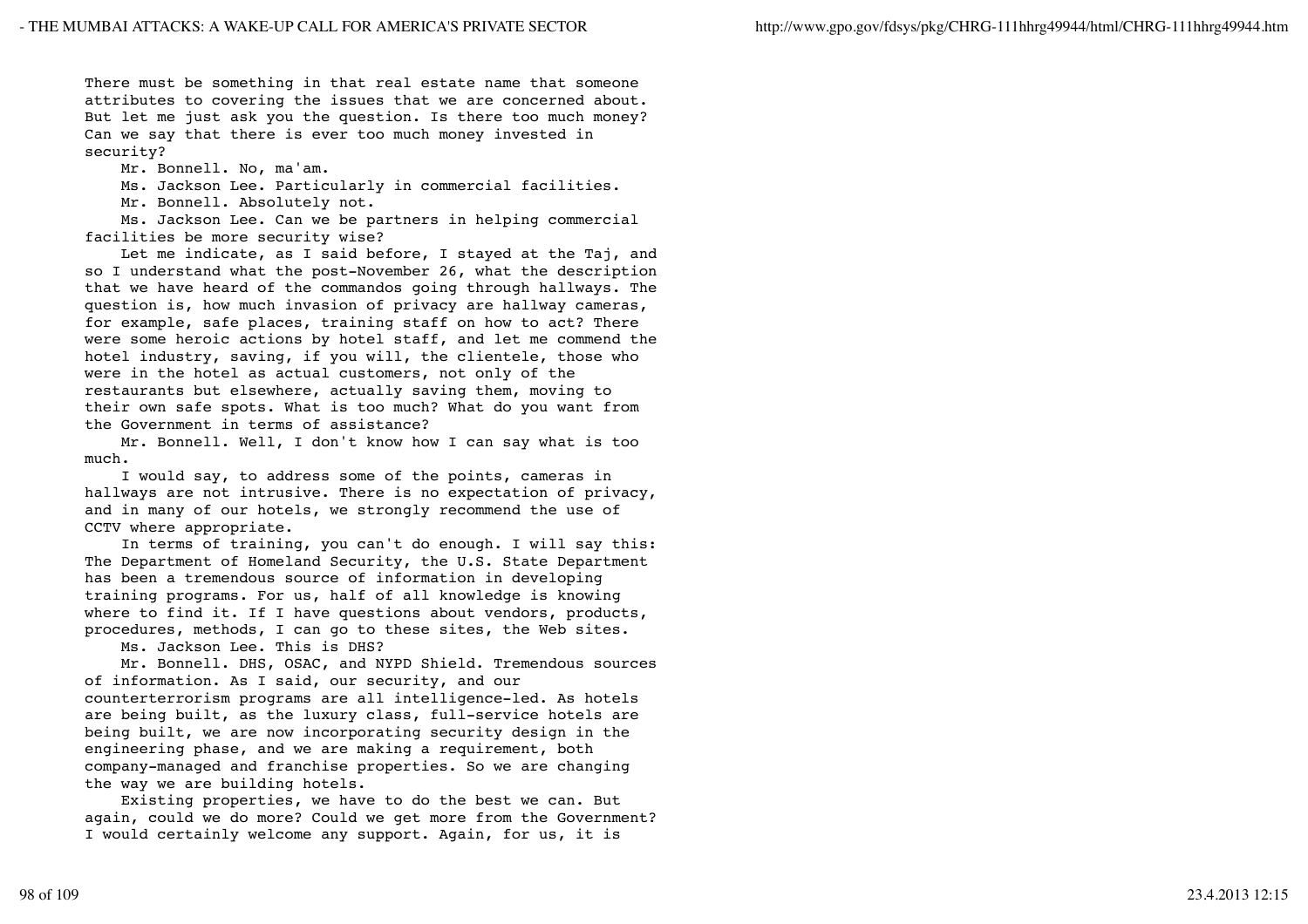There must be something in that real estate name that someone attributes to covering the issues that we are concerned about. But let me just ask you the question. Is there too much money? Can we say that there is ever too much money invested in security?

Mr. Bonnell. No, ma'am.

Ms. Jackson Lee. Particularly in commercial facilities.

Mr. Bonnell. Absolutely not.

 Ms. Jackson Lee. Can we be partners in helping commercial facilities be more security wise?

 Let me indicate, as I said before, I stayed at the Taj, and so I understand what the post-November 26, what the description that we have heard of the commandos going through hallways. The question is, how much invasion of privacy are hallway cameras, for example, safe places, training staff on how to act? There were some heroic actions by hotel staff, and let me commend the hotel industry, saving, if you will, the clientele, those who were in the hotel as actual customers, not only of the restaurants but elsewhere, actually saving them, moving to their own safe spots. What is too much? What do you want from the Government in terms of assistance?

 Mr. Bonnell. Well, I don't know how I can say what is too much.

 I would say, to address some of the points, cameras in hallways are not intrusive. There is no expectation of privacy, and in many of our hotels, we strongly recommend the use of CCTV where appropriate.

 In terms of training, you can't do enough. I will say this: The Department of Homeland Security, the U.S. State Department has been a tremendous source of information in developing training programs. For us, half of all knowledge is knowing where to find it. If I have questions about vendors, products, procedures, methods, I can go to these sites, the Web sites.

Ms. Jackson Lee. This is DHS?

 Mr. Bonnell. DHS, OSAC, and NYPD Shield. Tremendous sources of information. As I said, our security, and our counterterrorism programs are all intelligence-led. As hotels are being built, as the luxury class, full-service hotels are being built, we are now incorporating security design in the engineering phase, and we are making a requirement, both company-managed and franchise properties. So we are changing the way we are building hotels.

 Existing properties, we have to do the best we can. But again, could we do more? Could we get more from the Government? I would certainly welcome any support. Again, for us, it is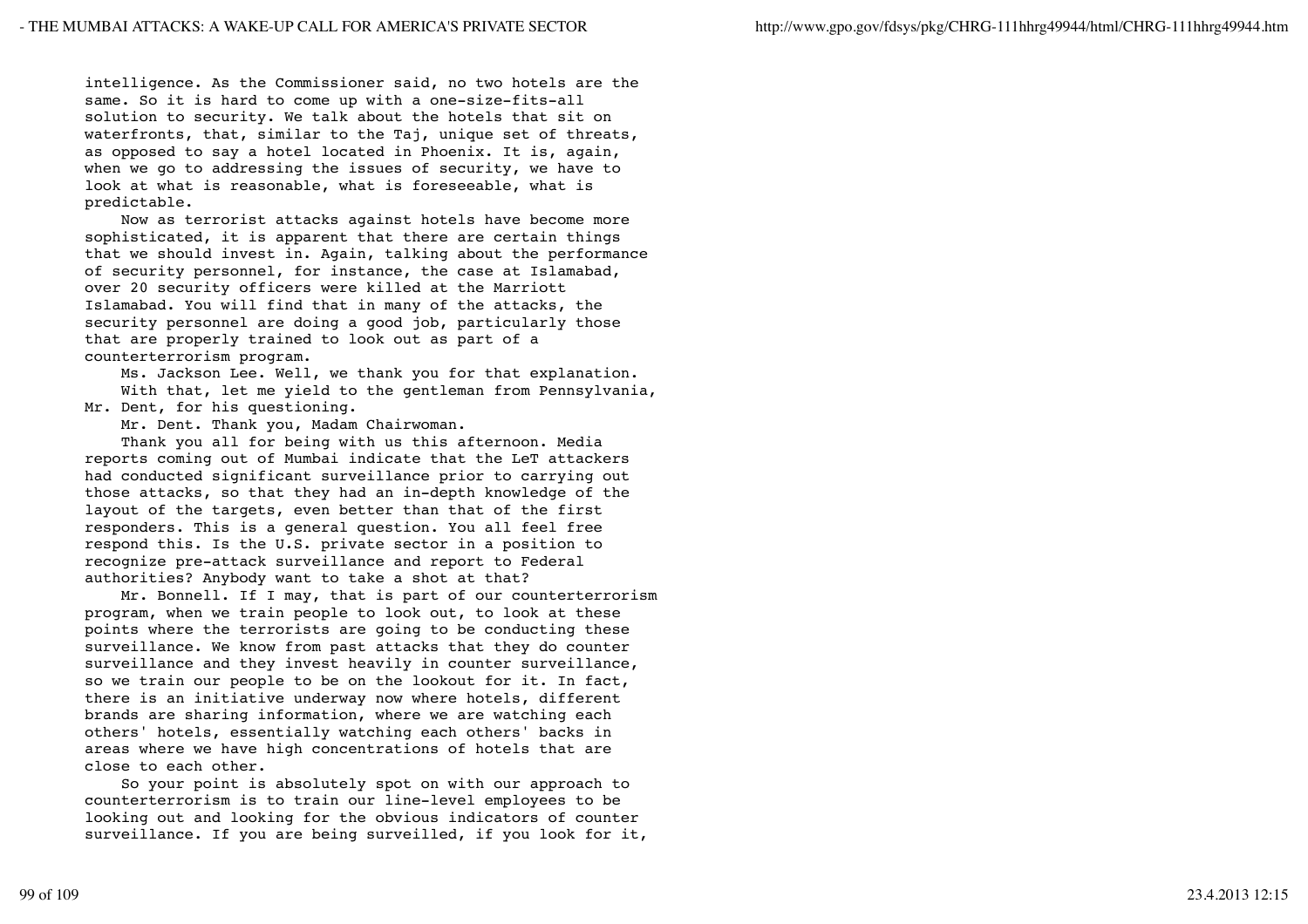intelligence. As the Commissioner said, no two hotels are the same. So it is hard to come up with a one-size-fits-all solution to security. We talk about the hotels that sit on waterfronts, that, similar to the Taj, unique set of threats, as opposed to say a hotel located in Phoenix. It is, again, when we go to addressing the issues of security, we have to look at what is reasonable, what is foreseeable, what is predictable.

 Now as terrorist attacks against hotels have become more sophisticated, it is apparent that there are certain things that we should invest in. Again, talking about the performance of security personnel, for instance, the case at Islamabad, over 20 security officers were killed at the Marriott Islamabad. You will find that in many of the attacks, the security personnel are doing a good job, particularly those that are properly trained to look out as part of a counterterrorism program.

 Ms. Jackson Lee. Well, we thank you for that explanation. With that, let me yield to the gentleman from Pennsylvania, Mr. Dent, for his questioning.

Mr. Dent. Thank you, Madam Chairwoman.

 Thank you all for being with us this afternoon. Media reports coming out of Mumbai indicate that the LeT attackers had conducted significant surveillance prior to carrying out those attacks, so that they had an in-depth knowledge of the layout of the targets, even better than that of the first responders. This is a general question. You all feel free respond this. Is the U.S. private sector in a position to recognize pre-attack surveillance and report to Federal authorities? Anybody want to take a shot at that?

 Mr. Bonnell. If I may, that is part of our counterterrorism program, when we train people to look out, to look at these points where the terrorists are going to be conducting these surveillance. We know from past attacks that they do counter surveillance and they invest heavily in counter surveillance, so we train our people to be on the lookout for it. In fact, there is an initiative underway now where hotels, different brands are sharing information, where we are watching each others' hotels, essentially watching each others' backs in areas where we have high concentrations of hotels that are close to each other.

 So your point is absolutely spot on with our approach to counterterrorism is to train our line-level employees to be looking out and looking for the obvious indicators of counter surveillance. If you are being surveilled, if you look for it,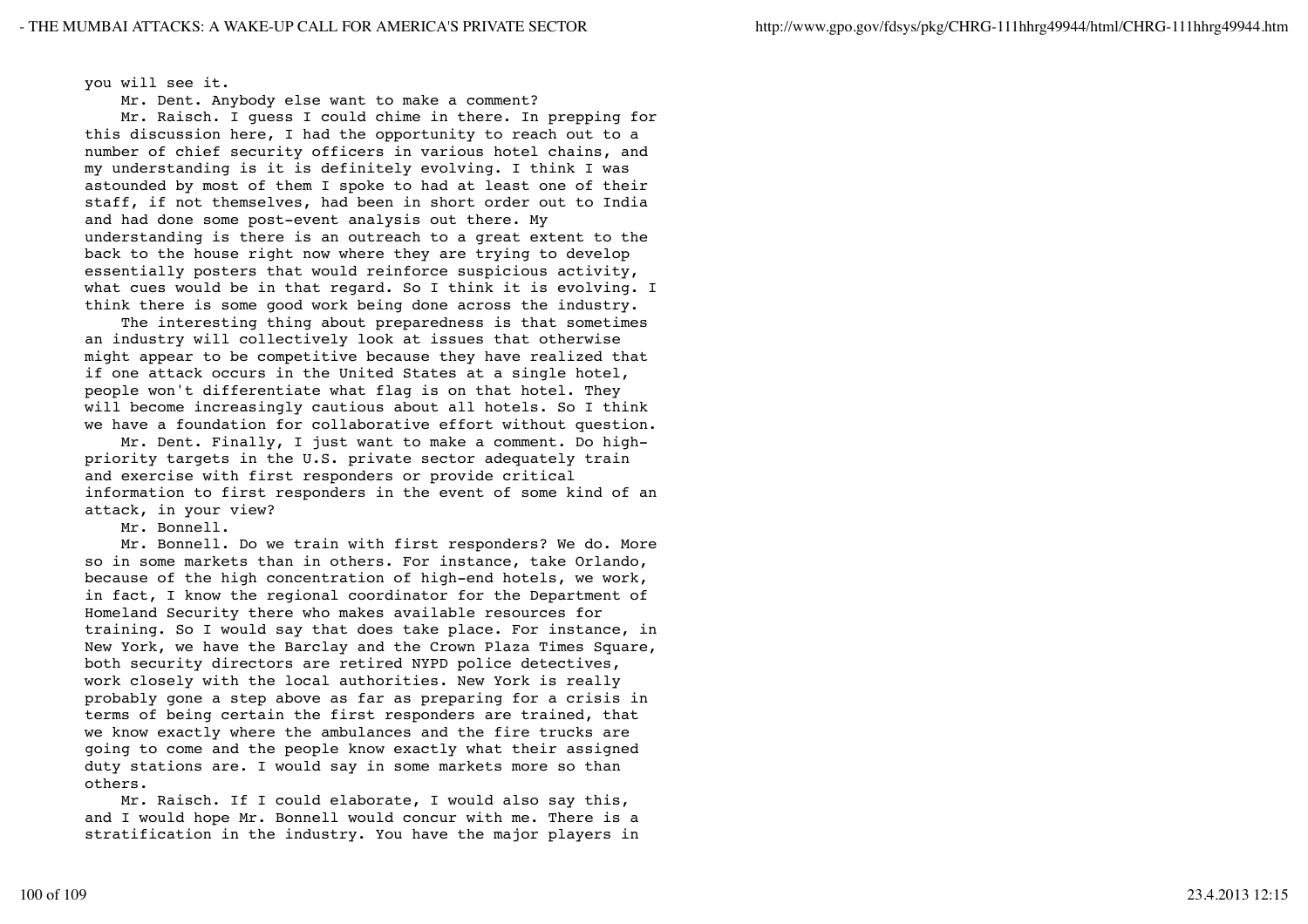you will see it.

Mr. Dent. Anybody else want to make a comment?

 Mr. Raisch. I guess I could chime in there. In prepping for this discussion here, I had the opportunity to reach out to a number of chief security officers in various hotel chains, and my understanding is it is definitely evolving. I think I was astounded by most of them I spoke to had at least one of their staff, if not themselves, had been in short order out to India and had done some post-event analysis out there. My understanding is there is an outreach to a great extent to the back to the house right now where they are trying to develop essentially posters that would reinforce suspicious activity, what cues would be in that regard. So I think it is evolving. I think there is some good work being done across the industry.

 The interesting thing about preparedness is that sometimes an industry will collectively look at issues that otherwise might appear to be competitive because they have realized that if one attack occurs in the United States at a single hotel, people won't differentiate what flag is on that hotel. They will become increasingly cautious about all hotels. So I think we have a foundation for collaborative effort without question.

 Mr. Dent. Finally, I just want to make a comment. Do highpriority targets in the U.S. private sector adequately train and exercise with first responders or provide critical information to first responders in the event of some kind of an attack, in your view?

Mr. Bonnell.

 Mr. Bonnell. Do we train with first responders? We do. More so in some markets than in others. For instance, take Orlando, because of the high concentration of high-end hotels, we work, in fact, I know the regional coordinator for the Department of Homeland Security there who makes available resources for training. So I would say that does take place. For instance, in New York, we have the Barclay and the Crown Plaza Times Square, both security directors are retired NYPD police detectives, work closely with the local authorities. New York is really probably gone a step above as far as preparing for a crisis in terms of being certain the first responders are trained, that we know exactly where the ambulances and the fire trucks are going to come and the people know exactly what their assigned duty stations are. I would say in some markets more so than others.

 Mr. Raisch. If I could elaborate, I would also say this, and I would hope Mr. Bonnell would concur with me. There is a stratification in the industry. You have the major players in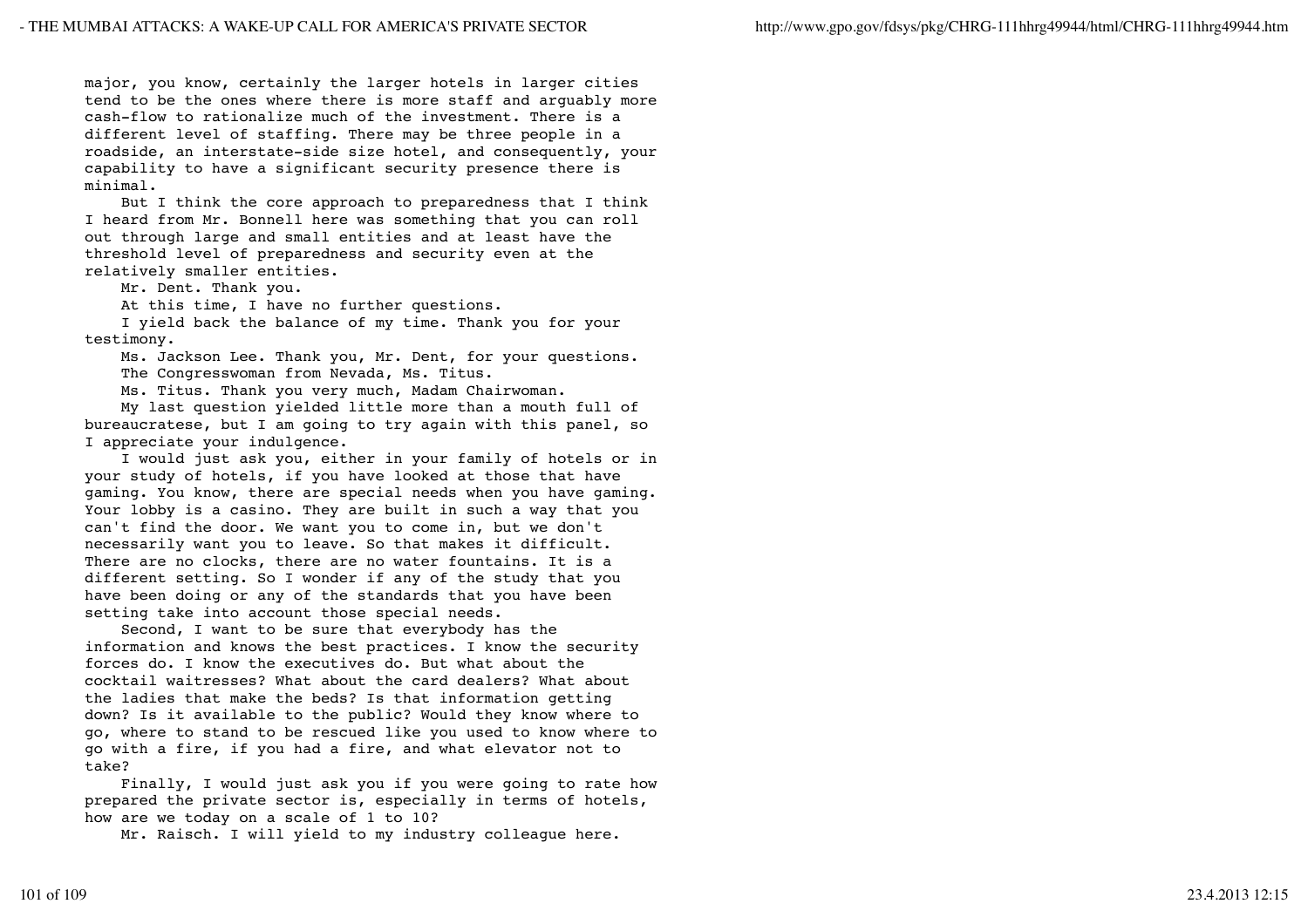major, you know, certainly the larger hotels in larger cities tend to be the ones where there is more staff and arguably more cash-flow to rationalize much of the investment. There is a different level of staffing. There may be three people in a roadside, an interstate-side size hotel, and consequently, your capability to have a significant security presence there is minimal.

 But I think the core approach to preparedness that I think I heard from Mr. Bonnell here was something that you can roll out through large and small entities and at least have the threshold level of preparedness and security even at the relatively smaller entities.

Mr. Dent. Thank you.

At this time, I have no further questions.

 I yield back the balance of my time. Thank you for your testimony.

 Ms. Jackson Lee. Thank you, Mr. Dent, for your questions. The Congresswoman from Nevada, Ms. Titus.

Ms. Titus. Thank you very much, Madam Chairwoman.

 My last question yielded little more than a mouth full of bureaucratese, but I am going to try again with this panel, so I appreciate your indulgence.

 I would just ask you, either in your family of hotels or in your study of hotels, if you have looked at those that have gaming. You know, there are special needs when you have gaming. Your lobby is a casino. They are built in such a way that you can't find the door. We want you to come in, but we don't necessarily want you to leave. So that makes it difficult. There are no clocks, there are no water fountains. It is a different setting. So I wonder if any of the study that you have been doing or any of the standards that you have been setting take into account those special needs.

 Second, I want to be sure that everybody has the information and knows the best practices. I know the security forces do. I know the executives do. But what about the cocktail waitresses? What about the card dealers? What about the ladies that make the beds? Is that information getting down? Is it available to the public? Would they know where to go, where to stand to be rescued like you used to know where to go with a fire, if you had a fire, and what elevator not to take?

 Finally, I would just ask you if you were going to rate how prepared the private sector is, especially in terms of hotels, how are we today on a scale of 1 to 10?

Mr. Raisch. I will yield to my industry colleague here.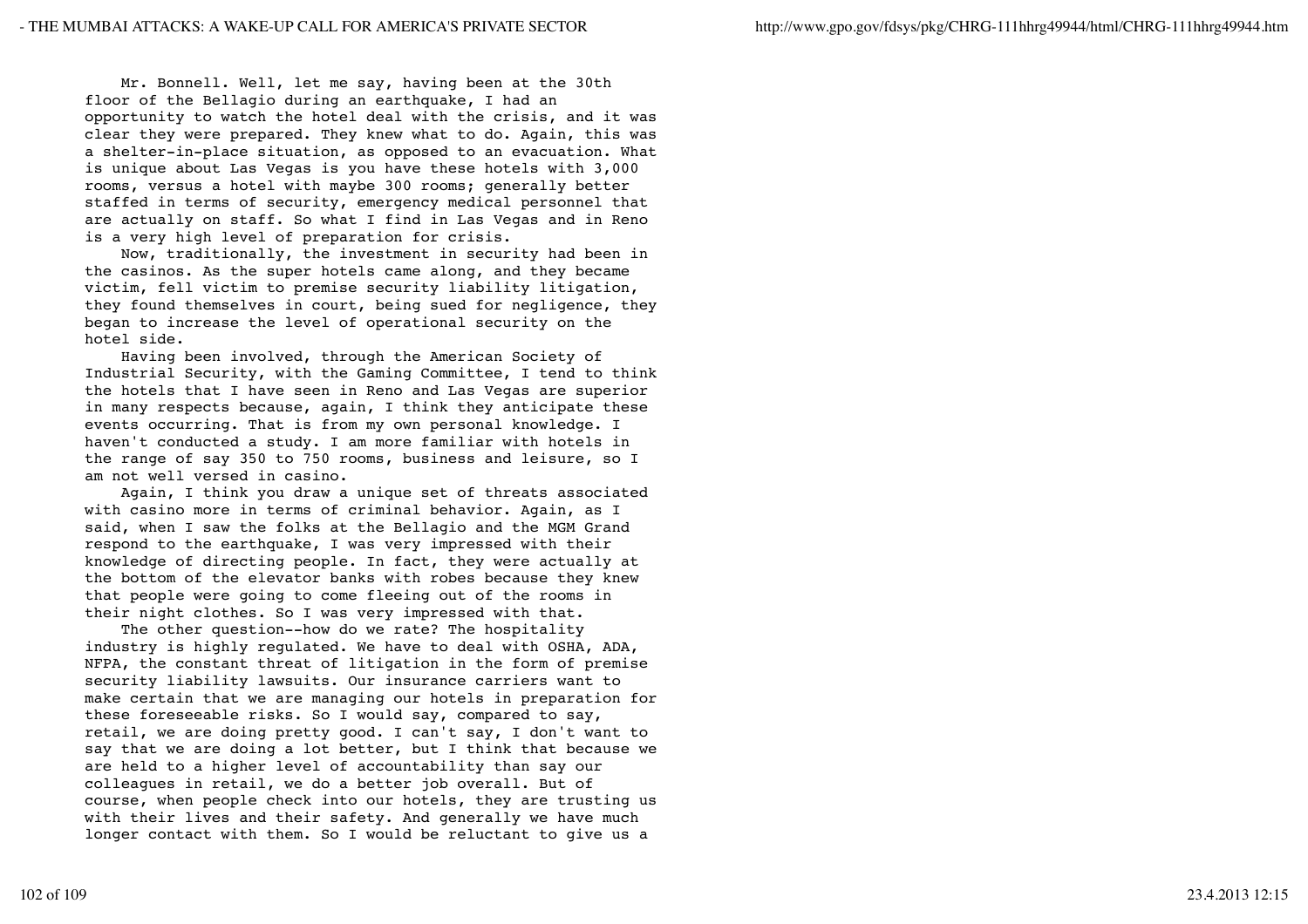Mr. Bonnell. Well, let me say, having been at the 30th floor of the Bellagio during an earthquake, I had an opportunity to watch the hotel deal with the crisis, and it was clear they were prepared. They knew what to do. Again, this was a shelter-in-place situation, as opposed to an evacuation. What is unique about Las Vegas is you have these hotels with 3,000 rooms, versus a hotel with maybe 300 rooms; generally better staffed in terms of security, emergency medical personnel that are actually on staff. So what I find in Las Vegas and in Reno is a very high level of preparation for crisis.

 Now, traditionally, the investment in security had been in the casinos. As the super hotels came along, and they became victim, fell victim to premise security liability litigation, they found themselves in court, being sued for negligence, they began to increase the level of operational security on the hotel side.

 Having been involved, through the American Society of Industrial Security, with the Gaming Committee, I tend to think the hotels that I have seen in Reno and Las Vegas are superior in many respects because, again, I think they anticipate these events occurring. That is from my own personal knowledge. I haven't conducted a study. I am more familiar with hotels in the range of say 350 to 750 rooms, business and leisure, so I am not well versed in casino.

 Again, I think you draw a unique set of threats associated with casino more in terms of criminal behavior. Again, as I said, when I saw the folks at the Bellagio and the MGM Grand respond to the earthquake, I was very impressed with their knowledge of directing people. In fact, they were actually at the bottom of the elevator banks with robes because they knew that people were going to come fleeing out of the rooms in their night clothes. So I was very impressed with that.

 The other question--how do we rate? The hospitality industry is highly regulated. We have to deal with OSHA, ADA, NFPA, the constant threat of litigation in the form of premise security liability lawsuits. Our insurance carriers want to make certain that we are managing our hotels in preparation for these foreseeable risks. So I would say, compared to say, retail, we are doing pretty good. I can't say, I don't want to say that we are doing a lot better, but I think that because we are held to a higher level of accountability than say our colleagues in retail, we do a better job overall. But of course, when people check into our hotels, they are trusting us with their lives and their safety. And generally we have much longer contact with them. So I would be reluctant to give us a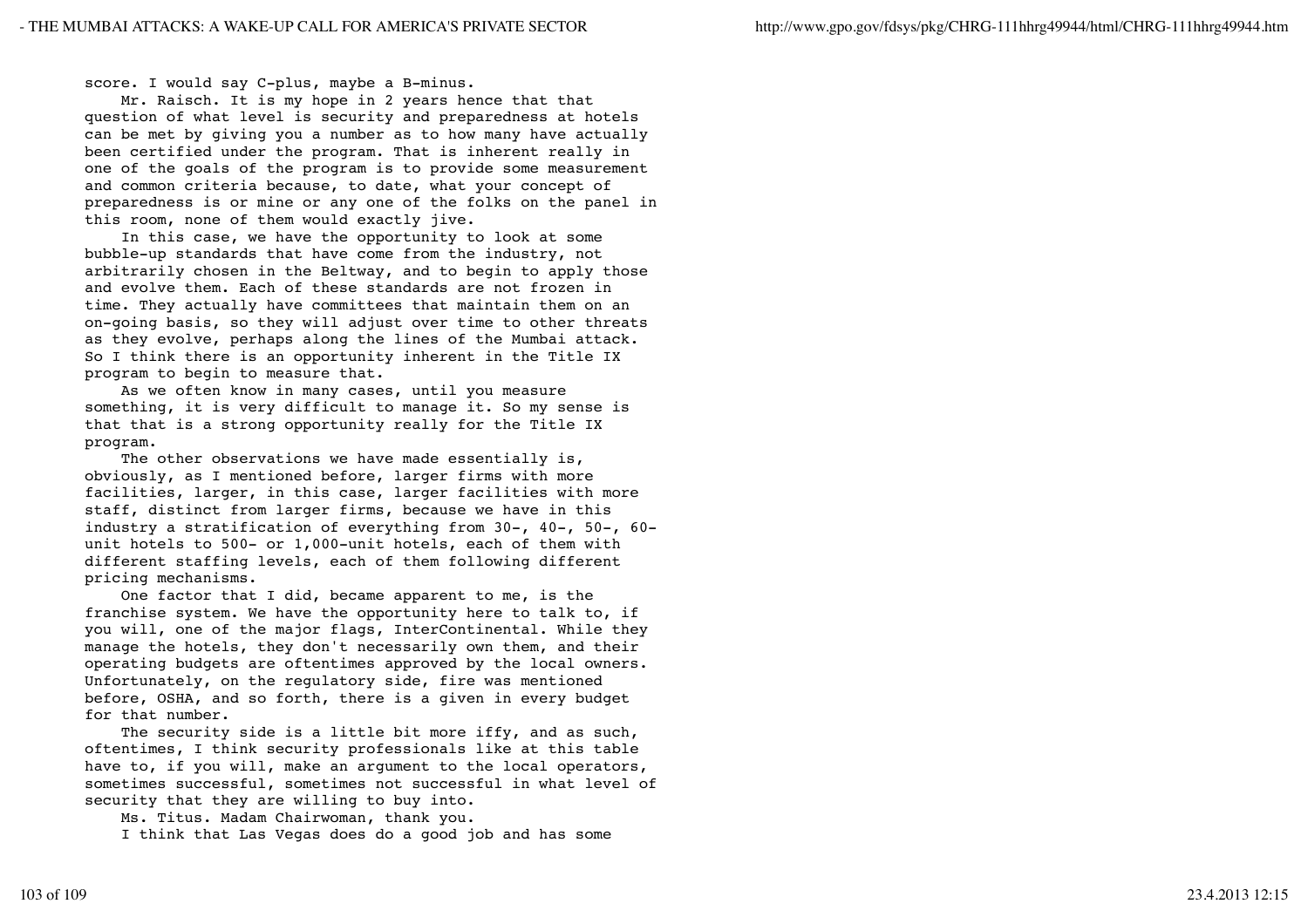score. I would say C-plus, maybe a B-minus.

 Mr. Raisch. It is my hope in 2 years hence that that question of what level is security and preparedness at hotels can be met by giving you a number as to how many have actually been certified under the program. That is inherent really in one of the goals of the program is to provide some measurement and common criteria because, to date, what your concept of preparedness is or mine or any one of the folks on the panel in this room, none of them would exactly jive.

 In this case, we have the opportunity to look at some bubble-up standards that have come from the industry, not arbitrarily chosen in the Beltway, and to begin to apply those and evolve them. Each of these standards are not frozen in time. They actually have committees that maintain them on an on-going basis, so they will adjust over time to other threats as they evolve, perhaps along the lines of the Mumbai attack. So I think there is an opportunity inherent in the Title IX program to begin to measure that.

 As we often know in many cases, until you measure something, it is very difficult to manage it. So my sense is that that is a strong opportunity really for the Title IX program.

The other observations we have made essentially is, obviously, as I mentioned before, larger firms with more facilities, larger, in this case, larger facilities with more staff, distinct from larger firms, because we have in this industry a stratification of everything from 30-, 40-, 50-, 60 unit hotels to 500- or 1,000-unit hotels, each of them with different staffing levels, each of them following different pricing mechanisms.

 One factor that I did, became apparent to me, is the franchise system. We have the opportunity here to talk to, if you will, one of the major flags, InterContinental. While they manage the hotels, they don't necessarily own them, and their operating budgets are oftentimes approved by the local owners. Unfortunately, on the regulatory side, fire was mentioned before, OSHA, and so forth, there is a given in every budget for that number.

The security side is a little bit more iffy, and as such, oftentimes, I think security professionals like at this table have to, if you will, make an argument to the local operators, sometimes successful, sometimes not successful in what level of security that they are willing to buy into.

 Ms. Titus. Madam Chairwoman, thank you. I think that Las Vegas does do a good job and has some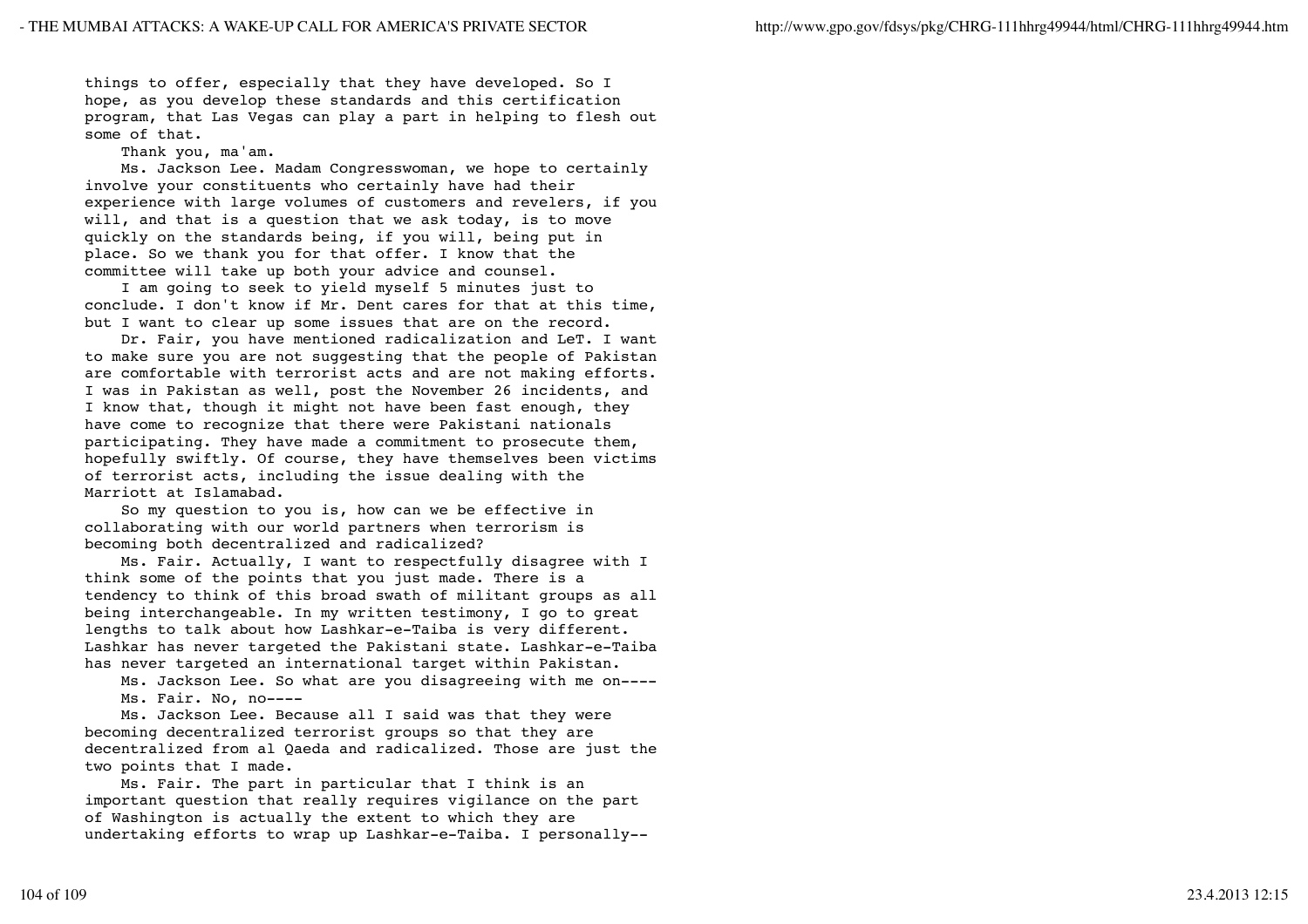things to offer, especially that they have developed. So I hope, as you develop these standards and this certification program, that Las Vegas can play a part in helping to flesh out some of that.

Thank you, ma'am.

 Ms. Jackson Lee. Madam Congresswoman, we hope to certainly involve your constituents who certainly have had their experience with large volumes of customers and revelers, if you will, and that is a question that we ask today, is to move quickly on the standards being, if you will, being put in place. So we thank you for that offer. I know that the committee will take up both your advice and counsel.

 I am going to seek to yield myself 5 minutes just to conclude. I don't know if Mr. Dent cares for that at this time, but I want to clear up some issues that are on the record.

 Dr. Fair, you have mentioned radicalization and LeT. I want to make sure you are not suggesting that the people of Pakistan are comfortable with terrorist acts and are not making efforts. I was in Pakistan as well, post the November 26 incidents, and I know that, though it might not have been fast enough, they have come to recognize that there were Pakistani nationals participating. They have made a commitment to prosecute them, hopefully swiftly. Of course, they have themselves been victims of terrorist acts, including the issue dealing with the Marriott at Islamabad.

 So my question to you is, how can we be effective in collaborating with our world partners when terrorism is becoming both decentralized and radicalized?

 Ms. Fair. Actually, I want to respectfully disagree with I think some of the points that you just made. There is a tendency to think of this broad swath of militant groups as all being interchangeable. In my written testimony, I go to great lengths to talk about how Lashkar-e-Taiba is very different. Lashkar has never targeted the Pakistani state. Lashkar-e-Taiba has never targeted an international target within Pakistan.

 Ms. Jackson Lee. So what are you disagreeing with me on---- Ms. Fair. No, no----

 Ms. Jackson Lee. Because all I said was that they were becoming decentralized terrorist groups so that they are decentralized from al Qaeda and radicalized. Those are just the two points that I made.

 Ms. Fair. The part in particular that I think is an important question that really requires vigilance on the part of Washington is actually the extent to which they are undertaking efforts to wrap up Lashkar-e-Taiba. I personally--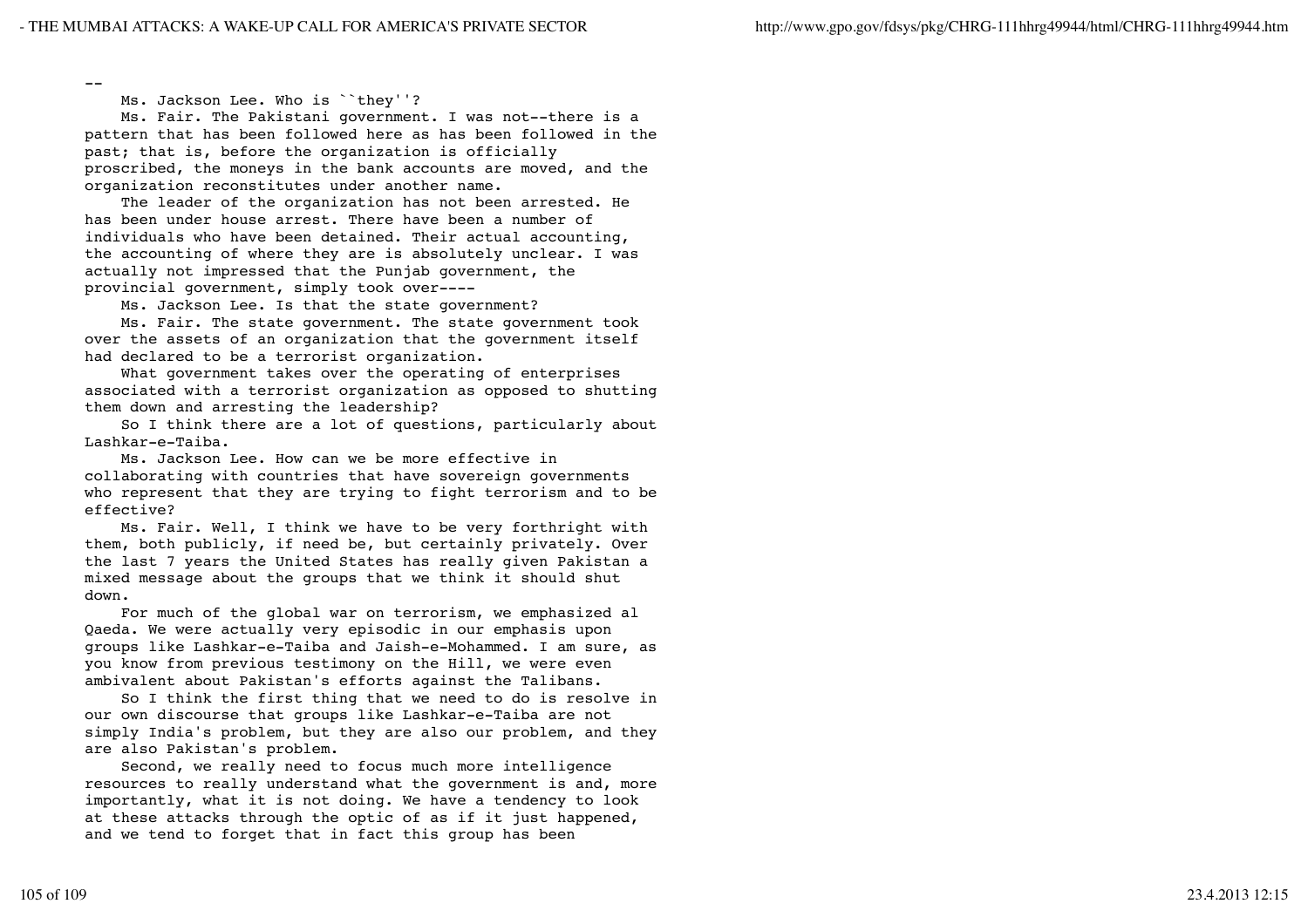--

Ms. Jackson Lee. Who is ``they''?

 Ms. Fair. The Pakistani government. I was not--there is a pattern that has been followed here as has been followed in the past; that is, before the organization is officially proscribed, the moneys in the bank accounts are moved, and the organization reconstitutes under another name.

 The leader of the organization has not been arrested. He has been under house arrest. There have been a number of individuals who have been detained. Their actual accounting, the accounting of where they are is absolutely unclear. I was actually not impressed that the Punjab government, the provincial government, simply took over----

Ms. Jackson Lee. Is that the state government?

 Ms. Fair. The state government. The state government took over the assets of an organization that the government itself had declared to be a terrorist organization.

 What government takes over the operating of enterprises associated with a terrorist organization as opposed to shutting them down and arresting the leadership?

 So I think there are a lot of questions, particularly about Lashkar-e-Taiba.

 Ms. Jackson Lee. How can we be more effective in collaborating with countries that have sovereign governments who represent that they are trying to fight terrorism and to be effective?

 Ms. Fair. Well, I think we have to be very forthright with them, both publicly, if need be, but certainly privately. Over the last 7 years the United States has really given Pakistan a mixed message about the groups that we think it should shut down.

 For much of the global war on terrorism, we emphasized al Qaeda. We were actually very episodic in our emphasis upon groups like Lashkar-e-Taiba and Jaish-e-Mohammed. I am sure, as you know from previous testimony on the Hill, we were even ambivalent about Pakistan's efforts against the Talibans.

 So I think the first thing that we need to do is resolve in our own discourse that groups like Lashkar-e-Taiba are not simply India's problem, but they are also our problem, and they are also Pakistan's problem.

 Second, we really need to focus much more intelligence resources to really understand what the government is and, more importantly, what it is not doing. We have a tendency to look at these attacks through the optic of as if it just happened, and we tend to forget that in fact this group has been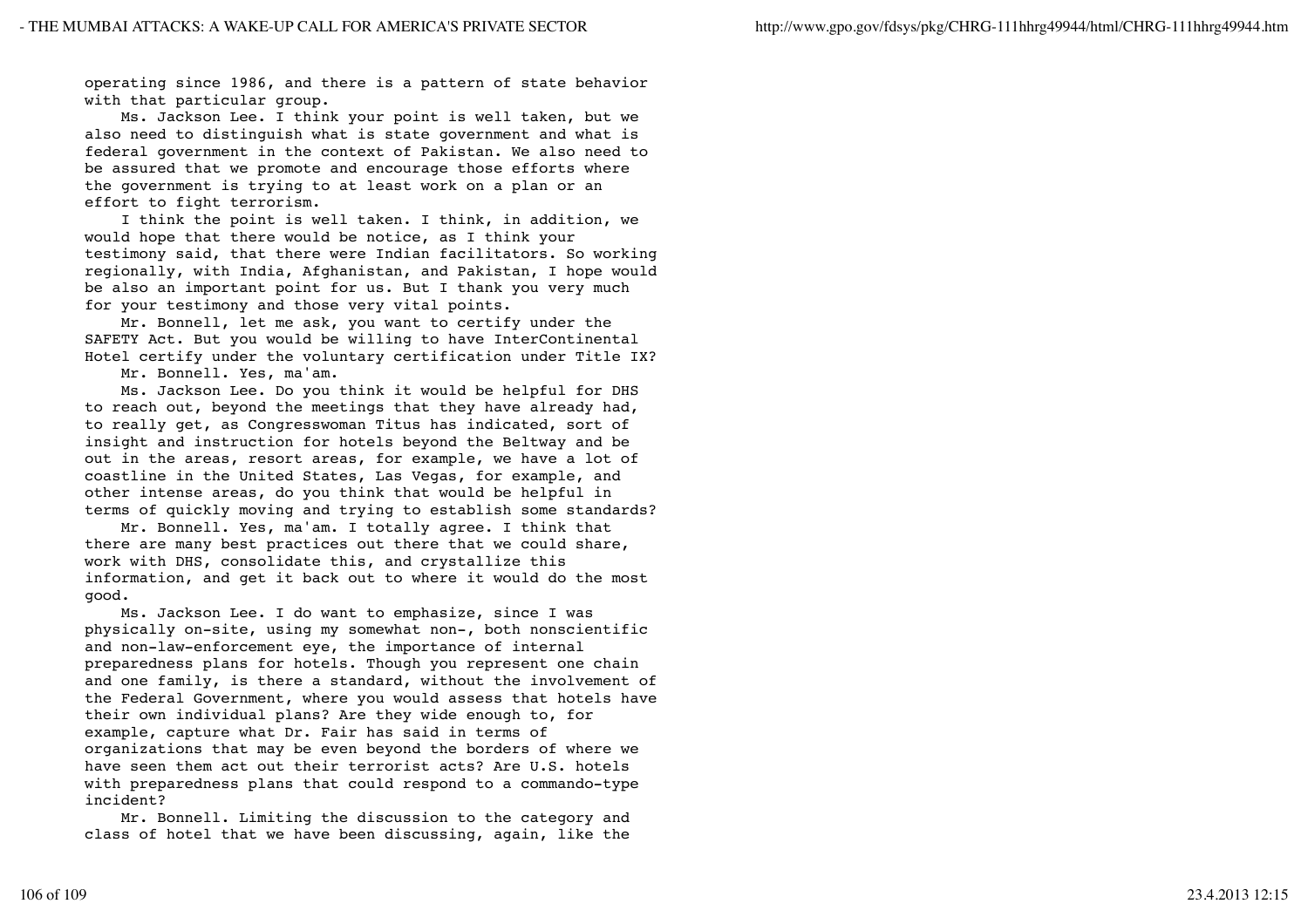operating since 1986, and there is a pattern of state behavior with that particular group.

 Ms. Jackson Lee. I think your point is well taken, but we also need to distinguish what is state government and what is federal government in the context of Pakistan. We also need to be assured that we promote and encourage those efforts where the government is trying to at least work on a plan or an effort to fight terrorism.

 I think the point is well taken. I think, in addition, we would hope that there would be notice, as I think your testimony said, that there were Indian facilitators. So working regionally, with India, Afghanistan, and Pakistan, I hope would be also an important point for us. But I thank you very much for your testimony and those very vital points.

 Mr. Bonnell, let me ask, you want to certify under the SAFETY Act. But you would be willing to have InterContinental Hotel certify under the voluntary certification under Title IX?

Mr. Bonnell. Yes, ma'am.

 Ms. Jackson Lee. Do you think it would be helpful for DHS to reach out, beyond the meetings that they have already had, to really get, as Congresswoman Titus has indicated, sort of insight and instruction for hotels beyond the Beltway and be out in the areas, resort areas, for example, we have a lot of coastline in the United States, Las Vegas, for example, and other intense areas, do you think that would be helpful in terms of quickly moving and trying to establish some standards?

 Mr. Bonnell. Yes, ma'am. I totally agree. I think that there are many best practices out there that we could share, work with DHS, consolidate this, and crystallize this information, and get it back out to where it would do the most good.

 Ms. Jackson Lee. I do want to emphasize, since I was physically on-site, using my somewhat non-, both nonscientific and non-law-enforcement eye, the importance of internal preparedness plans for hotels. Though you represent one chain and one family, is there a standard, without the involvement of the Federal Government, where you would assess that hotels have their own individual plans? Are they wide enough to, for example, capture what Dr. Fair has said in terms of organizations that may be even beyond the borders of where we have seen them act out their terrorist acts? Are U.S. hotels with preparedness plans that could respond to a commando-type incident?

 Mr. Bonnell. Limiting the discussion to the category and class of hotel that we have been discussing, again, like the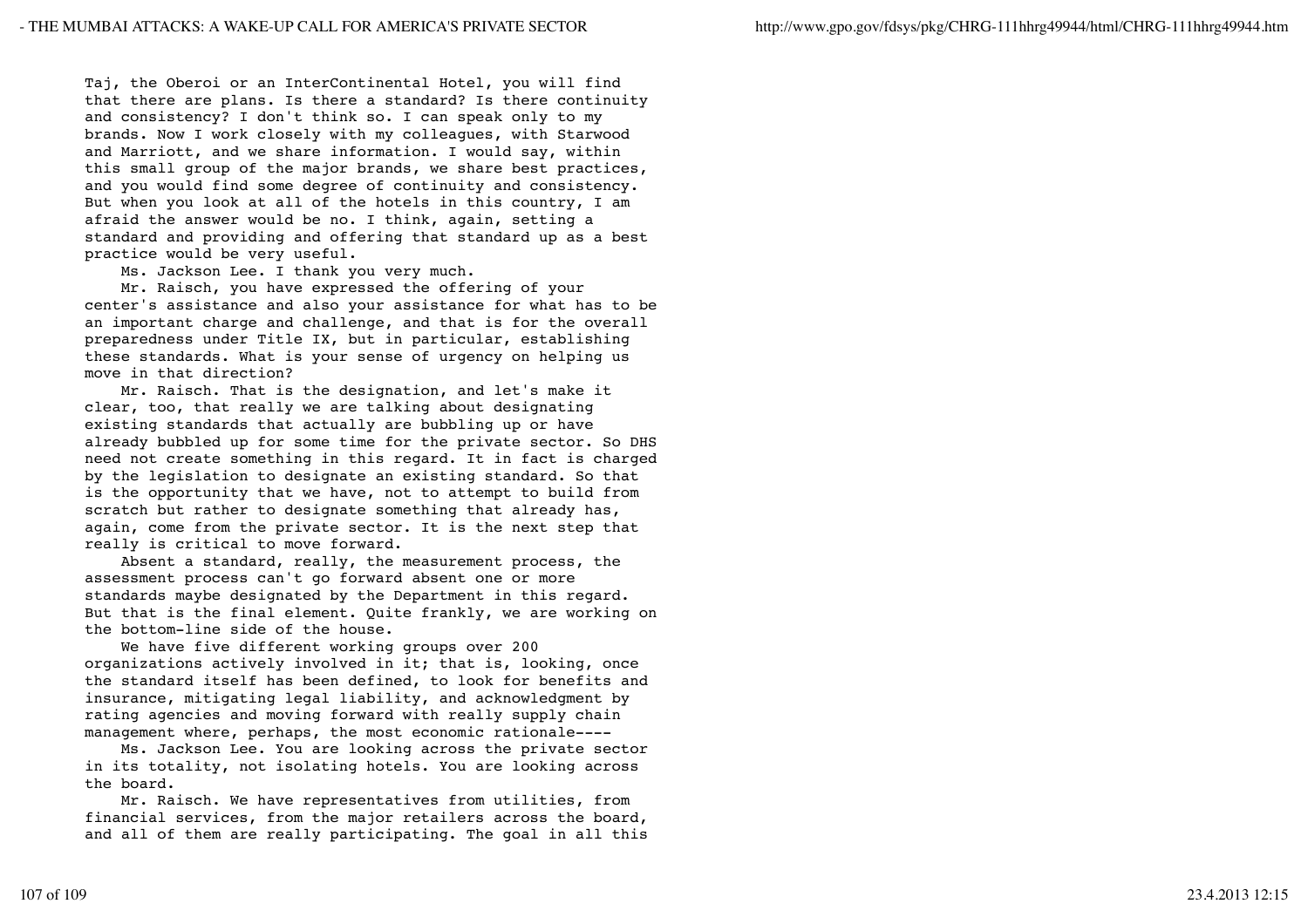Taj, the Oberoi or an InterContinental Hotel, you will find that there are plans. Is there a standard? Is there continuity and consistency? I don't think so. I can speak only to my brands. Now I work closely with my colleagues, with Starwood and Marriott, and we share information. I would say, within this small group of the major brands, we share best practices, and you would find some degree of continuity and consistency. But when you look at all of the hotels in this country, I am afraid the answer would be no. I think, again, setting a standard and providing and offering that standard up as a best practice would be very useful.

Ms. Jackson Lee. I thank you very much.

 Mr. Raisch, you have expressed the offering of your center's assistance and also your assistance for what has to be an important charge and challenge, and that is for the overall preparedness under Title IX, but in particular, establishing these standards. What is your sense of urgency on helping us move in that direction?

 Mr. Raisch. That is the designation, and let's make it clear, too, that really we are talking about designating existing standards that actually are bubbling up or have already bubbled up for some time for the private sector. So DHS need not create something in this regard. It in fact is charged by the legislation to designate an existing standard. So that is the opportunity that we have, not to attempt to build from scratch but rather to designate something that already has, again, come from the private sector. It is the next step that really is critical to move forward.

 Absent a standard, really, the measurement process, the assessment process can't go forward absent one or more standards maybe designated by the Department in this regard. But that is the final element. Quite frankly, we are working on the bottom-line side of the house.

 We have five different working groups over 200 organizations actively involved in it; that is, looking, once the standard itself has been defined, to look for benefits and insurance, mitigating legal liability, and acknowledgment by rating agencies and moving forward with really supply chain management where, perhaps, the most economic rationale----

 Ms. Jackson Lee. You are looking across the private sector in its totality, not isolating hotels. You are looking across the board.

 Mr. Raisch. We have representatives from utilities, from financial services, from the major retailers across the board, and all of them are really participating. The goal in all this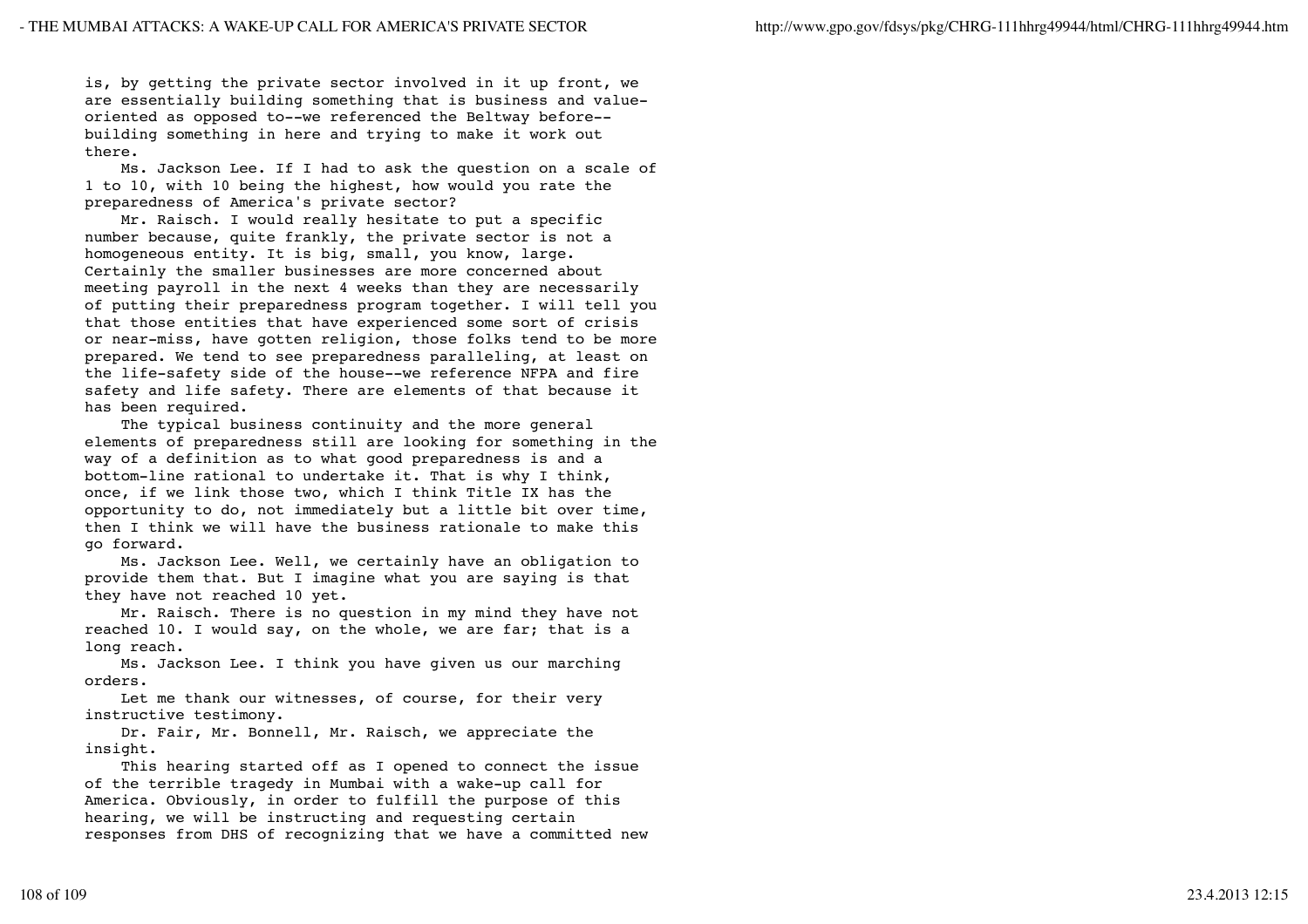is, by getting the private sector involved in it up front, we are essentially building something that is business and valueoriented as opposed to--we referenced the Beltway before- building something in here and trying to make it work out there.

 Ms. Jackson Lee. If I had to ask the question on a scale of 1 to 10, with 10 being the highest, how would you rate the preparedness of America's private sector?

 Mr. Raisch. I would really hesitate to put a specific number because, quite frankly, the private sector is not a homogeneous entity. It is big, small, you know, large. Certainly the smaller businesses are more concerned about meeting payroll in the next 4 weeks than they are necessarily of putting their preparedness program together. I will tell you that those entities that have experienced some sort of crisis or near-miss, have gotten religion, those folks tend to be more prepared. We tend to see preparedness paralleling, at least on the life-safety side of the house--we reference NFPA and fire safety and life safety. There are elements of that because it has been required.

 The typical business continuity and the more general elements of preparedness still are looking for something in the way of a definition as to what good preparedness is and a bottom-line rational to undertake it. That is why I think, once, if we link those two, which I think Title IX has the opportunity to do, not immediately but a little bit over time, then I think we will have the business rationale to make this go forward.

 Ms. Jackson Lee. Well, we certainly have an obligation to provide them that. But I imagine what you are saying is that they have not reached 10 yet.

 Mr. Raisch. There is no question in my mind they have not reached 10. I would say, on the whole, we are far; that is a long reach.

 Ms. Jackson Lee. I think you have given us our marching orders.

 Let me thank our witnesses, of course, for their very instructive testimony.

 Dr. Fair, Mr. Bonnell, Mr. Raisch, we appreciate the insight.

 This hearing started off as I opened to connect the issue of the terrible tragedy in Mumbai with a wake-up call for America. Obviously, in order to fulfill the purpose of this hearing, we will be instructing and requesting certain responses from DHS of recognizing that we have a committed new